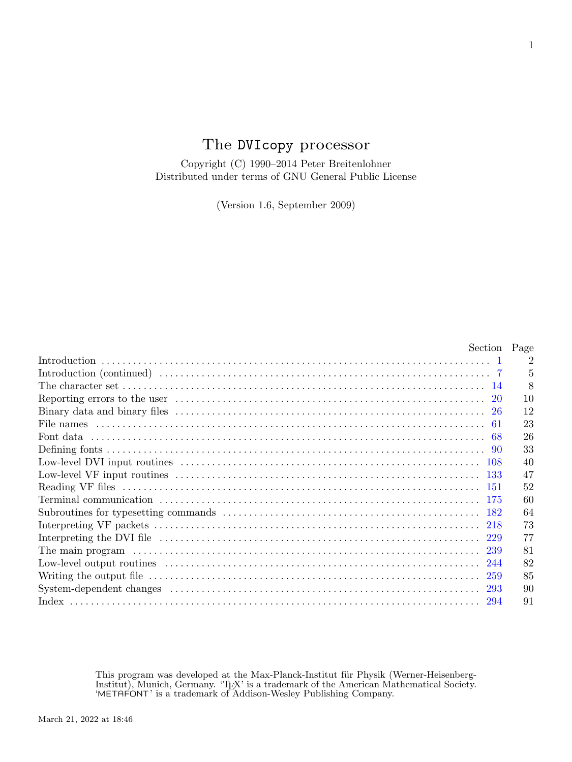# The DVIcopy processor

Copyright (C) 1990–2014 Peter Breitenlohner Distributed under terms of GNU General Public License

(Version 1.6, September 2009)

|                                                                                                                                                    | Section Page |
|----------------------------------------------------------------------------------------------------------------------------------------------------|--------------|
|                                                                                                                                                    | 2            |
|                                                                                                                                                    | 5            |
|                                                                                                                                                    | 8            |
|                                                                                                                                                    | 10           |
|                                                                                                                                                    | 12           |
| -61                                                                                                                                                | 23           |
|                                                                                                                                                    | 26           |
|                                                                                                                                                    | 33           |
|                                                                                                                                                    | 40           |
|                                                                                                                                                    | 47           |
|                                                                                                                                                    | 52           |
|                                                                                                                                                    | 60           |
|                                                                                                                                                    | 64           |
| 218                                                                                                                                                | 73           |
| 229                                                                                                                                                | 77           |
| The main program (a) contain the contract of the main program (contained and the contract of the main program (contained and contained all $239$ ) | 81           |
|                                                                                                                                                    | 82           |
| 259                                                                                                                                                | 85           |
| 293                                                                                                                                                | 90           |
|                                                                                                                                                    | 91           |

This program was developed at the Max-Planck-Institut für Physik (Werner-Heisenberg-Institut), Munich, Germany. 'TEX' is a trademark of the American Mathematical Society. 'METAFONT' is a trademark of Addison-Wesley Publishing Company.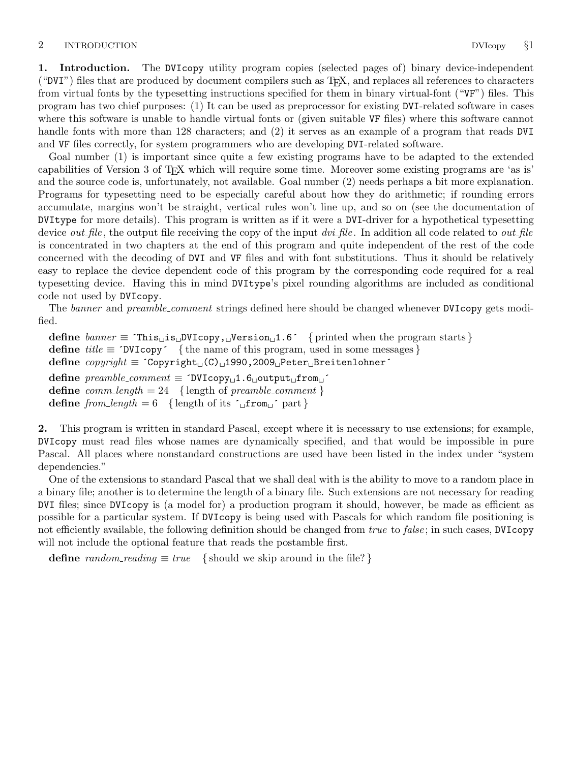#### <span id="page-1-0"></span>2 INTRODUCTION DVIcopy  $\S1$

1. Introduction. The DVIcopy utility program copies (selected pages of) binary device-independent ("DVI") files that are produced by document compilers such as TEX, and replaces all references to characters from virtual fonts by the typesetting instructions specified for them in binary virtual-font ("VF") files. This program has two chief purposes: (1) It can be used as preprocessor for existing DVI-related software in cases where this software is unable to handle virtual fonts or (given suitable VF files) where this software cannot handle fonts with more than 128 characters; and (2) it serves as an example of a program that reads DVI and VF files correctly, for system programmers who are developing DVI-related software.

Goal number (1) is important since quite a few existing programs have to be adapted to the extended capabilities of Version 3 of TEX which will require some time. Moreover some existing programs are 'as is' and the source code is, unfortunately, not available. Goal number (2) needs perhaps a bit more explanation. Programs for typesetting need to be especially careful about how they do arithmetic; if rounding errors accumulate, margins won't be straight, vertical rules won't line up, and so on (see the documentation of DVItype for more details). This program is written as if it were a DVI-driver for a hypothetical typesetting device *out file*, the output file receiving the copy of the input  $div$ -file. In addition all code related to *out file* is concentrated in two chapters at the end of this program and quite independent of the rest of the code concerned with the decoding of DVI and VF files and with font substitutions. Thus it should be relatively easy to replace the device dependent code of this program by the corresponding code required for a real typesetting device. Having this in mind DVItype's pixel rounding algorithms are included as conditional code not used by DVIcopy.

The banner and preamble comment strings defined here should be changed whenever DVIcopy gets modified.

define  $\text{banner} \equiv \text{This} \text{if } \text{D} \text{V} \text{Is } \text{op} \text{y}, \text{U} \text{h} \text{is } \text{op} \text{I}.6^{\text{T}} \text{if } \text{printegral when the program starts } \}$ define  $title \equiv 'DVIcopy'$  { the name of this program, used in some messages } define  $\textit{copyright} \equiv \text{`Copyright} \cup \text{`C} \cup \text{`1990}$ ,2009 $\text{`Peter} \cup \text{Breitenlohner`}$ define  $\text{preample\_comment} \equiv \text{'}DV1\text{copy\_1}.6$  output  $\text{ifrom}_\Box$ **define**  $comm\_length = 24$  {length of preamble\_comment} **define** from length = 6 { length of its  $\left\{\right. \right\}$  from  $\left\{\right. \right\}$ 

2. This program is written in standard Pascal, except where it is necessary to use extensions; for example, DVIcopy must read files whose names are dynamically specified, and that would be impossible in pure Pascal. All places where nonstandard constructions are used have been listed in the index under "system dependencies."

One of the extensions to standard Pascal that we shall deal with is the ability to move to a random place in a binary file; another is to determine the length of a binary file. Such extensions are not necessary for reading DVI files; since DVIcopy is (a model for) a production program it should, however, be made as efficient as possible for a particular system. If DVIcopy is being used with Pascals for which random file positioning is not efficiently available, the following definition should be changed from  $true$  to false; in such cases, DVIcopy will not include the optional feature that reads the postamble first.

**define** random reading  $\equiv true$  { should we skip around in the file? }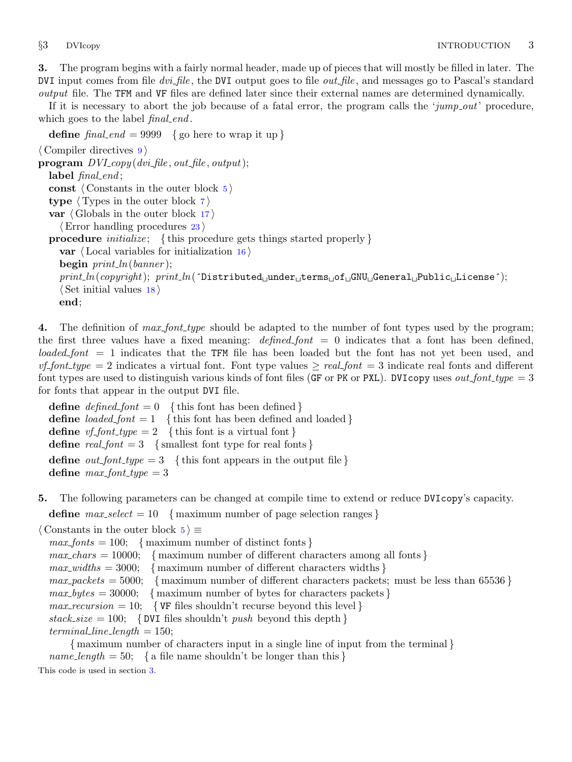<span id="page-2-0"></span>3. The program begins with a fairly normal header, made up of pieces that will mostly be filled in later. The DVI input comes from file dvi file, the DVI output goes to file *out* file, and messages go to Pascal's standard output file. The TFM and VF files are defined later since their external names are determined dynamically.

If it is necessary to abort the job because of a fatal error, the program calls the 'jump-out' procedure, which goes to the label *final-end*.

define  $\text{final\_end} = 9999 \{ \text{go here to wrap it up} \}$ 

 $\langle$  Compiler directives  $9 \rangle$  $9 \rangle$ 

program  $DVI$ <sub>-copy</sub> $(dvi$ -file, out<sub>-f</sub>ile, output);

label  $\mathit{final\_end}$ ;

const  $\langle$  Constants in the outer block 5  $\rangle$ 

type  $\langle$  Types in the outer block  $\langle$   $\rangle$ 

var  $\langle$  Globals in the outer block [17](#page-7-0) $\rangle$ 

 $\langle$  Error handling procedures [23](#page-9-0) $\rangle$ 

**procedure** *initialize*; {this procedure gets things started properly }

var  $\langle$  Local variables for initialization [16](#page-7-0) $\rangle$ 

begin  $print\_ln(banner)$ ;

 $print\_ln(copyright); print\_ln($  Distributed under terms of GNU General Public License');  $\langle$  Set initial values [18](#page-8-0)  $\rangle$ 

```
end;
```
4. The definition of *max\_font\_type* should be adapted to the number of font types used by the program; the first three values have a fixed meaning:  $defined\_font = 0$  indicates that a font has been defined,  $loaded_{font} = 1$  indicates that the TFM file has been loaded but the font has not yet been used, and  $v f f ont_type = 2$  indicates a virtual font. Font type values  $\geq real font = 3$  indicate real fonts and different font types are used to distinguish various kinds of font files (GF or PK or PXL). DVIcopy uses *out font type*  $= 3$ for fonts that appear in the output DVI file.

define defined font = 0 { this font has been defined } define *loaded\_font* = 1 { this font has been defined and loaded } define *vf-font-type* = 2 { this font is a virtual font } define real font  $= 3$  {smallest font type for real fonts} define *out\_font\_type* = 3 { this font appears in the output file } define  $max\_font\_type = 3$ 

5. The following parameters can be changed at compile time to extend or reduce DVIcopy's capacity.

define  $max\_select = 10$  { maximum number of page selection ranges }

 $\langle$  Constants in the outer block 5  $\rangle \equiv$ 

 $max\_fonts = 100;$  { maximum number of distinct fonts }  $max_{\text{chars}} = 10000;$  { maximum number of different characters among all fonts }  $max_widths = 3000;$  { maximum number of different characters widths }  $max.packets = 5000;$  { maximum number of different characters packets; must be less than 65536 }  $max_b ytes = 30000;$  { maximum number of bytes for characters packets }  $max\_recursion = 10;$  { VF files shouldn't recurse beyond this level }  $stack\_size = 100; \{DVI \text{ files shouldn't } push \text{ beyond this depth }\}$  $terminal\_line\_length = 150;$ { maximum number of characters input in a single line of input from the terminal }

name length = 50; { a file name shouldn't be longer than this }

This code is used in section 3.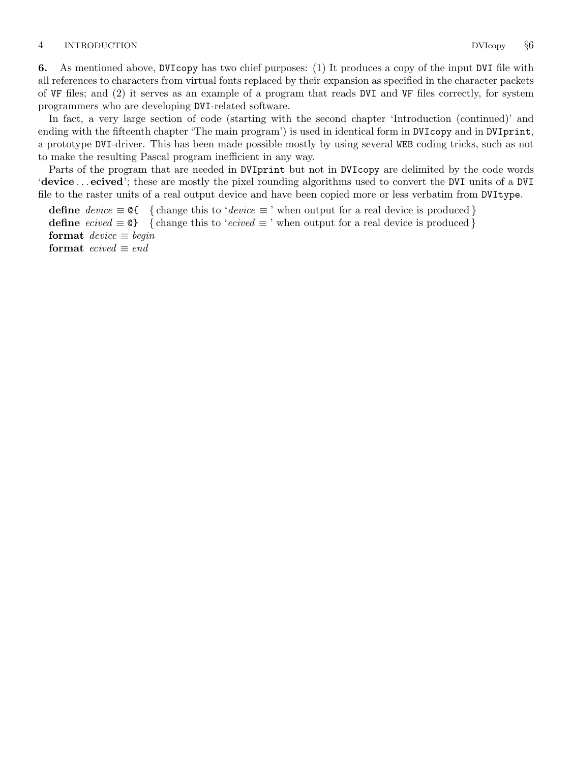### 4 INTRODUCTION DVIcopy  $\frac{66}{50}$

6. As mentioned above, DVIcopy has two chief purposes: (1) It produces a copy of the input DVI file with all references to characters from virtual fonts replaced by their expansion as specified in the character packets of VF files; and (2) it serves as an example of a program that reads DVI and VF files correctly, for system programmers who are developing DVI-related software.

In fact, a very large section of code (starting with the second chapter 'Introduction (continued)' and ending with the fifteenth chapter 'The main program') is used in identical form in DVIcopy and in DVIprint, a prototype DVI-driver. This has been made possible mostly by using several WEB coding tricks, such as not to make the resulting Pascal program inefficient in any way.

Parts of the program that are needed in DVIprint but not in DVIcopy are delimited by the code words 'device . . . ecived'; these are mostly the pixel rounding algorithms used to convert the DVI units of a DVI file to the raster units of a real output device and have been copied more or less verbatim from DVItype.

define device  $\equiv \mathfrak{g} \{$  {change this to 'device  $\equiv$  ' when output for a real device is produced } define ecived  $\equiv \mathbb{Q}$  {change this to 'ecived  $\equiv$  ' when output for a real device is produced } format  $\text{device} \equiv \text{begin}$ format ecived  $\equiv$  end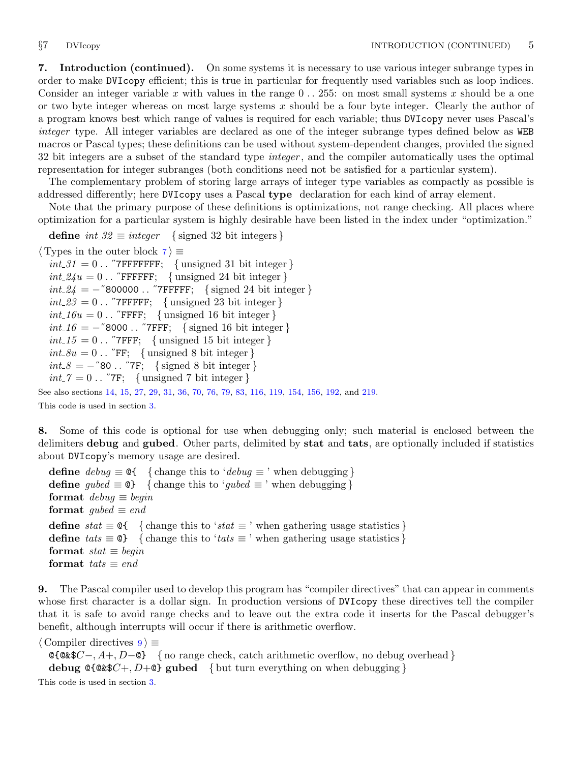<span id="page-4-0"></span>7. Introduction (continued). On some systems it is necessary to use various integer subrange types in order to make DVIcopy efficient; this is true in particular for frequently used variables such as loop indices. Consider an integer variable x with values in the range  $0 \dots 255$ : on most small systems x should be a one or two byte integer whereas on most large systems x should be a four byte integer. Clearly the author of a program knows best which range of values is required for each variable; thus DVIcopy never uses Pascal's integer type. All integer variables are declared as one of the integer subrange types defined below as WEB macros or Pascal types; these definitions can be used without system-dependent changes, provided the signed 32 bit integers are a subset of the standard type *integer*, and the compiler automatically uses the optimal representation for integer subranges (both conditions need not be satisfied for a particular system).

The complementary problem of storing large arrays of integer type variables as compactly as possible is addressed differently; here DVIcopy uses a Pascal type declaration for each kind of array element.

Note that the primary purpose of these definitions is optimizations, not range checking. All places where optimization for a particular system is highly desirable have been listed in the index under "optimization."

define  $int_0.32 \equiv integer$  { signed 32 bit integers }

```
\langle Types in the outer block \langle 7 \rangle \equivint_{-31} = 0.. "7FFFFFFF; { unsigned 31 bit integer }
  int_24u = 0.. "FFFFFF; { unsigned 24 bit integer }
  int_2^2 = -\text{``800000}.. "7FFFFF; { signed 24 bit integer }
  int_2 3 = 0.. "7FFFFF; { unsigned 23 bit integer }
  int_1 16u = 0.. "FFFF; { unsigned 16 bit integer }
  int_{-16} = -78000.. 7FFF; { signed 16 bit integer }
  int_1 15 = 0. "7FFF; { unsigned 15 bit integer }
  int_{\mathcal{S}} 8u = 0.. "FF; { unsigned 8 bit integer }
  int_{\mathcal{S}} 8 = -780.. 7F; {signed 8 bit integer}
  int_1 7 = 0.. "7F; {unsigned 7 bit integer}
See also sections 14, 15, 27, 29, 31, 36, 70, 76, 79, 83, 116, 119, 154, 156, 192, and 219.
```
This code is used in section [3](#page-2-0).

8. Some of this code is optional for use when debugging only; such material is enclosed between the delimiters debug and gubed. Other parts, delimited by stat and tats, are optionally included if statistics about DVIcopy's memory usage are desired.

define  $\text{debug} \equiv \mathbf{Q} \{$  {change this to ' $\text{debug} \equiv$ ' when debugging } **define** gubed  $\equiv \mathbf{Q}$  { change this to 'gubed  $\equiv$  ' when debugging } format  $debug \equiv begin$ format gubed  $\equiv end$ define  $stat \equiv \mathcal{A}$  { change this to ' $stat \equiv$  ' when gathering usage statistics } define  $\text{tats} \equiv \text{Q}$  { change this to ' $\text{tats} \equiv$ ' when gathering usage statistics } format  $stat \equiv begin$ format tats  $\equiv end$ 

9. The Pascal compiler used to develop this program has "compiler directives" that can appear in comments whose first character is a dollar sign. In production versions of DVIcopy these directives tell the compiler that it is safe to avoid range checks and to leave out the extra code it inserts for the Pascal debugger's benefit, although interrupts will occur if there is arithmetic overflow.

 $\langle$  Compiler directives  $9 \rangle \equiv$ 

@{@&\$C−, A+, D−@} { no range check, catch arithmetic overflow, no debug overhead } debug  $\mathcal{Q}$ { $\mathcal{Q}$ &\$ $C$ +,  $D$ + $\mathcal{Q}$ } gubed { but turn everything on when debugging }

This code is used in section [3](#page-2-0).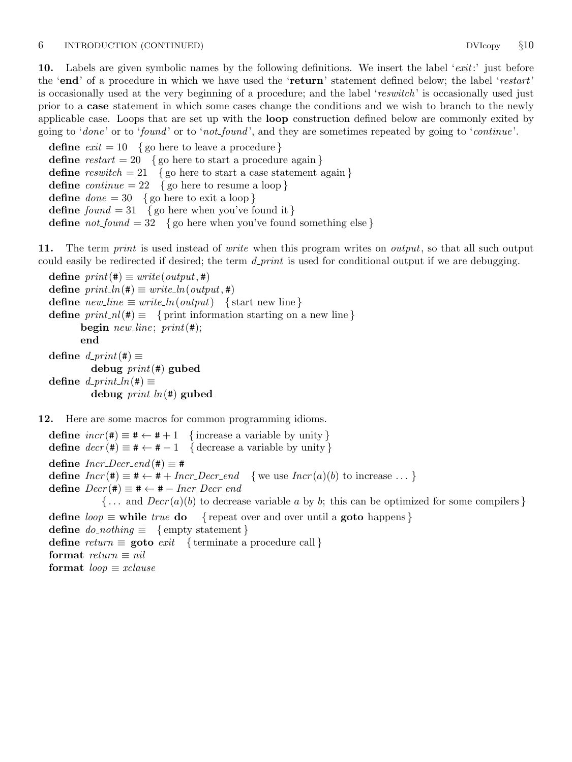10. Labels are given symbolic names by the following definitions. We insert the label 'exit:' just before the 'end' of a procedure in which we have used the 'return' statement defined below; the label 'restart' is occasionally used at the very beginning of a procedure; and the label 'reswitch' is occasionally used just prior to a case statement in which some cases change the conditions and we wish to branch to the newly applicable case. Loops that are set up with the loop construction defined below are commonly exited by going to 'done' or to 'found' or to 'not-found', and they are sometimes repeated by going to 'continue'.

define  $exit = 10$  {go here to leave a procedure} define  $\text{restart} = 20$  {go here to start a procedure again} define  $resultch = 21$  {go here to start a case statement again } define *continue* = 22 { go here to resume a loop } define  $done = 30 \{$ go here to exit a loop } define  $found = 31$  {go here when you've found it } define  $not\_found = 32$  {go here when you've found something else}

11. The term *print* is used instead of *write* when this program writes on *output*, so that all such output could easily be redirected if desired; the term  $d$ -print is used for conditional output if we are debugging.

define  $print(\textbf{\#}) \equiv write(output, \textbf{\#})$ define  $print\_ln(\texttt{\#}) \equiv write\_ln(output, \texttt{\#})$ define  $new\_line \equiv write\_ln(output)$  { start new line } define  $print\_nl(\#) \equiv \{$  print information starting on a new line  $\}$ begin new line;  $print(\#);$ end define  $d\_print(\texttt{\#}) \equiv$ debug  $print(\#)$  gubed define  $d\_print\_ln(#) \equiv$ debug  $print\_ln(#)$  gubed

12. Here are some macros for common programming idioms.

define  $incr(\texttt{\#}) \equiv \texttt{\#} \leftarrow \texttt{\#} + 1$  {increase a variable by unity} define  $decr(\texttt{#}) \equiv \texttt{#} \leftarrow \texttt{#} - 1$  { decrease a variable by unity } define  $Incr\_Decr\_end (\#) \equiv #$ define  $Incr(\#) \equiv \# \leftarrow \# + Incr\_Decr\_end$  {we use  $Incr(a)(b)$  to increase ...} define  $Decr(\texttt{\#}) \equiv \texttt{\#} \leftarrow \texttt{\#} - Incr\_Decr\_end$  $\{\ldots\}$  and  $Decr(a)(b)$  to decrease variable a by b; this can be optimized for some compilers } define  $loop \equiv$  while true do { repeat over and over until a goto happens} define  $do\_nothing \equiv \{$  empty statement  $\}$ define return  $\equiv$  goto exit { terminate a procedure call } format return  $\equiv$  nil format  $loop \equiv x clause$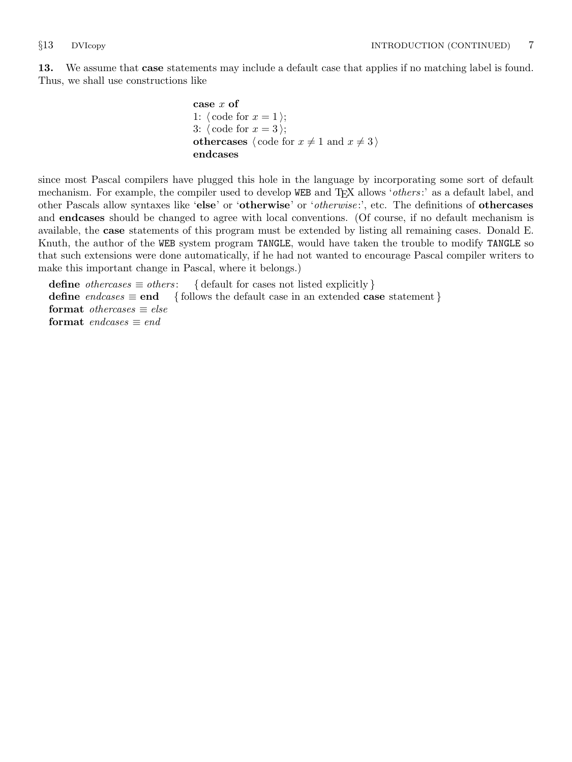13. We assume that case statements may include a default case that applies if no matching label is found. Thus, we shall use constructions like

```
case x of
1: \langle \text{code for } x = 1 \rangle;3: \langle \text{code for } x = 3 \rangle;
othercases \langle \text{code for } x \neq 1 \text{ and } x \neq 3 \rangleendcases
```
since most Pascal compilers have plugged this hole in the language by incorporating some sort of default mechanism. For example, the compiler used to develop WEB and T<sub>EX</sub> allows 'others:' as a default label, and other Pascals allow syntaxes like 'else' or 'otherwise' or '*otherwise*:', etc. The definitions of **othercases** and endcases should be changed to agree with local conventions. (Of course, if no default mechanism is available, the case statements of this program must be extended by listing all remaining cases. Donald E. Knuth, the author of the WEB system program TANGLE, would have taken the trouble to modify TANGLE so that such extensions were done automatically, if he had not wanted to encourage Pascal compiler writers to make this important change in Pascal, where it belongs.)

define *othercases*  $\equiv$  *others*: { default for cases not listed explicitly } define endcases  $\equiv$  end { follows the default case in an extended case statement } format *othercases*  $\equiv$  *else* format endcases  $\equiv$  end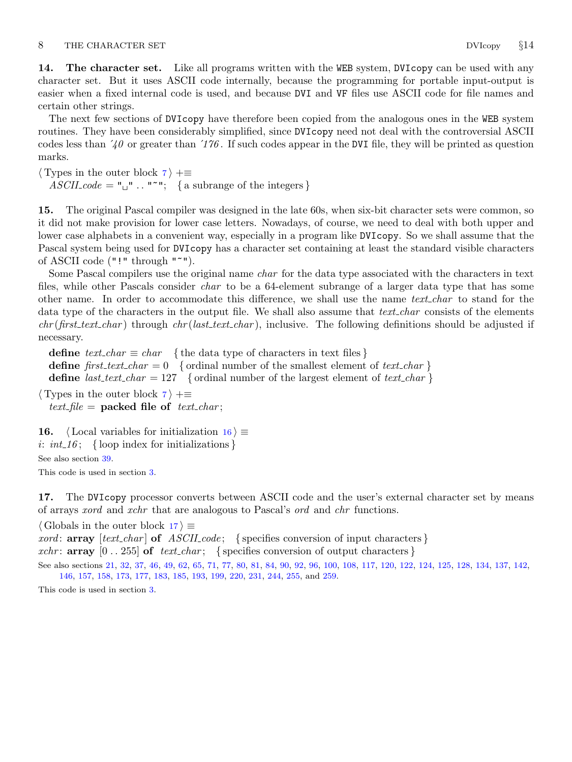<span id="page-7-0"></span>14. The character set. Like all programs written with the WEB system, DVIcopy can be used with any character set. But it uses ASCII code internally, because the programming for portable input-output is easier when a fixed internal code is used, and because DVI and VF files use ASCII code for file names and certain other strings.

The next few sections of DVIcopy have therefore been copied from the analogous ones in the WEB system routines. They have been considerably simplified, since DVIcopy need not deal with the controversial ASCII codes less than  $\dot{40}$  or greater than  $\dot{176}$ . If such codes appear in the DVI file, they will be printed as question marks.

 $\langle$  Types in the outer block [7](#page-4-0)  $\rangle$  +≡  $ASCII\_code = "u" ... "''';$  { a subrange of the integers }

15. The original Pascal compiler was designed in the late 60s, when six-bit character sets were common, so it did not make provision for lower case letters. Nowadays, of course, we need to deal with both upper and lower case alphabets in a convenient way, especially in a program like DVIcopy. So we shall assume that the Pascal system being used for DVIcopy has a character set containing at least the standard visible characters of ASCII code ("!" through "~").

Some Pascal compilers use the original name *char* for the data type associated with the characters in text files, while other Pascals consider *char* to be a 64-element subrange of a larger data type that has some other name. In order to accommodate this difference, we shall use the name *text-char* to stand for the data type of the characters in the output file. We shall also assume that *text-char* consists of the elements  $chr(first.text(char)$  through  $chr(last.text(char)$ , inclusive. The following definitions should be adjusted if necessary.

define  $text\_char \equiv char$  { the data type of characters in text files } define  $first\_text\_char = 0$  {ordinal number of the smallest element of  $text\_char}$ } define *last\_text\_char* = 127 { ordinal number of the largest element of text\_char }

 $\langle$  Types in the outer block [7](#page-4-0) $\rangle$  +≡ text\_file = packed file of text\_char;

16.  $\langle$  Local variables for initialization 16  $\rangle \equiv$ i:  $int_16$ ; {loop index for initializations} See also section [39.](#page-14-0) This code is used in section [3](#page-2-0).

17. The DVIcopy processor converts between ASCII code and the user's external character set by means of arrays xord and xchr that are analogous to Pascal's ord and chr functions.

 $\langle$  Globals in the outer block 17  $\rangle \equiv$ 

*xord*:  $array \, [text{\,}^-]$   $[text{\,}^-]$  of  $ASCII{\,}code;$  { specifies conversion of input characters }

xchr: **array**  $[0 \tcdot 255]$  of text chard ; { specifies conversion of output characters }

See also sections [21](#page-9-0), [32](#page-13-0), [37,](#page-13-0) [46](#page-16-0), [49](#page-16-0), [62,](#page-22-0) [65,](#page-23-0) [71](#page-25-0), [77,](#page-27-0) [80,](#page-27-0) [81](#page-28-0), [84](#page-29-0), [90,](#page-32-0) [92,](#page-32-0) [96](#page-32-0), [100](#page-35-0), [108](#page-39-0), [117](#page-41-0), [120](#page-42-0), [122](#page-43-0), [124,](#page-43-0) [125,](#page-43-0) [128,](#page-44-0) [134,](#page-46-0) [137,](#page-46-0) [142,](#page-47-0) [146,](#page-49-0) [157,](#page-53-0) [158](#page-53-0), [173](#page-58-0), [177](#page-60-0), [183](#page-63-0), [185,](#page-63-0) [193,](#page-65-0) [199,](#page-66-0) [220,](#page-72-0) [231](#page-76-0), [244](#page-81-0), [255](#page-82-0), and [259.](#page-84-0)

This code is used in section [3](#page-2-0).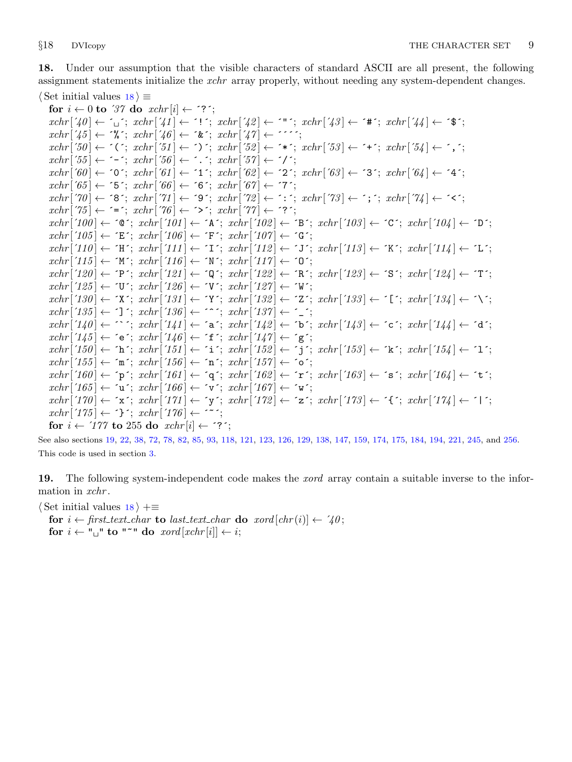<span id="page-8-0"></span>18. Under our assumption that the visible characters of standard ASCII are all present, the following assignment statements initialize the *xchr* array properly, without needing any system-dependent changes.  $\langle$  Set initial values 18  $\rangle \equiv$ 

for  $i \leftarrow 0$  to '37 do  $xchr[i] \leftarrow$  '?';  $xchr[740] \leftarrow \ulcorner_1$ ;  $xchr[74] \leftarrow \ulcorner!$ ;  $xchr[74] \leftarrow \ulcorner!$ ;  $xchr[74] \leftarrow \ulcorner*$ ;  $xchr[74] \leftarrow \ulcorner*$ ;  $xchr['45] \leftarrow \mathcal{X}$ ;  $xchr['46] \leftarrow \mathcal{X}$ ;  $xchr['47] \leftarrow \mathcal{Y}$ ;  $xchr[50] \leftarrow \checkmark$ ;  $xchr[51] \leftarrow \checkmark$ ;  $xchr[52] \leftarrow \checkmark$ ;  $xchr[53] \leftarrow \checkmark$ ;  $xchr[54] \leftarrow \checkmark$ ;  $xchr['55] \leftarrow -$ ;  $xchr['56] \leftarrow$ .;  $xchr['57] \leftarrow '$  $xchr['60] \leftarrow '0'; xchr['61] \leftarrow '1'; xchr['62] \leftarrow '2'; xchr['63] \leftarrow '3'; xchr['64] \leftarrow '4';$  $xchr['65] \leftarrow 5$ ;  $xchr['66] \leftarrow 6$ ;  $xchr['67] \leftarrow 7$ ;  $xchr[70] \leftarrow$  '8';  $xchr[71] \leftarrow$  '9';  $xchr[72] \leftarrow$  ':';  $xchr[73] \leftarrow$ '; ';  $xchr[74] \leftarrow$ '';  $xchr['75] \leftarrow \equiv \div; xchr['76] \leftarrow \leftrightarrow \div; xchr['77] \leftarrow \div \div;$  $xchr['100] \leftarrow$   $\circ \mathbb{C}$ ;  $xchr['101] \leftarrow \mathbb{A}$ ;  $xchr['102] \leftarrow \mathbb{B}$ ;  $xchr['103] \leftarrow \mathbb{C}$ ;  $xchr['104] \leftarrow \mathbb{D}$ ;  $xchr['105] \leftarrow \text{'}E': xchr['106] \leftarrow \text{'}F': xchr['107] \leftarrow \text{'}G':$  $xchr['110] \leftarrow \text{`H}\text{`; } xchr['111] \leftarrow \text{`I}\text{`; } xchr['112] \leftarrow \text{`J}\text{`; } xchr['113] \leftarrow \text{`K}\text{`; } xchr['114] \leftarrow \text{`L}\text{`;}$  $xchr['115] \leftarrow \gamma' xchr['116] \leftarrow \gamma' xchr['117] \leftarrow \gamma'$ ;  $xchr['120] \leftarrow \text{`P'}; xchr['121] \leftarrow \text{`Q'}; xchr['122] \leftarrow \text{`R'}; xchr['123] \leftarrow \text{`S'}; xchr['124] \leftarrow \text{`T'};$  $xchr['125] \leftarrow \text{`U'}$ ;  $xchr['126] \leftarrow \text{`V'}$ ;  $xchr['127] \leftarrow \text{`W'}$ ;  $xchr['130] \leftarrow \text{'}X'; xchr['131] \leftarrow \text{'}Y'; xchr['132] \leftarrow \text{'}Z'; xchr['133] \leftarrow \text{'}[t'; xchr['134] \leftarrow \text{'}Y'; xchr['134] \leftarrow \text{'}Y'; xchr['135] \leftarrow \text{'}Z'; xchr['136] \leftarrow \text{'}Y'; xchr['136] \leftarrow \text{'}Y'; xchr['137] \leftarrow \text{'}Y'; xchr['138] \leftarrow \text{'}Y'; xchr['138] \leftarrow \text{'}Y'; xchr['138] \leftarrow \text{'}$  $xchr['135] \leftarrow \text{'}$ ;  $xchr['136] \leftarrow \text{'}$ ;  $xchr['137] \leftarrow \text{'}$ ;  $xchr['140] \leftarrow \cdots$ ;  $xchr['141] \leftarrow 'a$ ;  $xchr['142] \leftarrow 'b$ ;  $xchr['143] \leftarrow 'c$ ;  $xchr['144] \leftarrow 'a'$ ;  $xchr['145] \leftarrow \text{`e'}; xchr['146] \leftarrow \text{`f'}; xchr['147] \leftarrow \text{`g'};$  $xchr['150] \leftarrow \text{`h'}; xchr['151] \leftarrow \text{`i'}; xchr['152] \leftarrow \text{`j'}; xchr['153] \leftarrow \text{`k'}; xchr['154] \leftarrow \text{`1'};$  $xchr['155] \leftarrow \text{`m'}; xchr['156] \leftarrow \text{`n'}; xchr['157] \leftarrow \text{`o'};$  $xchr['160] \leftarrow \text{`p`; } xchr['161] \leftarrow \text{`q`; } xchr['162] \leftarrow \text{`r`; } xchr['163] \leftarrow \text{`s`; } xchr['164] \leftarrow \text{`t`;}$  $xchr['165] \leftarrow \text{`u'}; xchr['166] \leftarrow \text{`v'}; xchr['167] \leftarrow \text{`w'};$  $xchr['170] \leftarrow x$ ;  $xchr['171] \leftarrow y$ ;  $xchr['172] \leftarrow z$ ;  $xchr['173] \leftarrow \{x; xchr['174] \leftarrow 1$ ;  $xchr['175] \leftarrow {\text{`}$}$ ;  $xchr['176] \leftarrow {\text{`}}$ for  $i \leftarrow 777$  to 255 do  $xchr[i] \leftarrow ?$ ;

See also sections 19, [22,](#page-9-0) [38](#page-14-0), [72](#page-26-0), [78,](#page-27-0) [82](#page-28-0), [85,](#page-29-0) [93,](#page-32-0) [118,](#page-42-0) [121](#page-43-0), [123](#page-43-0), [126](#page-43-0), [129](#page-44-0), [138,](#page-46-0) [147,](#page-49-0) [159,](#page-53-0) [174,](#page-58-0) [175](#page-59-0), [184](#page-63-0), [194](#page-65-0), [221](#page-72-0), [245,](#page-81-0) and [256](#page-82-0). This code is used in section [3](#page-2-0).

19. The following system-independent code makes the *xord* array contain a suitable inverse to the information in xchr.

 $\langle$  Set initial values 18  $\rangle$  +≡

for  $i \leftarrow$  first\_text\_char to last\_text\_char do xord  $[chr(i)] \leftarrow '40$ ; for  $i \leftarrow$  " $\sqcup$ " to "<sup>\*</sup>" do xord [xchr[i]  $\leftarrow i$ ;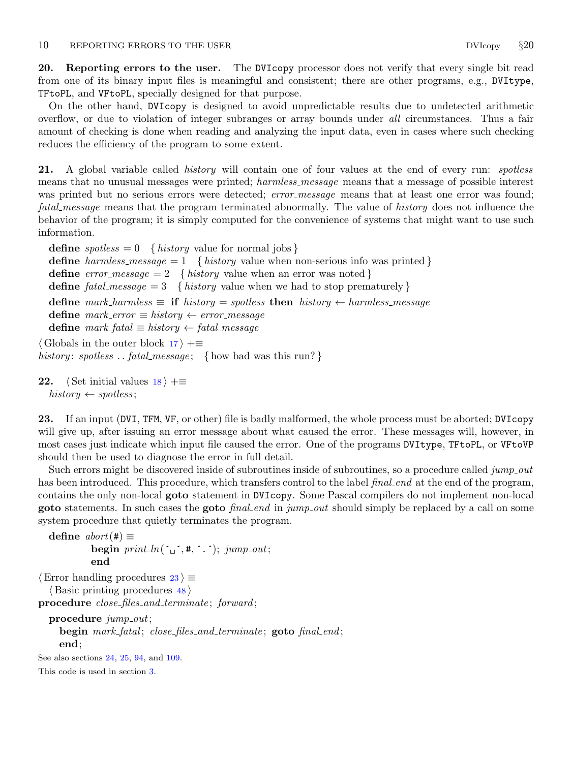<span id="page-9-0"></span>20. Reporting errors to the user. The DVIcopy processor does not verify that every single bit read from one of its binary input files is meaningful and consistent; there are other programs, e.g., DVItype, TFtoPL, and VFtoPL, specially designed for that purpose.

On the other hand, DVIcopy is designed to avoid unpredictable results due to undetected arithmetic overflow, or due to violation of integer subranges or array bounds under all circumstances. Thus a fair amount of checking is done when reading and analyzing the input data, even in cases where such checking reduces the efficiency of the program to some extent.

21. A global variable called *history* will contain one of four values at the end of every run: *spotless* means that no unusual messages were printed; harmless message means that a message of possible interest was printed but no serious errors were detected; *error\_message* means that at least one error was found; fatal message means that the program terminated abnormally. The value of history does not influence the behavior of the program; it is simply computed for the convenience of systems that might want to use such information.

**define**  $spotless = 0$  { history value for normal jobs } define harmless message  $= 1$  { history value when non-serious info was printed } define  $error\_message = 2$  { history value when an error was noted } define fatal message = 3 { history value when we had to stop prematurely } define mark\_harmless  $\equiv$  if history  $=$  spotless then history  $\leftarrow$  harmless\_message define mark\_error  $\equiv$  history  $\leftarrow$  error\_message define  $mark\_fatal \equiv history \leftarrow fatal\_message$  $\langle$  Globals in the outer block [17](#page-7-0)  $\rangle$  +≡ history: spotless ...  $fatal\_message$ ; { how bad was this run?}

22.  $\langle$  Set initial values [18](#page-8-0)  $\rangle$  +≡  $history \leftarrow spots;$ 

23. If an input (DVI, TFM, VF, or other) file is badly malformed, the whole process must be aborted; DVIcopy will give up, after issuing an error message about what caused the error. These messages will, however, in most cases just indicate which input file caused the error. One of the programs DVItype, TFtoPL, or VFtoVP should then be used to diagnose the error in full detail.

Such errors might be discovered inside of subroutines inside of subroutines, so a procedure called jump out has been introduced. This procedure, which transfers control to the label *final end* at the end of the program, contains the only non-local goto statement in DVIcopy. Some Pascal compilers do not implement non-local goto statements. In such cases the goto *final end* in jump out should simply be replaced by a call on some system procedure that quietly terminates the program.

```
define abort(\#) \equivbegin print\_ln(\cdot, +, \cdot, \cdot); jump\_out;end
```
 $\langle$  Error handling procedures 23  $\rangle \equiv$ 

 $\langle$  Basic printing procedures [48](#page-16-0) $\rangle$ 

procedure *close\_files\_and\_terminate*; *forward*;

```
procedure jump\_out;
  begin mark_fatal; close_files_and_terminate; goto final_end;
  end;
```
See also sections [24](#page-10-0), [25,](#page-10-0) [94](#page-32-0), and [109.](#page-39-0)

This code is used in section [3](#page-2-0).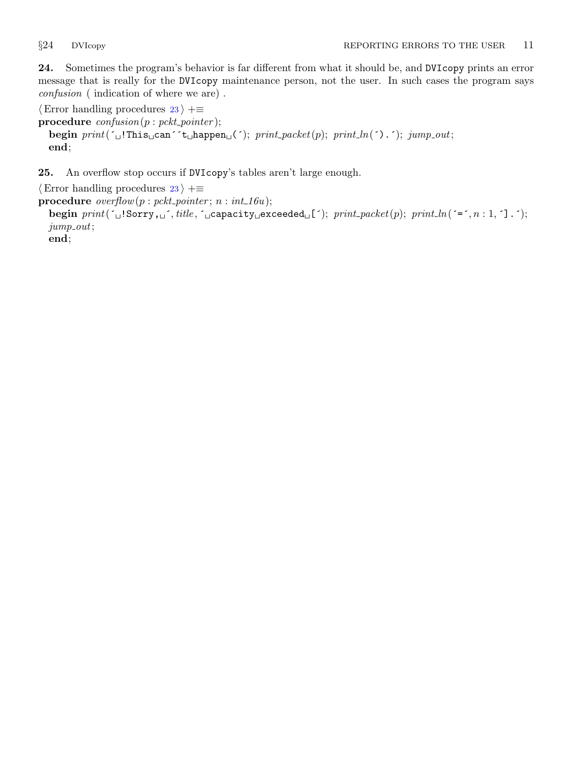<span id="page-10-0"></span>24. Sometimes the program's behavior is far different from what it should be, and DVIcopy prints an error message that is really for the DVIcopy maintenance person, not the user. In such cases the program says confusion ( indication of where we are) .

 $\langle$  Error handling procedures [23](#page-9-0)  $\rangle$  +≡ procedure  $confusion(p : pckt\_pointer);$ begin  $print('_1!This_0can't_bhappen_1('); print.packet(p); print.ln(').'); jump.out;$ end;

25. An overflow stop occurs if DVIcopy's tables aren't large enough.

 $\langle$  Error handling procedures [23](#page-9-0)  $\rangle$  +≡ procedure  $overflow(p : pckt\_pointer; n : int_16u);$ begin  $print'(\lceil \lceil \cdot \rceil)$  Sorry,  $\lceil \cdot \rceil$ ,  $title, \lceil \cdot \rceil$  capacity exceeded  $\lceil \cdot \rceil$ ; print  $packet(p)$ ; print  $ln(\lceil \cdot \rceil, n : 1, \lceil \cdot \rceil)$ ;  $jump_out;$ end;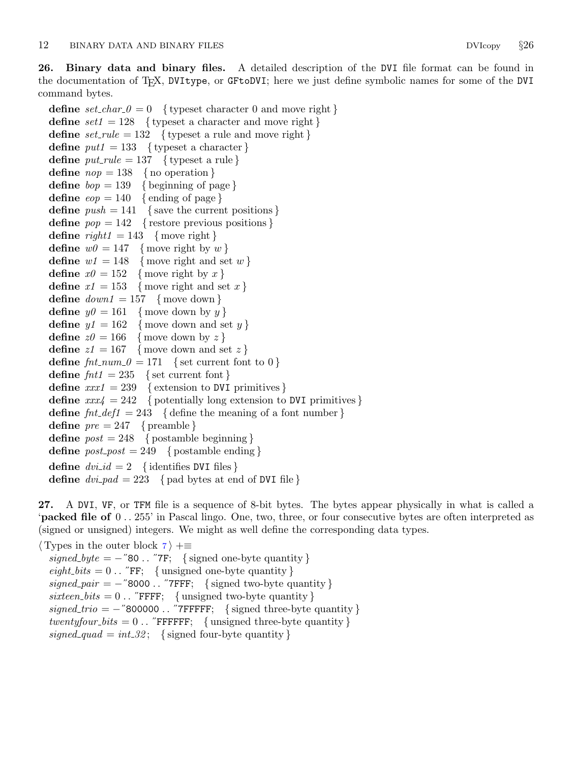<span id="page-11-0"></span>26. Binary data and binary files. A detailed description of the DVI file format can be found in the documentation of T<sub>E</sub>X, DVItype, or GFtoDVI; here we just define symbolic names for some of the DVI command bytes.

define  $set_{char_0} = 0$  { typeset character 0 and move right } define  $set1 = 128$  { typeset a character and move right } define  $set_{rule} = 132$  { typeset a rule and move right } define  $put1 = 133$  { typeset a character } define  $put\_rule = 137$  { typeset a rule } define  $nop = 138$  { no operation } define  $bop = 139$  { beginning of page } define  $e^{i\phi} = 140$  { ending of page} define  $push = 141$  { save the current positions } define  $pop = 142$  { restore previous positions } define  $right1 = 143$  {move right} define  $w\theta = 147$  {move right by w} define  $w1 = 148$  {move right and set w } define  $x\theta = 152$  {move right by x} define  $x_1 = 153$  {move right and set x} define  $down1 = 157$  {move down } define  $y\theta = 161$  {move down by y} define  $y1 = 162$  {move down and set y} define  $z\theta = 166$  {move down by z} define  $z1 = 167$  {move down and set z} define  $fnt\_num\_0 = 171$  { set current font to 0 } define  $fnt1 = 235$  { set current font } define  $xxx1 = 239$  { extension to DVI primitives } define  $xxx^{\prime} = 242$  { potentially long extension to DVI primitives } define  $fnt\_def1 = 243$  { define the meaning of a font number } define  $pre = 247$  { preamble } define  $post = 248$  { postamble beginning } define  $post\_post = 249$  { postamble ending } define  $dv_{i}.id = 2$  { identifies DVI files } define  $dvi$ -pad = 223 { pad bytes at end of DVI file }

27. A DVI, VF, or TFM file is a sequence of 8-bit bytes. The bytes appear physically in what is called a 'packed file of 0 . . 255' in Pascal lingo. One, two, three, or four consecutive bytes are often interpreted as (signed or unsigned) integers. We might as well define the corresponding data types.

 $\langle$  Types in the outer block [7](#page-4-0) $\rangle$  +≡ signed byte =  $-$ "80.. "7F; { signed one-byte quantity }  $\text{eight\_bits} = 0$ .. "FF; { unsigned one-byte quantity }  $signed\_pair = -"8000..."7FFF; \{ signed two-byte quantity\}$  $\textit{sitteen\_bits} = 0$ .. "FFFF; { unsigned two-byte quantity }  $signed\_trio = -$ "800000 . . "7FFFFF; { signed three-byte quantity } twentyfour\_bits = 0.. "FFFFFF; { unsigned three-byte quantity } signed quad = int 32; { signed four-byte quantity }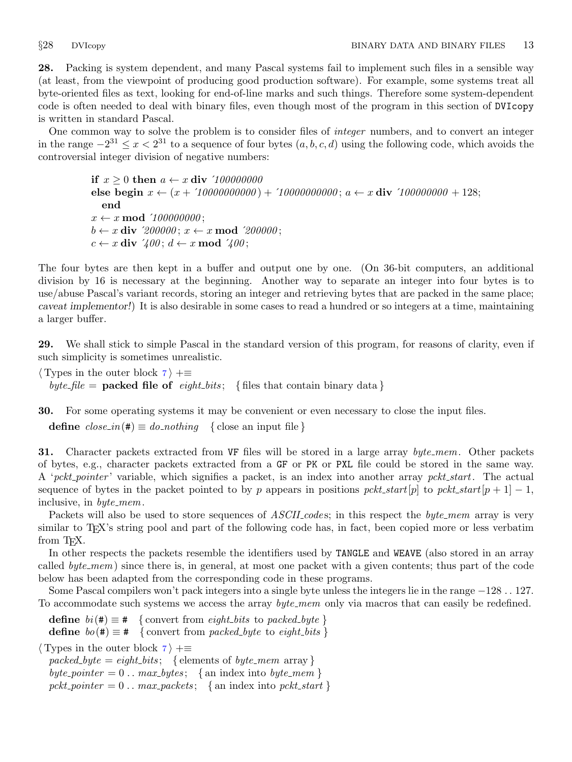<span id="page-12-0"></span>28. Packing is system dependent, and many Pascal systems fail to implement such files in a sensible way (at least, from the viewpoint of producing good production software). For example, some systems treat all byte-oriented files as text, looking for end-of-line marks and such things. Therefore some system-dependent code is often needed to deal with binary files, even though most of the program in this section of DVIcopy is written in standard Pascal.

One common way to solve the problem is to consider files of integer numbers, and to convert an integer in the range  $-2^{31}$  ≤  $x < 2^{31}$  to a sequence of four bytes  $(a, b, c, d)$  using the following code, which avoids the controversial integer division of negative numbers:

> if  $x \geq 0$  then  $a \leftarrow x$  div '100000000 else begin  $x \leftarrow (x + 10000000000) + 10000000000$ ;  $a \leftarrow x$  div  $100000000 + 128$ ; end  $x \leftarrow x \mod 100000000$ ;  $b \leftarrow x$  div '200000;  $x \leftarrow x \mod$  '200000;  $c \leftarrow x$  div '400;  $d \leftarrow x \mod 400$ ;

The four bytes are then kept in a buffer and output one by one. (On 36-bit computers, an additional division by 16 is necessary at the beginning. Another way to separate an integer into four bytes is to use/abuse Pascal's variant records, storing an integer and retrieving bytes that are packed in the same place; caveat implementor!) It is also desirable in some cases to read a hundred or so integers at a time, maintaining a larger buffer.

29. We shall stick to simple Pascal in the standard version of this program, for reasons of clarity, even if such simplicity is sometimes unrealistic.

 $\langle$  Types in the outer block [7](#page-4-0)  $\rangle$  +≡ byte file = **packed file of** eight bits; { files that contain binary data }

30. For some operating systems it may be convenient or even necessary to close the input files. **define**  $close_in(\textbf{\#}) \equiv do\_nothing$  { close an input file }

**31.** Character packets extracted from VF files will be stored in a large array byte mem. Other packets of bytes, e.g., character packets extracted from a GF or PK or PXL file could be stored in the same way. A 'pckt\_pointer' variable, which signifies a packet, is an index into another array pckt\_start. The actual sequence of bytes in the packet pointed to by p appears in positions pckt start[p] to pckt start[p + 1] – 1, inclusive, in  $byte\_mem$ .

Packets will also be used to store sequences of ASCII codes; in this respect the byte mem array is very similar to T<sub>E</sub>X's string pool and part of the following code has, in fact, been copied more or less verbatim from TEX.

In other respects the packets resemble the identifiers used by TANGLE and WEAVE (also stored in an array called *byte\_mem*) since there is, in general, at most one packet with a given contents; thus part of the code below has been adapted from the corresponding code in these programs.

Some Pascal compilers won't pack integers into a single byte unless the integers lie in the range −128 . . 127. To accommodate such systems we access the array *byte\_mem* only via macros that can easily be redefined.

define  $bi(\texttt{\#}) \equiv \texttt{\#}$  { convert from *eight\_bits* to packed\_byte } **define**  $bo(\textbf{\#}) \equiv \textbf{\#}$  { convert from *packed\_byte* to *eight\_bits* }  $\langle$  Types in the outer block [7](#page-4-0) $\rangle$  +≡  $packet\_byte = eight\_bits;$  { elements of *byte\_mem* array }

byte\_pointer = 0.. max\_bytes; { an index into byte\_mem }

pckt\_pointer = 0.. max\_packets; { an index into pckt\_start }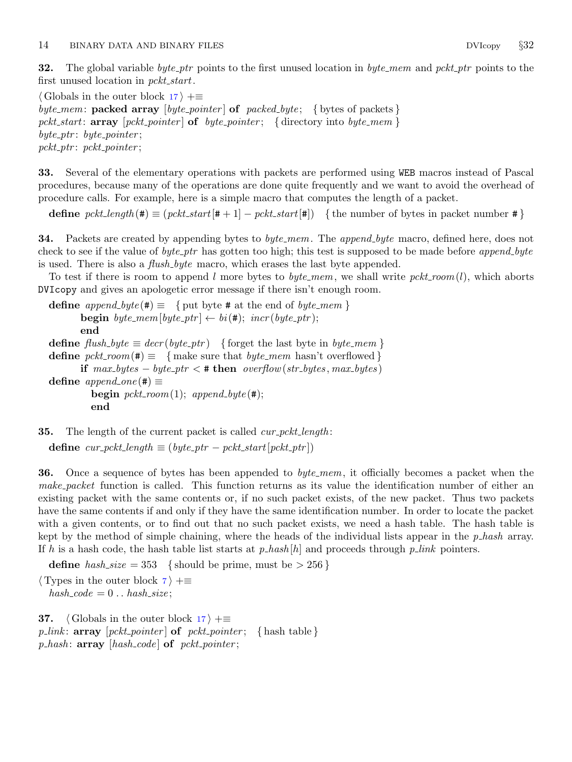<span id="page-13-0"></span>32. The global variable *byte\_ptr* points to the first unused location in *byte\_mem* and *pckt\_ptr* points to the first unused location in *pckt\_start*.

 $\langle$  Globals in the outer block [17](#page-7-0)  $\rangle$  += byte mem: packed array  $[byte\_pointer]$  of packed byte; { bytes of packets } pckt\_start:  $array [pckt\_pointer] of byte\_pointer; {divector into byte\_mem}$  $byte\_ptr: byte\_pointer;$ pckt\_ptr: pckt\_pointer;

33. Several of the elementary operations with packets are performed using WEB macros instead of Pascal procedures, because many of the operations are done quite frequently and we want to avoid the overhead of procedure calls. For example, here is a simple macro that computes the length of a packet.

define  $pckL length (\#) \equiv (pckL start [\# + 1] - pckL start [\#])$  {the number of bytes in packet number #}

**34.** Packets are created by appending bytes to byte\_mem. The append\_byte macro, defined here, does not check to see if the value of *byte\_ptr* has gotten too high; this test is supposed to be made before *append\_byte* is used. There is also a *flush-byte* macro, which erases the last byte appended.

To test if there is room to append l more bytes to byte mem, we shall write pckt room(l), which aborts DVIcopy and gives an apologetic error message if there isn't enough room.

**define** append\_byte( $\#$ )  $\equiv$  { put byte  $\#$  at the end of byte\_mem } **begin** byte\_mem[byte\_ptr]  $\leftarrow bi(\texttt{\#});$  incr(byte\_ptr); end **define** flush\_byte  $\equiv$  decr(byte\_ptr) { forget the last byte in byte\_mem } **define**  $pckt_{room}(\textbf{\#}) \equiv \{ \text{make sure that } byte\_mem \text{ hasn't overflowed} \}$ if  $max_b ytes - byte_p tr \lt # \textbf{then} overflow(str_b ytes, max_b ytes)$ define *append\_one* (#)  $\equiv$ begin  $pckt\_room(1)$ ; append\_byte(#); end

**35.** The length of the current packet is called  $cur\_pckt\_length$ : define  $cur\_pckt\_length \equiv (byte\_ptr - pckt\_start[pckt\_ptr])$ 

**36.** Once a sequence of bytes has been appended to byte\_mem, it officially becomes a packet when the make packet function is called. This function returns as its value the identification number of either an existing packet with the same contents or, if no such packet exists, of the new packet. Thus two packets have the same contents if and only if they have the same identification number. In order to locate the packet with a given contents, or to find out that no such packet exists, we need a hash table. The hash table is kept by the method of simple chaining, where the heads of the individual lists appear in the  $p\_hash$  array. If h is a hash code, the hash table list starts at  $p\_hash[h]$  and proceeds through  $p\_link$  pointers.

define  $hash\_size = 353$  {should be prime, must be  $> 256$ }

 $\langle$  Types in the outer block [7](#page-4-0)  $\rangle$  +≡  $hash\_code = 0 \dots hash\_size;$ 

**37.**  $\langle$  Globals in the outer block  $17 \rangle + \equiv$  $17 \rangle + \equiv$  $p_{\textit{link}}$ : array  $[pckt\_pointer]$  of  $pckt\_pointer$ ; { hash table }  $p\_hash$ : array  $[hash\_code]$  of  $pckt\_pointer$ ;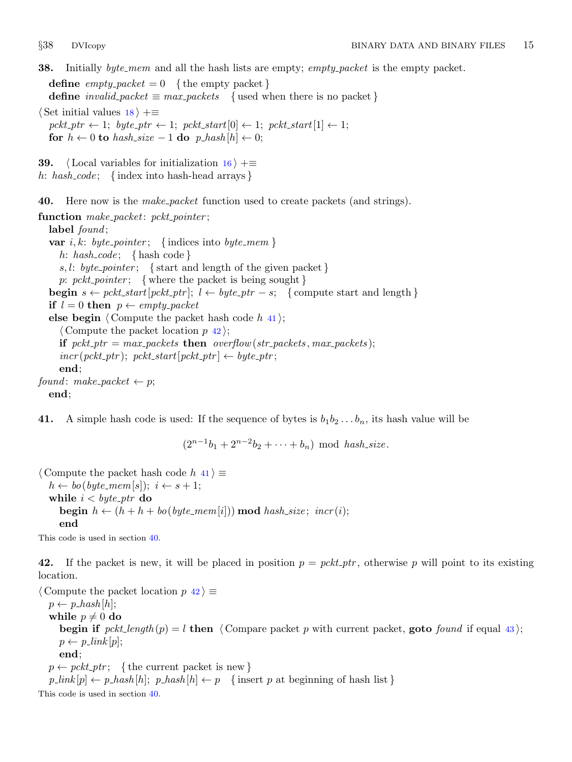<span id="page-14-0"></span>**38.** Initially *byte\_mem* and all the hash lists are empty; *empty-packet* is the empty packet.

define  $empty\_packet = 0$  { the empty packet } define *invalid\_packet*  $\equiv$  max\_packets { used when there is no packet }  $\langle$  Set initial values [18](#page-8-0)  $\rangle$  +≡  $pckt\_ptr \leftarrow 1; byte\_ptr \leftarrow 1; pckt\_start[0] \leftarrow 1; pckt\_start[1] \leftarrow 1;$ for  $h \leftarrow 0$  to hash\_size - 1 do p\_hash  $[h] \leftarrow 0$ ;

**39.**  $\langle$  Local variables for initialization [16](#page-7-0)  $\rangle$  +≡

h: hash-code; {index into hash-head arrays}

40. Here now is the *make-packet* function used to create packets (and strings).

function make\_packet: pckt\_pointer; label found; **var** i, k: byte\_pointer; {indices into byte\_mem } h: hash\_code; { hash code } s, l: byte\_pointer; { start and length of the given packet } p: pckt\_pointer; { where the packet is being sought } **begin**  $s \leftarrow pckt\_start[pckt\_ptr]$ ;  $l \leftarrow byte\_ptr - s$ ; {compute start and length} if  $l = 0$  then  $p \leftarrow empty\_packet$ else begin  $\langle$  Compute the packet hash code h 41  $\rangle$ ;  $\langle$  Compute the packet location p 42 $\rangle$ ; if  $pckt_ptr = max_packets$  then overflow(str-packets, max-packets);  $incr(pckt\_ptr); pckt\_start[pckt\_ptr] \leftarrow byte\_ptr;$ end; found: make\_packet  $\leftarrow p$ ; end;

41. A simple hash code is used: If the sequence of bytes is  $b_1b_2 \ldots b_n$ , its hash value will be

 $(2^{n-1}b_1 + 2^{n-2}b_2 + \cdots + b_n) \text{ mod } hash\_size.$ 

 $\langle$  Compute the packet hash code h 41  $\rangle$  ≡  $h \leftarrow bo(\text{byte\_mem}[s])$ ;  $i \leftarrow s + 1$ ; while  $i < byte\_ptr$  do **begin**  $h \leftarrow (h + h + bo(\text{byte\_mem}[i])) \text{ mod } \text{hash\_size}; \text{ incr}(i);$ end

This code is used in section 40.

42. If the packet is new, it will be placed in position  $p = pckt$ -ptr, otherwise p will point to its existing location.

 $\langle$  Compute the packet location  $p \, 42 \rangle \equiv$  $p \leftarrow p\_hash[h];$ while  $p \neq 0$  do begin if  $pckt.length (p) = l$  then  $\langle$  Compare packet p with current packet, goto found if equal [43](#page-15-0) $\rangle$ ;  $p \leftarrow p\_link[p];$ end;  $p \leftarrow pckt\_ptr; \{ the current packet is new \}$  $p\_link[p] \leftarrow p\_hash[h]; p\_hash[h] \leftarrow p \{ \text{insert } p \text{ at beginning of hash list } \}$ This code is used in section 40.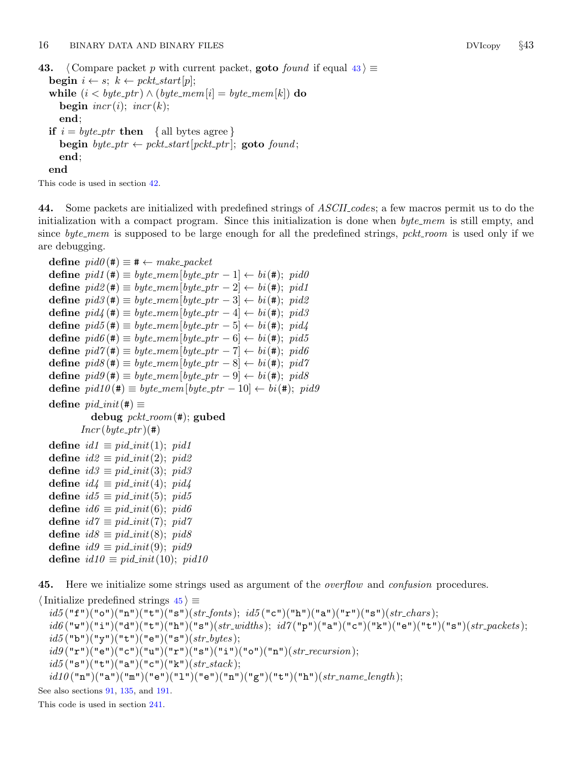```
43. (Compare packet p with current packet, goto found if equal 43) \equivbegin i \leftarrow s; k \leftarrow pckt\_start[p];
  while (i < byte\_ptr) \wedge (byte\_mem[i] = byte\_mem[k]) do
     begin \text{incr}(i); \text{incr}(k);
     end;
  if i = byte\_ptr then { all bytes agree }
     begin byte_ptr \leftarrow pckt_start |pckt\_ptr|; goto found;
     end;
  end
```
This code is used in section [42](#page-14-0).

44. Some packets are initialized with predefined strings of ASCII codes; a few macros permit us to do the initialization with a compact program. Since this initialization is done when  $byte\_mem$  is still empty, and since byte\_mem is supposed to be large enough for all the predefined strings, pckt\_room is used only if we are debugging.

```
define pid\theta(\texttt{#}) \equiv \texttt{#} \leftarrow make\_packetdefine pid1 (\#) \equiv byte\_mem [byte\_ptr-1] \leftarrow bi (\#); pid0define pid2 (\texttt{\#}) \equiv byte\_mem [byte\_ptr-2] \leftarrow bi (\texttt{\#}); pid1define pid3 (\#) \equiv byte\_mem [byte\_ptr - 3] \leftarrow bi (\#); pid2define pid4 \text{ } (\#) \equiv byte\_mem \text{ } [byte\_ptr-4] \leftarrow bi \text{ } (\#); \text{ } pid3define pid5 (\texttt{#}) \equiv byte\_mem [byte\_ptr - 5] \leftarrow bi (\texttt{#}); pid4define pid6 (\#) \equiv byte\_mem [byte\_ptr - 6] \leftarrow bi (\#); pid5define pid7 (\#) \equiv byte\_mem [byte\_ptr - 7] \leftarrow bi (\#); pid6define pid8 (\texttt{#}) \equiv byte\_mem [byte\_ptr - 8] \leftarrow bi (\texttt{#}); pid7define pid9 (\#) \equiv byte\_mem [byte\_ptr - 9] \leftarrow bi (\#); pid8define pid10 (\texttt{\#}) \equiv byte\_mem [byte\_ptr - 10] \leftarrow bi (\texttt{\#}); \ pid9define pid\_init (#) \equivdebug pckt-room(\#); gubed
         Incr (byte\_ptr)(\#)define id1 \equiv pid\_init(1); pid1
define id2 \equiv pid\_init(2); pid2
define id3 \equiv pid\_init(3); pid3
define id4 \equiv pid\_init(4); pid4
define id5 \equiv pid\_init(5); pid5
define id6 \equiv pid\_init(6); pid6
define id7 \equiv pid\_init(7); pid7
define id8 \equiv pid\_init(8); pid8
define id9 \equiv pid\_init(9); pid9
define id10 \equiv pid\_init(10); pid10
```
**45.** Here we initialize some strings used as argument of the *overflow* and *confusion* procedures.

 $\langle$  Initialize predefined strings  $45 \rangle \equiv$  $id5("f")("o")("n")("t")("s")(str_fonts); id5("c")("h")("a")("r")("s")(str_cthars);$  $id6$  ("w")("i")("d")("t")("h")("s")(str\_widths);  $id7$  ("p")("a")("c")("k")("e")("t")("s")(str\_packets);  $id5("b")("y")("t")("e")("s")(str_bytes);$  $id9("r")("e")("c")("u")("r")("s")("i")("o")("n")(*str\_recursion*);$  $id5("s")("t")("a")("c")("k")(str\_stack);$  $id10("n")("a")("m")("e")("1")("e")("n")("g")("t")("t")("h")(*str_name_length*);$ See also sections [91](#page-32-0), [135](#page-46-0), and [191](#page-64-0).

This code is used in section [241.](#page-80-0)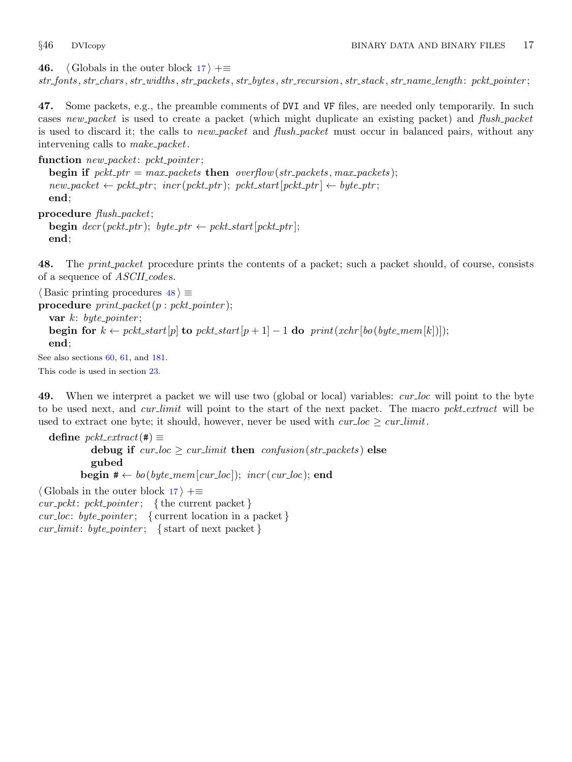<span id="page-16-0"></span>46.  $\langle$  Globals in the outer block [17](#page-7-0)  $\rangle$  +=  $str\_fonts$ ,  $str\_chars$ ,  $str\_widths$ ,  $str\_packets$ ,  $str\_bytes$ ,  $str\_recursion$ ,  $str\_stack$ ,  $str\_name\_length$ :  $pckt$  pointer;

47. Some packets, e.g., the preamble comments of DVI and VF files, are needed only temporarily. In such cases new packet is used to create a packet (which might duplicate an existing packet) and flush packet is used to discard it; the calls to new packet and flush packet must occur in balanced pairs, without any intervening calls to *make\_packet*.

function new\_packet: pckt\_pointer;

begin if  $pckt\_ptr = max\_packets$  then  $overflow(str\_packets, max\_packets)$ ;  $new\_packet \leftarrow pckt\_ptr; \; incr(pckt\_ptr); \; pckt\_start[pckt\_ptr] \leftarrow byte\_ptr;$ end; procedure  $flush\_packet$ ;

**begin**  $decr(pckt\_ptr)$ ; byte\_ptr  $\leftarrow pckt\_start[pckt\_ptr]$ ; end;

48. The print packet procedure prints the contents of a packet; such a packet should, of course, consists of a sequence of *ASCII\_codes*.

```
\langle Basic printing procedures 48 \rangle \equivprocedure print\_packet(p : pckt\_pointer);var k: byte\_pointer;begin for k \leftarrow pckt\_start[p] to pckt\_start[p+1] - 1 do print(xchr[bo(byte\_mem[k]]));end;
See also sections 60, 61, and 181.
```
This code is used in section [23](#page-9-0).

49. When we interpret a packet we will use two (global or local) variables: cur loc will point to the byte to be used next, and *cur-limit* will point to the start of the next packet. The macro *pckt-extract* will be used to extract one byte; it should, however, never be used with  $cur\_loc \geq cur\_limit$ .

```
define pckt\_extract(\#) \equivdebug if cur\_loc \geq cur\_limit then confusion(str\_packets) else
             gubed
          begin \#\leftarrow \text{bo}(\text{byte\_mem}[\text{cur}_\text{loc}]);\ \text{incr}(\text{cur}_\text{loc});\ \text{end}
```
 $\langle$  Globals in the outer block [17](#page-7-0)  $\rangle$  +≡

 $cur\_pekt: pckt\_pointer; \{ the current packet \}$  $cur\_loc: byte\_pointer; \{ current location in a packet \}$ cur\_limit: byte\_pointer; { start of next packet }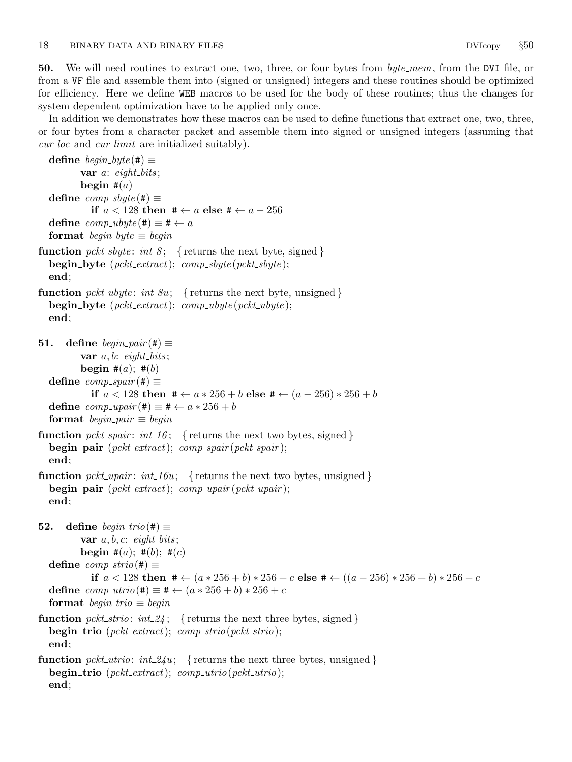50. We will need routines to extract one, two, three, or four bytes from byte mem, from the DVI file, or from a VF file and assemble them into (signed or unsigned) integers and these routines should be optimized for efficiency. Here we define WEB macros to be used for the body of these routines; thus the changes for system dependent optimization have to be applied only once.

In addition we demonstrates how these macros can be used to define functions that extract one, two, three, or four bytes from a character packet and assemble them into signed or unsigned integers (assuming that  $cur\_loc$  and  $cur\_limit$  are initialized suitably).

```
define begin\_byte (#) \equivvar a: eight_bits;
          begin \#(a)define comp\_sbyte(\#) \equivif a < 128 then \# \leftarrow a else \# \leftarrow a - 256define comp\_ubute (\#) \equiv # \leftarrow aformat begin_byte \equiv begin
function pckt\_sbyte: int_0; { returns the next byte, signed }
  begin_byte (pckt_extract); comp\_sbyte(pckt\_sbyte);
  end;
function pckt\_ubyte: int\_8u; { returns the next byte, unsigned }
  begin_byte (pckt_extract); comp\_ubyte (pckt_ubyte);
  end;
51. define begin_{eqin\_pair} (\#) \equivvar a, b: \text{ eight\_bits};begin \#(a); \#(b)define comp\_spair (\#) \equivif a < 128 then # \leftarrow a * 256 + b else # \leftarrow (a - 256) * 256 + bdefine comp\_upair(\#) \equiv # \leftarrow a * 256 + bformat begin_pair \equiv begin
function pckt_spair: int_16; { returns the next two bytes, signed }
  begin pair (pckt\_extract); comp\_spair(pckt\_spair);
  end;
function pckt_upair: int_16u; {returns the next two bytes, unsigned }
  begin pair (pckt\_extract); comp\_upair(pckt\_upair);
  end;
52. define begin\_trio(\#) \equivvar a, b, c: \text{ eight\_bits};begin #(a); #(b); #(c)
  define comp\_strio(\texttt{\#}) \equivif a < 128 then # \leftarrow (a * 256 + b) * 256 + c else # \leftarrow ((a - 256) * 256 + b) * 256 + cdefine comp\_utrio(#) ≡ # ← (a * 256 + b) * 256 + cformat begin_trio \equiv begin
function pckt_strio: int_24; {returns the next three bytes, signed }
  begin{align} \n\textbf{begin} \n\textbf{trio} (pckt\_extract); \n\textit{comp\_strio} (pckt\_strip); \n\end{align}end;
function pckt_utrio: int_24u; { returns the next three bytes, unsigned }
  \mathbf{begin} \mathbf{triv} \left( \text{p}ckt\_extract \right); \text{comp\_utrio} \left( \text{p}ckt\_utrio \right);end;
```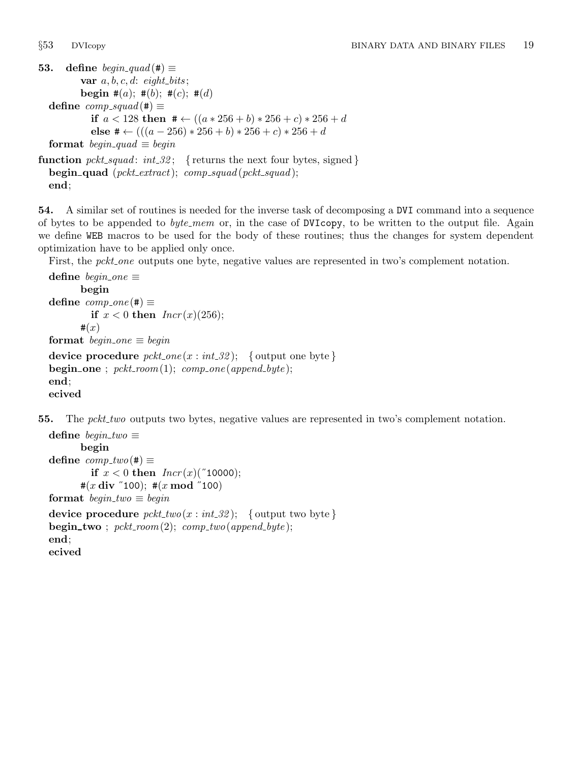53. define  $begin_{eqin\_quad} (\#) \equiv$ var  $a, b, c, d$ : eight\_bits; begin #(a); #(b); #(c); #(d) define  $comp\_squad (\#) \equiv$ if  $a < 128$  then  $\# \leftarrow ((a * 256 + b) * 256 + c) * 256 + d$ else #  $\leftarrow$  (((a - 256) \* 256 + b) \* 256 + c) \* 256 + d format begin\_quad  $\equiv$  begin function  $pckt$ -squad:  $int_0^2$ ; { returns the next four bytes, signed }  $begin_{\text{regin-quad} (pckt\_extract); comp\_squad(pckt\_squad);}$ end;

54. A similar set of routines is needed for the inverse task of decomposing a DVI command into a sequence of bytes to be appended to  $byte\_mem$  or, in the case of DVIcopy, to be written to the output file. Again we define WEB macros to be used for the body of these routines; thus the changes for system dependent optimization have to be applied only once.

First, the *pckt* one outputs one byte, negative values are represented in two's complement notation.

```
define begin_one \equivbegin
define comp\_one(\#) \equivif x < 0 then Incr(x)(256);\#(x)format begin_one \equiv begin
device procedure pckt\_{one}(x : int\_32); { output one byte}
begin_one; pckt\_room(1); comp\_one (append_byte);
end;
ecived
```
55. The *pckt\_two* outputs two bytes, negative values are represented in two's complement notation.

```
define begin\_two \equivbegin
define comp\_two(\texttt{\#}) \equivif x < 0 then Incr(x)("10000);
        #(x \, \text{div} \, "100); #(x \, \text{mod} \, "100)format begin_two \equiv begin
device procedure pckt_t wo(x : int_32); { output two byte}
begin_two; pckt\_room(2); comp\_two</math> (append\_byte);end;
ecived
```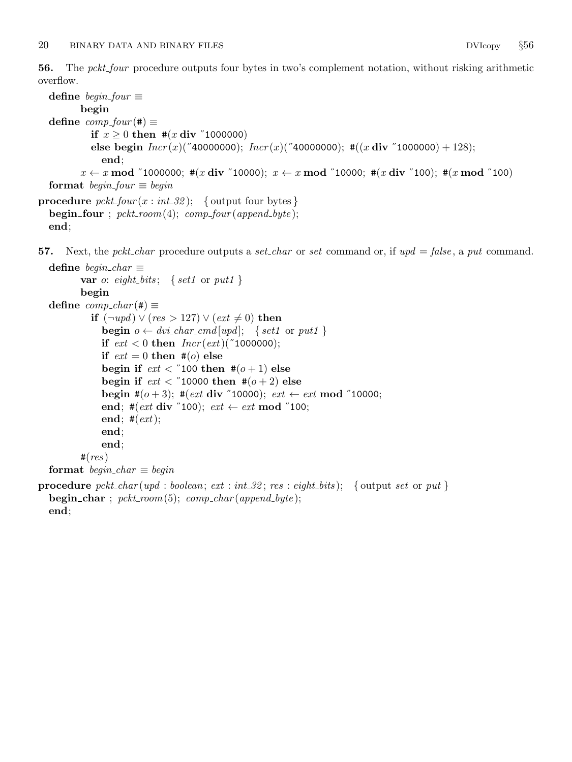56. The pckt four procedure outputs four bytes in two's complement notation, without risking arithmetic overflow.

```
define begin_four \equivbegin
  define comp\_four (#) \equivif x \geq 0 then #(x div "1000000)
           else begin Incr(x)("40000000); Incr(x)("40000000);#((x \text{ div } "1000000) + 128);end;
         x \leftarrow x \mod "1000000; #(x div "10000); x \leftarrow x \mod "10000; #(x div "100); #(x mod "100)
  format begin_four \equiv begin
procedure pckt_four(x: int.32); { output four bytes }
  begin_four ; pckt\_room(4); comp\_four</math> (append\_byte);end;
```
57. Next, the *pckt\_char* procedure outputs a *set\_char* or set command or, if  $upd = false$ , a put command. define begin\_char  $\equiv$ 

```
var o: eight_bits; { set1 or put1 }
           begin
  define comp\_char (#) \equivif (\neg \textit{upd}) \vee (\textit{res} > 127) \vee (\textit{ext} \neq 0) then
                begin o \leftarrow \text{div}\text{-}\text{char}\text{-}\text{cm}\text{-}\text{d}[\text{upd}]; \{ \text{set1} \text{ or } \text{put1} \}if ext < 0 then Incr (ext) ("1000000);
                if ext = 0 then \#(o) else
                begin if ext < 100 then \#(o+1) else
                begin if ext < "10000 then \#(o+2) else
                begin #(o + 3); #(ext \text{ div } "10000); ext \leftarrow ext \text{ mod } "10000;end; #(ext div "100); ext \leftarrow ext \mod "100;
                end; \#(ext);
                end;
                end;
           #(res)format begin_char \equiv begin
procedure pckt_char(upd : boolean; ext : int_32; res : eight_bits); { output set or put }
  beginedown char ; pckt_room(5); comp_char(append_byte);
  end;
```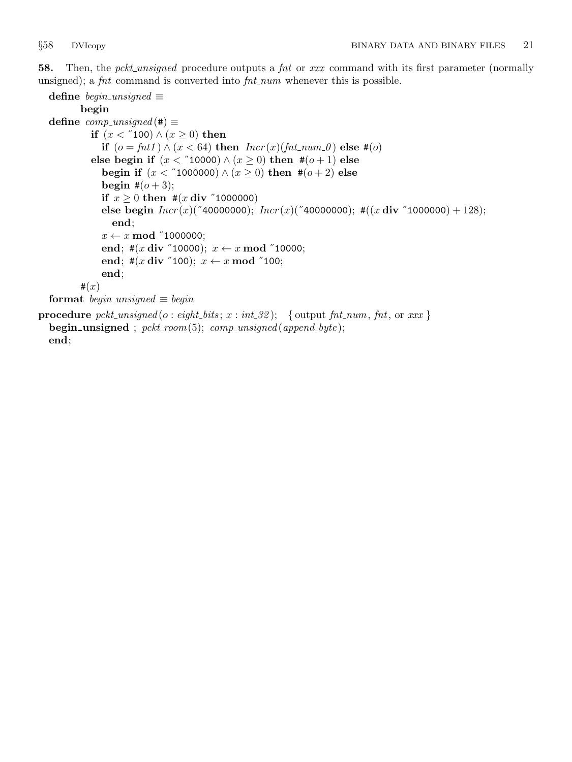58. Then, the *pckt\_unsigned* procedure outputs a *fnt* or xxx command with its first parameter (normally unsigned); a  $fnt$  command is converted into  $fnt_number$  whenever this is possible.

```
define begin_unsigned \equivbegin
  define comp\_unsigned (\#) \equivif (x < "100) ∧ (x ≥ 0) then
              if (o = fnt1) \wedge (x < 64) then Incr(x)(fnt_number) else #(o)
           else begin if (x < "10000) \wedge (x \ge 0) then \#(o+1) else
              begin if (x < "1000000) ∧ (x ≥ 0) then #(o + 2) else
              begin #(o+3);
              if x \ge 0 then \#(x \text{ div } x') 1000000)
              else begin Incr(x)("40000000); Incr(x)("40000000); #((x div "1000000) + 128);
                end;
              x \leftarrow x \mod "1000000;
              end; #(x div "10000); x \leftarrow x \mod "10000;
              end; #(x div "100); x \leftarrow x \mod "100;
              end;
         \#(x)format begin_unsigned \equiv begin
procedure pckt_unsigned (o: eight\_bits; x: int\_32); { output fnt_num, fnt, or xxx }
```
**begin\_unsigned** ;  $pckt$ \_room(5); comp\_unsigned(append\_byte); end;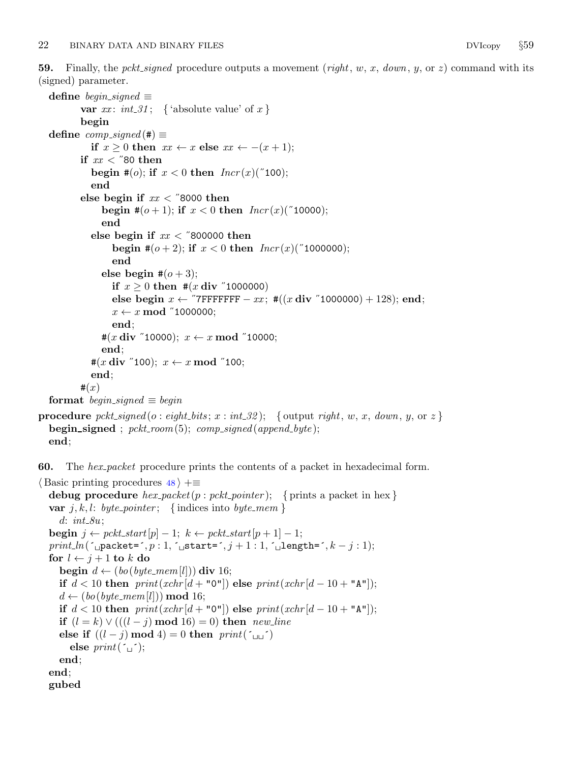<span id="page-21-0"></span>**59.** Finally, the *pckt\_signed* procedure outputs a movement (*right, w, x, down, y, or z*) command with its (signed) parameter.

```
define begin_signed \equivvar xx: int_0^2 31; {'absolute value' of x}
         begin
  define comp\_signed (#) \equivif x \geq 0 then xx \leftarrow x else xx \leftarrow -(x+1);if xx < "80 then
           begin #(o); if x < 0 then Incr(x)("100);
           end
         else begin if xx < "8000 then
              begin #(o + 1); if x < 0 then Incr(x)("10000);
              end
           else begin if xx < "800000 then
                begin #(o+2); if x < 0 then Incr(x)("1000000);
                end
              else begin \#(o+3);
                if x \ge 0 then #(x div "1000000)
                else begin x \leftarrow "7FFFFFFF – xx; #((x div "1000000) + 128); end;
                x \leftarrow x \mod "1000000;
                end;
              #(x div "10000); x \leftarrow x \mod "10000;
              end;
           #(x div "100); x \leftarrow x \mod "100;
           end;
         \#(x)format begin_signed \equiv begin
procedure pckt_signed (o : eight_bits; x : int_{32}); { output right, w, x, down, y, or z}
  begin_signed ; pckt_room(5); comp_signed(append_byte);
  end;
```
60. The *hex-packet* procedure prints the contents of a packet in hexadecimal form.

```
\langle Basic printing procedures 48 \rangle +≡
  debug procedure hex\_packet(p : pckt\_pointer); { prints a packet in hex }
  var j, k, l: byte_pointer; { indices into byte_mem }
     d: int_{\mathcal{S}} u;
  begin j \leftarrow pckt\_start[p] - 1; k \leftarrow pckt\_start[p + 1] - 1;print\_ln(\text{``\texttt{upacket}=\texttt{',} p : 1, \text{``\texttt{ustate}=\texttt{',} j + 1 : 1, \text{``\texttt{ulength}=\texttt{',} k - j : 1);}}for l \leftarrow j + 1 to k do
     begin d \leftarrow (bo(byte\_mem | l|)) div 16;
     if d < 10 then print(xchr[d + "0"]) else print(xchr[d - 10 + "A"]);d \leftarrow (bo(byte\_mem | l|)) \textbf{mod } 16;if d < 10 then print(xchr[d + "0"]) else print(xchr[d - 10 + "A"]);if (l = k) \vee ((l - j) \mod 16) = 0) then new line
     else if ((l - j) \mod 4) = 0 then print('_{\text{full}}')else print(\ulcorner \ldots \ulcorner);
     end;
  end;
  gubed
```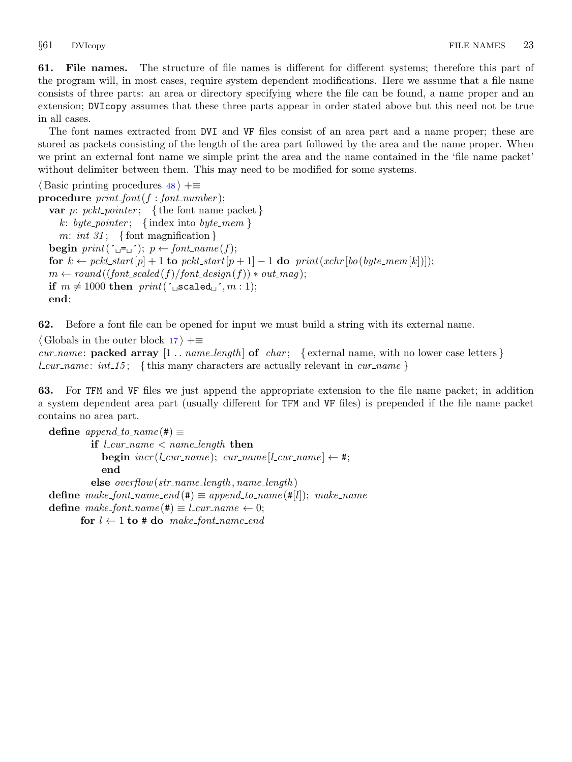<span id="page-22-0"></span>61. File names. The structure of file names is different for different systems; therefore this part of the program will, in most cases, require system dependent modifications. Here we assume that a file name consists of three parts: an area or directory specifying where the file can be found, a name proper and an extension; DVIcopy assumes that these three parts appear in order stated above but this need not be true in all cases.

The font names extracted from DVI and VF files consist of an area part and a name proper; these are stored as packets consisting of the length of the area part followed by the area and the name proper. When we print an external font name we simple print the area and the name contained in the 'file name packet' without delimiter between them. This may need to be modified for some systems.

 $\langle$  Basic printing procedures  $48$   $\rangle$  +≡ procedure  $print\_font(f : font_number);$ var p: pckt\_pointer; { the font name packet } k: byte\_pointer; { index into byte\_mem } m:  $int_0^2 31$ ; {font magnification} **begin**  $print(\ulcorner \lnot \lnot \ldots \rnot)$ ;  $p \leftarrow font_name(f);$ for  $k \leftarrow pckt\_start[p] + 1$  to  $pckt\_start[p+1] - 1$  do  $print(xchr[bo(byte\_mem[k])])$ ;  $m \leftarrow round((font\_scaled(f)/font\_design(f))*out\_mag);$ if  $m \neq 1000$  then  $print(\sim_{\Box} \texttt{scaled}_{\Box}, m : 1);$ end;

62. Before a font file can be opened for input we must build a string with its external name.

 $\langle$  Globals in the outer block [17](#page-7-0)  $\rangle$  +≡ cur name: packed array  $[1 \tcdot \tcdot \tcdot \tcdot \tcdot]$  of char; { external name, with no lower case letters } *l\_cur\_name: int\_15*; {this many characters are actually relevant in *cur\_name* }

63. For TFM and VF files we just append the appropriate extension to the file name packet; in addition a system dependent area part (usually different for TFM and VF files) is prepended if the file name packet contains no area part.

define append\_to\_name(#)  $\equiv$ if  $l_{\textit{curr_name}} <$  name\_length then begin  $\textit{incr}(l\_cur\_name); \textit{cur\_name}[l\_cur\_name] \leftarrow *,$ end else  $overflow(str_name_length, name_length)$ **define**  $make\_font_name\_end(\#) \equiv append_to_name(\#[l])$ ; make\_name define  $make\_font_name(\textbf{\#}) \equiv l\_curr_name \leftarrow 0;$ 

for  $l \leftarrow 1$  to # do make\_font\_name\_end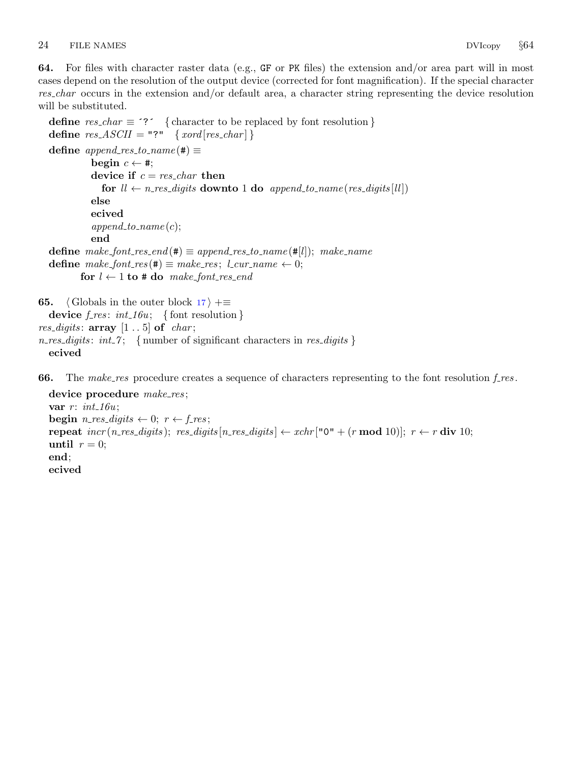<span id="page-23-0"></span>64. For files with character raster data (e.g., GF or PK files) the extension and/or area part will in most cases depend on the resolution of the output device (corrected for font magnification). If the special character res char occurs in the extension and/or default area, a character string representing the device resolution will be substituted.

```
define res\_char \equiv <sup>2</sup>? { character to be replaced by font resolution }
define res\_ASCII = "?" {xord[res\_char]}
define append\_res\_to\_name (#) \equivbegin c \leftarrow \#;device if c = res\_char then
             for ll \leftarrow n res_digits downto 1 do append_to_name(res_digits[ll])
          else
          ecived
          append\_to\_name(c);end
define make\_font\_res\_end(\#) \equiv append\_res\_to\_name(\#[l]); \ make\_namedefine make\_font\_res(\#) \equiv make\_res; l\_cur\_name \leftarrow 0;for l \leftarrow 1 to # do make_font_res_end
```

```
65. \langle17 \rangle +≡
  device f_{\text{res}}: int_{\mathcal{I}} f_{\text{out}} { font resolution }
res_digits: array [1..5] of char;n-res-digits: int-7; { number of significant characters in res-digits }
  ecived
```
66. The make res procedure creates a sequence of characters representing to the font resolution f res.

```
device procedure make_res;
var r: int_16u;begin n_res_digits \leftarrow 0; r \leftarrow f_res;
repeat \text{incr}(n\text{-}res\text{-}digits); \text{res\text{-}digits}[n\text{-}res\text{-}digits] \leftarrow xchr["0" + (r \mod 10); \text{ } r \leftarrow r \text{ div } 10;until r = 0;
end;
ecived
```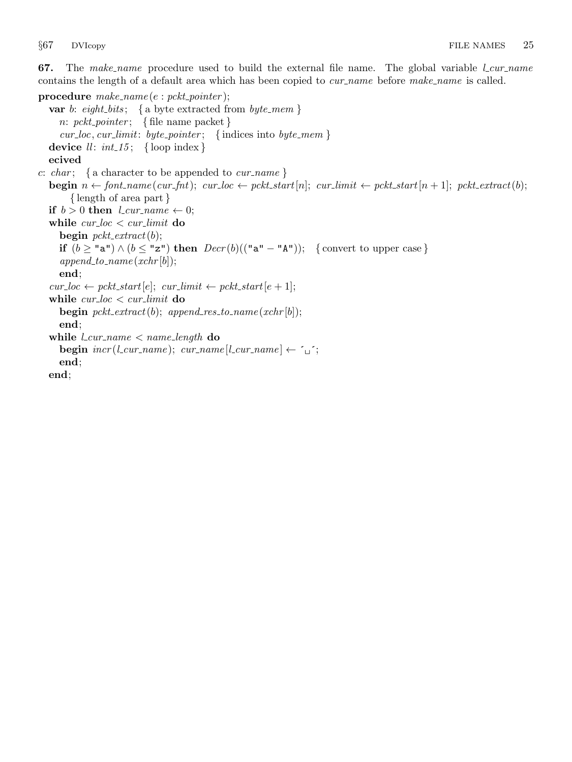67. The make name procedure used to build the external file name. The global variable  $l_{\text{c}}cur_{\text{n}}$ contains the length of a default area which has been copied to *cur\_name* before *make\_name* is called.

procedure  $make\_name(e:pekt\_pointer);$ var b: eight\_bits; { a byte extracted from  $byte\_mem$  } n: pckt\_pointer; { file name packet }  $cur\_loc, cur\_limit: byte\_pointer; \{ indices into byte\_mem \}$ device  $ll: int\_15; \{ loop index\}$ ecived c: *char*; { a character to be appended to  $cur_name$ } **begin**  $n \leftarrow$  font\_name(cur\_fnt); cur\_loc  $\leftarrow$  pckt\_start[n]; cur\_limit  $\leftarrow$  pckt\_start[n + 1]; pckt\_extract(b); { length of area part } if  $b > 0$  then  $l_{\text{cur\_name}} \leftarrow 0$ ; while  $cur\_loc < cur\_limit$  do begin  $pckt$ -extract(b); if  $(b \geq$  "a")  $\wedge (b \leq$  "z") then  $Decr(b)(("a" - "A"))$ ; {convert to upper case}  $append\_to\_name(xchr[b])$ ; end;  $cur\_loc \leftarrow pckt\_start[e]; \ cur\_limit \leftarrow pckt\_start[e + 1];$ while  $cur\_loc < curl$  limit do **begin**  $pckt\_extract(b);$  append\_res\_to\_name(xchr[b]); end; while  $l_{\text{cur\_name}} <$  name\_length do **begin**  $\textit{incr}(l.cur_name); \textit{curr_name}[l.cur_name] \leftarrow \text{`u};$ end; end;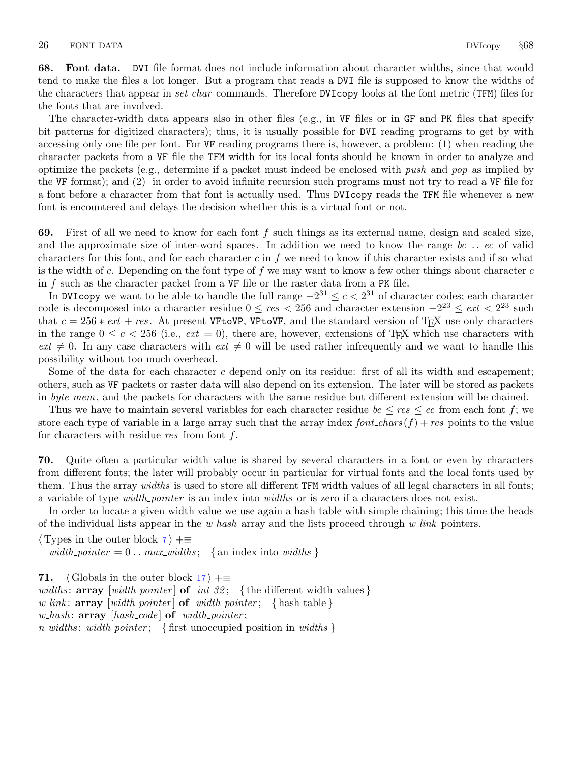<span id="page-25-0"></span>68. Font data. DVI file format does not include information about character widths, since that would tend to make the files a lot longer. But a program that reads a DVI file is supposed to know the widths of the characters that appear in *set char* commands. Therefore DVIcopy looks at the font metric (TFM) files for the fonts that are involved.

The character-width data appears also in other files (e.g., in VF files or in GF and PK files that specify bit patterns for digitized characters); thus, it is usually possible for DVI reading programs to get by with accessing only one file per font. For VF reading programs there is, however, a problem: (1) when reading the character packets from a VF file the TFM width for its local fonts should be known in order to analyze and optimize the packets (e.g., determine if a packet must indeed be enclosed with push and pop as implied by the VF format); and (2) in order to avoid infinite recursion such programs must not try to read a VF file for a font before a character from that font is actually used. Thus DVIcopy reads the TFM file whenever a new font is encountered and delays the decision whether this is a virtual font or not.

69. First of all we need to know for each font  $f$  such things as its external name, design and scaled size, and the approximate size of inter-word spaces. In addition we need to know the range  $bc \dots ec$  of valid characters for this font, and for each character  $c$  in  $f$  we need to know if this character exists and if so what is the width of c. Depending on the font type of f we may want to know a few other things about character  $c$ in  $f$  such as the character packet from a VF file or the raster data from a PK file.

In DVIcopy we want to be able to handle the full range  $-2^{31} \leq c < 2^{31}$  of character codes; each character code is decomposed into a character residue  $0 \leq res < 256$  and character extension  $-2^{23} \leq ext < 2^{23}$  such that  $c = 256 * ext + res$ . At present VFtoVP, VPtoVF, and the standard version of T<sub>E</sub>X use only characters in the range  $0 \leq c < 256$  (i.e.,  $ext = 0$ ), there are, however, extensions of TFX which use characters with  $ext \neq 0$ . In any case characters with  $ext \neq 0$  will be used rather infrequently and we want to handle this possibility without too much overhead.

Some of the data for each character  $c$  depend only on its residue: first of all its width and escapement; others, such as VF packets or raster data will also depend on its extension. The later will be stored as packets in byte<sub>mem</sub>, and the packets for characters with the same residue but different extension will be chained.

Thus we have to maintain several variables for each character residue  $bc \leq res \leq ec$  from each font f; we store each type of variable in a large array such that the array index  $font\_chars(f) + res$  points to the value for characters with residue res from font f.

70. Quite often a particular width value is shared by several characters in a font or even by characters from different fonts; the later will probably occur in particular for virtual fonts and the local fonts used by them. Thus the array *widths* is used to store all different TFM width values of all legal characters in all fonts; a variable of type *width-pointer* is an index into *widths* or is zero if a characters does not exist.

In order to locate a given width value we use again a hash table with simple chaining; this time the heads of the individual lists appear in the w hash array and the lists proceed through w link pointers.

 $\langle$  Types in the outer block  $\langle$  [7](#page-4-0)  $\rangle$  + $\equiv$ width pointer  $= 0$ . max widths; { an index into widths }

71.  $\langle$  Globals in the outer block [17](#page-7-0)  $\rangle$  +≡ widths:  $\textbf{array}$  [width\_pointer] of int\_32; {the different width values} w link:  $\textbf{array}$  [width pointer] of width pointer; { hash table } w\_hash:  $array$  [hash\_code] of width\_pointer; n widths: width pointer; { first unoccupied position in widths }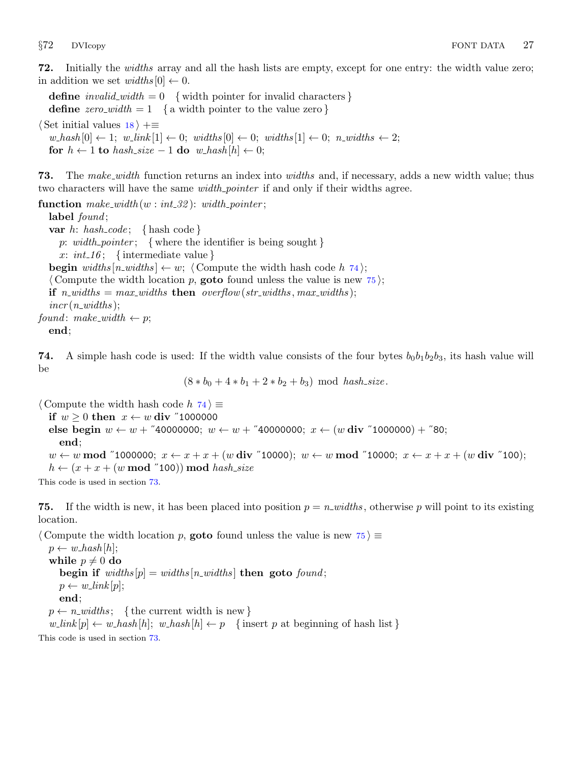<span id="page-26-0"></span>72. Initially the widths array and all the hash lists are empty, except for one entry: the width value zero; in addition we set  $widths[0] \leftarrow 0$ .

define *invalid\_width* =  $0 \{$  width pointer for invalid characters  $\}$ define zero-width  $= 1$  { a width pointer to the value zero }

 $\langle$  Set initial values  $18$   $\rangle$  +≡  $w\text{-}hash[0] \leftarrow 1; w\text{-}link[1] \leftarrow 0; widths[0] \leftarrow 0; widths[1] \leftarrow 0; n\text{-}widths \leftarrow 2;$ for  $h \leftarrow 1$  to hash\_size  $-1$  do w\_hash  $[h] \leftarrow 0$ ;

**73.** The make width function returns an index into widths and, if necessary, adds a new width value; thus two characters will have the same *width-pointer* if and only if their widths agree.

function  $make\_width(w : int\_32): width\_pointer;$ label found; var  $h: hash\_code; \{ hashcode\}$ p: width-pointer; { where the identifier is being sought} x:  $int_1 6$ ; {intermediate value} **begin** widths  $[n\_widths] \leftarrow w$ ; (Compute the width hash code h 74); (Compute the width location p, **goto** found unless the value is new  $\overline{75}$ ); if  $n_widths = max_widths$  then  $overflow(str_widths, max_widths)$ ;  $\textit{incr}(n\_widths);$ found: make\_width  $\leftarrow p$ ;

end;

74. A simple hash code is used: If the width value consists of the four bytes  $b_0b_1b_2b_3$ , its hash value will be

 $(8 * b_0 + 4 * b_1 + 2 * b_2 + b_3) \text{ mod } hash\_size.$ 

 $\langle$  Compute the width hash code  $h$  74 $\rangle \equiv$ 

if  $w \geq 0$  then  $x \leftarrow w$  div "1000000

else begin  $w \leftarrow w +$  "40000000;  $w \leftarrow w +$  "40000000;  $x \leftarrow (w \text{ div }$  "1000000) + "80;

$$
\hspace{1em}\textbf{end};\\
$$

 $w \leftarrow w \mod$  "1000000;  $x \leftarrow x + x + (w \dim$  "10000);  $w \leftarrow w \mod$  "10000;  $x \leftarrow x + x + (w \dim$  "100);  $h \leftarrow (x + x + (w \mod "100)) \mod hash\_size$ 

This code is used in section 73.

**75.** If the width is new, it has been placed into position  $p = n$ -widths, otherwise p will point to its existing location.

 $\langle$  Compute the width location p, **goto** found unless the value is new  $75$   $\equiv$  $p \leftarrow w\_hash[h];$ while  $p \neq 0$  do begin if widths  $[p] = \text{widths}[n \text{-} \text{widths}]$  then goto found;  $p \leftarrow w\_{link}[p];$ end;  $p \leftarrow n\_width$ ; {the current width is new }  $w\_{link}[p] \leftarrow w\_{hash}[h]; \ w\_{hash}[h] \leftarrow p \{ \text{insert } p \text{ at beginning of hash list } \}$ 

This code is used in section 73.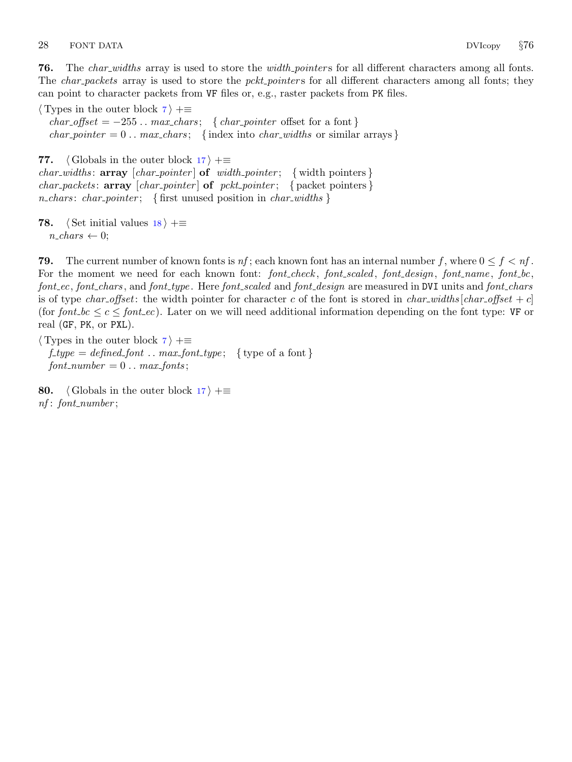<span id="page-27-0"></span>**76.** The *char widths* array is used to store the *width pointers* for all different characters among all fonts. The *char packets* array is used to store the *pckt pointers* for all different characters among all fonts; they can point to character packets from VF files or, e.g., raster packets from PK files.

 $\langle$  Types in the outer block [7](#page-4-0)  $\rangle$  +≡  $char\_offset = -255...max\_chars;$  { char\_pointer offset for a font } *char-pointer* = 0.. max-chars; {index into *char-widths* or similar arrays}

77.  $\langle$  Globals in the outer block [17](#page-7-0)  $\rangle$  +≡ *char\_widths:*  $array [char\_pointer] of width\_pointer; \{ width points \}$ *char\_packets:*  $array [char\_pointer] of *pekt\_pointer*; { packet pointers}$ n\_chars: char\_pointer; { first unused position in char\_widths }

**79.** The current number of known fonts is  $nf$ ; each known font has an internal number f, where  $0 \le f \le nf$ . For the moment we need for each known font:  $font\_check$ ,  $font\_scale$ ,  $font\_scale$ ,  $font\_design$ ,  $font\_name$ ,  $font\_bc$ , font ec, font chars, and font type. Here font scaled and font design are measured in DVI units and font chars is of type char offset: the width pointer for character c of the font is stored in char widths  $[char_{\textit{off}}$set + c]$ (for  $font\_bc \leq c \leq font\_ec$ ). Later on we will need additional information depending on the font type: VF or real (GF, PK, or PXL).

 $\langle$  Types in the outer block [7](#page-4-0)  $\rangle$  +≡  $f_{\text{y}} = \text{defined}_{\text{z}} = \text{f} \cdot \text{f} \cdot \text{f} \cdot \text{f} \cdot \text{f} \cdot \text{f} \cdot \text{f} \cdot \text{f} \cdot \text{f} \cdot \text{f} \cdot \text{f} \cdot \text{f} \cdot \text{f} \cdot \text{f} \cdot \text{f} \cdot \text{f} \cdot \text{f} \cdot \text{f} \cdot \text{f} \cdot \text{f} \cdot \text{f} \cdot \text{f} \cdot \text{f} \cdot \text{f} \cdot \text{f} \cdot \text{f} \cdot \text{f} \cdot \text{f} \cdot \text{f}$  $font_number = 0 \dots max_fonts;$ 

80.  $\langle$  Globals in the outer block [17](#page-7-0)  $\rangle$  +≡  $nf: font_number;$ 

<sup>78.</sup>  $\langle$  Set initial values [18](#page-8-0)  $\rangle$  +≡  $n_{\text{z}}$ chars  $\leftarrow 0$ ;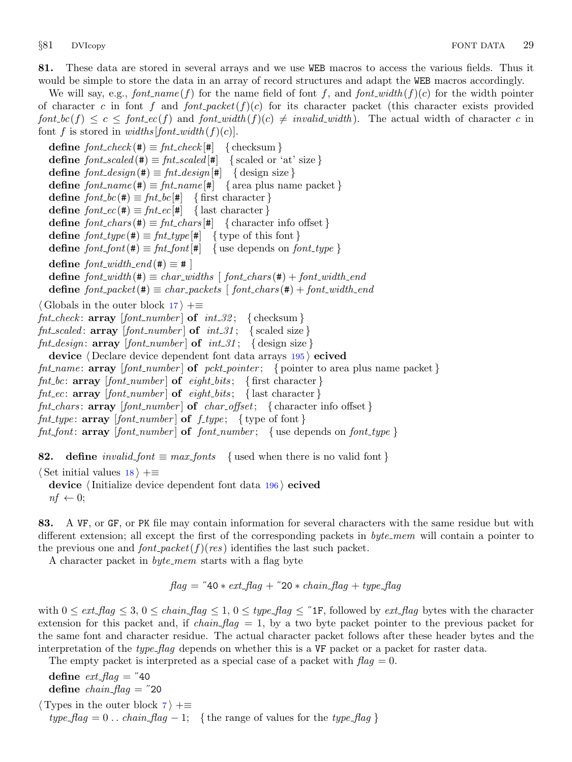<span id="page-28-0"></span>81. These data are stored in several arrays and we use WEB macros to access the various fields. Thus it would be simple to store the data in an array of record structures and adapt the WEB macros accordingly.

We will say, e.g.,  $font_name(f)$  for the name field of font f, and  $font_width(f)(c)$  for the width pointer of character c in font f and font packet(f)(c) for its character packet (this character exists provided  $font\_bc(f) \leq c \leq font\_ec(f)$  and  $font\_width(f)(c) \neq invalid\_width$ . The actual width of character c in font f is stored in widths  $[font\_width(f)(c)].$ 

define  $font\_check(\#) \equiv \text{fnt\_check}[\#] \{ checksum\}$ define  $font\_scaled (\#) \equiv \text{fnt\_scaled} [\#]$  {scaled or 'at' size } define  $font\_design(\#) \equiv \text{fnt\_design}[\#]$  { design size } **define**  $font_name(\textbf{\#}) \equiv fnt_name[\textbf{\#}]$  { area plus name packet } define  $font\_bc(\#) \equiv \text{fnt}\_bc[\#]$  { first character } define  $font\_ec(\#) \equiv \text{fnt\_ec}[\#]$  { last character } define  $font\_chars(\#) \equiv fnt\_chars[\#]$  { character info offset } define  $font\_type(\#) \equiv \text{fnt\_type}[\#]$  { type of this font } **define**  $font\_font(\#) \equiv int\_font[\#] \{ use depends on font\_type \}$ define  $font\_width\_end(\#) \equiv #$ define  $font\_width$ (#)  $\equiv char\_width$  [ font\_chars(#) + font\_width\_end define  $font\_packet(\#) \equiv char\_packets$  [font\_chars(#) + font\_width\_end  $\langle$  Globals in the outer block [17](#page-7-0)  $\rangle$  +≡  $fnt\_check:$  array  $[font_number]$  of  $int_2 32;$  {checksum} fnt\_scaled:  $array$  [font\_number] of  $int\_31$ ; {scaled size} fnt\_design:  $array$  [font\_number] of int\_31; { design size} device  $\langle$  Declare device dependent font data arrays [195](#page-65-0)  $\rangle$  ecived  $fnt_name: array [font_number]$  of pckt<sub>-pointer</sub>; { pointer to area plus name packet }  $fnt\_bc$ : array  $[font_number]$  of eight\_bits; { first character } fnt ec:  $array [font_number] of eight-bits;$  { last character }  $fnt{\text -}chars$ : array  $[font{\text -}number]$  of  $char{\text -}offset$ ; {character info offset}  $fnt_type:$  array  $[font_number]$  of  $f_type$ ; { type of font }  $fnt_{\text{font}}: \text{array} [font_{\text{number}}] \text{ of } font_{\text{number}}; \{ \text{use depends on } font_{\text{type}} \}$ 

82. define *invalid\_font*  $\equiv$  max\_fonts { used when there is no valid font }

 $\langle$  Set initial values [18](#page-8-0)  $\rangle$  +≡

device  $\langle$  Initialize device dependent font data [196](#page-65-0) $\rangle$  ecived  $nf \leftarrow 0;$ 

83. A VF, or GF, or PK file may contain information for several characters with the same residue but with different extension; all except the first of the corresponding packets in  $byte\_mem$  will contain a pointer to the previous one and  $font\_packet(f)(res)$  identifies the last such packet.

A character packet in *byte\_mem* starts with a flag byte

 $flag = "40 * ext_flag + "20 * chain_flag + type_flag$ 

with  $0 \leq ext_{\text{diag}} \leq 3, 0 \leq \text{chain}_{\text{diag}} \leq 1, 0 \leq \text{type}_{\text{diag}} \leq \text{TF},$  followed by  $ext_{\text{diag}}$  bytes with the character extension for this packet and, if *chain flag*  $= 1$ , by a two byte packet pointer to the previous packet for the same font and character residue. The actual character packet follows after these header bytes and the interpretation of the *type\_flag* depends on whether this is a VF packet or a packet for raster data.

The empty packet is interpreted as a special case of a packet with  $flag = 0$ .

define  $ext_{flag} = "40$ define  $chain\_flag = "20$  $\langle$  Types in the outer block [7](#page-4-0)  $\rangle$  +≡ type\_flag = 0.. chain\_flag – 1; { the range of values for the type\_flag }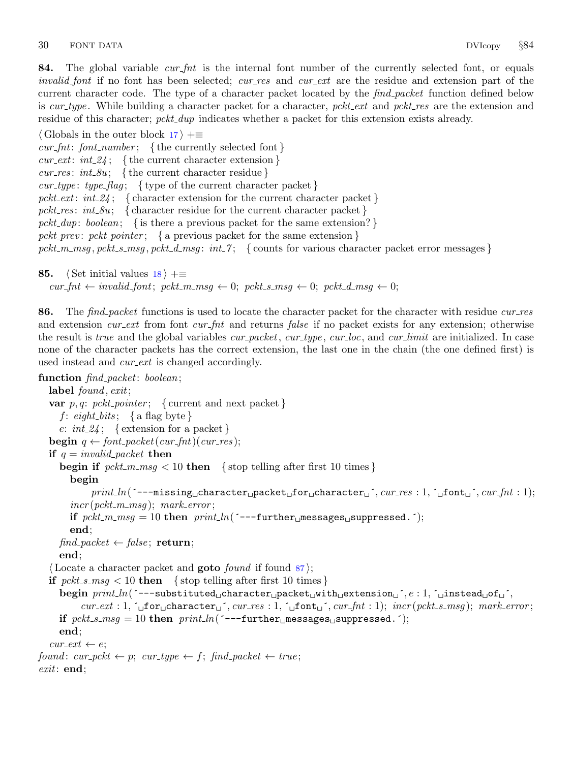<span id="page-29-0"></span>84. The global variable *cur-fnt* is the internal font number of the currently selected font, or equals invalid font if no font has been selected; cur res and cur ext are the residue and extension part of the current character code. The type of a character packet located by the *find packet* function defined below is cur type. While building a character packet for a character, pckt ext and pckt res are the extension and residue of this character; *pckt\_dup* indicates whether a packet for this extension exists already.

 $\langle$  Globals in the outer block [17](#page-7-0)  $\rangle$  +≡  $cur\_fnt: font\_number; \{ the currently selected font \}$ cur ext:  $int_0^2$ ; {the current character extension }  $cur\_res: int\_8u;$  { the current character residue } cur type: type flag; { type of the current character packet } pckt\_ext:  $int_2 24$ ; { character extension for the current character packet } pckt\_res:  $int_{\mathcal{S}} u$ ; { character residue for the current character packet } pckt\_dup: boolean; { is there a previous packet for the same extension? } pckt\_prev: pckt\_pointer; { a previous packet for the same extension } pckt\_m\_msg, pckt\_s\_msg, pckt\_d\_msg: int\_7; { counts for various character packet error messages }

85. (Set initial values  $18$ ) +≡  $cur\_fnt \leftarrow invalid\_font; pckt\_msg \leftarrow 0; pckt\_msg \leftarrow 0; pckt\_msg \leftarrow 0;$ 

86. The find packet functions is used to locate the character packet for the character with residue cur res and extension *cur\_ext* from font *cur\_fnt* and returns *false* if no packet exists for any extension; otherwise the result is true and the global variables cur *packet*, cur type, cur loc, and cur limit are initialized. In case none of the character packets has the correct extension, the last one in the chain (the one defined first) is used instead and *cur\_ext* is changed accordingly.

```
function find\_packet: boolean;label found, exit;
  var p, q: pckt_pointer; { current and next packet }
     f: eight_bits; { a flag byte }
     e: int_2 24; { extension for a packet }
  begin q \leftarrow font\_packet(cur\_fnt)(cur\_res);if q = invalid\_packet then
     begin if pckt_m_msg < 10 then { stop telling after first 10 times }
       begin
             print\_ln('--missing\_character\_packet\_for\_character\_j', cur\_res : 1, `_Jfont'_j', cur\_fnt : 1);incr (pckt_m_m sq); mark_error;if pckt_m_msg = 10 then print\_ln('---further_\text{m}essages_\text{u}suppressed. `);
       end;
     find\_packet \leftarrow false; return;
     end;
  \langle Locate a character packet and goto found87\rangle;
  if pckt\_s\_msg < 10 then { stop telling after first 10 times}
     begin\_length(^---substituted\text{L}character\text{L}packet\text{L}with\text{L}extension\text{L}^{\prime}, e : 1, ´\text{L}instead\text{L}of\text{L}^{\prime},
          cur\_ext: 1, \lnot for \lnot character \lnot, curres: 1, \lnot for \lnot int \lnot, cur\_fnt: 1); incr(pckt_s_msg); mark_error;
     if pckt-s msg = 10 then print ln( ---further messages suppressed. ´);
     end;
  cur\_ext \leftarrow e;
found: cur_pckt \leftarrow p; cur_type \leftarrow f; find_packet \leftarrow true;
exit: end;
```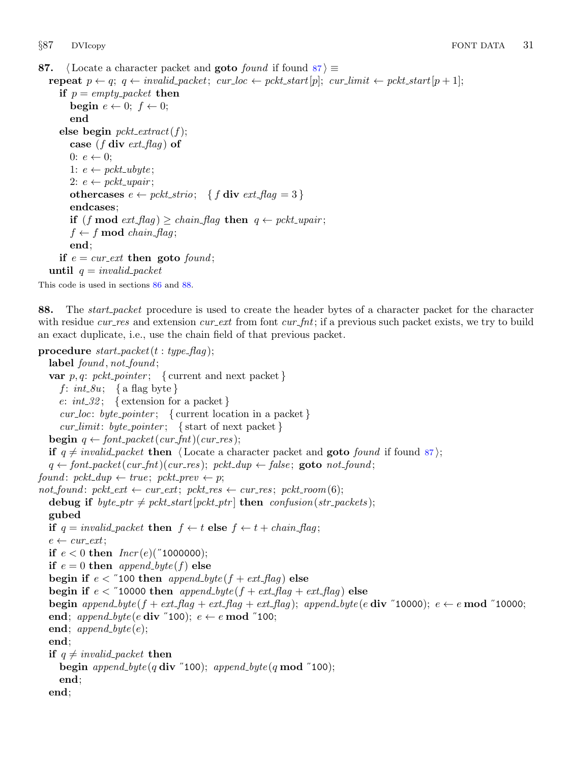```
87. (Locate a character packet and goto found if found 87 \equivrepeat p \leftarrow q; q \leftarrow invalid\_packet; cur_loc \leftarrow pckt\_start[p]; cur_limit \leftarrow pckt\_start[p + 1];
     if p = \text{empty\_packet} then
        begin e \leftarrow 0; f \leftarrow 0;
        end
     else begin pckt\_extract(f);case (f div ext_flag) of
        0: e \leftarrow 0;
        1: e \leftarrow pckt\_ubyte;2: e \leftarrow pckt\_upair;othercases e \leftarrow pckt\_strio; \{ f \text{ div } ext\_flag = 3 \}endcases;
        if (f \mod ext_{\text{diag}}) \ge \text{chain}_{\text{diag}} then q \leftarrow \text{pckt}_{\text{diag}};
        f \leftarrow f \mod chain\_flag;end;
     if e = \text{cur}\_ext{ethen} goto found;
  until q = invalid\_packet
```
This code is used in sections [86](#page-29-0) and 88.

88. The *start-packet* procedure is used to create the header bytes of a character packet for the character with residue cur res and extension cur ext from font cur  $fnt$ ; if a previous such packet exists, we try to build an exact duplicate, i.e., use the chain field of that previous packet.

```
procedure start\_packet(t : type\_flag);label found, not_found;
  var p, q: pckt_pointer; { current and next packet }
     f: int_{\mathcal{S}} u; { a flag byte}
     e: int_0^2; { extension for a packet }
     cur loc: byte pointer; { current location in a packet}
     cur_limit: byte\_pointer; \{ start of next packet \}begin q \leftarrow font\_packet(cur\_fnt)(cur\_res);if q \neq invalid\_packet then (Locate a character packet and goto found if found 87);
  q \leftarrow font\_packet(cur\_fnt)(cur\_res); pckt\_dup \leftarrow false; \textbf{goto} not\_found;found: pckt_dup \leftarrow true; pckt_prev \leftarrow p;not\_found: pckt\_ext \leftarrow cur\_ext; pckt\_res \leftarrow cur\_res; pckt\_room(6);debug if byte\_ptr \neq pckt\_start[pckt\_ptr] then confusion(str_packets);
  gubed
  if q = invalid\_packet then f \leftarrow t else f \leftarrow t + chain\_flag;
  e \leftarrow cur\_ext;if e < 0 then Incr(e)("1000000);
  if e = 0 then append byte (f) else
  begin if e < "100 then append byte (f + ext_{\textit{diag}}) else
  begin if e < "10000 then append byte (f + ext_{\text{diag}} + ext_{\text{diag}}) else
  begin append byte (f + ext flag + ext flag + ext flag); append byte (e div "10000); e \leftarrow e mod "10000;
  end; append_byte(e div "100); e \leftarrow e \mod "100;
  end; append\_byte(e);end;
  if q \neq invalid\_packet then
     begin append byte (q \div 100); append byte (q \mod 7100);
     end;
  end;
```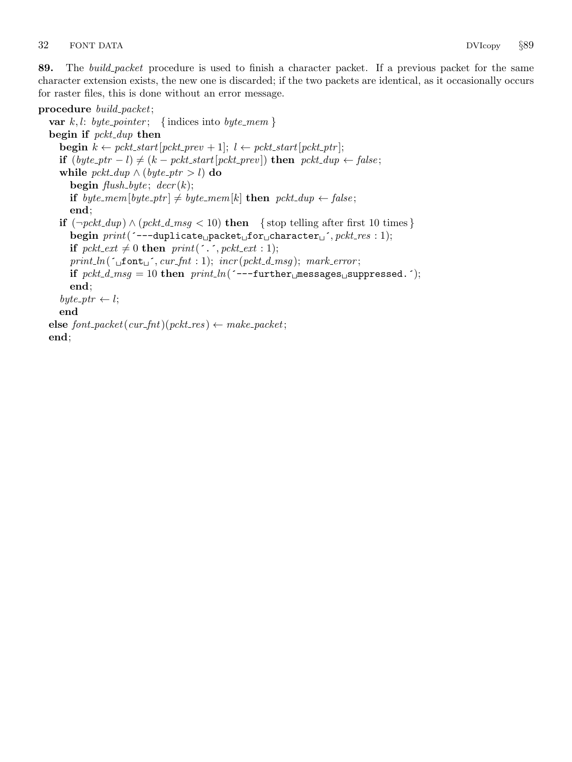89. The *build packet* procedure is used to finish a character packet. If a previous packet for the same character extension exists, the new one is discarded; if the two packets are identical, as it occasionally occurs for raster files, this is done without an error message.

## procedure build\_packet;

```
var k, l: byte_pointer; { indices into byte_mem }
begin if pckt_dup then
   begin k \leftarrow pckt\_start[pckt\_prev + 1]; l \leftarrow pckt\_start[pckt\_ptr];if (byte\_ptr - l) ≠ (k - pckt\_start[pckt\_prev]) then pckt\_dup \leftarrow false;while pckt_dup \wedge (byte_ptr > l) do
     begin \text{flush\_byte}; \text{decr}(k);
     if byte_mem[byte_ptr] \neq byte_mem[k] then pckt_dup \leftarrow false;
     end;
   if (\neg pckt_dup) \wedge (pckt_d_msg < 10) then {stop telling after first 10 times}
     begin print('---duplicate \text{\textsf{upacket}} \text{for} \text{other} \text{at} for f character f, pckt res : 1);
     if pckt\_ext \neq 0 then print(\text{'}.\text{'}., pckt\_ext : 1);print\_ln(\text{`}_\sqcup \text{font}_\sqcup \text{`}, \text{cur\_fnt : 1}); \text{ incr}(\text{pckt\_d\_msg}); \text{ mark\_error};if pckt_d_msg = 10 then print_l('---further_lmessages_lsuppressed.');end;
   byte\_ptr \leftarrow l;end
else font\_packet(cur\_fnt)(pckt\_res) \leftarrow make\_packet;end;
```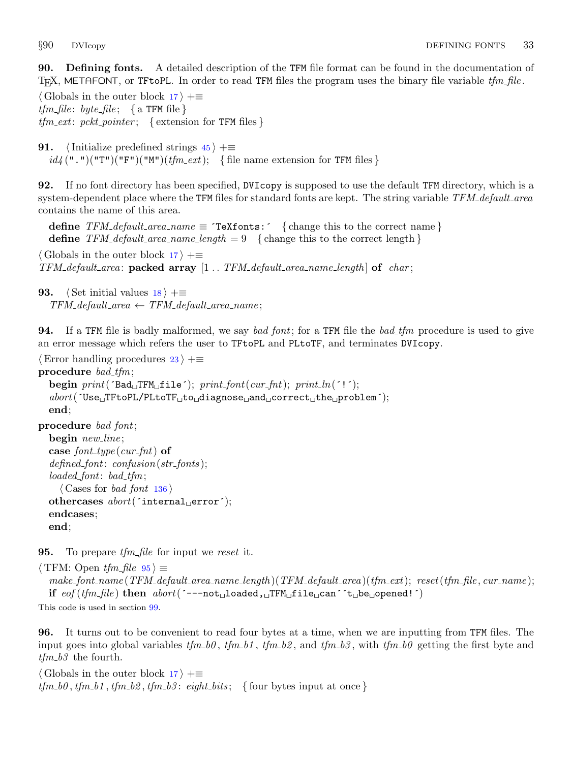<span id="page-32-0"></span>90. Defining fonts. A detailed description of the TFM file format can be found in the documentation of T<sub>EX</sub>, METAFONT, or TFtoPL. In order to read TFM files the program uses the binary file variable  $tfm$ -file.

 $\langle$  Globals in the outer block [17](#page-7-0)  $\rangle$  +≡  $tfm_{\mathcal{I}} file: byte_{\mathcal{I}} file; \{a \text{ TFM file}\}$  $tfm\_ext: pckt\_pointer; \{ extension for TFM files\}$ 

91.  $\langle$  Initialize predefined strings [45](#page-15-0)  $\rangle$  +≡  $id_4(\mathbf{``}.") (\mathbf{``T")} (\mathbf{``F")} (\mathbf{``M")} (tfm\_ext);$  { file name extension for TFM files }

92. If no font directory has been specified, DVIcopy is supposed to use the default TFM directory, which is a system-dependent place where the TFM files for standard fonts are kept. The string variable TFM default area contains the name of this area.

define  $TFM_{default\_area_name \equiv \text{Textfonts}:$  { change this to the correct name } define  $TFM_{default\_area\_name\_length} = 9$  {change this to the correct length}

 $\langle$  Globals in the outer block [17](#page-7-0)  $\rangle$  +≡  $TFM$  default area: packed array  $[1 \tTFM$  default area name length of char;

**93.**  $\langle$  Set initial values [18](#page-8-0)  $\rangle$  +≡  $TFM_{\mathcal{A}}$  default\_area  $\leftarrow TFM_{\mathcal{A}}$  default\_area\_name;

**94.** If a TFM file is badly malformed, we say bad-font; for a TFM file the bad-tfm procedure is used to give an error message which refers the user to TFtoPL and PLtoTF, and terminates DVIcopy.

```
\langle23 \rangle +≡
procedure bad\_tfm;
  \mathbf{begin}(Tf) print('Bad_UTFM_Ufile'); printfont(cur_fht); print_l('!');abort('Use <code>TFtoPL/PLtoTF_tto</code>{}diagnose <code>~and</code>{}correct <code>{}the</code>{}pproblem');end;
procedure bad_font;
  begin new_line;
  case font_type (cur_fnt) of
  defined\_font: confusion(str\_font);loaded\_font: bad\_tfm;
```

```
\langle Cases for bad_font136 \rangleothercases abort('internal`_error');endcases;
end;
```
**95.** To prepare  $tfm$ -file for input we reset it.

```
\langle TFM: Open tfm file 95 \rangle \equivmake\_font_name (TFM\_default\_area\_name\_length) (TFM\_default\_area) (tfm\_ext); reset (tfm\_file, cur_name);if eof(tfm\_file) then abort(^---not<sub>⊔</sub>loaded, TFM<sub>ui</sub>file<sub>⊔</sub>can^^t<sub>⊔</sub>be<sub>⊔</sub>opened!^)
This code is used in section 99.
```
96. It turns out to be convenient to read four bytes at a time, when we are inputting from TFM files. The input goes into global variables  $tfm_b0$ ,  $tfm_b1$ ,  $tfm_b2$ , and  $tfm_b3$ , with  $tfm_b0$  getting the first byte and  $tfm_b3$  the fourth.

 $\langle$  Globals in the outer block [17](#page-7-0)  $\rangle$  +≡  $tfm_b0$ ,  $tfm_b1$ ,  $tfm_b2$ ,  $tfm_b3$ :  $eight\_bits$ ; { four bytes input at once}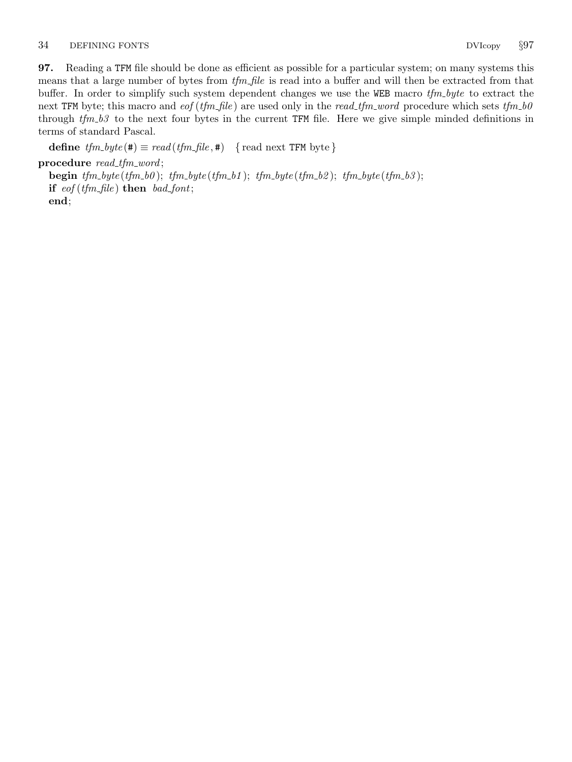97. Reading a TFM file should be done as efficient as possible for a particular system; on many systems this means that a large number of bytes from *tfm*-*file* is read into a buffer and will then be extracted from that buffer. In order to simplify such system dependent changes we use the WEB macro  $tfm_byte$  to extract the next TFM byte; this macro and  $eof (tfm$ -file) are used only in the read-tfm word procedure which sets  $tfm_b0$ through  $tfm_b3$  to the next four bytes in the current TFM file. Here we give simple minded definitions in terms of standard Pascal.

define  $tfm_byte(\texttt{\#}) \equiv read(tfm_file, \texttt{\#})$  {read next TFM byte }

procedure read\_tfm\_word;

begin  $tfm_byte$  ( $tfm_b0$ );  $tfm_byte$  ( $tfm_b1$ );  $tfm_byte$  ( $tfm_b2$ );  $tfm_byte$  ( $tfm_b3$ ); if  $\epsilon$  eof (tfm\_file) then bad\_font; end;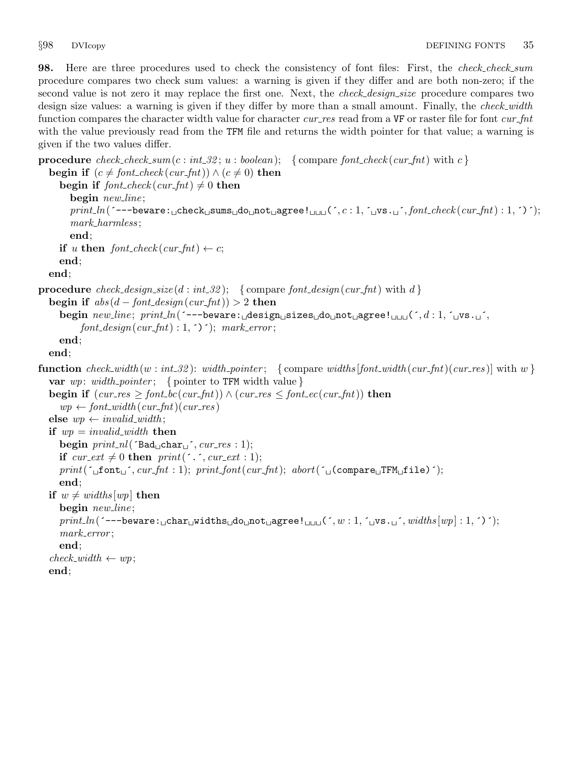**98.** Here are three procedures used to check the consistency of font files: First, the *check\_check\_sum* procedure compares two check sum values: a warning is given if they differ and are both non-zero; if the second value is not zero it may replace the first one. Next, the *check\_design\_size* procedure compares two design size values: a warning is given if they differ by more than a small amount. Finally, the *check width* function compares the character width value for character cur-res read from a VF or raster file for font cur-fnt with the value previously read from the TFM file and returns the width pointer for that value; a warning is given if the two values differ.

```
procedure check_check_sum(c: int_32; u: boolean); { compare font_check (cur_fnt) with c}
   begin if (c \neq font\_check(cur\_fnt)) \wedge (c \neq 0) then
      begin if font\_check( \, \text{cur\_fnt}) \neq 0 then
         begin new_line;
         print\_ln( --- beware: _{\cup}check_{\cup}sums_{\cup}do_{\cup}not_{\cup}agree!_{\cup}_{\cup}(\cdot, c: 1, \cdot'), _{\cup}s. _{\cup}\cdot', font_{\cup}check(cur\_fnt): 1, \cdot)\cdot);
         mark_harmless;
         end;
      if u then font\_check( \, \textit{cur\_fnt}) \leftarrow c;end;
  end;
procedure check_design_size(d: int_32); {compare font_design(cur_fnt) with d}
   begin if abs(d - font\_design(cur\_fnt)) > 2 then
      begin new\_line; print\_ln(<sup>---beware:<sub>□</sub>design sizes do not agree! _{\text{UUL}}(,d:1, _{\text{UVS}-\text{L}},</sup>
            font\_design(cur\_fnt):1, \cdot) \cdot; mark_error;
      end;
  end;
function check width (w : int.32): width pointer; {compare widths [font\_width(cur\_fnt)(cur\_res)] with w}
   var wp: width\_pointer; \{ pointer to TFM width value\}begin if (cur\_res \geq font\_bc(cur\_fnt)) \wedge (cur\_res \leq font\_ec(cur\_fnt)) then
      wp \leftarrow font\_width(cur\_fnt)(cur\_res)else wp \leftarrow invalid\_width;if wp = invalid\_width then
      begin print\_nl (\text{Bad}_{\sqcup}char\sqcup, cur\_res : 1);
      if cur\_ext \neq 0 then print(\tilde{\cdot}, \tilde{\cdot}, cur\_ext : 1);print(' \text{if} \text{ont}_\text{u}, \text{cur}\text{f} \text{nt}: 1); \text{ print}\text{f} \text{ont}(\text{cur}\text{f} \text{nt}); \text{ abort}(' \text{if} \text{compare} \text{u} \text{f} \text{1} \text{te})');end;
  if w \neq \text{widths}[wp] then
      begin new_line;
      print\_ln( \texttt{---beware:} \text{\_}char\text{\_}widths\text{\_}do \text{\_}not \text{\_}agree! \text{\_} \text{\_} \cup \text{\_} ; w : 1, \text{\_} \cup \text{\_}s. \text{\_} \cup \text{\_}, widths|wp| : 1, \text{\_} \cup \text{\_};
      mark_error;
      end;
   check\_width \leftarrow wp;end;
```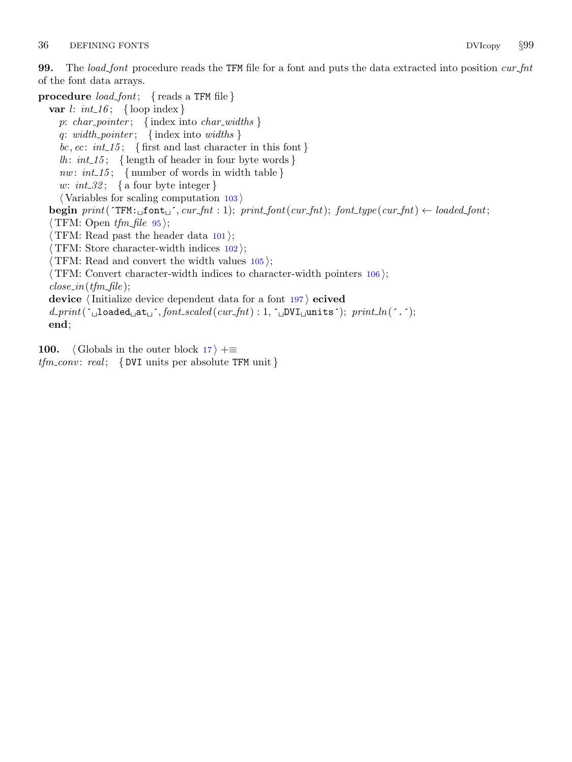<span id="page-35-0"></span>99. The load-font procedure reads the TFM file for a font and puts the data extracted into position cur-fnt of the font data arrays.

procedure  $load\_font$ ; { reads a TFM file }

var l:  $int_16$ ; {loop index} p: char\_pointer; {index into char\_widths } q: width-pointer; { index into widths } bc, ec: int\_15; {first and last character in this font } lh:  $int_1 5$ ; {length of header in four byte words} nw:  $int_1 5$ ; { number of words in width table } w:  $int_0^2$ ; { a four byte integer }  $\langle$  Variables for scaling computation [103](#page-37-0)  $\rangle$ begin  $print('TFM: \text{if} \text{ont}_i', \text{cur.fnt} : 1); \text{print} \text{f} \text{ont}( \text{cur.fnt}); \text{font\_type} (\text{cur.fnt}) \leftarrow \text{loaded} \text{f} \text{ont};$  $\langle \text{TFM: Open } t \text{fm}$  file [95](#page-32-0) $\rangle$ ; (TFM: Read past the header data  $101$ );  $\langle$  TFM: Store character-width indices [102](#page-36-0) $\rangle$ ;  $\langle$  TFM: Read and convert the width values [105](#page-38-0) $\rangle$ ;  $\langle$  TFM: Convert character-width indices to character-width pointers [106](#page-38-0) $\rangle$ ;  $close\_in(tfm\_file);$ device (Initialize device dependent data for a font  $197$ ) ecived  $d\_print(\text{``\texttt{\_}loaded\_at\_}', font\_scaled(var\_fnt): 1, \text{``\_\texttt{DVI\_units'}$}); print\_ln(\text{``\texttt{``})};$ end;

- 100.  $\langle$  Globals in the outer block [17](#page-7-0)  $\rangle$  +≡
- $tfm\_conv: \ real; \ \{$  DVI units per absolute TFM unit }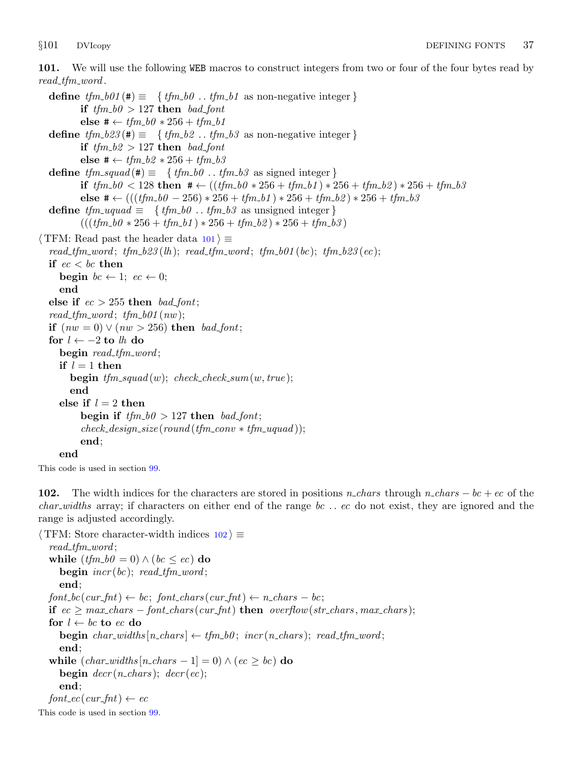101. We will use the following WEB macros to construct integers from two or four of the four bytes read by read\_tfm\_word.

define  $tfm_b01 (\#) \equiv \{ tfm_b0 \dots tfm_b1 \text{ as non-negative integer } \}$ if  $tfm_b0 > 127$  then bad\_font else #  $\leftarrow$  tfm\_b0  $*$  256 + tfm\_b1 define  $tfm_b23(\#) \equiv \{ tfm_b2 \dots tfm_b3 \text{ as non-negative integer } \}$ if  $tfm_b2 > 127$  then bad\_font else #  $\leftarrow$  tfm\_b2 \* 256 + tfm\_b3 define  $tfm\_squad(\#) \equiv \{ tfm_b0 \dots tfm_b3 \text{ as signed integer} \}$ if  $tfm_b0 < 128$  then # ←  $((tfm_b0 * 256 + tfm_b1) * 256 + tfm_b2) * 256 + tfm_b3$ else  $\# \leftarrow (((tfm_b0 - 256) * 256 + tfm_b1) * 256 + tfm_b2) * 256 + tfm_b3$ define  $tfm\_uquad \equiv \{ tfm_b0 \dots tfm_b3 \text{ as unsigned integer} \}$  $(((tfm_b0 * 256 + tfm_b1) * 256 + tfm_b2) * 256 + tfm_b3)$  $\langle$  TFM: Read past the header data  $101$   $\equiv$ read\_tfm\_word; tfm\_b23(lh); read\_tfm\_word; tfm\_b01(bc); tfm\_b23(ec); if  $ec < bc$  then begin  $bc \leftarrow 1$ ;  $ec \leftarrow 0$ ; end else if  $ec > 255$  then bad\_font;  $read\_tfm\_word$ ;  $tfm\_b01$  (nw); if  $(nw = 0) \vee (nw > 256)$  then bad\_font; for  $l \leftarrow -2$  to  $lh$  do begin  $read\_tfm\_word$ ; if  $l = 1$  then **begin**  $tfm\_squad(w)$ ; check\_check\_sum(w, true); end else if  $l = 2$  then begin if  $tfm_b0 > 127$  then bad-font;  $check\_design\_size$  (round (tfm\_conv  $*$  tfm\_uquad)); end; end

This code is used in section [99](#page-35-0).

102. The width indices for the characters are stored in positions n\_chars through n\_chars  $- bc + ec$  of the *char widths* array; if characters on either end of the range  $bc \dots ec$  do not exist, they are ignored and the range is adjusted accordingly.

```
\langle TFM: Store character-width indices 102 \rangle \equivread\_tfm\_word;while (t/m_b 0 = 0) \wedge (bc \leq ec) do
     begin \text{incr}(bc); read_tfm_word;
     end;
  font\_bc(cur\_fnt) \leftarrow bc; font\_chars(cur\_fnt) \leftarrow n\_chars - bc;if ec \geq max_{chars} - font_{chars}(cur_{\textit{fnt}}) then overflow(str_{\textit{chars}}, max_{chars});
  for l \leftarrow bc to ec do
     begin char_widths [n\_chars] \leftarrow tfm_b0; incr(n\_chars); read_tfm_word;
     end;
  while (char\_widths | n\_chars - 1] = 0) \wedge (ec \geq bc) do
     begin decr(n\_chars); decr(ec);end;
  font\_ec(cur\_fnt) \leftarrow ecThis code is used in section 99.
```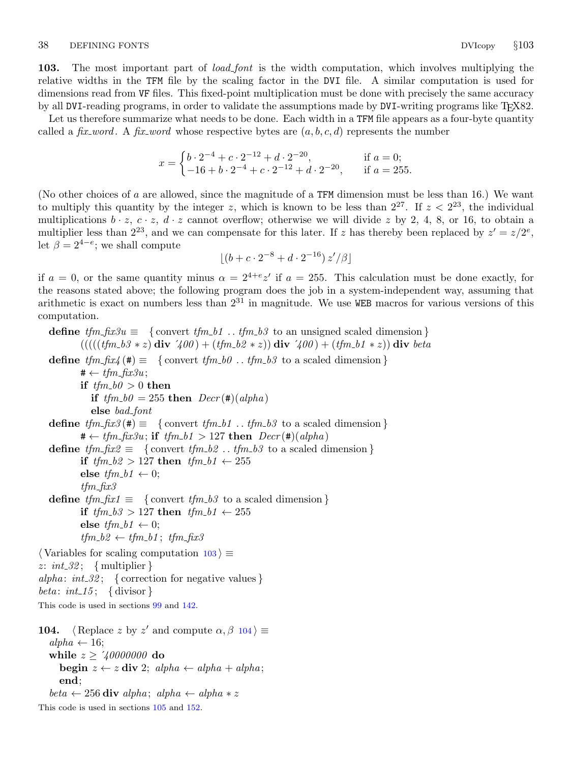<span id="page-37-0"></span>103. The most important part of *load\_font* is the width computation, which involves multiplying the relative widths in the TFM file by the scaling factor in the DVI file. A similar computation is used for dimensions read from VF files. This fixed-point multiplication must be done with precisely the same accuracy by all DVI-reading programs, in order to validate the assumptions made by DVI-writing programs like T<sub>E</sub>X82.

Let us therefore summarize what needs to be done. Each width in a TFM file appears as a four-byte quantity called a fix-word. A fix-word whose respective bytes are  $(a, b, c, d)$  represents the number

$$
x = \begin{cases} b \cdot 2^{-4} + c \cdot 2^{-12} + d \cdot 2^{-20}, & \text{if } a = 0; \\ -16 + b \cdot 2^{-4} + c \cdot 2^{-12} + d \cdot 2^{-20}, & \text{if } a = 255. \end{cases}
$$

(No other choices of a are allowed, since the magnitude of a TFM dimension must be less than 16.) We want to multiply this quantity by the integer z, which is known to be less than  $2^{27}$ . If  $z < 2^{23}$ , the individual multiplications  $b \cdot z$ ,  $c \cdot z$ ,  $d \cdot z$  cannot overflow; otherwise we will divide z by 2, 4, 8, or 16, to obtain a multiplier less than  $2^{23}$ , and we can compensate for this later. If z has thereby been replaced by  $z' = z/2^e$ , let  $\beta = 2^{4-e}$ ; we shall compute

$$
\left[ (b + c \cdot 2^{-8} + d \cdot 2^{-16}) z'/\beta \right]
$$

if  $a = 0$ , or the same quantity minus  $\alpha = 2^{4+e}z'$  if  $a = 255$ . This calculation must be done exactly, for the reasons stated above; the following program does the job in a system-independent way, assuming that arithmetic is exact on numbers less than  $2^{31}$  in magnitude. We use WEB macros for various versions of this computation.

```
define tfm_{\text{in}}fxx3u \equiv \{ convert tfm_{\text{in}}b1 \dots tfm_{\text{in}}b3 to an unsigned scaled dimension }
            (((((t\beta + 3 * z) \text{ div } 400) + (t\beta + 2 * z)) \text{ div } 400) + (t\beta + 1 * z)) \text{ div } betadefine tfm_f\hat{x} (#) \equiv \{ convert tfm_b\hat{v}. tfm_b\hat{v} to a scaled dimension }
           # \leftarrow tfm\_fix3u;if tfm_b0 > 0 then
              if tfm_b0 = 255 then Decr(\#)(alpha)else bad_font
  define tfm_f\hat{x}3(\textbf{#}) \equiv \{\text{convert } tfm_b1 \dots tfm_b3 \text{ to a scaled dimension}\}\\# \leftarrow tfm_fix3u; if tfm_b1 > 127 then Decr(\#)(alpha)define tfm_f\hat{x}2 \equiv \{\text{convert } tfm_b2 \dots tfm_b3 \text{ to a scaled dimension }\}if tfm_b2 > 127 then tfm_b1 \leftarrow 255else tfm_b1 \leftarrow 0;
            tfm_f\ddot{x}3define tfm\_fix1 \equiv \{ convert tfm\_b3 to a scaled dimension }
            if tfm_b3 > 127 then tfm_b1 \leftarrow 255else tfm_b1 \leftarrow 0;tfm_b2 \leftarrow tfm_b1; tfm_fxx3\langle Variables for scaling computation 103 \rangle \equivz: int_0^2; { multiplier }
alpha: int_0^2; { correction for negative values }
beta: int_1 15; { divisor }
This code is used in sections 99 and 142.
104. \langle \text{Replace } z \text{ by } z' \text{ and compute } \alpha, \beta \text{ to} \alpha \rangle \equivalpha \leftarrow 16;while z > 200000000 do
     begin z \leftarrow z div 2; alpha \leftarrow alpha + alpha;
```
 $beta \leftarrow 256$  div alpha; alpha  $\leftarrow$  alpha  $\ast z$ This code is used in sections [105](#page-38-0) and [152.](#page-51-0)

end;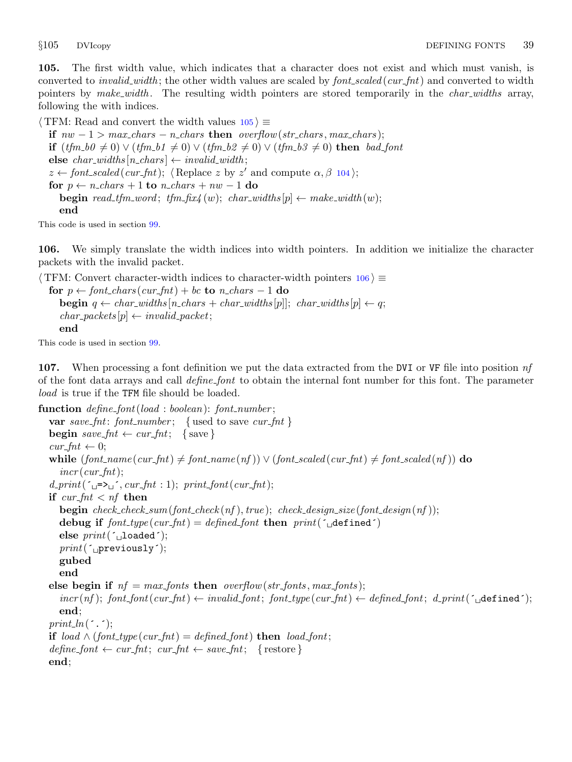<span id="page-38-0"></span>105. The first width value, which indicates that a character does not exist and which must vanish, is converted to *invalid width*; the other width values are scaled by  $font\_scaled(cur\_fnt)$  and converted to width pointers by *make width*. The resulting width pointers are stored temporarily in the *char widths* array, following the with indices.

 $\langle$  TFM: Read and convert the width values  $105 \rangle \equiv$ 

if  $nw - 1 > max\_chars - n\_chars$  then  $overflow(str\_chars, max\_chars)$ ; **if**  $(tfm_b0 ≠ 0) ∨ (tfm_b1 ≠ 0) ∨ (tfm_b2 ≠ 0) ∨ (tfm_b3 ≠ 0)$  then bad\_font else  $char_widths[n\_chars] \leftarrow invalid\_width;$  $z \leftarrow font\_scaled(cur\_fnt);$  (Replace z by z' and compute  $\alpha, \beta$  [104](#page-37-0)); for  $p \leftarrow n\_chars + 1$  to  $n\_chars + nw - 1$  do **begin** read\_tfm\_word; tfm\_fix4(w); char\_widths  $[p] \leftarrow make\_width(w);$ end

This code is used in section [99](#page-35-0).

106. We simply translate the width indices into width pointers. In addition we initialize the character packets with the invalid packet.

 $\langle$  TFM: Convert character-width indices to character-width pointers 106 $\rangle \equiv$ 

for  $p \leftarrow$  font\_chars (cur\_fnt) + bc to n\_chars - 1 do **begin**  $q \leftarrow char\_widths[n\_chars + char\_widths[p]; char\_widths[p] \leftarrow q;$  $char\_packets[p] \leftarrow invalid\_packet;$ end

This code is used in section [99](#page-35-0).

107. When processing a font definition we put the data extracted from the DVI or VF file into position of of the font data arrays and call define font to obtain the internal font number for this font. The parameter load is true if the TFM file should be loaded.

```
function define\_font(load:boolean): font_number;var save_fnt: font_number; { used to save cur_fnt }
  begin save_fnt \leftarrow cur\_fnt; { save }
  cur\_fnt \leftarrow 0;while (font_name(cur_fnt) \neq font_name(nf)) \vee (font-scaled(cur_fnt) \neq font-scaled(nf)) do
     incr(cur\_fnt);d\_print(\ulcorner \lnot \gt \lnot, cur\_fnt : 1); print\_font(cur\_fnt);if \textit{cur\_fnt} < \textit{nf} then
     begin check_check_sum(font_check(nf), true); check_design_size(font_design(nf));
     debug if font_type(cur_fn) = definedfont then print('\text{defined}^*)else print('<sup>1</sup>oaded´);
     print(\lceil \text{previously'});gubed
     end
  else begin if nf = max_fonts then overflow(str_fonts, max_fonts);
     incr(nf); font_font(cur_fnt) \leftarrow invalid_font; font_type(cur_fnt) \leftarrow defined_font; d_print(\simend;
  print\_ln( \cdot \cdot );if load \wedge (font_type (cur_fnt) = defined_font) then load_font;
  define\_font \leftarrow cur\_fnt; cur\_fnt \leftarrow save\_fnt; \{ restore \}end;
```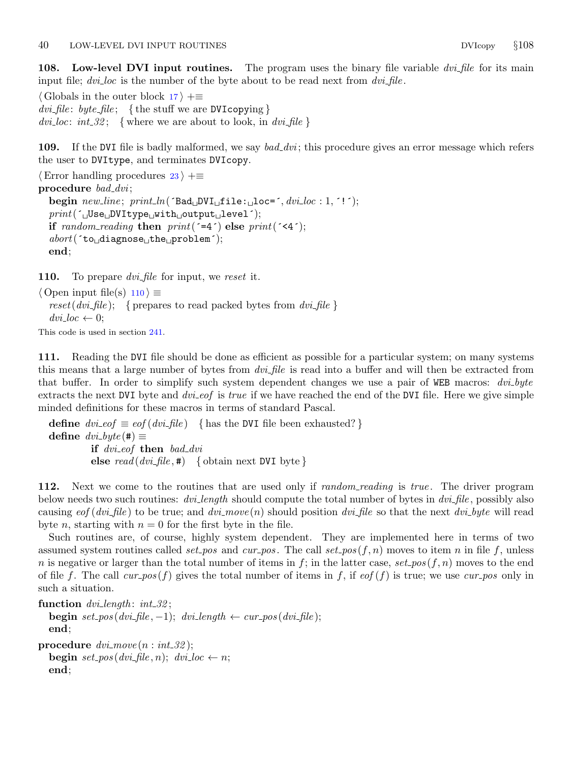108. Low-level DVI input routines. The program uses the binary file variable *dvi-file* for its main input file;  $dvi\_loc$  is the number of the byte about to be read next from  $dvi$ -file.

 $\langle$  Globals in the outer block [17](#page-7-0)  $\rangle$  +≡  $dvi$ -file: byte-file; { the stuff we are DVIcopying }  $dvi\_loc: int\_32;$  {where we are about to look, in  $dvi\_file$ }

109. If the DVI file is badly malformed, we say  $bad\_dvi$ ; this procedure gives an error message which refers the user to DVItype, and terminates DVIcopy.

```
\langle23 \rangle +≡
procedure bad_dvi;
  begin new\_line; print\_ln( 'Bad_DVI<sub>\sqcup</sub>file:\sqcuploc=', dvi\_loc: 1, '!');
  print(´ Use DVItype with output level´);
  if random-reading then print('=4') else print('<4');
  abort('to<sub>u</sub>diagnose<sub>u</sub>the<sub>u</sub>problem');end;
```
110. To prepare *dvi\_file* for input, we reset it.

```
\langle Open input file(s) 110 \rangle \equivreset(dvi; { prepares to read packed bytes from dvi-file }
  dvi\_loc \leftarrow 0;This code is used in section 241.
```
111. Reading the DVI file should be done as efficient as possible for a particular system; on many systems this means that a large number of bytes from *dvi-file* is read into a buffer and will then be extracted from that buffer. In order to simplify such system dependent changes we use a pair of WEB macros:  $div. by$ extracts the next DVI byte and  $div.eof$  is true if we have reached the end of the DVI file. Here we give simple minded definitions for these macros in terms of standard Pascal.

**define**  $dvi\_eof \equiv eof(dvi\_file)$  { has the DVI file been exhausted? } define  $dvi\_byte$  (#)  $\equiv$ if dvi\_eof then bad\_dvi else  $read(dvi$ -file, #) { obtain next DVI byte }

112. Next we come to the routines that are used only if *random reading* is true. The driver program below needs two such routines: *dvi\_length* should compute the total number of bytes in *dvi\_file*, possibly also causing eof (dvi-file) to be true; and dvi-move (n) should position dvi-file so that the next dvi-byte will read byte *n*, starting with  $n = 0$  for the first byte in the file.

Such routines are, of course, highly system dependent. They are implemented here in terms of two assumed system routines called set pos and cur pos. The call set pos  $(f, n)$  moves to item n in file f, unless n is negative or larger than the total number of items in f; in the latter case,  $set\_pos(f, n)$  moves to the end of file f. The call cur  $pos(f)$  gives the total number of items in f, if  $eof(f)$  is true; we use cur pos only in such a situation.

```
function dvilength: int_32;begin set_pos(dvi_file, -1); dvi_length \leftarrow cur_pos(dvi_file);end;
procedure dvi_move(n : int_32);
```

```
begin set_pos(dvi_file, n); dvi_loc \leftarrow n;
end;
```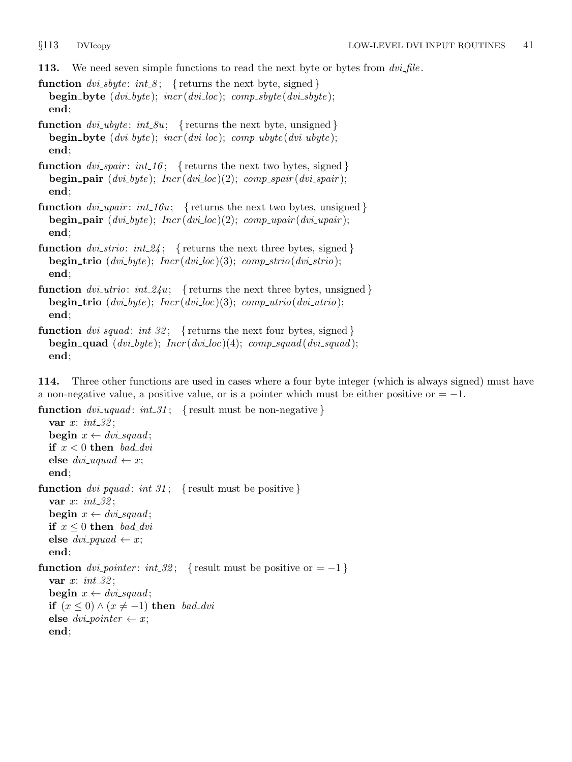113. We need seven simple functions to read the next byte or bytes from  $dvifile$ .

- function  $\text{div}_\text{-} \text{s}$  show  $\text{div}_\text{-} \text{t}$  is  $\{ \text{returns the next byte, signed} \}$ **begin\_byte** (dvi\_byte);  $incr$  (dvi\_loc);  $comp\_sbyte$  (dvi\_sbyte); end;
- function  $\text{div}_{\mathcal{A}} \text{div}_{\mathcal{B}} \mathcal{A}$  { returns the next byte, unsigned } **begin\_byte** (dvi\_byte);  $incr(dvi\_loc)$ ;  $comp\_ubyte(dvi\_ubyte)$ ; end;
- function  $\text{div}.\text{spair}: \text{int}_1 16;$  { returns the next two bytes, signed } **begin\_pair** (dvi\_byte);  $Incr(dvi\_loc)(2)$ ;  $comp\_spair(dvi\_spair)$ ; end;
- **function**  $dvi\_\text{upair}: int\_16u;$  { returns the next two bytes, unsigned } **begin\_pair** (dvi\_byte);  $Incr(dvi\_loc)(2)$ ;  $comp\_upair(dvi\_upair)$ ; end;
- **function**  $div<sub>i</sub>strio: int24$ ; {returns the next three bytes, signed} **begin\_trio**  $(dvi\_byte)$ ;  $Incr(dvi\_loc)(3)$ ;  $comp\_strio(dvi\_strio)$ ; end;
- **function**  $dvi\_utrio: int24u;$  { returns the next three bytes, unsigned } **begin\_trio**  $(dvi\_byte)$ ;  $Incr(dvi\_loc)(3)$ ;  $comp\_utrio(dvi\_utrio)$ ; end;
- function  $\text{div} \text{-} \text{grad}$ :  $\text{int} \text{-}32$ ; { returns the next four bytes, signed } **begin\_quad** (dvi\_byte);  $Incr(dvi\_loc)(4)$ ; comp\_squad(dvi\_squad); end;

114. Three other functions are used in cases where a four byte integer (which is always signed) must have a non-negative value, a positive value, or is a pointer which must be either positive or  $= -1$ .

```
function div_1 \cdot u \cdot \cdot \cdot 31; { result must be non-negative }
  var x: int_{32}:
  begin x \leftarrow \text{divi}\text{-}\text{equal};
  if x < 0 then bad-dvi
  else dvi_uquad \leftarrow x;
  end;
function dvi-pquad: int_0^1; { result must be positive}
  var x: int_{32};
  begin x \leftarrow \text{divi}\text{-}\text{equal};if x \leq 0 then bad_dvi
  else dvi_pquad \leftarrow x;
  end;
function \text{div}_\text{-} \text{pointer}: \text{int}_\text{-} 32; { result must be positive or = -1 }
  var x: int_{-32};
  begin x \leftarrow div \text{.} square;if (x \leq 0) \wedge (x \neq -1) then bad_dvi
  else \text{div}_\text{-} \text{pointer} \leftarrow x;end;
```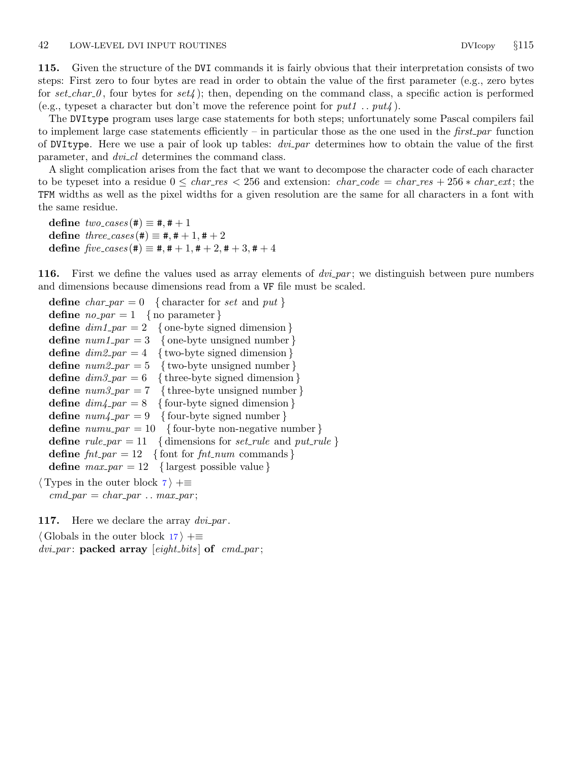115. Given the structure of the DVI commands it is fairly obvious that their interpretation consists of two steps: First zero to four bytes are read in order to obtain the value of the first parameter (e.g., zero bytes for set char  $\theta$ , four bytes for set  $\ell$ ); then, depending on the command class, a specific action is performed (e.g., typeset a character but don't move the reference point for  $put1$ ...  $put4$ ).

The DVItype program uses large case statements for both steps; unfortunately some Pascal compilers fail to implement large case statements efficiently – in particular those as the one used in the *first par* function of DVItype. Here we use a pair of look up tables: *dvi\_par* determines how to obtain the value of the first parameter, and *dvi\_cl* determines the command class.

A slight complication arises from the fact that we want to decompose the character code of each character to be typeset into a residue  $0 \leq$  *char\_res*  $<$  256 and extension: *char\_code* = *char\_res* + 256  $*$  *char\_cxt*; the TFM widths as well as the pixel widths for a given resolution are the same for all characters in a font with the same residue.

define  $two\_cases$  (#)  $\equiv$  #, # + 1 define  $three\_cases (\#) \equiv \#, \# + 1, \# + 2$ define  $five\_cases (\#) \equiv \#, \# + 1, \# + 2, \# + 3, \# + 4$ 

**116.** First we define the values used as array elements of  $dvi$ -par; we distinguish between pure numbers and dimensions because dimensions read from a VF file must be scaled.

```
define char\_par = 0 { character for set and put }
 define no\_{par} = 1 { no parameter }
 define dim1\_par = 2 {one-byte signed dimension }
 define num1\_par = 3 {one-byte unsigned number}
 define \dim \mathcal{Z}_p = 4 { two-byte signed dimension }
 define num2\_par = 5 { two-byte unsigned number }
 define \dim 3\_par = 6 { three-byte signed dimension }
 define num3\_par = 7 {three-byte unsigned number}
 define dim_{4}-par = 8 { four-byte signed dimension }
 define num4\_par = 9 { four-byte signed number }
 define numu\_par = 10 { four-byte non-negative number }
 define rule\_par = 11 { dimensions for set_rule and put\_rule }
 define fnt\_par = 12 { font for fnt\_num commands }
 define max\_par = 12 { largest possible value }
\langle7 \rangle +≡
```

```
cmd\_par = char\_par \dots max\_par;
```
117. Here we declare the array  $dvi\_par$ .

 $\langle$  Globals in the outer block [17](#page-7-0)  $\rangle$  +≡  $dvi$ -par: packed array  $\lceil$ eight-bits of cmd-par;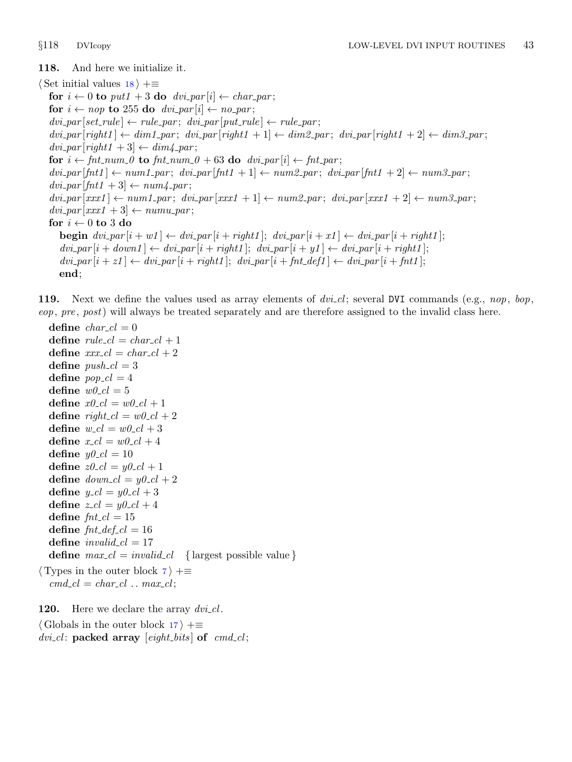118. And here we initialize it.

 $\langle$  Set initial values [18](#page-8-0)  $\rangle$  +≡ for  $i \leftarrow 0$  to  $put1 + 3$  do  $dvi\_par[i] \leftarrow char\_par;$ for  $i \leftarrow n \circ p$  to 255 do  $\text{div} \cdot \text{var}[i] \leftarrow n \circ \text{var};$  $dvi$ -par  $[set$ -rule  $] \leftarrow rule$ -par;  $dvi$ -par  $[put$ -rule  $] \leftarrow rule$ -par;  $dvi$ -par  $[right1] \leftarrow dim1$ -par;  $dvi$ -par  $[right1 + 1] \leftarrow dim2$ -par;  $dvi$ -par  $[right1 + 2] \leftarrow dim3$ -par;  $dvi\_par[right1 + 3] \leftarrow dim4\_par;$ for  $i \leftarrow fnt_number\_0$  to  $fnt_number\_0 + 63$  do  $\frac{dv}{p}ar[i] \leftarrow fnt\_par;$  $dvipar[Int1] \leftarrow num1-par; dvipar[Int1 + 1] \leftarrow num2-par; dvipar[Int1 + 2] \leftarrow num3-par;$  $dvi\_par[ fnt1 + 3] \leftarrow num4\_par;$  $dvi\_par[xxx1] \leftarrow num1\_par; dvi\_par[xxx1 + 1] \leftarrow num2\_par; dvi\_par[xxx1 + 2] \leftarrow num3\_par;$  $dvi\_par[xxx1 + 3] \leftarrow numu\_par;$ for  $i \leftarrow 0$  to 3 do **begin**  $dvi$ -par  $[i + w1] \leftarrow dvi$ -par  $[i + right1]$ ;  $dvi$ -par  $[i + x1] \leftarrow dvi$ -par  $[i + right1]$ ;  $dvi$ -par  $[i + down1] \leftarrow dvi$ -par  $[i + right1]$ ;  $dvi$ -par  $[i + y1] \leftarrow dvi$ -par  $[i + right1]$ ;  $dvi$ -par  $[i + z1] \leftarrow dvi$ -par  $[i + right1]$ ;  $dvi$ -par  $[i + fnt$ -def1 $] \leftarrow dvi$ -par  $[i + fnt1]$ ; end;

119. Next we define the values used as array elements of  $div. cl$ ; several DVI commands (e.g., nop, bop, eop, pre, post) will always be treated separately and are therefore assigned to the invalid class here.

```
define char\_cl = 0define rule\_cl = char\_cl + 1define xxx\_cl = char\_cl + 2define push\_cl = 3define pop_cl = 4define w0<sub>-C</sub>l = 5define x0<sub>-cl</sub> = w0<sub>-cl</sub> + 1
  define right_cl = w0_cl + 2define w_{\text{-}cl} = w \theta_{\text{-}cl} + 3define x_{cl} = w \theta_{cl} + 4define y0<sub>-cl</sub> = 10
  define z\theta_{\text{c}}cl = y\theta_{\text{c}}cl + 1define down\_cl = y0\_cl + 2define y_c l = y0_c l + 3define z_{cl} = y\theta_{cl} + 4define \text{fnt}\_{cl} = 15define \text{fnt}_\text{-} \text{def}_\text{-} \text{cl} = 16define invalid_cl = 17define max_cl = invalid_cl {largest possible value}
\langle7 \rangle +≡
   cmd\_cl = char\_cl \dots max\_cl;
```
**120.** Here we declare the array  $dvi$ -cl.  $\langle$  Globals in the outer block [17](#page-7-0)  $\rangle$  +=  $dvi$ <sub>c</sub> $i$ : packed array  $\lceil$ *eight\_bits* $\rceil$  of  $cmd$ <sub>c</sub> $i$ ;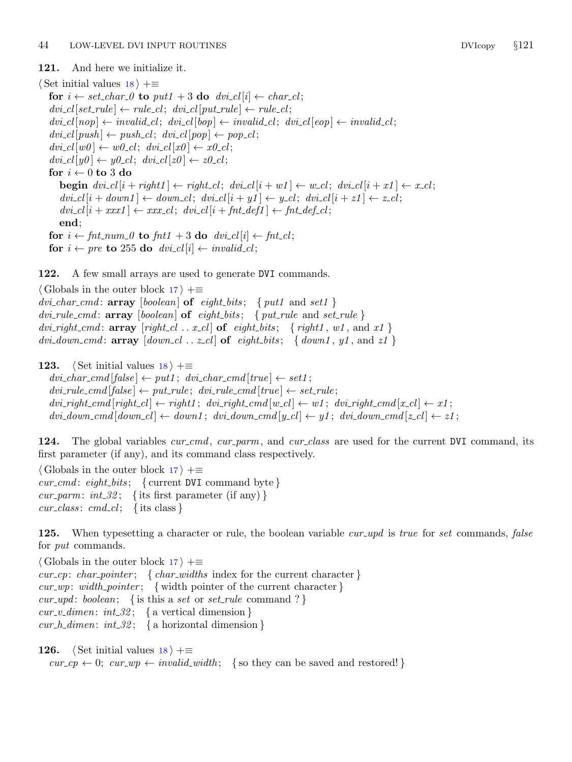#### 121. And here we initialize it.

 $\langle$  Set initial values [18](#page-8-0)  $\rangle$  +≡ for  $i \leftarrow set\_char\_0$  to  $put1 + 3$  do  $dvi$ <sub>-c</sub>l|i|  $\leftarrow char\_cl$ ;  $dvi$ <sub>-cl</sub> [set\_rule]  $\leftarrow$  rule\_cl;  $dvi$ -cl [put\_rule]  $\leftarrow$  rule\_cl;  $dvi$ <sub>c</sub> $c$ [nop]  $\leftarrow$  invalid\_cl;  $dvi$ <sub>c</sub>cl[bop]  $\leftarrow$  invalid\_cl;  $dvi$ <sub>c</sub>cl[eop]  $\leftarrow$  invalid\_cl;  $dvi$ <sub>-cl</sub>  $[push] \leftarrow push$ <sub>-cl</sub>;  $dvi$ <sub>-cl</sub>  $[pop] \leftarrow pop$ <sub>-cl</sub>;  $dvi_{\text{c}}cl[w0] \leftarrow w0_{\text{c}}cl; dvi_{\text{c}}cl[x0] \leftarrow x0_{\text{c}}cl;$  $dvi_{\text{c}}cl[y\theta] \leftarrow y\theta_{\text{c}}cl; dvi_{\text{c}}cl[z\theta] \leftarrow z\theta_{\text{c}}cl;$ for  $i \leftarrow 0$  to 3 do **begin**  $dvi$  cl  $[i + right1] \leftarrow right$  cl;  $dvi$  cl  $[i + w1] \leftarrow w$  cl;  $dvi$  cl  $[i + x1] \leftarrow x$  cl;  $dvi$ <sub>c</sub> $d[i + down1] \leftarrow down$ <sub>c</sub> $di$ ;  $dvi$ <sub>c</sub> $d[i + y1] \leftarrow y$ <sub>c</sub> $di$ ;  $dvi$ <sub>c</sub> $d[i + z1] \leftarrow z$ <sub>c</sub> $di$ ;  $dvi$ - $cl[i + xxx1] \leftarrow xxxcl; \ dvi$ - $cl[i + fnt$ - $def1] \leftarrow fnt$ - $defcl;$ end; for  $i \leftarrow int_{num\_0}$  to  $fnt1 + 3$  do  $dvi_{cl}[i] \leftarrow fnt_{cl};$ for  $i \leftarrow pre$  to 255 do  $\text{div}_c[i] \leftarrow \text{invald}_c[i]$ ;

122. A few small arrays are used to generate DVI commands.

 $\langle$  Globals in the outer block [17](#page-7-0)  $\rangle$  +=  $dvi_{\rm c}char_{\rm c}cmd$ :  $\text{array}$  [boolean] of eight\_bits; { put1 and set1 }  $div\_rule\_cmd:$   $array [boolean]$  of eight\_bits; { put\_rule and set\_rule}  $div\_right\_cmd$ :  $array [right\_cl .. x_{cl}]$  of eight-bits; {right1, w1, and x1}  $div_{\alpha}down_{\alpha}$ : array  $[down_{\alpha}$ ...  $z_{\alpha}$  of eight bits;  $\{down_{\alpha}$ ,  $y_1$ , and  $z_1\}$ 

123. (Set initial values  $18$ ) +≡  $dvi\_char\_cmd[false] \leftarrow put1; \, \, \text{div\_char\_cmd}[true] \leftarrow set1;$  $div_{\textit{-}rule\_cmd}[false] \leftarrow put_{\textit{-}rule;} \div \textit{-}rule_{\textit{-}cmd}[true] \leftarrow set_{\textit{-}rule;}$  $div\_right\_cmd | right\_cl | \leftarrow right1; \; div\_right\_cmd | w_cl | \leftarrow w1; \; div\_right\_cmd | x_cl | \leftarrow x1;$  $dvi\_down\_cmd[down\_cl] \leftarrow down1; \ divi\_down\_cmd[y\_cl] \leftarrow y1; \ divi\_down\_cmd[z\_cl] \leftarrow z1;$ 

124. The global variables cur-cmd, cur-parm, and cur-class are used for the current DVI command, its first parameter (if any), and its command class respectively.

 $\langle$  Globals in the outer block [17](#page-7-0)  $\rangle$  +=  $cur\_cmd:$  eight\_bits; { current DVI command byte} cur parm: int  $32$ ; { its first parameter (if any) }  $cur\_class: \; cmd\_cl; \; \{ its class \}$ 

125. When typesetting a character or rule, the boolean variable *cur-upd* is *true* for set commands, *false* for *put* commands.

 $\langle$  Globals in the outer block [17](#page-7-0)  $\rangle$  +≡ cur cp: char pointer; { char widths index for the current character}  $cur\_wp: width\_pointer; \{ width\_pointer of the current character \}$ *cur\_upd:* boolean; { is this a set or set\_rule command ? }  $cur_v_d$  dimension  $\}$  { a vertical dimension }  $cur_h\_dimen: int\_32; \{ a horizontal dimension \}$ 

126. (Set initial values  $18$ ) +≡ cur cp  $\leftarrow$  0; cur wp  $\leftarrow$  invalid width; { so they can be saved and restored!}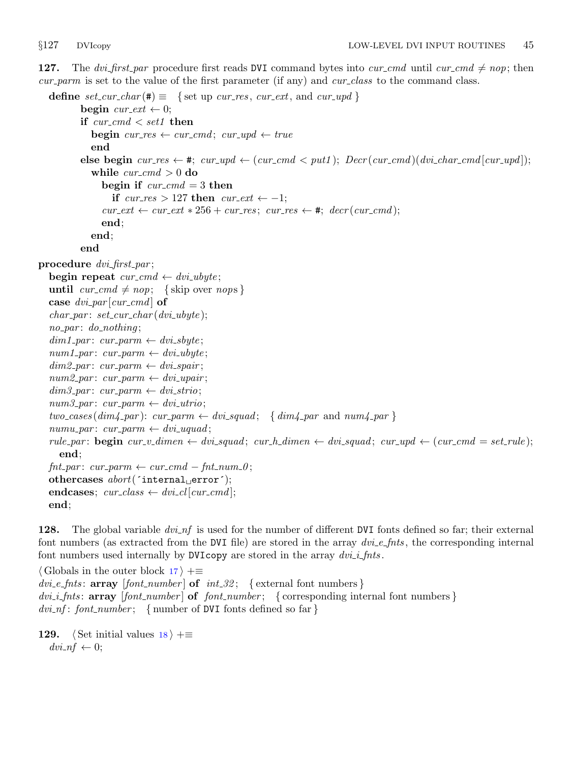127. The dvi first par procedure first reads DVI command bytes into cur cmd until cur cmd  $\neq$  nop; then cur parm is set to the value of the first parameter (if any) and cur class to the command class.

```
define set\_cur\_char(\#) \equiv \{ set \text{ up }cur\_res, cur\_ext, \text{ and }cur\_upd \}begin cur_ext \leftarrow 0;
           if cur\_cmd < set1 then
              begin cur_res \leftarrow cur\_cmd; cur_upd \leftarrow trueend
           else begin cur\_res \leftarrow #; cur\_upd \leftarrow (cur\_cmd < put1); Decr(var\_cmd)(div\_char\_cmd[cur\_upd]);
              while cur\_cmd > 0 do
                 begin if cur\_cmd = 3 then
                    if cur\_res > 127 then cur\_ext \leftarrow -1;
                 cur\_ext \leftarrow cur\_ext * 256 + cur\_res; cur\_res \leftarrow \#; decr(cur\_cmd);end;
              end;
           end
procedure dvifirst\_par;
  begin repeat cur\_cmd \leftarrow dvi\_ubyte;until cur\_cmd \neq nop; {skip over nops}
  case dvi_par [cur_cmd] of
   char_\_par: set\_cur_char(dvi\_ubyte);no-par: do-nothing;
   dim1\_par: cur\_param \leftarrow divi\_sbyte;num1\_par: cur\_param \leftarrow dvi\_ubyte;dim2\_par: cur\_param \leftarrow divi\_spair;num2\_par: cur\_param \leftarrow dvi\_upair;dim3\_par: cur\_param \leftarrow div1\_strio;num3\_par: cur\_param \leftarrow dvi\_utrio;two\_{cases}(dim_{\text{{\bf L}}} par): cur\_param \leftarrow div_{\text{{\bf L}}} squad; \{ dim_{\text{{\bf L}}} par \text{ and } num_{\text{{\bf L}}} par \}numu\_par: cur\_parm \leftarrow dvi\_uquad;rule par: begin sur-v.dimen \leftarrow div1.1 cur\_1.1 dimen \leftarrow div1.5 dimen \leftarrow div1.5 guad; cur\_1.0 \leftarrow (cur\_1.0);
     end;
  fnt\_par: cur\_param \leftarrow cur\_cmd - fnt\_num\_0;othercases abort('internal`<sub>l</sub>error');endcases; cur\_class \leftarrow \text{dvi\_cl} [cur\_cmd];end;
```
**128.** The global variable  $dv = inf$  is used for the number of different DVI fonts defined so far; their external font numbers (as extracted from the DVI file) are stored in the array  $dv = f$ nts, the corresponding internal font numbers used internally by DVIcopy are stored in the array  $dv_{i,i}$  fnts.

 $\langle$  Globals in the outer block [17](#page-7-0)  $\rangle$  +≡  $div\_e\_fnts$ : array  $[font_number]$  of  $int\_32$ ; {external font numbers}  $div i$ -fnts: array  $[font_number]$  of font number; { corresponding internal font numbers }  $dv_i$  nf: font number; { number of DVI fonts defined so far }

129. (Set initial values  $18$ ) +≡  $dvi_n f \leftarrow 0$ :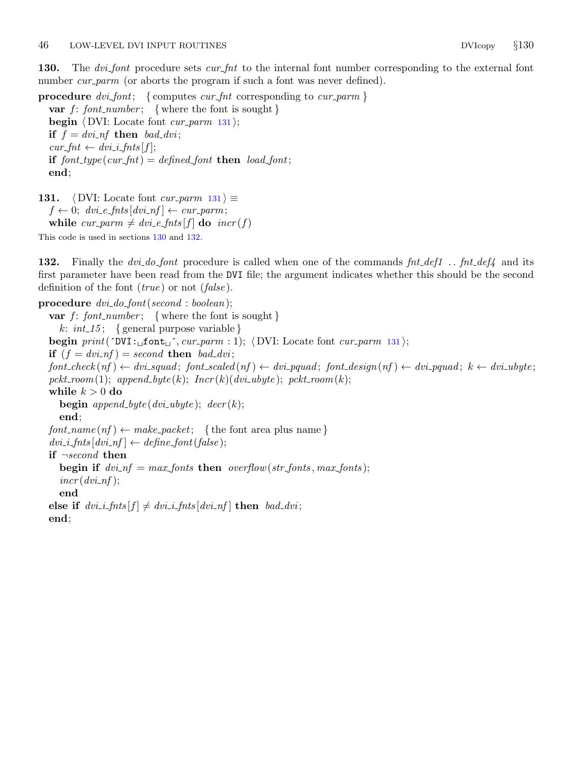130. The *dvi-font* procedure sets *cur-fnt* to the internal font number corresponding to the external font number cur parm (or aborts the program if such a font was never defined).

procedure  $\text{div}_1 \text{font}$ ; { computes cur\_fnt corresponding to cur\_parm } var  $f: font_number; \{ where the font is sought \}$ begin  $\langle$  DVI: Locate font *cur parm* 131 $\rangle$ ; if  $f = dv \cdot \hat{p}$  then bad\_dvi;  $cur\_fnt \leftarrow dv\_i\_fnts[f];$ if  $font\_type(cur\_fnt) = defined\_font$  then  $load\_font;$ end;

131.  $\langle$  DVI: Locate font *cur parm* 131  $\rangle \equiv$  $f \leftarrow 0$ ; dvi\_e\_fnts [dvi\_nf]  $\leftarrow cur\_param$ ; while cur parm  $\neq \text{dvi}\text{e}\text{-}\text{fnts}$  [f] do  $\text{incr}(f)$ 

This code is used in sections 130 and 132.

132. Finally the dvi do font procedure is called when one of the commands  $\int f \cdot d\epsilon f$ .  $\int f \cdot d\epsilon f$  and its first parameter have been read from the DVI file; the argument indicates whether this should be the second definition of the font  $(true)$  or not  $(false)$ .

procedure  $dvi_d$ -font(second : boolean); var  $f: font_number; \{ where the font is sought \}$ k:  $int_1 15$ ; { general purpose variable } begin print ( $DVI: \text{if} \text{ont}_i$ , cur parm : 1); (DVI: Locate font cur parm 131); if  $(f = \text{divi\_nf}) = second$  then  $\text{bad\_divi}$ ;  $font\_check(nf) \leftarrow div\_{squad} (nf) \leftarrow div\_{pquad} (nf) \leftarrow div\_{pquad} (nf) \leftarrow div\_{pquad} (nf) \leftarrow div\_{pquad} (nf) \leftarrow div\_{pquad} (nf)$  $pckt\_room(1); append\_byte(k); Incr(k)(div\_ubyte); pckt\_room(k);$ while  $k > 0$  do **begin** append\_byte( $div\_ubyte$ );  $decr(k)$ ; end;  $font_name(nf) \leftarrow makeپ-packet; \{ the font area plus name \}$  $dv_{i,i}$  fnts  $\left[ dv_{i,n}f \right] \leftarrow define_{i}font(false_{i});$ if ¬second then begin if  $dvi_n f = max_fonts$  then  $overflow(str_fonts, max_fonts);$  $incr(dvi<sub>-</sub>nf);$ end else if  $dvii\_fnts[f] \neq dvii\_fnts[dvi_n f]$  then  $bad\_dvi$ ; end;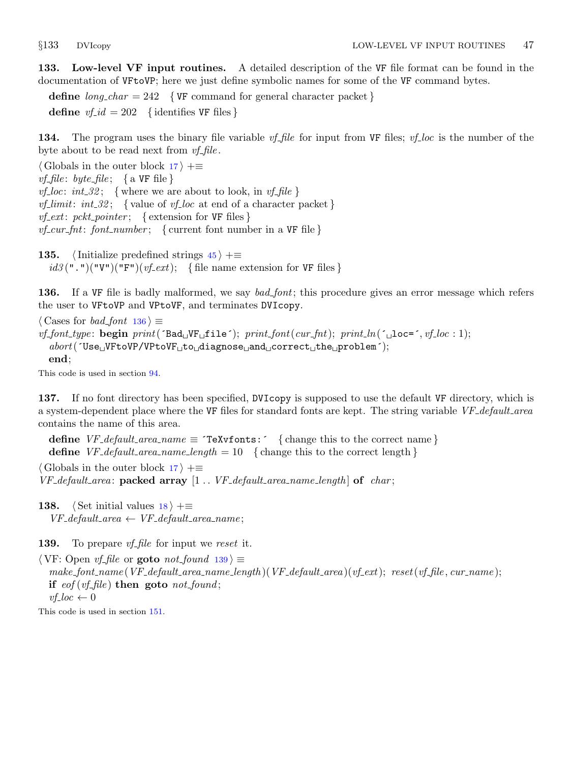<span id="page-46-0"></span>133. Low-level VF input routines. A detailed description of the VF file format can be found in the documentation of VFtoVP; here we just define symbolic names for some of the VF command bytes.

define  $long\_char = 242$  {VF command for general character packet} define  $vf_id = 202$  {identifies VF files }

134. The program uses the binary file variable *vf-file* for input from VF files; *vf-loc* is the number of the byte about to be read next from  $\mathit{vf}_\text{-}file$ .

 $\langle$  Globals in the outer block [17](#page-7-0)  $\rangle$  +≡ *vf*\_file: *byte\_file*; { a VF file } *vf*<sub>-loc</sub>: *int*<sub>-32</sub>; { where we are about to look, in *vf*<sub>-file</sub> } *vf*-limit:  $int.32$ ; {value of *vf*-loc at end of a character packet} *vf\_ext:*  $pckt\_pointer$ ; { extension for VF files } *vf\_cur\_fnt: font\_number*; { current font number in a  $VF$  file }

135. (Initialize predefined strings  $45$ ) +≡  $id3$  (".")("V")("F")( $vf\_ext$ ); { file name extension for VF files }

136. If a VF file is badly malformed, we say *bad-font*; this procedure gives an error message which refers the user to VFtoVP and VPtoVF, and terminates DVIcopy.

 $\langle$  Cases for *bad\_font* 136  $\rangle \equiv$  $v_f = int\_type$ : begin  $print('Bad_UVF_Ufile'); print\_font(cur_fnt); print\_ln('}_Uloc=', vf\_loc: 1);$  $abort('Use_UVFtoVP/VPtoVF_Uto_Udiagnose_Uand_Ucorrect_Uthe_Uproblem');$ end;

This code is used in section [94](#page-32-0).

137. If no font directory has been specified, DVIcopy is supposed to use the default VF directory, which is a system-dependent place where the VF files for standard fonts are kept. The string variable VF default area contains the name of this area.

define  $VF\_default\_area_name \equiv \text{`Textv fonts:'}$  { change this to the correct name } **define**  $VF\_default\_area\_name\_length = 10$  { change this to the correct length }

 $\langle$  Globals in the outer block [17](#page-7-0)  $\rangle$  +≡  $VF\_default\_area$ : packed array  $[1..VF\_default\_area\_name\_length]$  of char;

138.  $\langle$  Set initial values [18](#page-8-0)  $\rangle$  +≡  $VF\_default\_area \leftarrow VF\_default\_area\_name;$ 

139. To prepare *vf-file* for input we reset it.

 $\langle \text{VF: Open } v f_{\mathit{m}} f \rangle$  or **goto** not found 139  $\rangle \equiv$  $make\_font_name (VF\_default\_area_name\_length) (VF\_default\_area) (vf\_ext); reset (vf\_file, cur_name);$ if  $\epsilon$  *eof* (*vf*-*file*) then goto *not*-*found*;  $vf\_loc \leftarrow 0$ 

This code is used in section [151.](#page-51-0)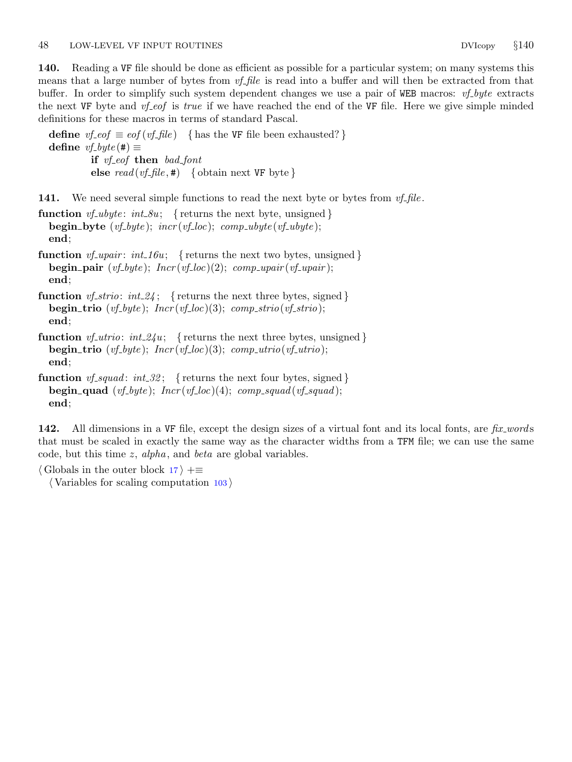<span id="page-47-0"></span>140. Reading a VF file should be done as efficient as possible for a particular system; on many systems this means that a large number of bytes from *vf-file* is read into a buffer and will then be extracted from that buffer. In order to simplify such system dependent changes we use a pair of WEB macros:  $v f$ -byte extracts the next VF byte and  $vf_{\text{def}}$  is true if we have reached the end of the VF file. Here we give simple minded definitions for these macros in terms of standard Pascal.

define  $\textit{vf} = \textit{cof}(\textit{vf}\textit{file})$  { has the VF file been exhausted? } define  $vf\_byte$  (#)  $\equiv$ if  $vf\_eof$  then  $bad\_font$ else  $read(vf_{\textit{-}}file, \#)$  { obtain next VF byte }

141. We need several simple functions to read the next byte or bytes from  $\mathit{vf}_\textit{file}$ .

```
function vf\_ubyte: int\_8u; { returns the next byte, unsigned }
  begin_byte (vf\_byte); incr(vf\_loc); comp\_ubyte(vf\_ubyte);
  end;
```

```
function vf\_upair: int_1 6u; { returns the next two bytes, unsigned }
  begin_pair (vf_byte); Incr(vf\_loc)(2); comp\_upair(vf\_upair);
  end;
```

```
function vf\_strio: int\_24; { returns the next three bytes, signed }
  begin_trio (vf_byte); Incr(vf\_loc)(3); comp\_strio(vf\_strio);
  end;
```

```
function vf_utrio: int 24u; { returns the next three bytes, unsigned }
  begin_trio (vf_byte); Incr(vf\_loc)(3); comp\_utrio(vf\_utrio);
  end;
```

```
function \textit{vf}\_squad: \{ \text{returns the next four bytes, signed} \}begin_quad (vf_byte); Incr(vf\_loc)(4); comp\_squad(vf\_squad);
  end;
```
142. All dimensions in a VF file, except the design sizes of a virtual font and its local fonts, are  $fix\_words$ that must be scaled in exactly the same way as the character widths from a TFM file; we can use the same code, but this time z,  $alpha$ , and beta are global variables.

 $\langle$  Globals in the outer block [17](#page-7-0)  $\rangle$  +≡

 $\langle$  Variables for scaling computation [103](#page-37-0)  $\rangle$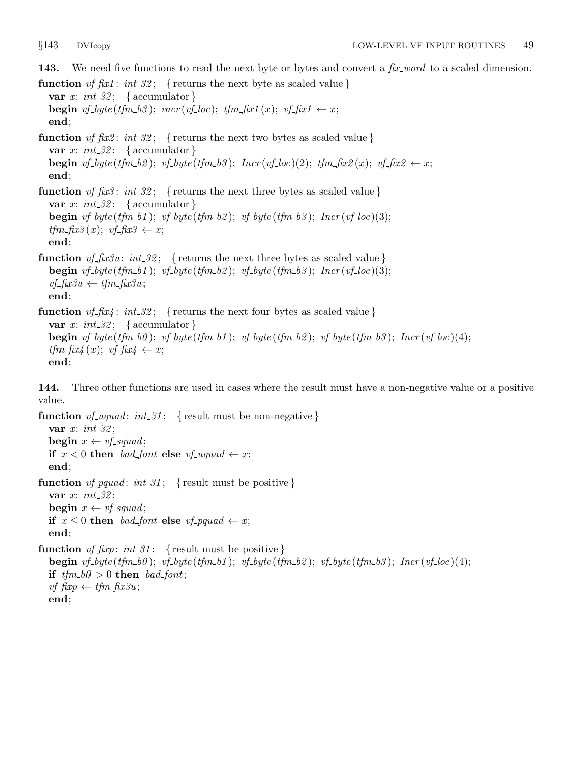**143.** We need five functions to read the next byte or bytes and convert a  $fix-word$  to a scaled dimension.

function  $\mathit{vf}_\text{-} \mathit{fix1}$ :  $\mathit{int}_\text{-} 32$ ; { returns the next byte as scaled value} var x:  $int_{-32}$ ; {accumulator} **begin**  $vf\_byte(tfm_b3)$ ;  $incr(vf\_loc)$ ;  $tfm\_fix1(x)$ ;  $vf\_fix1 \leftarrow x$ ; end; function  $\text{vf}_\text{f} \text{f} x2$ :  $\text{int}_\text{f} 32$ ; { returns the next two bytes as scaled value } var x:  $int_{-32}$ ; {accumulator} begin  $vf_{\mathit{c}}(tfm_b2); \; vf_{\mathit{c}}(tfm_b3); \; Incr(vf_{\mathit{c}}(c)(2); \; tfm_f/x2(x); \; vf_{\mathit{c}}fx2 \leftarrow x;$ end; **function**  $vf_F\hat{x}3$ :  $int_0^1 32$ ; { returns the next three bytes as scaled value} var x:  $int_{-32}$ ; {accumulator} **begin**  $vf\_byte(tfm_b1)$ ;  $vf\_byte(tfm_b2)$ ;  $vf\_byte(tfm_b3)$ ;  $Incr(vf\_loc)(3)$ ;  $tfm\_fix3(x); \text{ vf\_fix3} \leftarrow x;$ end; function  $\text{v}f_{\text{i}}\text{f}x3u: \text{int.}32;$  { returns the next three bytes as scaled value } **begin**  $vf\_byte(tfm_b1)$ ;  $vf\_byte(tfm_b2)$ ;  $vf\_byte(tfm_b3)$ ;  $Incr(vf\_loc)(3)$ ;  $vf_f\ddot{x}3u \leftarrow tfm_f\ddot{x}3u;$ end; **function**  $\text{vf}_\text{-} \text{fix4}$ :  $\text{int}_\text{-} 32$ ; { returns the next four bytes as scaled value} var x:  $int_{-32}$ ; {accumulator} **begin**  $vf_{\mathit{byte}}(tfm_b0)$ ;  $vf_{\mathit{byte}}(tfm_b1)$ ;  $vf_{\mathit{byte}}(tfm_b2)$ ;  $vf_{\mathit{byte}}(tfm_b3)$ ; Incr( $vf_{\mathit{loc}}(4)$ ;  $tfm$ -fix $4(x)$ ;  $vf$ -fix $4 \leftarrow x$ ; end;

144. Three other functions are used in cases where the result must have a non-negative value or a positive value.

```
function vf_{\text{1}}(qu) : int_{-3}^{3} f (result must be non-negative)
   var x: int_{-32}:
   begin x \leftarrow vf\_squad;
   if x < 0 then bad-font else vf-uquad \leftarrow x;
   end;
function vf-pquad: int_3 1; { result must be positive}
   var x: int_{32};
   begin x \leftarrow vf\_squad;
   if x \leq 0 then bad_font else vf_pquad \leftarrow x;
   end;
function \mathit{vf}_\text{-}\mathit{fixp}: \mathit{int}_3 1; \{ \text{result must be positive} \}begin vf_byte(tfm_b0); vfgbyte(tfm_b1); vfgbyte(tfm_b2); vfgbyte(tfm_b3); Incr(vfgbot(1); vfgbyte(tfm_b3)); Incr(vfgbot(1); vfgbot(1); vfgbot(1); vfgbot(1); vfgbot(1); vfgbot(1); vfgbot(1); vfgbot(1); vfgbot(1); vfgbot(1); vfgbot(1); vfgbot(1); vfgbot(1); vfgbot(1); vfgbot(1); vfgbot(1); vfgbot(1); vfgbot(1); vfgbot(1); vfgbot(1); vfgbot(1); vfgbot(if tfm_b0 > 0 then bad_font;
   v f-fixp \leftarrow tfm-fix3u;
   end;
```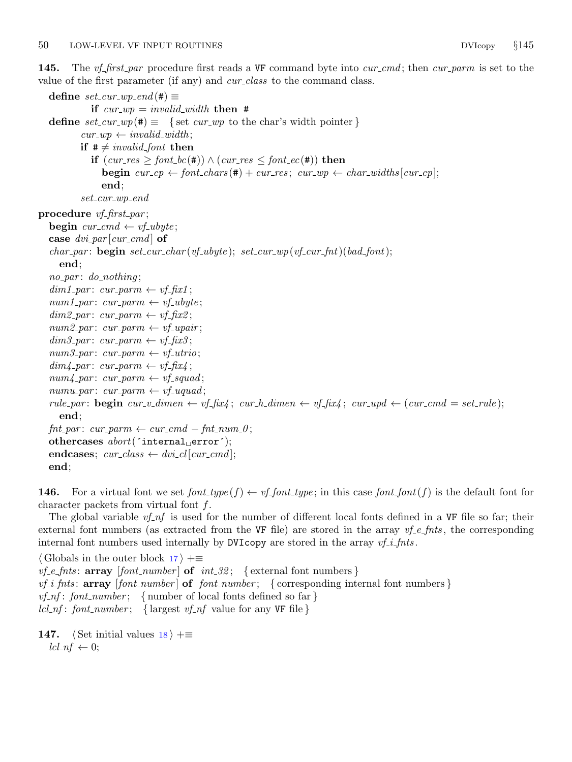145. The *vf-first-par* procedure first reads a VF command byte into *cur-cmd*; then *cur-parm* is set to the value of the first parameter (if any) and *cur-class* to the command class.

```
define set\_cur\_wp\_end(\#) \equivif cur\_wp = invalid\_width then #
  define set.cur_wp(\#) \equiv \{ set.cur_-wp \text{ to the char's width pointer } \}cur\_wp \leftarrow invalid\_width;if # \neq invalid\_font then
             if (cur\_res \geq font\_bc(\#)) \wedge (cur\_res \leq font\_ec(\#)) then
                begin cur\_cp \leftarrow font\_chars(\#) + cur\_res; cur\_wp \leftarrow char\_widths[cur\_cp];
                end;
           set_cur_wp_end
procedure \mathit{vf}_\textit{first} par;
  begin cur_cmd \leftarrow vf_ubyte;
  case dvi_par [cur_cmd] of
  char par: begin set cur char (vf ubyte); set cur wp(vf cur fnt)(bad font);
     end;
  no\_par: do\_nothing;dim1\_par: cur\_param \leftarrow vf\_fix1;num1\_par: cur\_param \leftarrow vf\_ubyte;dim2\_par: cur\_param \leftarrow vf\_fix2;num2\_par: cur\_param \leftarrow vf\_upair;dim\mathcal{S}\_par: cur\_param \leftarrow vf\_fix\mathcal{S};num3\_par: cur\_parm \leftarrow vf\_utrio;dim_{4\text{-}}par: cur\_param \leftarrow vf\_fix4;num4\_par: cur\_param \leftarrow vf\_squad;numu\_par: cur\_parm \leftarrow vf\_uquad;rule\_par: begin cur v_dimen \leftarrow vf_fix4; cur h_dimen \leftarrow vf_fix4; cur upd \leftarrow (cur cmd = set rule);
     end;
  fnt\_par: cur\_param \leftarrow cur\_cmd - fnt\_num\_0;othercases abort('internal`_error');endcases; cur\_class \leftarrow dv\_cl[cur\_cmd];end;
```
**146.** For a virtual font we set  $font\_type(f) \leftarrow vf\_font\_type$ ; in this case  $font\_font(f)$  is the default font for character packets from virtual font f.

The global variable  $v f_n f$  is used for the number of different local fonts defined in a VF file so far; their external font numbers (as extracted from the VF file) are stored in the array  $v f = f$ nts, the corresponding internal font numbers used internally by DVIcopy are stored in the array  $\textit{vf}_i$  ifnts.

 $\langle$  Globals in the outer block [17](#page-7-0)  $\rangle$  +≡ *vf\_e\_fnts*:  $array$  [*font\_number*] of  $int_{.}32$ ; {external font numbers}  $v_i^f$  i fnts: **array** [font\_number] **of** font\_number; { corresponding internal font numbers } *vf\_nf:* font\_number; { number of local fonts defined so far }  $lcl_n f$ : font\_number; { largest vf\_nf value for any VF file }

147. (Set initial values  $18$ ) +≡  $lcl_n f \leftarrow 0$ ;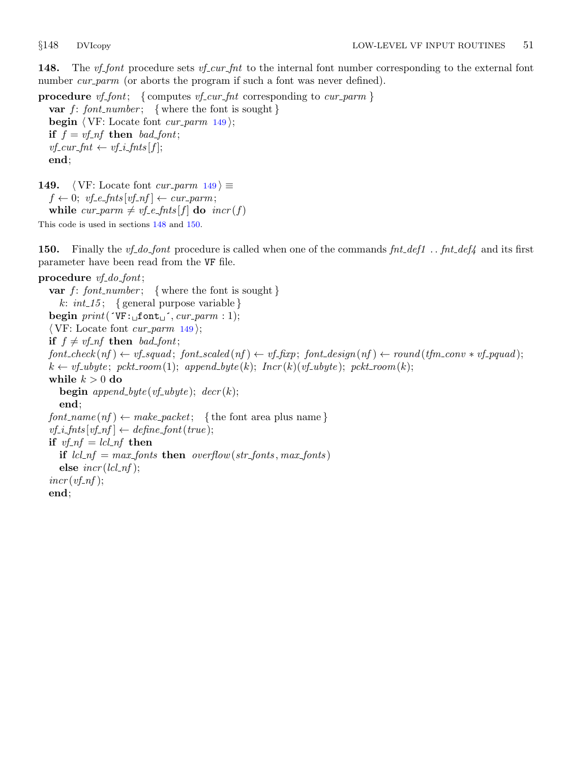148. The *vf-font* procedure sets *vf-cur-fit* to the internal font number corresponding to the external font number cur parm (or aborts the program if such a font was never defined).

procedure *vf* font; { computes *vf* cur fnt corresponding to cur parm } var  $f: font_number; \{ where the font is sought \}$ begin  $\langle \text{VF: Locate font } cur\_param \; 149 \rangle;$ if  $f = vf\_nf$  then bad\_font;  $v f_{\text{-}} \text{curl} \leftarrow v f_{\text{-}} \text{int} s[f];$ end;

149.  $\langle \text{VF: Locate font } cur\_param \text{ 149} \rangle \equiv$  $f \leftarrow 0; \; v f = f n t s [v f_n f] \leftarrow cur\_param;$ while cur parm  $\neq$  vf e fnts  $[f]$  do incr(f)

This code is used in sections 148 and 150.

**150.** Finally the *vf*-do-font procedure is called when one of the commands  $fnt\_def1$ .  $fnt\_def4$  and its first parameter have been read from the VF file.

```
procedure vf\_do\_font;var f: font_number; { where the font is sought }
     k: int_1 15; { general purpose variable }
  begin print('VF: _1font'_', cur\_param: 1);\langle \text{VF: Locate font } cur\_parm \text{ 149} \rangle;if f \neq vf\_nf then bad_font;
  font\_check(nf) \leftarrow vf\_squad; font\_scaled(nf) \leftarrow vf\_fixp; font\_design(nf) \leftarrow round(tfm\_conv * vf\_pquad);k \leftarrow vf\_ubyte; pckt_room(1); append_byte(k); Incr(k)(vf\_ubyte); pckt_room(k);
  while k > 0 do
     begin append_byte(vf_ubyte); decr(k);
     end;
  font_name(nf) \leftarrow make.packet; \{ the font area plus name \}v f_i i_fnts [v f_n f] \leftarrow define_{\text{font}} (true);if vf_{\neg\theta} = lcl_{\neg\theta} then
     if lcl_n f = max_f \text{onts} then overflow \text{ (str.fonts, max_f \text{onts})}else \text{incr}(\text{lcl\_nf});incr(vf_n f);end;
```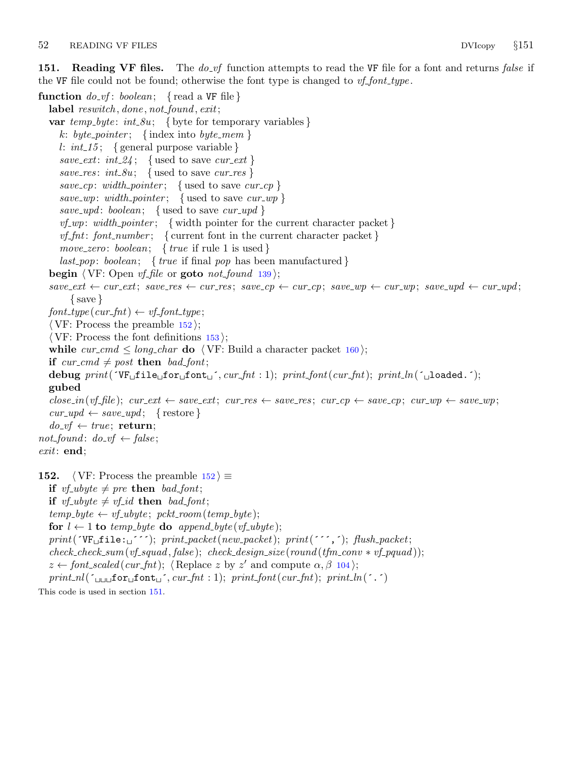<span id="page-51-0"></span>151. Reading VF files. The do-vf function attempts to read the VF file for a font and returns false if the VF file could not be found; otherwise the font type is changed to  $\mathit{vf\_font\_type}$ .

```
function do_v f: boolean; {read a VF file}
  label \it reswitch, done, not\_found, exit;var temp\_byte: int\_8u; { byte for temporary variables }
     k: byte_pointer; {index into byte_mem}
     l: int_15; {general purpose variable}
     save_ext: int_24; { used to save cur_ext }
     save_res: int_0.8u; { used to save cur_res }
     save_cp: width_pointer; { used to save cur_cp }
     save_wp: width_pointer; { used to save cur\_wp }
     save_upd: boolean; { used to save cur\_upd }
     vf_wp: width_pointer; { width pointer for the current character packet }
     vf-fnt: font-number; { current font in the current character packet }
     move_zero: boolean; { true if rule 1 is used }
     last\_pop: boolean; \{ true \text{ if final } pop \text{ has been manufactured } \}begin 139 } \rangle;save\_ext \leftarrow cur\_ext; \; save\_res \leftarrow cur\_res; \; save\_cp \leftarrow cur\_cp; \; save\_wp \leftarrow cur\_wp; \; save\_up \leftarrow cur\_wp;{ save }
  font\_type(cur\_fnt) \leftarrow vf\_font\_type;\langle \text{VF: Process the preample } 152 \rangle;153 \rangle;
  while cur_cmd \leq long_char do \langle160\rangle;
  if cur_cmd \neq post then bad_font;
  debug print('VF_{\sqcup}file_{\sqcup}font_{\sqcup}^{'}, cur\_fnt : 1); print\_font(cur\_fnt); print\_ln('_{\sqcup}loadd.');
  gubed
  close\_in(vf_{\textit{f}}ile); cur_ext \leftarrow save\_ext; cur_res \leftarrow save\_res; cur_cp \leftarrow save\_cp; cur_wp \leftarrow save\_wp;
  cur\_upd \leftarrow save\_upd; \{ \text{ restore } \}do\_vf \leftarrow true; return;
not_found: do\_vf \leftarrow false;
exit: end;
152. \langle \text{VF: Process the preample } 152 \rangle \equivif vf\_ubyte \neq pre then bad_font;
  if vf\_ubyte \neq vf\_id then bad_font;
  temp\_byte \leftarrow vf\_ubyte; pckt\_room(temp\_byte);for l \leftarrow 1 to temp byte do append byte (vf ubyte);
  print('VF_{\sqcup}file:_{\sqcup} ''); print_packet(new_packet); print(''','); flush_packet;
  check\_check\_sum(vf\_squad, false); check\_design\_size(round(tfm\_conv * vf\_pquad));z \leftarrow font\_scaled(cur\_fnt); (Replace z by z' and compute \alpha, \beta104);
```
 $print\_nl('$ <sub> $\sqcup \sqcup \text{for} \sqcup$ font $\sqcup$ ', cur\_fnt : 1); print\_font(cur\_fnt); print\_ln('.')</sub>

This code is used in section 151.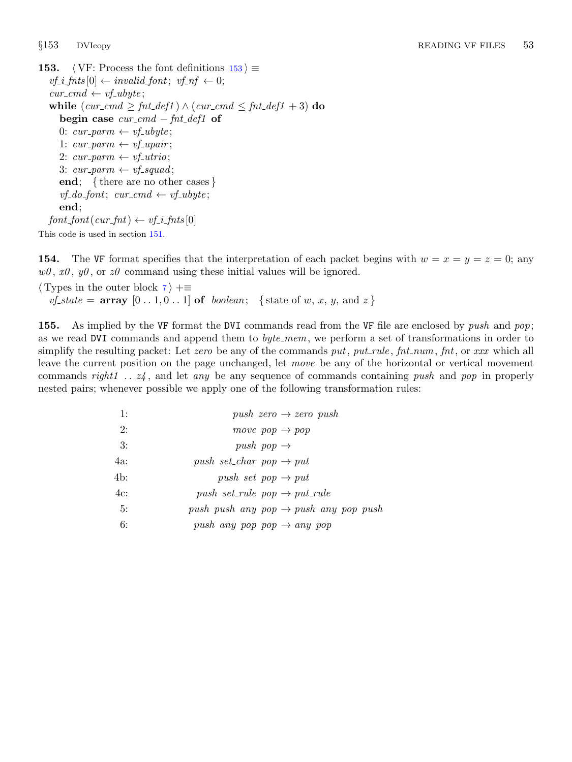```
153. \langle \text{VF: Process the font definitions } 153 \rangle \equivv f_i f_n t s [0] \leftarrow invalid\_font; v f_n f \leftarrow 0;cur\_cmd \leftarrow vf\_ubyte;while (cur\_cmd \geq fut\_def1) \wedge (cur\_cmd \leq fut\_def1 + 3) do
      begin case cur\_cmd - fnt\_def1 of
      0: cur\_param \leftarrow vf\_ubyte;1: cur\_param \leftarrow vf\_upair;2: cur\_param \leftarrow vf\_utrio;3: cur\_param \leftarrow vf\_squad;end; { there are no other cases }
      v f_0 d_0 f_1; \; cur\_cmd \leftarrow v f_0 d_0 t;end;
   font_{\text{font}_{\text{ }}font} ( cur_{\text{ }}fnt ) \leftarrow vf_{\text{ }}i_{\text{ }}fnts[0]This code is used in section 151.
```
**154.** The VF format specifies that the interpretation of each packet begins with  $w = x = y = z = 0$ ; any  $w\theta$ ,  $x\theta$ ,  $y\theta$ , or  $z\theta$  command using these initial values will be ignored.

 $\langle$  Types in the outer block [7](#page-4-0)  $\rangle$  +≡  $\textit{v}$ f\_state = **array**  $[0 \dots 1, 0 \dots 1]$  of *boolean*; { state of w, x, y, and z}

155. As implied by the VF format the DVI commands read from the VF file are enclosed by push and pop; as we read DVI commands and append them to  $byte\_mem$ , we perform a set of transformations in order to simplify the resulting packet: Let zero be any of the commands put, put rule, fort num, fort, or xxx which all leave the current position on the page unchanged, let move be any of the horizontal or vertical movement commands right1  $\ldots z_4$ , and let any be any sequence of commands containing push and pop in properly nested pairs; whenever possible we apply one of the following transformation rules:

| 1:            | push zero $\rightarrow$ zero push                 |
|---------------|---------------------------------------------------|
| 2:            | move $pop \rightarrow pop$                        |
| <sup>3:</sup> | push pop $\rightarrow$                            |
| 4a:           | push set_char $pop \rightarrow put$               |
| 4b:           | push set pop $\rightarrow$ put                    |
| 4c:           | push set_rule pop $\rightarrow$ put_rule          |
| 5:            | push push any pop $\rightarrow$ push any pop push |
| 6:            | push any pop pop $\rightarrow$ any pop            |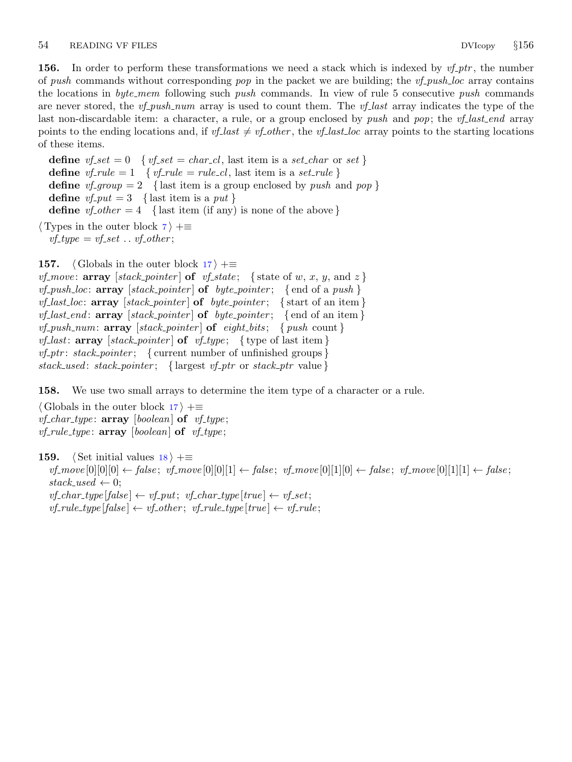**156.** In order to perform these transformations we need a stack which is indexed by  $vf$ -ptr, the number of push commands without corresponding pop in the packet we are building; the  $vf$ -push-loc array contains the locations in *byte\_mem* following such *push* commands. In view of rule 5 consecutive *push* commands are never stored, the *vf-push-num* array is used to count them. The *vf-last* array indicates the type of the last non-discardable item: a character, a rule, or a group enclosed by push and pop; the vf-last-end array points to the ending locations and, if  $vf$ -last  $\neq vf$ -other, the  $vf$ -last loc array points to the starting locations of these items.

define  $\textit{vf}_\textit{set} = 0 \{ \textit{vf}_\textit{set} = \textit{char}_\textit{cl}, \text{last item is a set}_\textit{char} \text{ or set} \}$ define  $\textit{vf\_rule} = 1 \{ \textit{vf\_rule} = \textit{rule} \}.$  ast item is a set\_rule  $}$ define  $vf\_group = 2$  { last item is a group enclosed by *push* and *pop* } define  $vf$ -put = 3 { last item is a put } define  $vf\_other = 4$  { last item (if any) is none of the above}  $\langle$  Types in the outer block [7](#page-4-0)  $\rangle$  +≡  $v f_{\mathcal{I}} t y p e = v f_{\mathcal{I}} s e t \dots v f_{\mathcal{I}} t h e r;$ 

```
157. (Globals in the outer block 17) +≡
vf_move: array [stack_pointer] of vf_state; {state of w, x, y, and z}
vf_push_loc: array [stack\_pointer] of <i>byte\_pointer</i>; {end of a push}vf last loc: array [stack pointer] of byte pointer; { start of an item }
vf last end: \text{array} [stack_pointer] of byte_pointer; { end of an item}
vf_push_num: array [stack\_pointer] of eight\_bits; \{push\ count\}vf-last: array [stack-pointer] of vf-type; { type of last item }
v f_{\mathcal{I}} p t r: stack_pointer; { current number of unfinished groups }
stack\_used: stack\_pointer; \{ \text{largest } v \text{f\_ptr} \text{ or } stack\_ptr \text{ value } \}
```
158. We use two small arrays to determine the item type of a character or a rule.

 $\langle$  Globals in the outer block  $17$   $\rangle$  += *vf\_char\_type*:  $array [boolean] of *vf_type*;$ *vf\_rule\_type*:  $array [boolean] of *vf_type*;$ 

159. (Set initial values  $18$ ) +≡  $v_f \text{.move}[0][0][0] \leftarrow false; \ v_f \text{.move}[0][0][1] \leftarrow false; \ v_f \text{.move}[0][1][0] \leftarrow false; \ v_f \text{.move}[0][1][1] \leftarrow false;$  $stack\_used \leftarrow 0;$  $v f_{\text{c}} \text{char}_{\text{c}} t y p e [ \text{false} ] \leftarrow v f_{\text{c}} \text{put}; \ \ v f_{\text{c}} \text{char}_{\text{c}} t y p e [ \text{true} ] \leftarrow v f_{\text{c}} \text{set};$  $v$ f\_rule\_type [false]  $\leftarrow v$ f\_other; vf\_rule\_type [true]  $\leftarrow v$ f\_rule;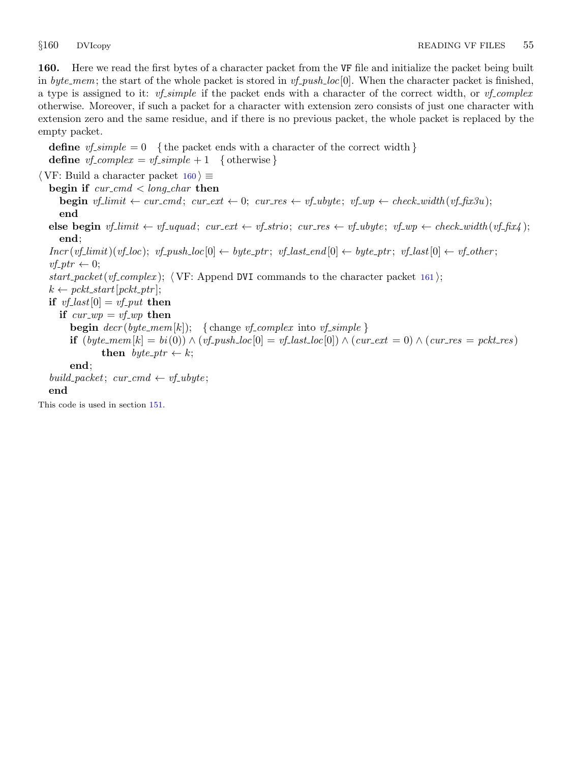<span id="page-54-0"></span>160. Here we read the first bytes of a character packet from the VF file and initialize the packet being built in byte mem; the start of the whole packet is stored in vf push loc[0]. When the character packet is finished, a type is assigned to it: *vf\_simple* if the packet ends with a character of the correct width, or  $v f_{\text{complex}}$ otherwise. Moreover, if such a packet for a character with extension zero consists of just one character with extension zero and the same residue, and if there is no previous packet, the whole packet is replaced by the empty packet.

define  $\textit{vf} \textit{simple} = 0$  { the packet ends with a character of the correct width } define  $vf\_complex = vf\_simple + 1$  { otherwise }

 $\langle$  VF: Build a character packet 160 $\rangle \equiv$ 

```
begin if cur\_cmd < long\_char then
   begin vf limit \leftarrow cur cur cmd; cur ext \leftarrow 0; cur res \leftarrow vf ubyte; vf up \leftarrow check width (vf fix3u);
   end
else begin vf-limit \leftarrow vf-uquad; cur-ext \leftarrow vf-strio; cur-res \leftarrow vf-ubyte; vf-wp \leftarrow check-width (vf-fix4);
   end;
Incr(vf-limit)(vf\_loc); vf-push\_loc[0] \leftarrow byte\_ptr; vf\_last\_end[0] \leftarrow byte\_ptr; vf\_last[0] \leftarrow vf\_other;v f_{\mathit{+}} p t r \leftarrow 0;start packet (vf complex); \langle \text{VF: Appendix 101} \rangle;
k \leftarrow pckt\_start[pckt\_ptr];if \text{tf}\text{-}last[0] = \text{vf}\text{-}put then
   if cur\_wp = vf\_wp then
     begin decr(byte\_mem[k]); { change vf_complex into vf_simple }
     if (byte\_mem[k] = bi(0)) \wedge (vf\_push\_loc[0] = vf\_last\_loc[0]) \wedge (cur\_ext = 0) \wedge (cur\_res = pckt\_res)then byte\_ptr \leftarrow k;
```
end;

build\_packet;  $cur\_cmd \leftarrow vf\_ubyte;$ 

# end

This code is used in section [151.](#page-51-0)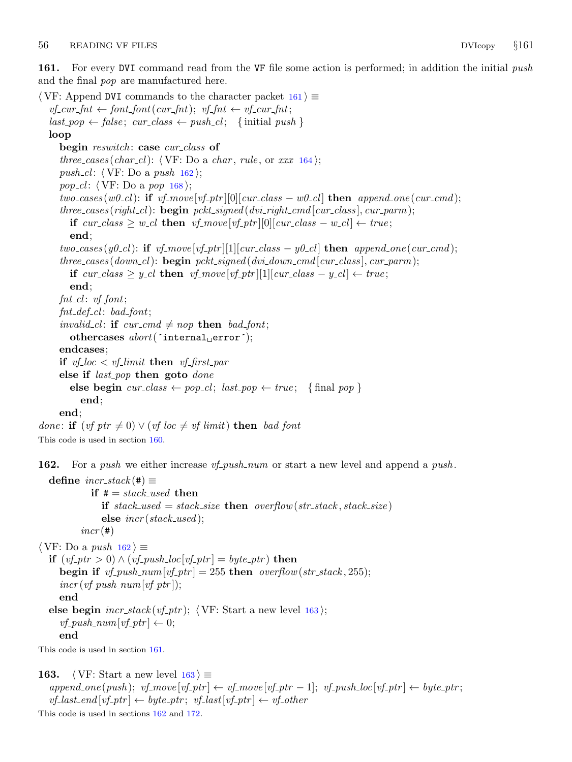<span id="page-55-0"></span>161. For every DVI command read from the VF file some action is performed; in addition the initial push and the final pop are manufactured here.

 $\langle$  VF: Append DVI commands to the character packet 161 $\rangle \equiv$  $v f_{\text{r}} \leftarrow f_{\text{r}} \leftarrow f_{\text{r}} \left( \text{curl}_{\text{r}} \left( \text{curl}_{\text{r}} \right) \right) \text{, } v f_{\text{r}} \left( \text{curl}_{\text{r}} \left( \text{curl}_{\text{r}} \right) \right)$  $last\_pop \leftarrow false$ ;  $cur\_class \leftarrow push\_cl$ ; {initial push} loop begin reswitch: case cur\_class of three\_cases(char\_cl):  $\langle \text{VF: Do a } char, rule, \text{ or }xxx 164 \rangle;$  $\langle \text{VF: Do a } char, rule, \text{ or }xxx 164 \rangle;$  $\langle \text{VF: Do a } char, rule, \text{ or }xxx 164 \rangle;$ push\_cl:  $\langle \text{VF: Do a push } 162 \rangle$ ; pop\_cl:  $\langle \text{VF: Do a } pop \text{ 168} \rangle$  $\langle \text{VF: Do a } pop \text{ 168} \rangle$  $\langle \text{VF: Do a } pop \text{ 168} \rangle$ ;  $two \text{\textendash} (w0 \text{\textendash} c l)$ : if  $vf_{\text{move}}[vf_{\text{pt}}][0][cur_{\text{class}} - w0 \text{\textendash} c l]$  then append one (cur cmd); three cases (right cl): begin pckt signed (dvi right cmd [cur class], cur parm); if cur\_class  $\geq$  w\_cl then vf\_move  $[vf_1ptr][0][cur_{class} - w_{cl}] \leftarrow true;$ end;  $two\_{cases}(y0\_{cl})$ : if  $vf\_{move}[vf\_{ptr}][1][cur\_{class} - y0\_{cl}]$  then append\_one(cur\_cmd); three\_cases( $down\_cl$ ): begin  $pckt$ -signed( $div<sub>1</sub>down\_cmd$ [cur\_class], cur\_parm); if cur\_class  $\geq y_c$  then vf\_move  $[vf_ptr][1][cur_class - y_c] \leftarrow true;$ end;  $fnt_cl: \mathit{vf}\_font;$  $fnt\_def\_cl$ : bad\_font; invalid cl: if cur cmd  $\neq$  nop then bad font; othercases  $\mathit{abort}$  ('internal error'); endcases; if  $vf\_loc < vf\_limit$  then  $vf\_first\_par$ else if *last\_pop* then goto *done* else begin  $cur\_class \leftarrow pop\_cl; last\_pop \leftarrow true; \{ final pop \}$ end; end; done: if  $(vf_{\perp}ptr \neq 0) \vee (vf_{\perp}loc \neq vf_{\perp}limit)$  then bad\_font

This code is used in section [160.](#page-54-0)

162. For a *push* we either increase *vf\_push\_num* or start a new level and append a *push*.

```
define \text{incr}_\textit{stack}(\texttt{\#}) \equivif # = stack\_used then
                   if stack\_used = stack\_size then overflow(str\_stack, stack\_size)else \text{incr}(\text{stack\_used});
            incr(\#)\langle VF: Do a push 162\rangle \equivif (vf_{\llcorner} ptr > 0) \wedge (vf_{\llcorner} push_{\llcorner} loc[vf_{\llcorner} ptr] = byte_{\llcorner} ptr) then
      begin if vf-push_num[vf-ptr] = 255 then overflow(str_stack, 255);
      incr(vf\_{push\_num[vf\_ptr]});end
  else begin \text{incr\_stack}(\text{vf\_ptr}); \ \langle \text{VF: Start a new level } 163 \rangle;v f-push-num[v f-ptr] \leftarrow 0;end
This code is used in section 161.
```

```
163. \langle \text{VF: Start a new level } 163 \rangle \equivappend\_one(push); vf_move [vf\_ptr] \leftarrow vf\_move[pf\_ptr-1]; vf_push_loc[vf\_ptr] \leftarrow byte\_ptr;v_f-last_end [v_f-ptr ] \leftarrow byte_ptr; v_f-last [v_f-ptr ] \leftarrow v_f-other
This code is used in sections 162 and 172.
```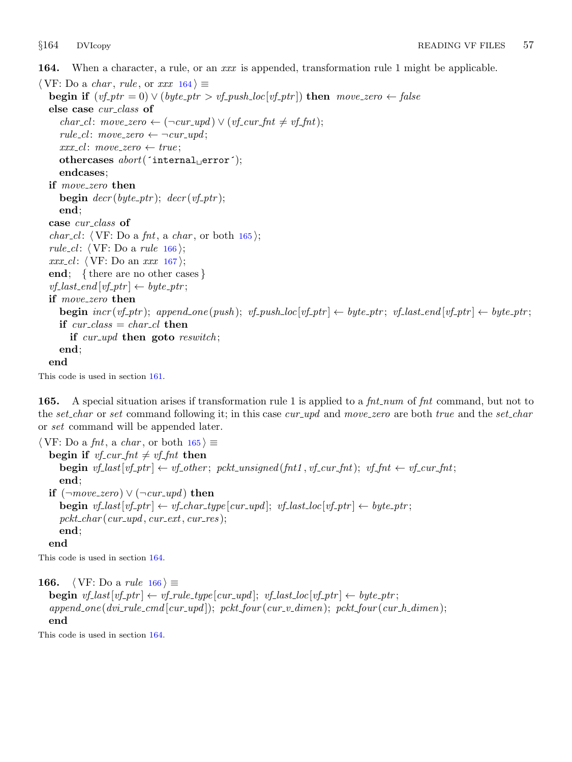<span id="page-56-0"></span>164. When a character, a rule, or an xxx is appended, transformation rule 1 might be applicable.

 $\langle$  VF: Do a *char*, *rule*, or *xxx*  $164 \rangle \equiv$ **begin if**  $(vf_{\textit{p}}tr = 0) \vee (byte_{\textit{p}}tr > vf_{\textit{p}}ush\_loc[vf_{\textit{p}}tr])$  then move\_zero  $\leftarrow false$ else case cur\_class of char\_cl: move\_zero  $\leftarrow (\neg cur\_upd) \vee (vf\_cur\_fnt \neq vf\_fnt);$  $rule\_cl:move\_zero \leftarrow \neg cur\_upd;$  $xxx_cl: move\_zero \leftarrow true;$ othercases  $abort('internal_Uerror');$ endcases; if move zero then begin  $decr (byte\_ptr);$   $decr (vf\_ptr);$ end; case cur\_class of *char\_cl*:  $\langle \text{VF: Do a } \text{fnt, a } \text{char, or both } 165 \rangle;$ rule\_cl:  $\langle$  VF: Do a rule 166 $\rangle$ ;  $xxx_{\text{-}}cl$ :  $\langle \text{VF: Do an }xxx$  [167](#page-57-0) $\rangle$ ; end; { there are no other cases }  $v f$ <sub>-</sub>last\_end  $[v f$ <sub>-</sub>ptr  $] \leftarrow byte$ -ptr; if move zero then **begin**  $\text{incr}(v f_p t r)$ ; append one (push);  $v f_p t r l \rightarrow b y t e_p t r$ ;  $v f_a t e_p t r l \rightarrow b y t e_p t r$ ; if  $cur\_class = char\_cl$  then if  $cur\_upd$  then goto  $result$ ; end; end This code is used in section [161.](#page-55-0)

165. A special situation arises if transformation rule 1 is applied to a  $\mu_{\text{m}}$  of  $\mu_{\text{m}}$  command, but not to the set char or set command following it; in this case cur upd and move zero are both true and the set char or set command will be appended later.

 $\langle$  VF: Do a *fnt*, a *char*, or both  $165$   $\equiv$ begin if  $vf_{\textit{-}\textit{cur\_fnt}} \neq vf_{\textit{-}\textit{fnt}}$  then **begin** vf-last $[vf_ptr] \leftarrow vf\_\text{other}$ ; pckt\_unsigned(fnt1, vf\_cur\_fnt); vf\_fnt  $\leftarrow vf\_\text{cur\_fit}$ ; end; **if**  $(\neg move\_zero) ∨ (\neg cur\_upd)$  then **begin**  $\text{vf}_\text{-}last[\text{vf}_\text{-}ptr] \leftarrow \text{vf}_\text{-}char_\text{-}type[\text{cur}_\text{-}upd]; \text{vf}_\text{-}last\_loc[\text{vf}_\text{-}ptr] \leftarrow \text{byte}_\text{-}ptr;$  $pckt_{char}(cur_{1}q, cur_{1}ext, cur_{1}res);$ end; end This code is used in section 164. 166.  $\langle$  VF: Do a *rule* 166 $\rangle \equiv$ 

**begin**  $vf\text{-}last[vf\text{-}ptr] \leftarrow vf\text{-}rule\text{-}type[cur\text{-}upd]; \text{ }vf\text{-}last\text{-}loc[vf\text{-}ptr] \leftarrow byte\text{-}ptr;$  $append\_one$  (dvi\_rule\_cmd [cur\_upd]); pckt\_four (cur\_v\_dimen); pckt\_four (cur\_h\_dimen); end

This code is used in section 164.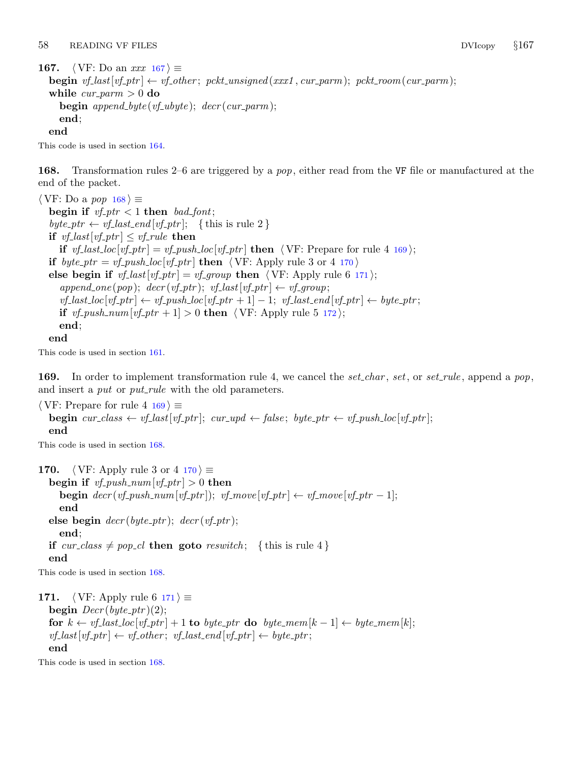<span id="page-57-0"></span>167.  $\langle \text{VF: Do an } xxx \; 167 \rangle \equiv$ **begin**  $vf$  *last* $[vf$ <sub>*ptr* $] \leftarrow vf$ *other; pckt\_unsigned(xxx1, cur\_parm); pckt\_room(cur\_parm);*</sub> while  $cur\_param > 0$  do **begin** append\_byte(vf\_ubyte);  $decr(cur\_param)$ ; end;

end

This code is used in section [164.](#page-56-0)

168. Transformation rules 2–6 are triggered by a pop, either read from the VF file or manufactured at the end of the packet.

 $\langle$  VF: Do a pop 168  $\rangle \equiv$ begin if  $vf_{\perp}$   $ptr < 1$  then  $bad_{\perp}$ font;  $byte\_ptr \leftarrow vf\_last\_end[vf\_ptr]; \{ this is rule 2 }$ if  $v_f$  last  $[v_f$ -ptr  $] \leq v_f$ -rule then if  $vf\text{-}last\text{-}loc[vf\text{-}ptr] = vf\text{-}push\text{-}loc[vf\text{-}ptr]$  then  $\langle \text{VF: Prepare for rule 4 169 }\rangle;$ if byte\_ptr = vf\_push\_loc[vf\_ptr] then  $\langle \text{VF: Apply rule 3 or 4 } 170 \rangle$ else begin if  $vf_1$  ast $[vf_1ptr] = vf_0$  roup then  $\langle \text{VF: Apply rule 6 171} \rangle$ ;  $append\_one(pop);$   $decr(vf\_ptr);$   $vf\_last[vf\_ptr] \leftarrow vf\_group;$  $v_{\text{L}}$ last  $\text{loc}[v_{\text{L}}^{\text{L}}] \leftarrow v_{\text{L}}^{\text{L}}$  push  $\text{loc}[v_{\text{L}}^{\text{L}}]$  ptr + 1] - 1;  $v_{\text{L}}^{\text{L}}$  last end  $[v_{\text{L}}^{\text{L}}]$   $\leftarrow$  byte ptr; if  $vf_{\neg}push_{\neg} \{vf_{\neg} \}$  if  $vf_{\neg} \{vf_{\neg} \}$  if  $\{vF: Apply rule 5 172 \}$  $\{vF: Apply rule 5 172 \}$  $\{vF: Apply rule 5 172 \}$ ; end; end

This code is used in section [161.](#page-55-0)

169. In order to implement transformation rule 4, we cancel the set-char, set, or set-rule, append a pop, and insert a *put* or *put\_rule* with the old parameters.

 $\langle$  VF: Prepare for rule 4 169  $\rangle \equiv$ **begin** cur\_class  $\leftarrow$  vf\_last[vf\_ptr]; cur\_upd  $\leftarrow$  false; byte\_ptr  $\leftarrow$  vf\_push\_loc[vf\_ptr]; end

This code is used in section 168.

```
170. \langle \text{VF: Apply rule 3 or 4 } 170 \rangle \equivbegin if vf\_push\_num[vf\_ptr] > 0 then
      begin \text{dec}(\text{vf}_\text{-}push\_num[\text{vf}_\text{-}ptr]); \text{vf}_\text{-}move[\text{vf}_\text{-}ptr] \leftarrow \text{vf}_\text{-}move[\text{vf}_\text{-}ptr-1];
      end
   else begin decr (byte\_ptr); decr (vf\_ptr);end;
   if cur class \neq pop \_{cl} then goto reswitch; {this is rule 4}
   end
```
This code is used in section 168.

```
171. \langle \text{VF: Apply rule 6 171} \rangle \equivbegin Decr(\text{byte\_ptr})(2);for k \leftarrow vf\_last\_loc[vf\_ptr] + 1 to byte_ptr do byte_mem[k - 1] \leftarrow byte\_mem[k];v f-last[v f-ptr] \leftarrow v f-other; v f-last-end [v f-ptr] \leftarrow b y t e-ptr;
  end
```
This code is used in section 168.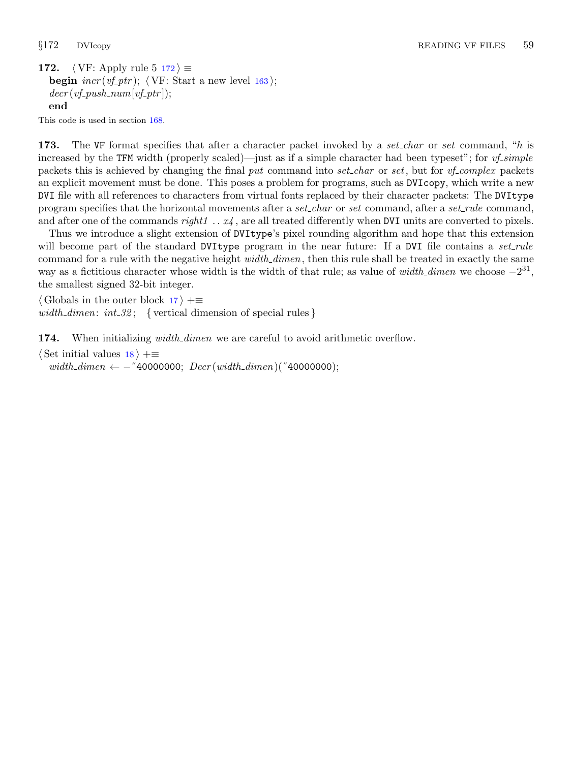```
172. \langle \text{VF: Apply rule 5 } 172 \rangle \equivbegin 163 \rangle;decr(vf_push_num[vf_ptr]);
 end
```
This code is used in section [168.](#page-57-0)

173. The VF format specifies that after a character packet invoked by a set-char or set command, "h is increased by the TFM width (properly scaled)—just as if a simple character had been typeset"; for  $vf$ -simple packets this is achieved by changing the final put command into set char or set, but for vf complex packets an explicit movement must be done. This poses a problem for programs, such as DVIcopy, which write a new DVI file with all references to characters from virtual fonts replaced by their character packets: The DVItype program specifies that the horizontal movements after a set-char or set command, after a set-rule command, and after one of the commands right1  $\ldots x_4$ , are all treated differently when DVI units are converted to pixels.

Thus we introduce a slight extension of DVItype's pixel rounding algorithm and hope that this extension will become part of the standard DVItype program in the near future: If a DVI file contains a set-rule command for a rule with the negative height *width\_dimen*, then this rule shall be treated in exactly the same way as a fictitious character whose width is the width of that rule; as value of *width\_dimen* we choose  $-2^{31}$ , the smallest signed 32-bit integer.

 $\langle$  Globals in the outer block [17](#page-7-0)  $\rangle$  +≡ width\_dimen:  $int_0.32$ ; { vertical dimension of special rules }

174. When initializing *width\_dimen* we are careful to avoid arithmetic overflow.

 $\langle$  Set initial values [18](#page-8-0)  $\rangle$  +≡  $width\_dimension \leftarrow$  - "40000000;  $Decr(width\_dimension)$ ("40000000);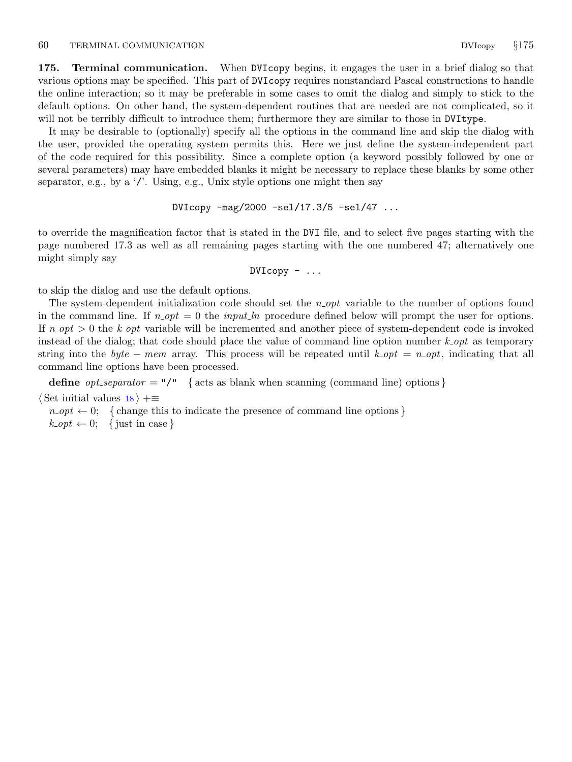175. Terminal communication. When DVIcopy begins, it engages the user in a brief dialog so that various options may be specified. This part of DVIcopy requires nonstandard Pascal constructions to handle the online interaction; so it may be preferable in some cases to omit the dialog and simply to stick to the default options. On other hand, the system-dependent routines that are needed are not complicated, so it will not be terribly difficult to introduce them; furthermore they are similar to those in DVItype.

It may be desirable to (optionally) specify all the options in the command line and skip the dialog with the user, provided the operating system permits this. Here we just define the system-independent part of the code required for this possibility. Since a complete option (a keyword possibly followed by one or several parameters) may have embedded blanks it might be necessary to replace these blanks by some other separator, e.g., by a '/'. Using, e.g., Unix style options one might then say

#### DVIcopy −mag/2000 −sel/17.3/5 −sel/47 ...

to override the magnification factor that is stated in the DVI file, and to select five pages starting with the page numbered 17.3 as well as all remaining pages starting with the one numbered 47; alternatively one might simply say

DVIcopy − ...

to skip the dialog and use the default options.

The system-dependent initialization code should set the  $n$ -opt variable to the number of options found in the command line. If  $n_{\text{opt}} = 0$  the *input ln* procedure defined below will prompt the user for options. If  $n_{opt} > 0$  the k opt variable will be incremented and another piece of system-dependent code is invoked instead of the dialog; that code should place the value of command line option number  $k\_opt$  as temporary string into the *byte* − mem array. This process will be repeated until  $k\_opt = n\_opt$ , indicating that all command line options have been processed.

define *opt separator* = "/" { acts as blank when scanning (command line) options }  $\langle$  Set initial values [18](#page-8-0)  $\rangle$  +≡

 $n_{opt} \leftarrow 0;$  {change this to indicate the presence of command line options}  $k\text{-}opt \leftarrow 0; \{ just in case\}$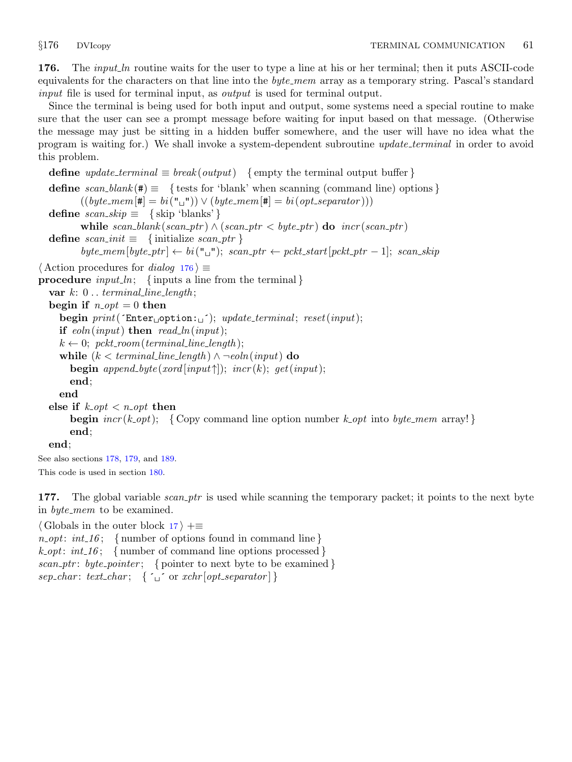<span id="page-60-0"></span>176. The *input ln* routine waits for the user to type a line at his or her terminal; then it puts ASCII-code equivalents for the characters on that line into the  $byte\_mem$  array as a temporary string. Pascal's standard input file is used for terminal input, as *output* is used for terminal output.

Since the terminal is being used for both input and output, some systems need a special routine to make sure that the user can see a prompt message before waiting for input based on that message. (Otherwise the message may just be sitting in a hidden buffer somewhere, and the user will have no idea what the program is waiting for.) We shall invoke a system-dependent subroutine *update\_terminal* in order to avoid this problem.

```
define update_terminal \equiv break(output) {empty the terminal output buffer }
  define scan\_blank (#) \equiv { tests for 'blank' when scanning (command line) options }
          ((byte\_mem[\texttt{#}] = bi("u") \vee (byte\_mem[\texttt{#}] = bi(opt\_separator)))define scan\_skip \equiv \{ \text{skip 'blanks'} \}while scan\_blank(scan\_ptr) \wedge (scan\_ptr < byte\_ptr) do incr(scan\_ptr)define scan\_init \equiv \{ \text{initialize } scan\_ptr \}byte\_mem[byte\_ptr] \leftarrow bi("\sqcup"); scan_ptr \leftarrow pckt\_start[pckt\_ptr-1]; scan_skip
\langle Action procedures for dialog 176\rangle \equivprocedure input ln; {inputs a line from the terminal}
  var k: 0... terminal_line_length;
  begin if n_{\text{.}opt} = 0 then
     begin print(\text{Enter\_option:} \_\text{i}; \text{update\_terminal}; \text{reset}(\text{input});if \epsilonoln(input) then read_ln(input);
     k \leftarrow 0; pckt_room(terminal_line_length);
     while (k < terminal\_line\_length) \land \neg \text{ } (input) \text{ do}begin append_byte(xord |input\rangle); incr(k); get(input);
       end;
     end
  else if k\_opt < n\_opt then
       begin incr(kopt); {Copy command line option number k-opt into byte-mem array!}
       end;
  end;
See also sections 178, 179, and 189.
```
This code is used in section [180.](#page-62-0)

177. The global variable *scan\_ptr* is used while scanning the temporary packet; it points to the next byte in *byte\_mem* to be examined.

 $\langle$  Globals in the outer block  $17$   $\rangle$  + $\equiv$  $n_{opt}: int_{16};$  { number of options found in command line }  $k\text{-}opt: int\_16; \{ \text{number of command line options processed} \}$ scan ptr: byte pointer; { pointer to next byte to be examined } sep\_char: text\_char;  $\{\cdot \}$  or  $xchr[opt\text{-}separation]$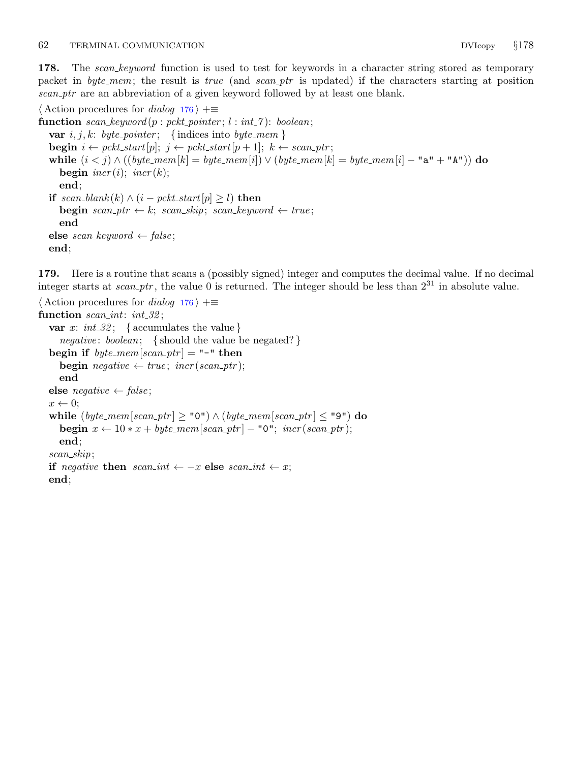<span id="page-61-0"></span>178. The scan keyword function is used to test for keywords in a character string stored as temporary packet in byte\_mem; the result is true (and scan\_ptr is updated) if the characters starting at position scan ptr are an abbreviation of a given keyword followed by at least one blank.

 $\langle$  Action procedures for *dialog* [176](#page-60-0)  $\rangle$  +≡ function  $scan\_keyword(p: pckt\_pointer; l: int\_7)$ : boolean; var  $i, j, k$ : byte-pointer; { indices into byte-mem } **begin**  $i \leftarrow pckt\_start[p]; j \leftarrow pckt\_start[p+1]; k \leftarrow scan\_ptr;$ while  $(i < j) \wedge ((byte\_mem[k] = byte\_mem[i]) \vee (byte\_mem[k] = byte\_mem[i] - "a" + "A")$  do begin  $\text{incr}(i)$ ;  $\text{incr}(k)$ ; end; if  $scan\_blank(k) \wedge (i-pckt\_start[p] \ge l)$  then **begin** scan\_ptr  $\leftarrow k$ ; scan\_skip; scan\_keyword  $\leftarrow true$ ; end else scan\_keyword  $\leftarrow$  false; end;

179. Here is a routine that scans a (possibly signed) integer and computes the decimal value. If no decimal integer starts at *scan\_ptr*, the value 0 is returned. The integer should be less than  $2^{31}$  in absolute value.

```
\langle Action procedures for dialog176 \rangle +≡
function scan\_int: int\_32;
  var x: int_{-32}; {accumulates the value}
     negative: boolean; { should the value be negated? }
  begin if byte\_mem|scan\_ptr| = "-" then
     begin negative \leftarrow true; incr(scan_ptr);
     end
  else negative \leftarrow false;
  x \leftarrow 0:
  while (\text{byte\_mem}[\text{scan\_ptr}] \geq "0") \land (\text{byte\_mem}[\text{scan\_ptr}] \leq "9") \text{ do}begin x \leftarrow 10*x + byte\_mem[scan\_ptr] - "0"; incr(scan_ptr);
     end;
  scan_skip;
  if negative then scan_int \leftarrow -x else scan_int \leftarrow x;
  end;
```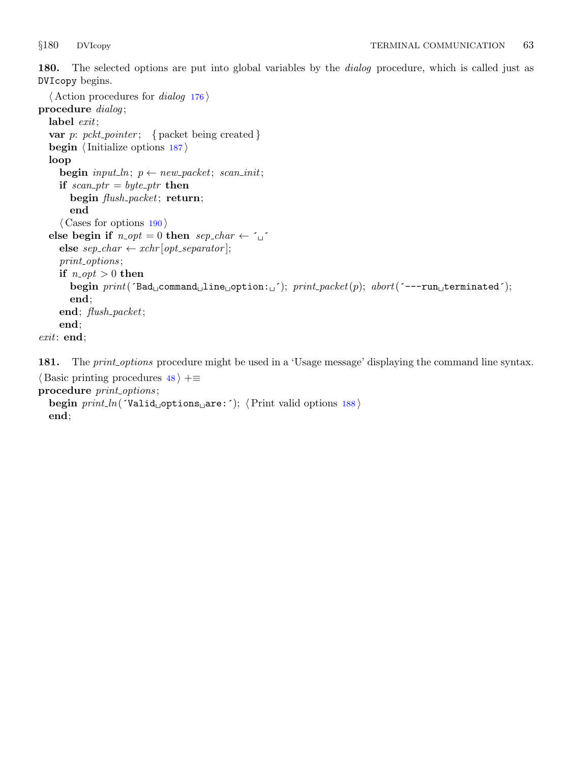<span id="page-62-0"></span>180. The selected options are put into global variables by the *dialog* procedure, which is called just as DVIcopy begins.

```
\langle Action procedures for dialog176\rangleprocedure dialog;
  label exit;
  var p: pckt_pointer; { packet being created }
  begin \langle187\rangleloop
     begin input_ln; p \leftarrow new\_packet; scan_init;
     if scan\_ptr = byte\_ptr then
        begin flush_packet; return;
        end
     \langle190\rangleelse begin if n_{opt} = 0 then sep_{\text{-}}char \leftarrow \leftarrow \leftarrowelse sep\_char \leftarrow xchr[opt\_separator];print_options;if n_{\text{.}opt} > 0 then
        begin print('Bad \text{\texttt{load}} \text{\texttt{command}} \text{\texttt{line}} \text{\texttt{option}:} \text{\texttt{int}}'); print.packet(p); abort('--run \text{\texttt{interminated'}});end;
     end; flush_packet;
     end;
exit: end;
```
181. The *print options* procedure might be used in a 'Usage message' displaying the command line syntax.

```
\langle Basic printing procedures 48 \rangle +≡
procedure print_options;
  begin print\_ln( Valid options are: '); \langle188 \rangleend;
```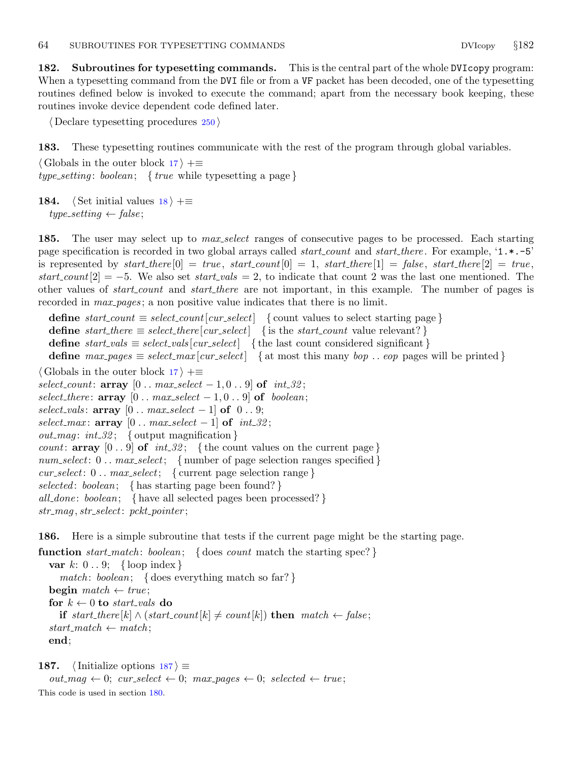<span id="page-63-0"></span>182. Subroutines for typesetting commands. This is the central part of the whole DVIcopy program: When a typesetting command from the DVI file or from a VF packet has been decoded, one of the typesetting routines defined below is invoked to execute the command; apart from the necessary book keeping, these routines invoke device dependent code defined later.

 $\langle$  Declare typesetting procedures  $250 \rangle$  $250 \rangle$ 

183. These typesetting routines communicate with the rest of the program through global variables.

 $\langle$  Globals in the outer block [17](#page-7-0)  $\rangle$  +≡  $type\_setting: boolean; \{ true \ while typesetting a page \}$ 

[18](#page-8-0)4.  $\langle$  Set initial values 18  $\rangle$  +≡  $type\_setting \leftarrow false;$ 

185. The user may select up to *max select* ranges of consecutive pages to be processed. Each starting page specification is recorded in two global arrays called *start\_count* and *start\_there*. For example, '1.\*.–5' is represented by start\_there  $[0] = true$ , start\_count  $[0] = 1$ , start\_there  $[1] = false$ , start\_there  $[2] = true$ , start\_count  $[2] = -5$ . We also set start\_vals = 2, to indicate that count 2 was the last one mentioned. The other values of *start\_count* and *start\_there* are not important, in this example. The number of pages is recorded in *max-pages*; a non positive value indicates that there is no limit.

define start count  $\equiv select_{count}$  [cur\_select] { count values to select starting page } define  $start\_there \equiv select\_there[cur\_select]$  { is the start\_count value relevant? } define  $start\_vals \equiv select\_vals \lfloor cur\_select \rfloor$  { the last count considered significant } define  $max\_pages \equiv select\_max[cur\_select]$  { at most this many bop . . eop pages will be printed }  $\langle$  Globals in the outer block [17](#page-7-0)  $\rangle$  +≡ select\_count:  $array \; [0.. \; max\_select-1, 0.. 9]$  of  $int_0^1 32;$ select\_there:  $array [0.. max\_select - 1, 0..9]$  of boolean; select\_vals:  $array [0.. max_s select - 1]$  of  $0.. 9;$ select\_max:  $array \t[0.3em] \t[0.3em] \t[0.3em] \t[0.3em] s[1.3em] \t[0.3em] \t[0.3em] s[1.3em] \t[0.3em]$ *out\_mag*:  $int_0^2$ ; { output magnification } count: array  $[0 \, . \, . \, 9]$  of  $int.32$ ; {the count values on the current page}  $num\_select: 0...max\_select; \{ number of page selection ranges specified\}$  $cur\_select: 0...max\_select; \{ current page selection range \}$ selected: boolean; { has starting page been found?} all done: boolean; { have all selected pages been processed? } str\_mag, str\_select: pckt\_pointer;

186. Here is a simple subroutine that tests if the current page might be the starting page.

**function** start match: boolean; { does count match the starting spec?} var  $k: 0 \ldots 9; \{ \text{loop index} \}$ *match:* boolean; { does everything match so far?} begin match  $\leftarrow true$ ; for  $k \leftarrow 0$  to start\_vals do if start\_there  $[k] \wedge (start\_count[k] \neq count[k])$  then match  $\leftarrow false$ ;  $start\_match \leftarrow match$ ; end;

187. (Initialize options  $187 \equiv$ 

 $out\_mag \leftarrow 0; \ cur\_select \leftarrow 0; \ max\_pages \leftarrow 0; \ selected \leftarrow true;$ This code is used in section [180.](#page-62-0)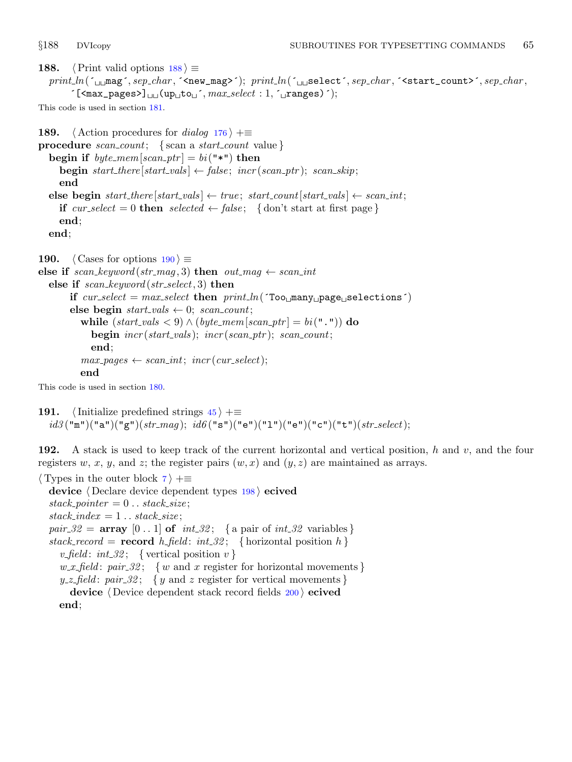<span id="page-64-0"></span>188.  $\langle$  Print valid options 188 $\rangle \equiv$  $print\_ln(\gamma_{\text{unmap}}, sep\_char, \leq new\_mag)$ ;  $print\_ln(\gamma_{\text{unselect}}, sep\_char, \leq start\_count)$ , sep char,  $\text{'[<}$ max\_pages>]<sub> $\Box$ </sub>(up $\Box$ to $\Box$ *, max\_select* : 1,  $\Box$ ranges)  $\Box$ ;

This code is used in section [181.](#page-62-0)

189. (Action procedures for dialog  $176$ ) +≡ procedure  $scan\_count$ ; {scan a start\_count value} begin if  $byte\_mem[scan\_ptr] = bi("**")$  then **begin** start\_there  $[start\_vals] \leftarrow false; incr (scan\_ptr); scan\_skip;$ end else begin start\_there  $[start\_vals] \leftarrow true; start\_count[start\_vals] \leftarrow scan\_int;$ if cur-select = 0 then selected  $\leftarrow$  false; {don't start at first page} end; end; 190.  $\langle$  Cases for options 190 $\rangle \equiv$ 

```
else if scan\_keyword(str\_mag, 3) then out\_mag \leftarrow scan\_intelse if scan\_keyword(\textit{str\_select}, 3) then
        if cur\_select = max\_select then print\_ln('Too \textsubmax\_spaces \textsubsetections')else begin start\_vals \leftarrow 0; scan\_count;
           while (start\_vals < 9) \wedge (byte\_mem[scan\_ptr] = bi(".^n)) do
              begin \text{incr}(\text{start\_vals}); \text{incr}(\text{scan\_ptr}); \text{scan\_count};end;
           max_p aqes \leftarrow scan\_int; incr(cur\_select);end
```
This code is used in section [180.](#page-62-0)

```
191. (Initialize predefined strings 45) +≡
  id3("m")("a")("g")(str_mag); id6("s")("e")("l")("e")("c")("t")(str_select);
```
192. A stack is used to keep track of the current horizontal and vertical position, h and v, and the four registers w, x, y, and z; the register pairs  $(w, x)$  and  $(y, z)$  are maintained as arrays.

```
\langle7 \rangle +≡
  device \langle198\rangle ecived
  stack\_pointer = 0 \dots stack\_size;stack\_index = 1 \dots stack\_size;pair 32 = \text{array} [0...1] of int 32; {a pair of int 32 variables}
  stack\_record = record h-field: int\_32; { horizontal position h }
    v_{\text{field}}: int_{\mathcal{A}} 32; { vertical position v}
    w x field: pair 32; { w and x register for horizontal movements }
```

```
y_z = field: pair_z = 32; { y and z register for vertical movements }
```
device  $\langle$  Device dependent stack record fields  $200 \rangle$  $200 \rangle$  ecived end;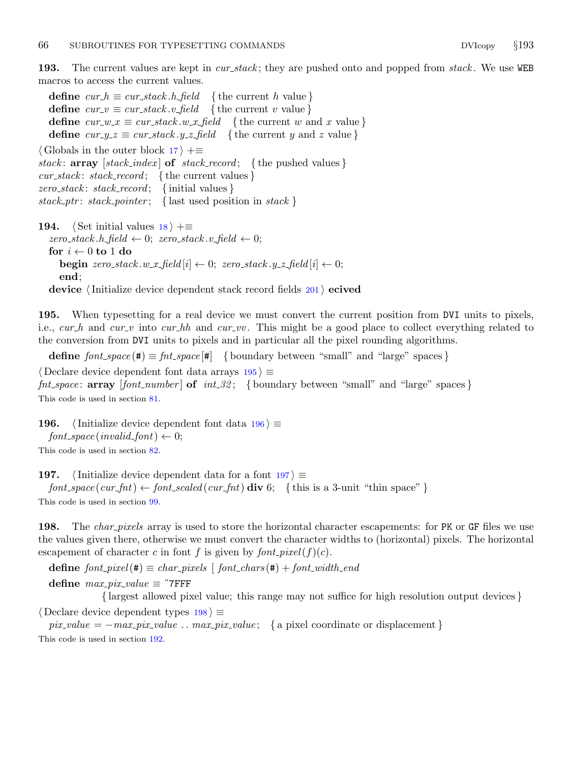<span id="page-65-0"></span>193. The current values are kept in *cur\_stack*; they are pushed onto and popped from stack. We use WEB macros to access the current values.

define  $cur_h \equiv cur\_stack.h-field$  {the current h value} define  $cur_v \equiv cur\_stack.v\_field$  {the current v value} define  $cur_w x \equiv cur\_stack.w_x$  field { the current w and x value } define  $cur_y z \equiv cur\_stack.y_z \text{field}$  {the current y and z value}  $\langle$  Globals in the outer block [17](#page-7-0)  $\rangle$  +≡ stack:  $array [stack_index]$  of stack\_record; {the pushed values}  $cur\_stack: stack\_record; \{ the current values \}$  $zero\_stack: stack\_record; \{initial values\}$ 

 $stack\_ptr: stack\_pointer$ ; { last used position in stack }

194. (Set initial values  $18$ ) +≡  $zero\_stack.h_field \leftarrow 0; zero\_stack.v_field \leftarrow 0;$ for  $i \leftarrow 0$  to 1 do **begin** zero\_stack.w\_x\_field  $[i] \leftarrow 0$ ; zero\_stack.y\_z\_field  $[i] \leftarrow 0$ ; end; device  $\langle$  Initialize device dependent stack record fields [201](#page-66-0) $\rangle$  ecived

195. When typesetting for a real device we must convert the current position from DVI units to pixels, i.e., cur h and cur v into cur hh and cur vv. This might be a good place to collect everything related to the conversion from DVI units to pixels and in particular all the pixel rounding algorithms.

**define** font space (#)  $\equiv$  fnt space |#| { boundary between "small" and "large" spaces }

 $\langle$  Declare device dependent font data arrays 195 $\rangle \equiv$ *fnt\_space*:  $\arctan \left[ \text{font\_number} \right]$  of  $\text{ int.32}$ ; { boundary between "small" and "large" spaces } This code is used in section [81](#page-28-0).

196. (Initialize device dependent font data  $196$ )  $\equiv$ 

 $font\_space(invalid\_font) \leftarrow 0;$ 

This code is used in section [82](#page-28-0).

197. (Initialize device dependent data for a font  $197$ )  $\equiv$ 

 $font\_space(cur\_fnt) \leftarrow font\_scaled(cur\_fnt)$  div 6; {this is a 3-unit "thin space"} This code is used in section [99](#page-35-0).

198. The *char-pixels* array is used to store the horizontal character escapements: for PK or GF files we use the values given there, otherwise we must convert the character widths to (horizontal) pixels. The horizontal escapement of character c in font f is given by  $font\_pixel(f)(c)$ .

**define**  $font\_pixel(\textbf{\#}) \equiv char\_pixels \mid font\_chars(\textbf{\#}) + font\_width\_end$ 

define  $max\_pix\_value \equiv$  "7FFF"

{ largest allowed pixel value; this range may not suffice for high resolution output devices }

 $\langle$  Declare device dependent types  $198$   $\equiv$ 

 $pix_value = -max\_pix_value \dots max\_pix_value;$  { a pixel coordinate or displacement } This code is used in section [192.](#page-64-0)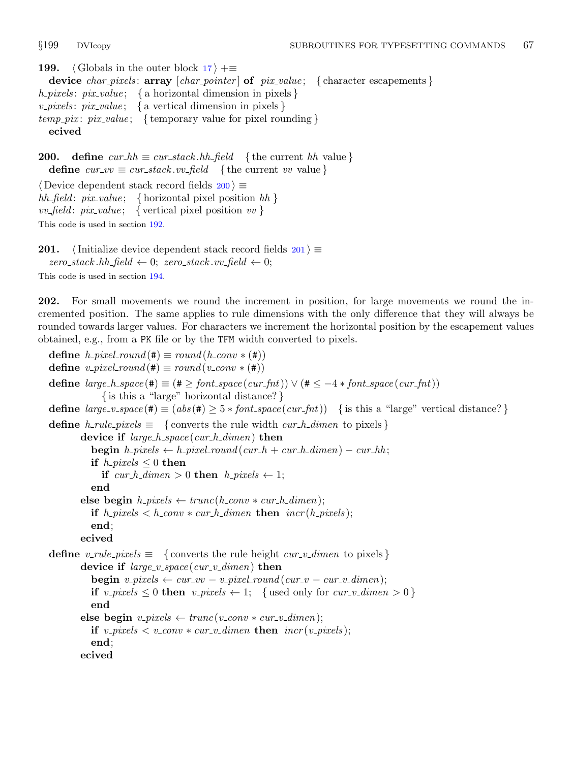<span id="page-66-0"></span>199.  $\langle$  Globals in the outer block [17](#page-7-0)  $\rangle$  +≡ device *char-pixels*:  $array [char\_pointer]$  of  $pix\_value$ ; { character escapements } h pixels:  $pix_value$ ; { a horizontal dimension in pixels } v\_pixels:  $pix_value$ ; { a vertical dimension in pixels }  $temp\_pix$ :  $pix\_value$ ; {temporary value for pixel rounding} ecived

**200.** define  $\text{cur} \text{L} \text{th} \equiv \text{cur} \text{L} \text{stack}$ .  $\text{th} \text{L} \text{field}$  {the current  $\text{th}$  value} define  $cur\_vv \equiv cur\_stack.vv\_field$  {the current vv value}

```
\langle Device dependent stack record fields 200\rangle \equivhh field: pix_value; { horizontal pixel position hh }
vv_field: pix\_value; { vertical pixel position vv }
This code is used in section 192.
```
201. (Initialize device dependent stack record fields  $201$ )  $\equiv$  $zero\_stack.hh_field \leftarrow 0; zero\_stack.vv_field \leftarrow 0;$ This code is used in section [194.](#page-65-0)

202. For small movements we round the increment in position, for large movements we round the incremented position. The same applies to rule dimensions with the only difference that they will always be rounded towards larger values. For characters we increment the horizontal position by the escapement values obtained, e.g., from a PK file or by the TFM width converted to pixels.

define  $h\_pixel\_round(\texttt{\#}) \equiv round(h\_conv \ast (\texttt{\#}))$ define  $v\_pixel\_round(\texttt{\#}) \equiv round(v\_conv \ast (\texttt{\#}))$ define  $large\_h\_space (\#) \equiv (\# \geq font\_space (cur\_fnt)) \vee (\# \leq -4 * font\_space (cur\_fnt))$ { is this a "large" horizontal distance? } define  $large\_yspace(\#) \equiv (abs(\#) \geq 5 * font-space(cur\_fnt))$  { is this a "large" vertical distance? } define  $h$ -rule-pixels  $\equiv \{$  converts the rule width cur- $h$ -dimen to pixels  $\}$ device if  $large_hspace(cur_h_dimen)$  then **begin**  $h$ -pixels  $\leftarrow$  h-pixel-round (cur-h + cur-h-dimen) – cur-hh; if  $h$ -pixels  $\leq 0$  then if cur\_h\_dimen > 0 then h\_pixels  $\leftarrow$  1; end else begin  $h$ -pixels  $\leftarrow trunc(h_{conv} * cur_h_{dimension});$ if  $h$ -pixels  $\lt h$ -conv  $*$  cur  $h$ -dimen then incr(h-pixels); end; ecived define v\_rule\_pixels  $\equiv \{$  converts the rule height cur\_v\_dimen to pixels  $\}$ device if  $large\_v\_space(cur\_v\_dimen)$  then begin v\_pixels  $\leftarrow cur\_vv - v\_pixel\_round(cur\_v - cur\_v\_dimen);$ if v\_pixels  $\leq 0$  then v\_pixels  $\leftarrow 1$ ; { used only for cur\_v\_dimen  $> 0$  } end else begin  $v\_pixels \leftarrow trunc(v\_conv * cur\_v\_dimen);$ if  $v\_pixels < v\_conv * cur\_v\_dimen$  then  $incr(v\_pixels);$ end; ecived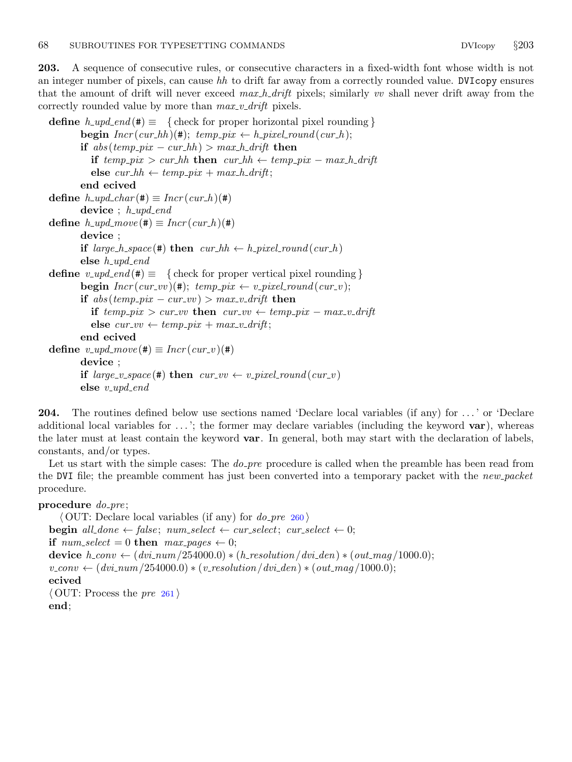203. A sequence of consecutive rules, or consecutive characters in a fixed-width font whose width is not an integer number of pixels, can cause  $hh$  to drift far away from a correctly rounded value. DVIcopy ensures that the amount of drift will never exceed  $max.h-drift$  pixels; similarly vv shall never drift away from the correctly rounded value by more than  $max_vdrift$  pixels.

**define**  $h\_upd\_end(\#) \equiv \{ \text{check for proper horizontal pixel rounding} \}$ **begin**  $Incr(cur_hh)(\#); temp\_pix \leftarrow h\_pixel\_round(cur_h);$ if  $abs(temp\_pix - cur\_hh) > max\_h\_drift$  then if  $temp\_pix > cur\_hh$  then  $cur\_hh \leftarrow temp\_pix - max\_h\_drift$ else  $cur_-hh \leftarrow temp\_pix + max\_h\_drift;$ end ecived define  $h\_upd\_char(\#) \equiv Incr(cur_h)(\#)$ device ;  $h\_upd\_end$ define  $h\_upd\_move (\#) \equiv Incr(cur.h)(\#)$ device ; if large\_h\_space(#) then  $cur_-hh \leftarrow h\_pixel\_round(cur_-h)$ else  $h\_upd\_end$ **define**  $v\_upd\_end(\#) \equiv \{ \text{check for proper vertical pixel rounding} \}$ **begin**  $Incr(cur_vv)(\textbf{\#}); temp\_pix \leftarrow v\_pixel\_round(cur_v);$ if  $abs(temp\_pix - cur\_vv) > max\_v\_drift$  then if  $temp\_pix > cur\_vv$  then  $cur\_vv \leftarrow temp\_pix - max\_v\_drift$ else  $cur_{\perp}vv \leftarrow temp\_pix + max\_v\_drift;$ end ecived define  $v\_upd\_move (\#) \equiv Incr(cur\_v)(\#)$ device ; if large\_v\_space(#) then  $cur\_vv \leftarrow v\_pixel\_round(cur\_v)$ else  $v\_upd\_end$ 

204. The routines defined below use sections named 'Declare local variables (if any) for . . . ' or 'Declare additional local variables for  $\dots$ ; the former may declare variables (including the keyword  $var$ ), whereas the later must at least contain the keyword **var**. In general, both may start with the declaration of labels, constants, and/or types.

Let us start with the simple cases: The  $do_{pre}$  procedure is called when the preamble has been read from the DVI file; the preamble comment has just been converted into a temporary packet with the new packet procedure.

## procedure  $do\_pre$ ;

 $\langle$  OUT: Declare local variables (if any) for *do\_pre* [260](#page-84-0)  $\rangle$ **begin** all\_done  $\leftarrow$  false; num\_select  $\leftarrow$  cur\_select; cur\_select  $\leftarrow$  0; if  $num\_select = 0$  then  $max\_pages \leftarrow 0$ ; device  $h_{\text{conv}} \leftarrow (dv_{\text{inv}}/254000.0) * (h_{\text{resolution}}/dv_{\text{v}}/du_{\text{v}}) * (out_{\text{max}}/1000.0);$  $v_{\rm \perp}$  (dvi\_num /254000.0) \* (v\_resolution / dvi\_den) \* (out\_mag /1000.0); ecived  $\langle$  OUT: Process the pre [261](#page-84-0) $\rangle$ end;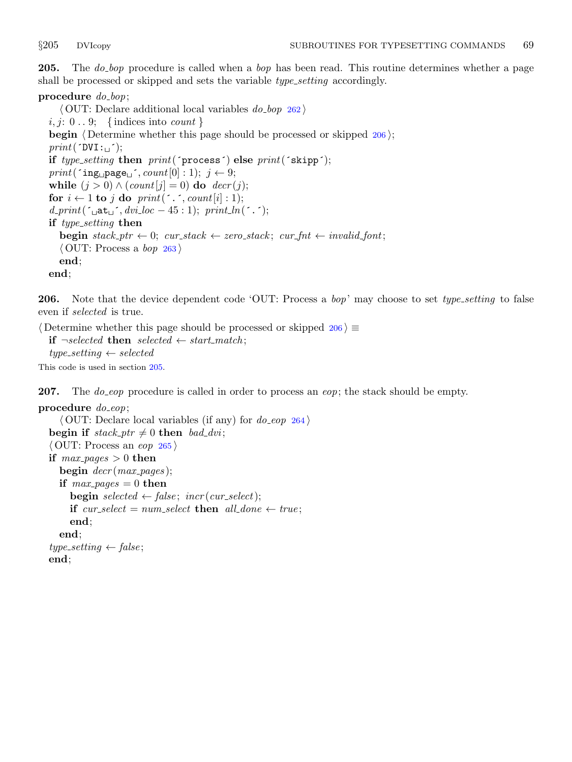**205.** The do-bop procedure is called when a bop has been read. This routine determines whether a page shall be processed or skipped and sets the variable *type\_setting* accordingly.

## procedure  $do\_bop$ ;

 $\langle$  OUT: Declare additional local variables *do\_bop* [262](#page-84-0)  $\rangle$  $i, j: 0 \ldots 9; \{ indices into count \}$ **begin**  $\langle$  Determine whether this page should be processed or skipped 206 $\rangle$ ;  $print('DVI:_{\sqcup})$ ; if type\_setting then  $print('process')$  else  $print('skip')$ ;  $print('ing \sqcup page \sqcup', count[0]: 1); j \leftarrow 9;$ while  $(j > 0) \wedge (count[j] = 0)$  do  $decr(j);$ for  $i \leftarrow 1$  to j do print('.', count[i] : 1);  $d\_print(\ulcorner \text{at}_\sqcup \ulcorner, dvi\_loc - 45 : 1); print\_ln(\ulcorner \ldots \ulcorner);$ if type\_setting then **begin** stack\_ptr  $\leftarrow$  0; cur\_stack  $\leftarrow$  zero\_stack; cur\_fnt  $\leftarrow$  invalid\_font;  $\langle$  OUT: Process a *bop* [263](#page-85-0) $\rangle$ end; end;

**206.** Note that the device dependent code 'OUT: Process a *bop*' may choose to set type\_setting to false even if selected is true.

 $\langle$  Determine whether this page should be processed or skipped 206 $\rangle \equiv$ **if**  $¬selected$  **then** selected  $\leftarrow start-match;$  $type\_setting \leftarrow selected$ This code is used in section 205.

**207.** The do-eop procedure is called in order to process an  $e^{i\phi}$ ; the stack should be empty.

```
procedure do\text{-}eop;
     \langle OUT: Declare local variables (if any) for do_eop264\ranglebegin if stack\_ptr \neq 0 then bad\_dvi;
  \langle OUT: Process an eop265 \rangleif max\_{pages} > 0 then
     begin decr(max_pages);
     if max_pages = 0 then
       begin selected \leftarrow false; incr(cur_select);
       if cur_select = num_select then all_done \leftarrow true;
       end;
     end;
  type\_setting \leftarrow false;end;
```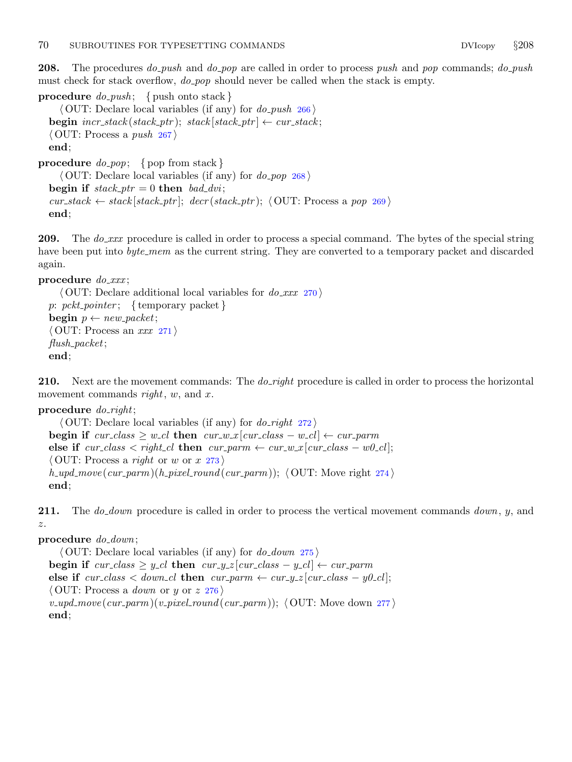**208.** The procedures do *push* and do *pop* are called in order to process push and pop commands; do *push* must check for stack overflow,  $do\text{-}pop$  should never be called when the stack is empty.

```
procedure do\_push; { push onto stack }
     \langle OUT: Declare local variables (if any) for do_push266 \ranglebegin \text{incr}.\text{stack\_ptr}; \text{stack\_ptr} ; \text{stack\_ptr} \leftarrow \text{cur\_stack;};\langle OUT: Process a push267\rangleend;
procedure do\_pop; { pop from stack }
     \langle OUT: Declare local variables (if any) for do_pop268 \ranglebegin if stack\_ptr = 0 then bad\_dvi;
  cur\_stack \leftarrow stack[stack\_ptr]; decr(state\_ptr); \langle269)
  end;
```
209. The do *xxx* procedure is called in order to process a special command. The bytes of the special string have been put into *byte\_mem* as the current string. They are converted to a temporary packet and discarded again.

### procedure  $do\_xxx$ ;

```
\langle OUT: Declare additional local variables for do\_xxx270 \ranglep: pckt\_pointer; { temporary packet }
begin p \leftarrow new\_packet;\langle OUT: Process an xxx271\rangleflush\_packet;end;
```
**210.** Next are the movement commands: The  $do\_right$  procedure is called in order to process the horizontal movement commands right,  $w$ , and  $x$ .

# procedure  $do\_right;$  $\langle$  OUT: Declare local variables (if any) for *do\_right*  $272$ begin if  $cur\_class \geq w\_cl$  then  $cur\_w\_x$  [cur\_class – w\_cl]  $\leftarrow cur\_param$ else if  $cur\_class < right\_cl$  then  $cur\_param \leftarrow cur\_w.x$  [cur\_class  $- w0 \_cl$ ];  $\langle$  OUT: Process a *right* or w or x [273](#page-86-0)  $\rangle$ h\_upd\_move (cur\_parm)(h\_pixel\_round (cur\_parm));  $\langle$  OUT: Move right [274](#page-86-0) $\rangle$ end;

**211.** The *do\_down* procedure is called in order to process the vertical movement commands *down*, y, and z.

```
procedure do\_down;
```
 $\langle$  OUT: Declare local variables (if any) for *do\_down* [275](#page-86-0)  $\rangle$ begin if  $cur\_class \geq y_cl$  then  $cur\_y\_z$  |  $cur\_class - y_cl$  |  $\leftarrow cur\_parm$ else if cur\_class < down\_cl then cur\_parm  $\leftarrow cur_y z | cur_c \text{class} - y0_c \text{cl};$  $\langle$  OUT: Process a *down* or y or z [276](#page-86-0) $\rangle$  $v\_upd\_move(cur\_param)(v\_pixel\_round(cur\_param)); \langle OUT: Move down 277 \rangle$  $v\_upd\_move(cur\_param)(v\_pixel\_round(cur\_param)); \langle OUT: Move down 277 \rangle$  $v\_upd\_move(cur\_param)(v\_pixel\_round(cur\_param)); \langle OUT: Move down 277 \rangle$ end;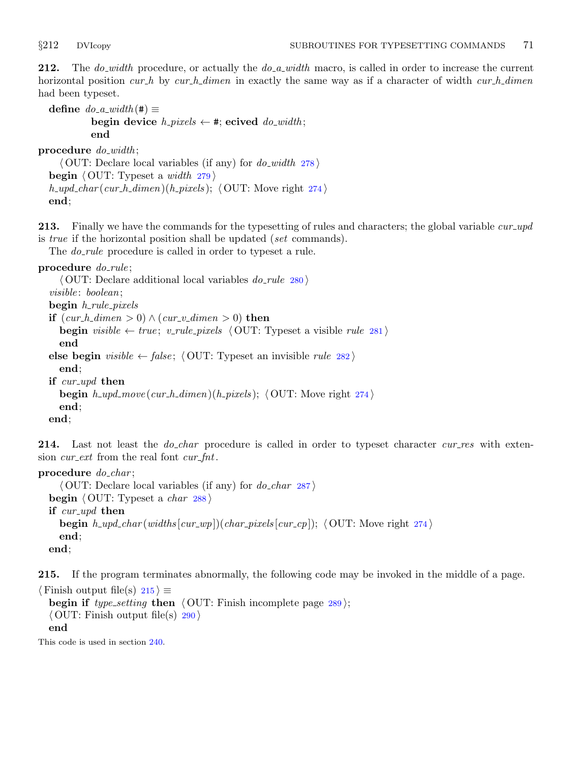**212.** The *do\_width* procedure, or actually the *do\_a\_width* macro, is called in order to increase the current horizontal position cur h by cur h dimension exactly the same way as if a character of width cur h dimension had been typeset.

define  $do_a_width$  (#)  $\equiv$ begin device  $h$ -pixels  $\leftarrow$  #; ecived do-width; end

procedure  $do_width$ ;

```
\langle OUT: Declare local variables (if any) for do_width278 \ranglebegin \langle OUT: Typeset a width279\rangleh-upd-char (cur_h_dimen)(h_pixels); \langle274\rangleend;
```
213. Finally we have the commands for the typesetting of rules and characters; the global variable cur upd is *true* if the horizontal position shall be updated (set commands).

The *do\_rule* procedure is called in order to typeset a rule.

procedure  $do$ -rule;

```
\langle OUT: Declare additional local variables do_rule280 \ranglevisible: boolean;
begin h-rule-pixels
if (cur_h.dimen > 0) \wedge (cur_v.dimen > 0) then
  begin visible \leftarrow true; v_rule_pixels \langle281 \rangleend
else begin visible ← false; \langle OUT: Typeset an invisible rule282 \rangleend;
if cur_upd then
  begin h\_upd\_move(cur.h\_dimen)(h\_pixels);274)
  end;
```
end;

214. Last not least the *do\_char* procedure is called in order to typeset character cur\_res with extension *cur\_ext* from the real font *cur\_fnt*.

```
procedure do\_char;
    \langle OUT: Declare local variables (if any) for do_char287\ranglebegin \langle OUT: Typeset a char288 \rangleif cur\_upd then
    begin h upd char (widths [cur\_wp])(char pixels [cur\_cp]); \langle274\rangleend;
  end;
```
215. If the program terminates abnormally, the following code may be invoked in the middle of a page.

```
\langle Finish output file(s) 215 \rangle \equivbegin if type_setting then \langle289\rangle;
 \langle290 \rangleend
```
This code is used in section [240.](#page-80-0)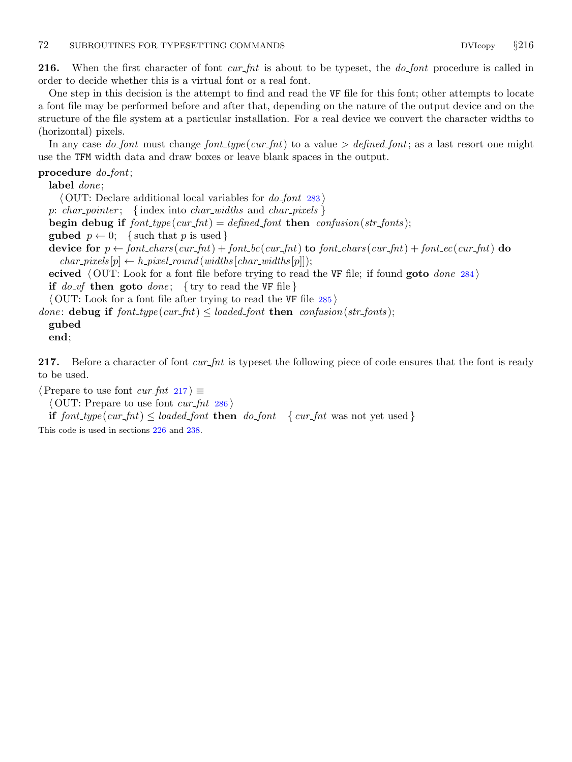**216.** When the first character of font cur-fat is about to be typeset, the *do-font* procedure is called in order to decide whether this is a virtual font or a real font.

One step in this decision is the attempt to find and read the VF file for this font; other attempts to locate a font file may be performed before and after that, depending on the nature of the output device and on the structure of the file system at a particular installation. For a real device we convert the character widths to (horizontal) pixels.

In any case do font must change font type (cur fort) to a value  $>$  defined font; as a last resort one might use the TFM width data and draw boxes or leave blank spaces in the output.

procedure  $do\_font;$ 

label *done*;

 $\langle$  OUT: Declare additional local variables for *do\_font* [283](#page-87-0)  $\rangle$ 

p: char\_pointer; {index into char\_widths and char\_pixels }

begin debug if  $font\_type(cur\_fnt) = defined\_font$  then  $confusion(str\_font)$ ;

**gubed**  $p \leftarrow 0$ ; { such that p is used }

device for  $p \leftarrow$  font chars (cur fnt) + font bc(cur fnt) to font chars (cur fnt) + font ec(cur fnt) do  $char\_pixels[p] \leftarrow h\_pixel\_round(widths[char\_widths[p])$ ;

ecived  $\langle$  OUT: Look for a font file before trying to read the VF file; if found goto done [284](#page-87-0) $\rangle$ 

if  $do\_vf$  then goto  $done$ ; {try to read the VF file}

 $\langle$  OUT: Look for a font file after trying to read the VF file [285](#page-87-0)  $\rangle$ 

done: debug if  $font\_type(cur\_fnt) \le loaded\_font$  then  $confusion(str\_font)$ ;

gubed

end;

**217.** Before a character of font cur fort is typeset the following piece of code ensures that the font is ready to be used.

 $\langle$  Prepare to use font *cur\_fnt*  $217$   $\equiv$ 

 $\langle$  OUT: Prepare to use font *cur\_fnt* [286](#page-87-0)  $\rangle$ 

if  $font\_type(cur\_fnt) \le loaded\_font$  then  $do\_font$  {  $cur\_fnt$  was not yet used }

This code is used in sections [226](#page-74-0) and [238.](#page-79-0)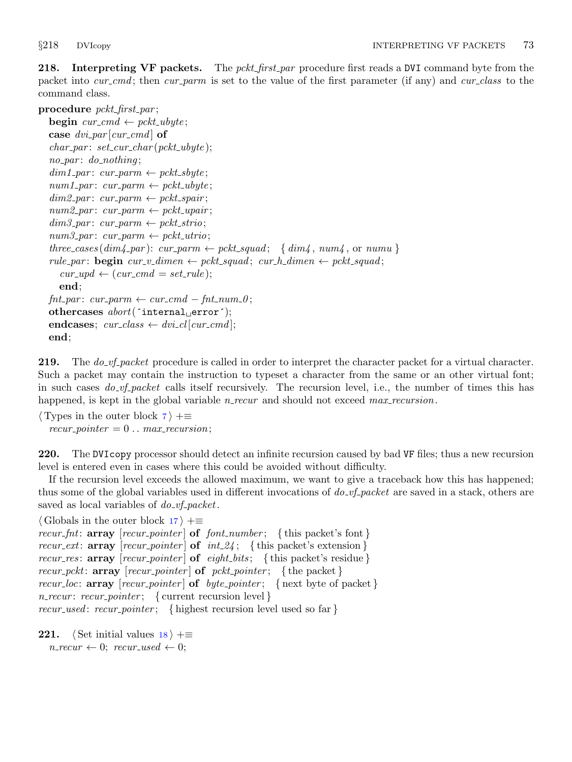<span id="page-72-0"></span>**218.** Interpreting VF packets. The *pckt\_first\_par* procedure first reads a DVI command byte from the packet into cur cmd; then cur parm is set to the value of the first parameter (if any) and cur class to the command class.

## procedure pckt\_first\_par;

```
begin cur_cmd \leftarrow</math> pckt<math>{-}ubyte;case dvi-par [cur-cmd] of
char\_par: set\_cur\_char(pckt\_ubyte);no\_par: do\_nothing;dim1\_par: cur\_param \leftarrow pckt\_sbyte;num1\_par: cur\_parm \leftarrow pckt\_ubyte;dim2\_par: cur\_param \leftarrow pckt\_spair;num2\_par: cur\_param \leftarrow pckt\_upair;dim3\_par: cur\_param \leftarrow pckt\_strio;num3\_par: cur\_param \leftarrow pckt\_utrio;three cases (dim4 par): cur parm \leftarrow pckt squad; { dim4, num4, or numu}
rule_par: begin cur_v_dimen \leftarrow pckt_squad; cur_h_dimen \leftarrow pckt_squad;
  cur\_upd \leftarrow (cur\_cmd = set\_rule);end;
fnt\_par: cur\_parm \leftarrow cur\_cmd - fnt\_num\_0;othercases abort('internal`_error');endcases; cur\_class \leftarrow dvi\_cl[cur\_cmd];end;
```
**219.** The *do\_vf\_packet* procedure is called in order to interpret the character packet for a virtual character. Such a packet may contain the instruction to typeset a character from the same or an other virtual font; in such cases  $do\_vf\_packet$  calls itself recursively. The recursion level, i.e., the number of times this has happened, is kept in the global variable  $n\_recur$  and should not exceed  $max\_recursion$ .

 $\langle$  Types in the outer block [7](#page-4-0)  $\rangle$  + $\equiv$  $recur\_pointer = 0$ ...  $max\_recursion;$ 

220. The DVIcopy processor should detect an infinite recursion caused by bad VF files; thus a new recursion level is entered even in cases where this could be avoided without difficulty.

If the recursion level exceeds the allowed maximum, we want to give a traceback how this has happened; thus some of the global variables used in different invocations of  $do\_vf$  packet are saved in a stack, others are saved as local variables of  $do_v f_p a c k e t$ .

```
\langle17 \rangle +≡
recur fnt: array [recur pointer] of font number; {this packet's font}
recur ext: array [recur pointer] of int 24; {this packet's extension}
recur res: array [recur pointer] of eight bits; {this packet's residue}
recur_pckt: array [recur_pointer] of pckt_pointer; { the packet }
recur_loc: array [recur\_pointer] of <i>byte\_pointer</i>; {next byte of packet}n\_recur: recur\_pointer; { current recursion level }
recur used: recur pointer; { highest recursion level used so far }
```

```
221. (Set initial values 18) +≡
  n\_recur \leftarrow 0; recur_used \leftarrow 0;
```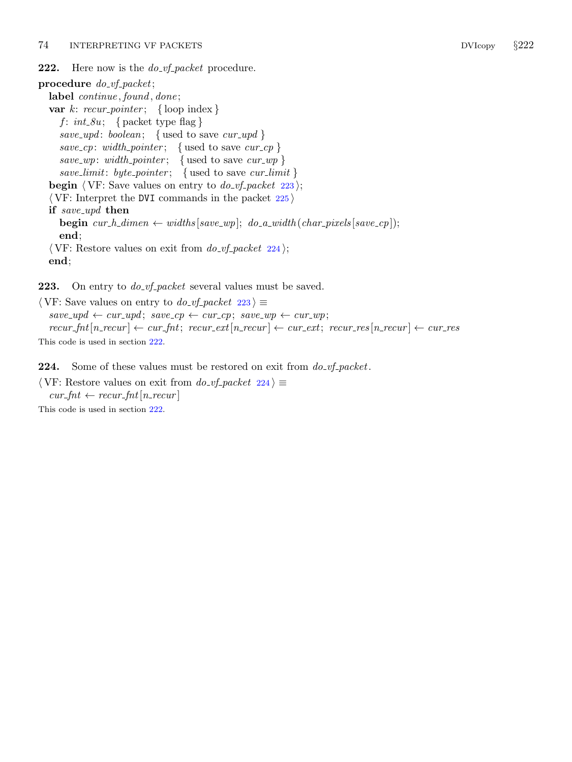<span id="page-73-0"></span>**222.** Here now is the  $do\_vf\_packet$  procedure.

procedure  $do_v f_packet$ ; label *continue*, *found*, *done*; var  $k: \text{recur\_pointer}; \{ \text{loop index} \}$ f:  $int_{\mathcal{S}} u$ ; { packet type flag } save\_upd: boolean; { used to save  $cur\_upd$  } save\_cp: width\_pointer; { used to save cur\_cp } save\_wp: width\_pointer; { used to save  $cur\_wp$  } save\_limit: byte\_pointer; { used to save cur\_limit } **begin**  $\langle \text{VF: Save values on entry to do_vf packet 223} \rangle$ ;  $\langle$  VF: Interpret the DVI commands in the packet [225](#page-74-0)  $\rangle$ if save\_upd then **begin** cur\_h\_dimen  $\leftarrow$  widths [save\_wp]; do\_a\_width (char\_pixels [save\_cp]); end;  $\langle \text{VF: Restore values on exit from } do\_vf\_packet \text{ } 224 \rangle;$ end;

**223.** On entry to  $do\_vf\_packet$  several values must be saved.

 $\langle \text{VF: Save values on entry to } do\text{-}vf\text{-}packet 223} \rangle \equiv$  $save\_upd \leftarrow cur\_upd; save\_cp \leftarrow cur\_cp; save\_wp \leftarrow cur\_wp;$  $recur_fnt[n-recur] \leftarrow cur_fnt;$   $recur\_ext[n-recur] \leftarrow cur\_ext;$   $recur\_res[n-recur] \leftarrow cur\_res$ This code is used in section 222.

**224.** Some of these values must be restored on exit from  $do\_vf\_packet$ .

 $\langle \text{VF: Restore values on exit from } do \text{v}f \text{.} packet 224} \rangle \equiv$  $cur\_fnt \leftarrow recur\_fnt[n\_recur]$ 

This code is used in section 222.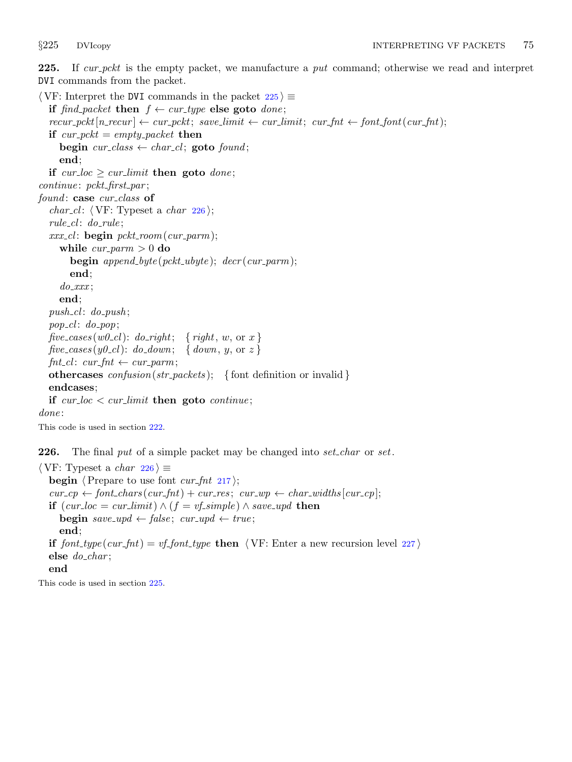<span id="page-74-0"></span>225. If cur pckt is the empty packet, we manufacture a put command; otherwise we read and interpret DVI commands from the packet.

 $\langle$  VF: Interpret the DVI commands in the packet 225  $\rangle \equiv$ if find packet then  $f \leftarrow \text{cur_type}$  else goto done;  $recur\_pckt[n\_recur] \leftarrow cur\_pckt; \; save\_limit \leftarrow cur\_limit; \; cur\_fnt \leftarrow font\_font(\textit{cur\_fnt});$ if  $cur\_pckt = empty\_packet$  then begin  $cur\_class \leftarrow char\_cl$ ; goto found; end; if  $cur\_loc \geq cur\_limit$  then goto done; continue: pckt\_first\_par;  $found: case, cur_class$  of *char\_cl*:  $\langle \text{VF: Typeset a } char 226 \rangle$ ;  $rulecl:  $do$ -rule:$  $xxx_cl$ : begin  $pckt$ -room(cur-parm); while  $cur\_param > 0$  do **begin**  $append\_byte(pckt\_ubyte);$   $decr(cur\_param);$ end;  $do\_xxx;$ end;  $push\_cl$ :  $do\_push$ ;  $pop\_cl: do\_pop;$  $five\text{-}cases (w0\text{-}cl):$  do\_right; { right, w, or x} five\_cases(y0\_cl):  $do\_down$ ; { $down, y,$  or z}  $fnt_cl: \, \textit{cur\_fnt} \leftarrow \textit{cur\_parm};$ othercases  $\text{confusion}(str\_packets);$  { font definition or invalid } endcases; if  $cur\_loc < curl$  imit then goto continue; done:

This code is used in section [222.](#page-73-0)

**226.** The final put of a simple packet may be changed into  $set\_char$  or  $set$ .

 $\langle$  VF: Typeset a *char* 226  $\rangle \equiv$ **begin**  $\langle$  Prepare to use font *cur fnt* [217](#page-71-0) $\rangle$ ;  $cur_c p \leftarrow$  font\_chars (cur\_fnt) + cur\_res; cur\_wp  $\leftarrow$  char\_widths [cur\_cp]; if  $(cur\_loc = cur\_limit) \wedge (f = vf\_simple) \wedge save\_upd$  then **begin** save\_upd  $\leftarrow$  false; cur\_upd  $\leftarrow$  true; end; if font type (cur fnt) = vf font type then  $\langle VF:$  Enter a new recursion level [227](#page-75-0)  $\rangle$ else do\_char; end

This code is used in section 225.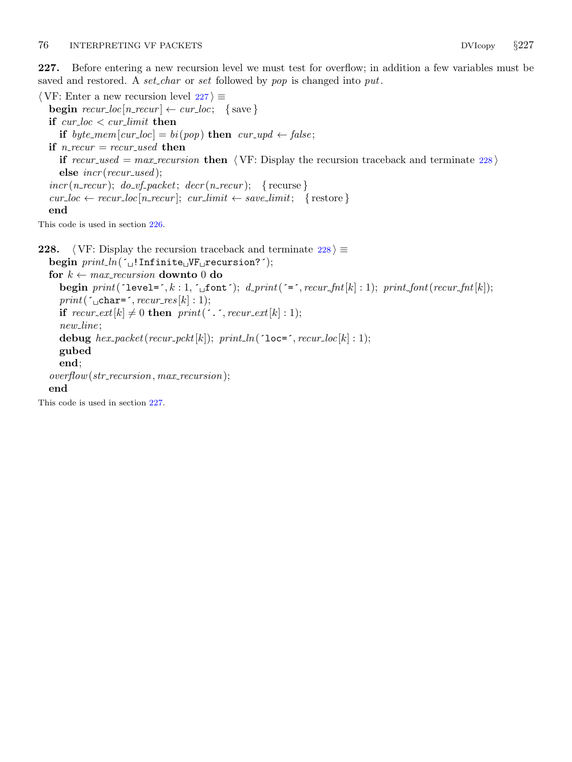<span id="page-75-0"></span>227. Before entering a new recursion level we must test for overflow; in addition a few variables must be saved and restored. A set char or set followed by pop is changed into put.

 $\langle$  VF: Enter a new recursion level 227  $\rangle \equiv$ **begin** recur\_loc[n\_recur]  $\leftarrow cur\_loc;$  {save} if  $cur\_loc < cur\_limit$  then if byte\_mem[cur\_loc] = bi(pop) then cur\_upd  $\leftarrow$  false; if  $n\_recur = recur\_used$  then if recur-used = max recursion then  $\langle VF:$  Display the recursion traceback and terminate 228  $\rangle$ else  $\textit{incr}(\textit{recur\_used});$  $incr(n\_recur);$   $do\_vf\_packet;$   $decr(n\_recur);$  {recurse}  $cur\_loc \leftarrow recur\_loc[n\_recur]$ ;  $cur\_limit \leftarrow save\_limit; \{ \text{ restore } \}$ end

This code is used in section [226.](#page-74-0)

```
228. \langle VF: Display the recursion traceback and terminate 228 \rangle \equivbegin print\_ln( [...] Infinite VF<sub>u</sub>recursion? ^{\circ});
  for k \leftarrow max\_reursion downto 0 do
     begin print('level=', k : 1, 'ifont'); d_print('=', recur_fnt[k]: 1); print_font(recur_fnt[k]);
     print('<sub>Li</sub>char=´, recur_{res}[k] : 1);if recur\_ext[k] \neq 0 then print(\text{``.~}^\cdot, \text{recur\_ext}[k] : 1);new_line;
     debug hex\_packet(recur\_pckt[k]); print\_ln('loc=', recur\_loc[k] : 1);
     gubed
     end;
  overflow(str\_recursion, max\_recursion);end
This code is used in section 227.
```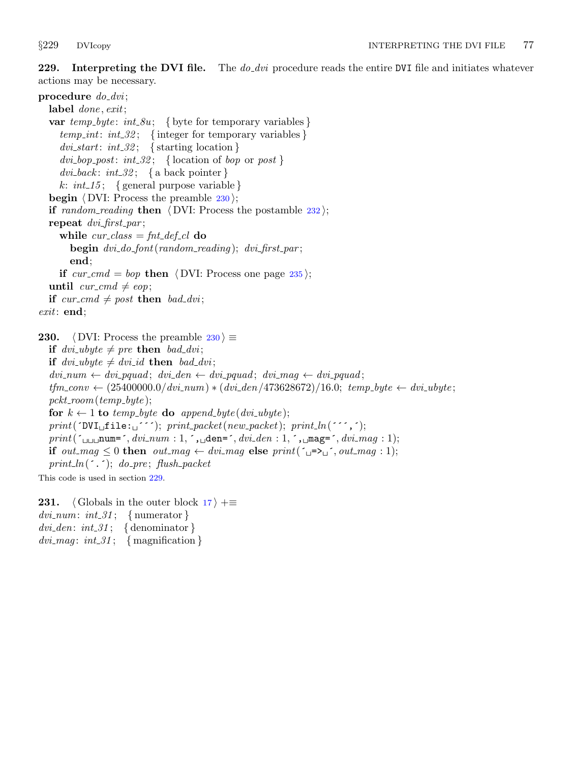<span id="page-76-0"></span>**229.** Interpreting the DVI file. The  $do\_div$  procedure reads the entire DVI file and initiates whatever actions may be necessary.

# procedure  $do\_dvi$ ;

label done, exit; var  $temp\_byte: int\_8u;$  { byte for temporary variables } temp int:  $int: 32$ ; { integer for temporary variables }  $dv_{\mathbf{i}}$  start:  $int_{\mathbf{0}} 32$ ; { starting location }  $divi\_bop\_post: int\_32; \{ location of bop \text{ or } post \}$ dvi\_back:  $int_0^2$ ; { a back pointer } k:  $int_1 15$ ; { general purpose variable } **begin**  $\langle$  DVI: Process the preamble 230 $\rangle$ ; if random reading then  $\langle$  DVI: Process the postamble [232](#page-77-0) $\rangle$ ; repeat  $dv$ *i\_first\_par*; while  $cur\_class = fnt\_def\_cl$  do  $\mathbf{begin} \text{ } div_1 \text{ } do \text{ } font (random\_reading); \text{ } div_1 \text{ } first\_par;$ end; if cur\_cmd = bop then  $\langle$  DVI: Process one page [235](#page-78-0) $\rangle$ ; until  $cur\_cmd \neq eop;$ if  $cur\_cmd \neq post$  then bad\_dvi; exit: end; 230.  $\langle$  DVI: Process the preamble 230  $\rangle \equiv$ if  $dvi\_ubyte \neq pre$  then bad\_dvi; if  $dvi\_ubyte \neq dvi\_id$  then bad\_dvi;  $div_{{\text{num}}} \leftarrow \text{div}_{{\text{p}}q} \text{u} \text{u} \text{d} \text{u}; \text{ div}_{{\text{p}}q} \text{u} \text{d} \text{u} \leftarrow \text{div}_{{\text{p}}q} \text{u} \text{u} \text{d} \text{u}; \text{ div}_{{\text{p}}q} \text{u} \text{u} \leftarrow \text{div}_{{\text{p}}q} \text{u} \text{u} \text{d} \text{u};$ tfm\_conv  $\leftarrow$  (25400000.0/dvi\_num) \* (dvi\_den/473628672)/16.0; temp\_byte  $\leftarrow$  dvi\_ubyte;  $pckt\_room(temp\_byte);$ for  $k \leftarrow 1$  to temp-byte do append-byte (dvi-ubyte);  $print($   $`DVI_{\sqcup}file:_{\sqcup}^{\qquad \cdots})$ ;  $print\_packet(new\_packet)$ ;  $print\_ln($ ``,
`); print(´ num=´, dvi num : 1, ´, den=´, dvi den : 1, ´, mag=´, dvi mag : 1); if out mag  $\leq 0$  then out mag  $\leftarrow$  dvi mag else print( $\left(\left\lceil -\right\rceil \right)$ , out mag : 1);  $print\_ln($  $\cdot$  $\cdot$  $)$ ; do pre; flush packet This code is used in section 229.

231.  $\langle$  Globals in the outer block [17](#page-7-0)  $\rangle$  +≡  $dvi_number: int\_31; \{ numerator\}$  $dvi<sub>1</sub>den: int_31; \{ denominator\}$  $dvi$ *mag*:  $int_0^{\infty} 31$ ; { magnification }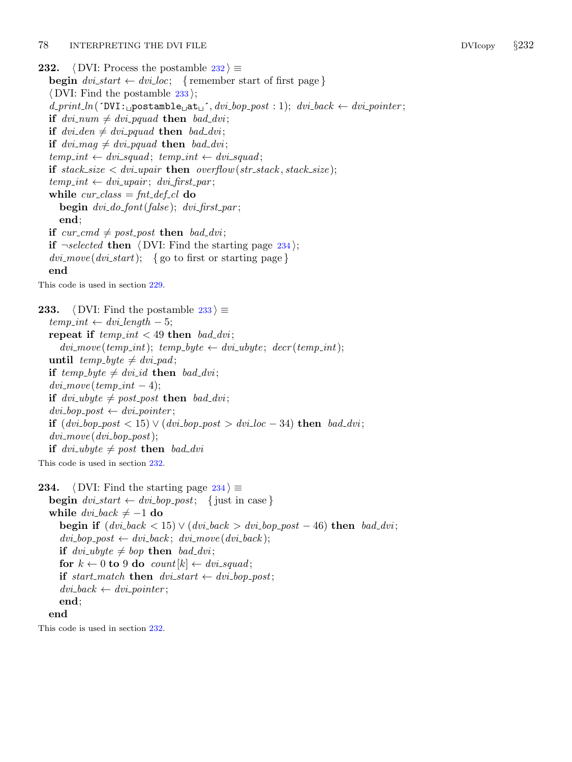```
232. \langle DVI: Process the postamble 232\rangle \equivbegin dvi_start \leftarrow dvi_loc; {remember start of first page}
  \langle DVI: Find the postamble 233\rangle;
  d\_print\_ln( \nuI: \text{upostamble}_{\text{u}}at\text{u}, \text{div}_\text{u} bop post : 1); \text{div}_\text{u}back \leftarrow \text{div}_\text{u}pointer;
  if dvi-num \neq dvi-pquad then bad-dvi;
  if dvi<sub>-\</sub>den \neq dvi<sub>-</sub>pquad then bad<sub>-</sub>dvi;
  if dvi-mag \neq dvi-pquad then bad_dvi;
  temp\_int \leftarrow dvi_squad; temp\_int \leftarrow dvi_squad;if stack_size < \textit{div} upair then overflow(str_stack, stack_size);
  temp\_int \leftarrow dvi\_upair; dvifirst\_par;while cur\_class = fnt\_def\_cl do
     begin dvi_d-font(false); dvi_ffirst_par;
     end;
  if cur_cmd \neq post_post then bad_dvi;
  if \neg selected then \langle DVI: Find the starting page 234\rangle;
  div{.}move (div{.}start); {go to first or starting page}
  end
This code is used in section 229.
233. \langle DVI: Find the postamble 233 \rangle \equivtemp\_int \leftarrow dvi\_length - 5;repeat if temp\_int < 49 then bad\_dvi;
     div{.}move (temp\_int); temp\_byte \leftarrow dvi\_ubyte; decr (temp\_int);until temp\_byte \neq dvipad;
  if temp\_byte \neq dv\_id then bad_dvi;
  dvi move (temp_int - 4);
  if dvi\_ubyte \neq post\_post then bad_dvi;
  dvi\_bop\_post \leftarrow divi\_pointer;if (dvi\_bop\_post < 15) \vee (dvi\_bop\_post > dvi\_loc - 34) then bad\_dvi;
  dvi move (dvi bop post);
  if dvi\_ubyte \neq post then bad_dvi
```
This code is used in section 232.

```
234. \langle DVI: Find the starting page 234 \rangle \equivbegin div\_start \leftarrow div\_bop\_post; \{ just in case \}while dvi\_back \neq -1 do
      begin if (dvi\_back < 15) \vee (dvi\_back > dvi\_bop\_post - 46) then bad_dvi;
      dvi\_bop\_post \leftarrow dvi\_back; dvi\_move (dvi\_back);if dvi\_ubyte \neq bop then bad\_dvi;
      for k \leftarrow 0 to 9 do count [k] \leftarrow \text{div}\text{-}\text{grad};
      if start_match then \text{div}\text{-}\text{start} \leftarrow \text{div}\text{-}\text{loop}\text{-}\text{post};dvi\_back \leftarrow dvi\_pointer;end;
  end
```
This code is used in section 232.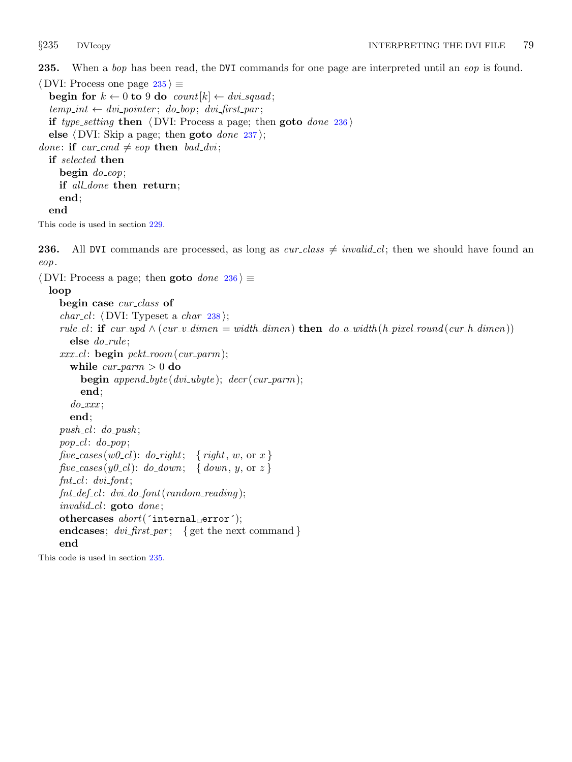<span id="page-78-0"></span>235. When a bop has been read, the DVI commands for one page are interpreted until an eop is found.

 $\langle$  DVI: Process one page 235  $\rangle \equiv$ begin for  $k \leftarrow 0$  to 9 do count  $[k] \leftarrow \text{div}\text{-}\text{grad}$ ;  $temp\_int \leftarrow dvi\_pointer; do\_bop; dvi\_first\_par;$ if type\_setting then  $\langle$  DVI: Process a page; then goto *done* 236  $\rangle$ else  $\langle$  DVI: Skip a page; then goto *done* [237](#page-79-0) $\rangle$ ; done: if  $cur\_cmd \neq eop$  then bad\_dvi; if selected then begin  $do\text{-}eop$ ; if all\_done then return; end;

## end

This code is used in section [229.](#page-76-0)

**236.** All DVI commands are processed, as long as  $cur\_class \neq invalid\_cl$ ; then we should have found an eop.

 $\langle$  DVI: Process a page; then **goto** done 236  $\rangle \equiv$ 

## loop

```
begin case cur_class of
char_cl: \langle DVI: Typeset a char238\rangle;
rule_cl: if cur_wpd \wedge (cur_v_dimen = width_dimen) then do_a_width(h_pixel_round(cur_h_dimen))
  else do_rule;
xxx_cl: begin pckt-room(cur-parm);
  while cur\_param > 0 do
    begin append\_byte(dvi\_ubyte); decr(cur\_param);end;
  do\_xxx;end;
push\_cl: do\_push;pop\_cl: do\_pop;five_cases(w0_cl): do_right; { right, w, or x }
five_cases(y0_cl): do\_down; {down, y, or z}
fnt_cl: \ dvi\_font;fnt\_def\_cl: \ div\_do\_font(rangectimno1;invalid_cl: goto done;
othercases abort('internal`_error');endcases; dvifirst\_par; { get the next command }
end
```
This code is used in section 235.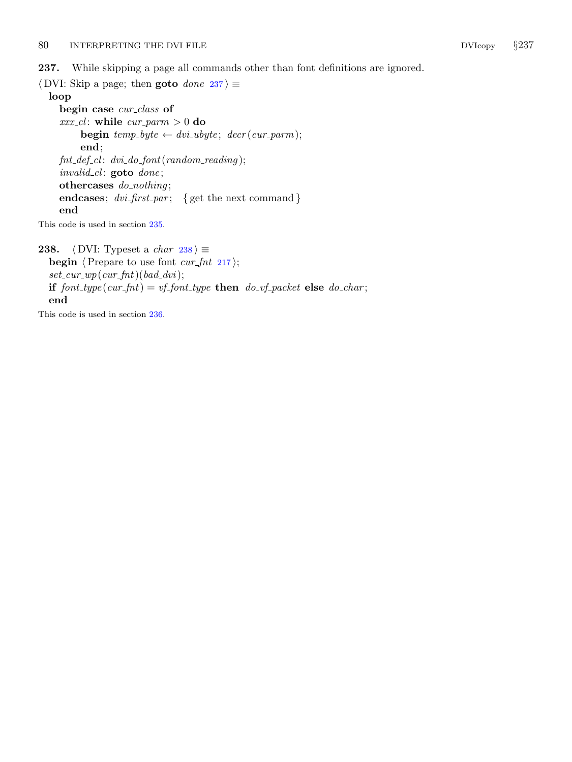<span id="page-79-0"></span>237. While skipping a page all commands other than font definitions are ignored.

```
\langle DVI: Skip a page; then goto done 237 \rangle \equivloop
     begin case cur_class of
     xxx_{-}cl: while cur_{\perp} \mathit{parm} > 0 do
          begin temp\_byte \leftarrow dvi\_ubyte; decr(cur\_param);
          end;
     fnt\_def\_cl: \frac{dv\_do\_font(rangectim111}{dof\_endim111}invalid_cl: goto done;
     othercases do\_nothing;
     endcases; dvifirst\_par; { get the next command }
     end
```
This code is used in section [235.](#page-78-0)

238.  $\langle$  DVI: Typeset a *char* 238  $\rangle \equiv$ begin  $\langle$  Prepare to use font *cur fnt* [217](#page-71-0) $\rangle$ ;  $set\_cur\_wp(cur\_fnt)(bad\_dvi);$ if  $font\_type(cur\_fnt) = vf\_font\_type$  then  $do\_vf\_packet$  else  $do\_char$ ; end

This code is used in section [236.](#page-78-0)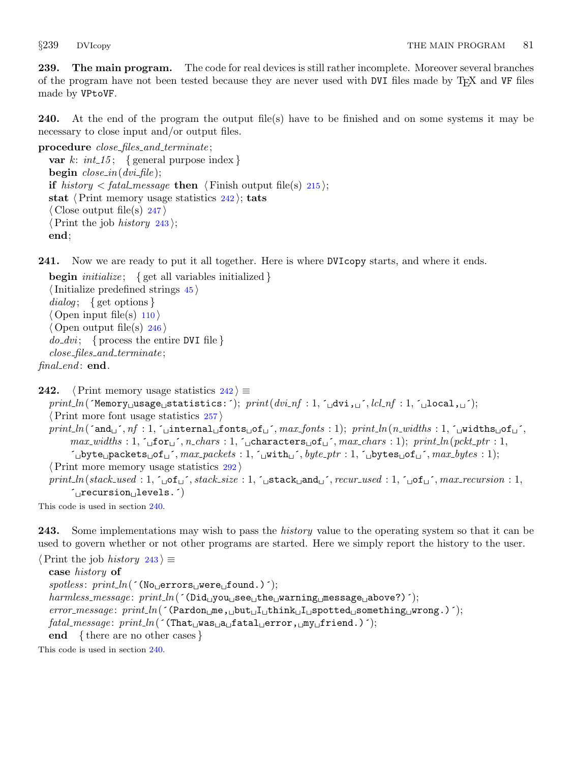<span id="page-80-0"></span>239. The main program. The code for real devices is still rather incomplete. Moreover several branches of the program have not been tested because they are never used with DVI files made by T<sub>E</sub>X and VF files made by VPtoVF.

240. At the end of the program the output file(s) have to be finished and on some systems it may be necessary to close input and/or output files.

procedure close\_files\_and\_terminate;

var k:  $int_1 15$ ; { general purpose index } begin  $close_in(dvi_file);$ if history  $\langle$  fatal\_message then  $\langle$  Finish output file(s) [215](#page-70-0) $\rangle$ ; stat  $\langle$  Print memory usage statistics 242 $\rangle$ ; tats  $\langle$  Close output file(s) [247](#page-81-0))  $\langle$  Print the job *history* 243 ; end;

241. Now we are ready to put it all together. Here is where DVIcopy starts, and where it ends.

```
begin initialize; { get all variables initialized }
  \langle45 \rangledialog; { get options }
  \langle110 \rangle\langle246 \rangledo\_dv_i; { process the entire DVI file }
  close files and terminate ;
final\_end: end.
```
242.  $\langle$  Print memory usage statistics 242  $\rangle \equiv$  $print\_ln($   $\text{Memory\_usage\_statistics:}$ ;  $print(dvinf: 1, \text{ 'dvi, } c', lcl.nf: 1, \text{ 'jlocal, } c');$  $\langle$  Print more font usage statistics [257](#page-82-0) $\rangle$  $print\_ln('and'_i, nf : 1, '$ <sub>u</sub>internal<sub>ui</sub>fonts<sub>u</sub>of<sub>u</sub>', max\_fonts : 1); print\_ln(n\_widths : 1, '<sub>u</sub>widths<sub>u</sub>of<sub>u</sub>',  $max\_widths : 1, 'uforu', n-chars : 1, 'ucharactersu ofu', max-chars : 1); print\_ln(pckt\_ptr : 1, 'uforu', n-chars : 1, 'uforu'.$  $\Delta$  byte packets of  $\Delta$ , max packets : 1,  $\Delta$  with  $\Delta$ , byte ptr : 1,  $\Delta$  bytes of  $\Delta$ , max bytes : 1);  $\langle$  Print more memory usage statistics [292](#page-88-0) $\rangle$  $print\_ln(state\_used : 1, \lceil_0 f_{\sqcup}, stack\_size : 1, \lceil_0 st_{\sqcup},next_{\sqcup} \land \text{rel}_\sqcup,next\_used : 1, \lceil_0 f_{\sqcup},max\_recursion : 1, \lceil_0 f_{\sqcup},next_{\sqcup} \land \text{rel}_\sqcup,next\_size : 1, \lceil_0 f_{\sqcup},next_{\sqcup} \land \text{rel}_\sqcup,next\_size : 1, \lceil_0 f_{\sqcup},next_{\sqcup} \land \text{rel}_\sqcup,next\_size : 1, \lceil_0 f_{\sqcup},next_{\sqcup} \land \text{rel}_\sqcup,next\_size :$  $\sim$  recursion levels.  $\sim$ This code is used in section 240.

243. Some implementations may wish to pass the *history* value to the operating system so that it can be used to govern whether or not other programs are started. Here we simply report the history to the user.

```
\langle Print the job history 243 \rangle \equivcase history of
   spotless: print\_ln( (No<sub>U</sub>errors<sub>U</sub>were<sub>U</sub>found.));
   harmless_message: print\_ln(^\circ (Did_{\cup}you_{\cup}see_{\cup}the_{\cup}warning_{\cup}message_{\cup}above?)^\circ);error-message: print\_ln( (Pardon \text{me}_1 but \text{I}_\text{L}think \text{I}_\text{L} spotted something wrong.) ^{\circ};
   \text{fatal\_message: } \text{print\_ln}(\text{'}(\text{That} \text{__was} \text{__data1} \text{__error}, \text{__my} \text{__friend.})\text{'});end { there are no other cases }
```
This code is used in section 240.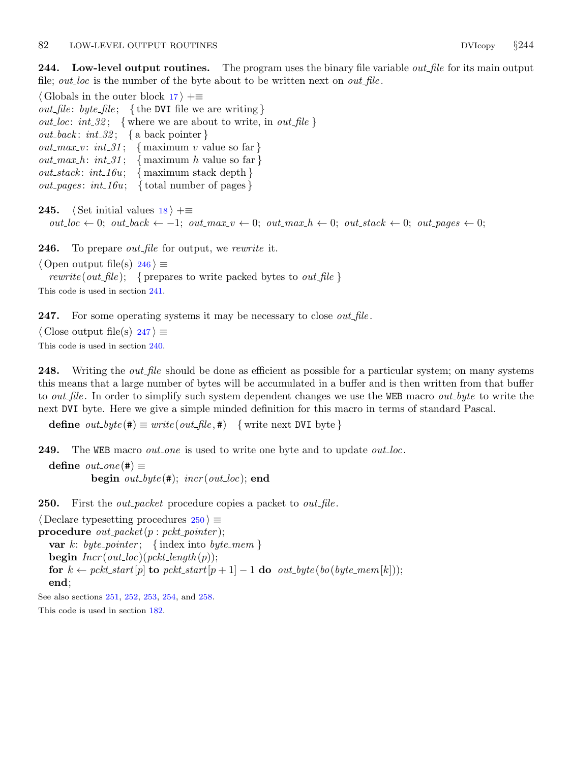<span id="page-81-0"></span>**244.** Low-level output routines. The program uses the binary file variable *out\_file* for its main output file; *out loc* is the number of the byte about to be written next on *out file*.

 $\langle$  Globals in the outer block [17](#page-7-0)  $\rangle$  +≡ *out\_file*: *byte\_file*; { the DVI file we are writing } *out loc:*  $int_{-32}$ ; {where we are about to write, in *out-file* } *out\_back: int\_32;* { a back pointer }  $out\_max_v: int\_31; \{ maximum v value so far \}$ *out\_max\_h: int\_31*; { maximum h value so far }  $out\_stack: int\_16u; \{ maximum stack depth\}$  $out_pages: int_16u; \{ total number of pages \}$ 

**245.**  $\langle$  Set initial values [18](#page-8-0)  $\rangle$  +≡  $out\_loc \leftarrow 0; out\_back \leftarrow -1; out\_max_v \leftarrow 0; out\_max_h \leftarrow 0; out\_stack \leftarrow 0; out\_pages \leftarrow 0;$ 

**246.** To prepare *out\_file* for output, we rewrite it.

 $\langle$  Open output file(s) 246  $\rangle \equiv$ 

rewrite (out file); { prepares to write packed bytes to out file } This code is used in section [241.](#page-80-0)

**247.** For some operating systems it may be necessary to close *out* file.

 $\langle$  Close output file(s) 247  $\rangle \equiv$ This code is used in section [240.](#page-80-0)

**248.** Writing the *out file* should be done as efficient as possible for a particular system; on many systems this means that a large number of bytes will be accumulated in a buffer and is then written from that buffer to *out file*. In order to simplify such system dependent changes we use the WEB macro *out byte* to write the next DVI byte. Here we give a simple minded definition for this macro in terms of standard Pascal.

define  $out\_byte(\#) \equiv write(out\_file, \#)$  {write next DVI byte}

**249.** The WEB macro *out one* is used to write one byte and to update *out loc*.

define  $out\_one(\#) \equiv$ begin  $out_byte(\#);$  incr(out\_loc); end

**250.** First the *out-packet* procedure copies a packet to *out-file*.

 $\langle$  Declare typesetting procedures 250  $\rangle \equiv$ procedure  $out\_packet(p : pckt\_pointer);$ var k: byte\_pointer; { index into byte\_mem } begin  $Incr(out\_loc)(pckt\_length(p));$ for  $k \leftarrow pckt\_start[p]$  to  $pckt\_start[p+1] - 1$  do  $out\_byte(bo(byte\_mem[k]))$ ; end;

See also sections [251](#page-82-0), [252](#page-82-0), [253](#page-82-0), [254,](#page-82-0) and [258](#page-83-0).

This code is used in section [182.](#page-63-0)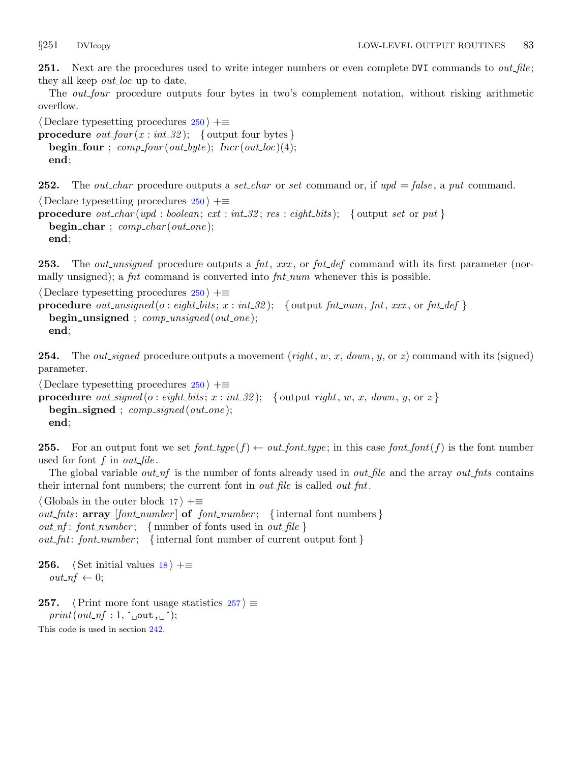<span id="page-82-0"></span>**251.** Next are the procedures used to write integer numbers or even complete DVI commands to *out-file*; they all keep *out-loc* up to date.

The *out-four* procedure outputs four bytes in two's complement notation, without risking arithmetic overflow.

```
\langle250 \rangle +\equivprocedure out\_four(x: int\_32); { output four bytes }
  begin_four ; comp\_four(out\_byte); Incr(out\_loc)(4);
 end;
```
**252.** The *out\_char* procedure outputs a *set\_char* or *set* command or, if  $upd = false$ , a put command.

 $\langle$  Declare typesetting procedures [250](#page-81-0)  $\rangle$  +≡

```
procedure out_char (upd : boolean; ext : int_32; res : eight_bits); { output set or put }
  beginedown char ; comp\_char(out\_one);end;
```
**253.** The *out unsigned* procedure outputs a fnt, xxx, or fnt def command with its first parameter (normally unsigned); a fnt command is converted into  $fnt_number$  whenever this is possible.

 $\langle$  Declare typesetting procedures [250](#page-81-0)  $\rangle$  +≡

```
procedure out_unsigned (o: eight_bits; x : int.32); { output fnt_num, fnt, xxx, or fnt_def }
   begin{aligned} \n\textbf{begin\_unsigned} ; \n\textit{comp\_unsigned}(out\_one); \n\end{aligned}end;
```
**254.** The *out\_signed* procedure outputs a movement (*right, w, x, down, y, or z*) command with its (signed) parameter.

 $\langle$  Declare typesetting procedures [250](#page-81-0)  $\rangle$  +≡ **procedure** *out signed* (*o*: *eight bits*;  $x : int_{32}$ ); { output *right*,  $w, x, down, y,$  or  $z$ }  $begining$  is signed ;  $comp\_signed(out\_one)$ ; end;

255. For an output font we set  $font_type(f) \leftarrow outfont_type$ ; in this case font font(f) is the font number used for font f in *out\_file*.

The global variable *out nf* is the number of fonts already used in *out file* and the array *out fnts* contains their internal font numbers; the current font in *out file* is called *out fnt*.

 $\langle$  Globals in the outer block [17](#page-7-0)  $\rangle$  +≡  $out\_fnts$ : array  $[font_number]$  of  $font_number$ ; {internal font numbers}  $out\_nf$ : font\_number; { number of fonts used in *out\_file* }

 $out\_fnt: font_number; \{ internal font number of current output font \}$ 

**256.**  $\langle$  Set initial values [18](#page-8-0)  $\rangle$  +≡  $out\_nf \leftarrow 0;$ 

257.  $\langle$  Print more font usage statistics 257  $\rangle \equiv$  $print(out\_nf : 1, \lnot\_out, \lnot);$ 

This code is used in section [242.](#page-80-0)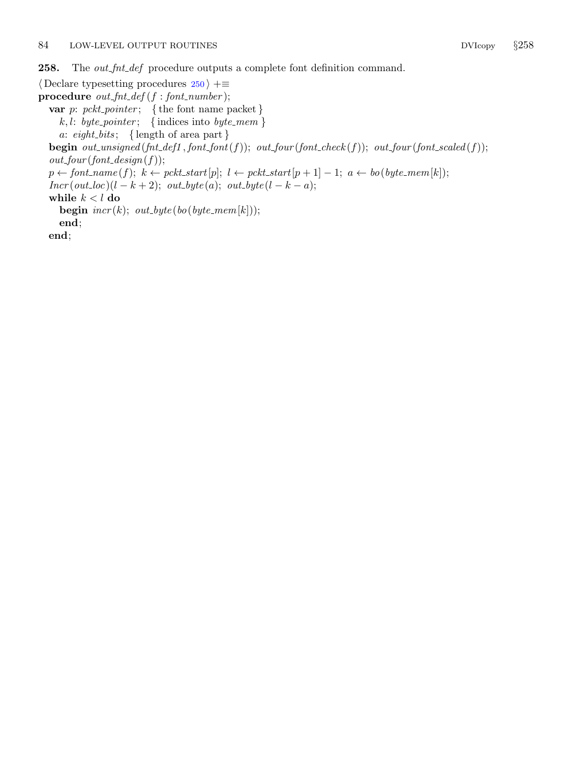<span id="page-83-0"></span>258. The *out\_fnt\_def* procedure outputs a complete font definition command.

 $\langle$  Declare typesetting procedures [250](#page-81-0)  $\rangle$  +≡ procedure  $out\_fnt\_def(f:font_number);$ var p: pckt\_pointer; { the font name packet }  $k, l: byte\_pointer; \{ indices into byte\_mem \}$ a: eight\_bits; { length of area part } **begin** out\_unsigned(fnt\_def1,font\_font(f)); out\_four(font\_check(f)); out\_four(font\_scaled(f));  $out\_four(font\_design(f));$  $p \leftarrow font_name(f); k \leftarrow pckt.start[p]; l \leftarrow pckt.start[p + 1] - 1; a \leftarrow bo(\text{byte} \text{__mem}[k]);$  $Incr(out\_loc)(l - k + 2); out\_byte(a); out\_byte(l - k - a);$ while  $k < l$  do **begin**  $incr(k)$ ;  $out\_byte(bo(byte\_mem[k]))$ ; end;

end;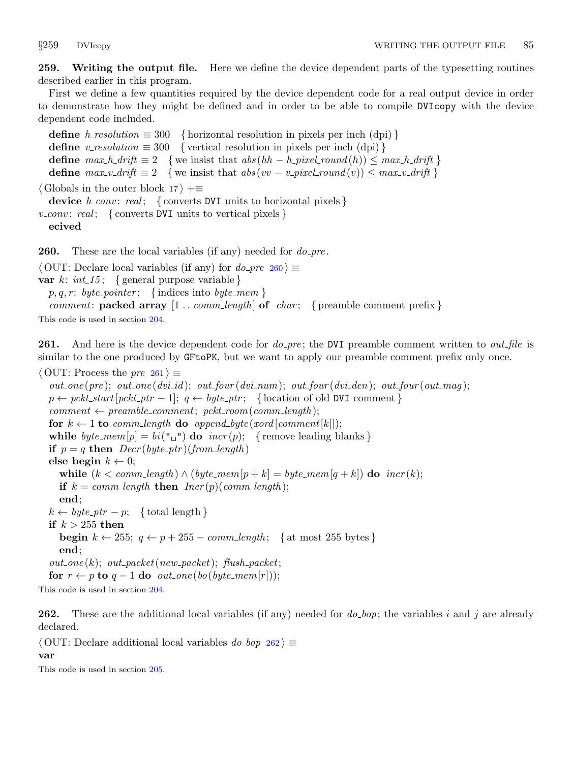<span id="page-84-0"></span>259. Writing the output file. Here we define the device dependent parts of the typesetting routines described earlier in this program.

First we define a few quantities required by the device dependent code for a real output device in order to demonstrate how they might be defined and in order to be able to compile DVIcopy with the device dependent code included.

define h\_resolution  $\equiv 300 \mod 1$  horizontal resolution in pixels per inch (dpi) } **define**  $v$ -resolution  $\equiv 300$  { vertical resolution in pixels per inch (dpi) } define  $max_hdrift \equiv 2$  {we insist that  $abs(hh - h\_pixel\_round(h)) \leq max_hdrift$ } define  $max_v \text{Left} \equiv 2$  {we insist that  $abs(vv - v\_pixel\_round(v)) \leq max_v \text{Left}$ }

 $\langle$  Globals in the outer block [17](#page-7-0)  $\rangle$  +≡

device  $h_{\text{-}}conv: \text{ } real;$  { converts DVI units to horizontal pixels }

*v*\_conv: real; { converts DVI units to vertical pixels }

ecived

**260.** These are the local variables (if any) needed for  $do\_pre$ .

 $\langle$  OUT: Declare local variables (if any) for  $do\_pre$  260  $\rangle \equiv$ 

var k:  $int_1 15$ ; { general purpose variable }

 $p, q, r: byte\_pointer; \{ indices into byte\_mem \}$ 

comment: packed array  $[1 \tots \t comm\_length]$  of char; { preamble comment prefix }

This code is used in section [204.](#page-67-0)

**261.** And here is the device dependent code for *do\_pre*; the DVI preamble comment written to *out\_file* is similar to the one produced by GFtoPK, but we want to apply our preamble comment prefix only once.

### $\langle$  OUT: Process the pre 261  $\rangle \equiv$

 $out\_one$  (pre); out one (dvi id); out four (dvi num); out four (dvi den); out four (out mag);  $p \leftarrow pckt\_start[pckt\_ptr-1]; q \leftarrow byte\_ptr; \{location of old DVI comment\}$  $comment \leftarrow \textit{preamble\_comment}; \, \textit{pckt\_room}(\textit{comm\_length});$ for  $k \leftarrow 1$  to comm\_length do append\_byte(xord [comment  $|k||$ ); while  $byte\_mem[p] = bi("\_")$  do  $incr(p);$  {remove leading blanks} if  $p = q$  then  $Decr(byte\_ptr)(from\_length)$ else begin  $k \leftarrow 0$ ; while  $(k < comm\_length) \wedge (byte\_mem[p+k] = byte\_mem[q+k])$  do  $incr(k);$ if  $k = comm\_length$  then  $Incr(p)(comm\_length)$ ; end;  $k \leftarrow byte\_ptr - p; \text{ { total length }}$ if  $k > 255$  then **begin**  $k \leftarrow 255$ ;  $q \leftarrow p + 255 - comm\_length$ ; {at most 255 bytes} end;  $out\_one(k);$  out\_packet(new\_packet); flush\_packet; for  $r \leftarrow p$  to  $q - 1$  do out\_one(bo(byte\_mem[r]));

This code is used in section [204.](#page-67-0)

**262.** These are the additional local variables (if any) needed for  $do\_bop$ ; the variables i and j are already declared.

 $\langle$  OUT: Declare additional local variables  $do_{\text{-}}bop$  262 $\rangle \equiv$ var

This code is used in section [205.](#page-68-0)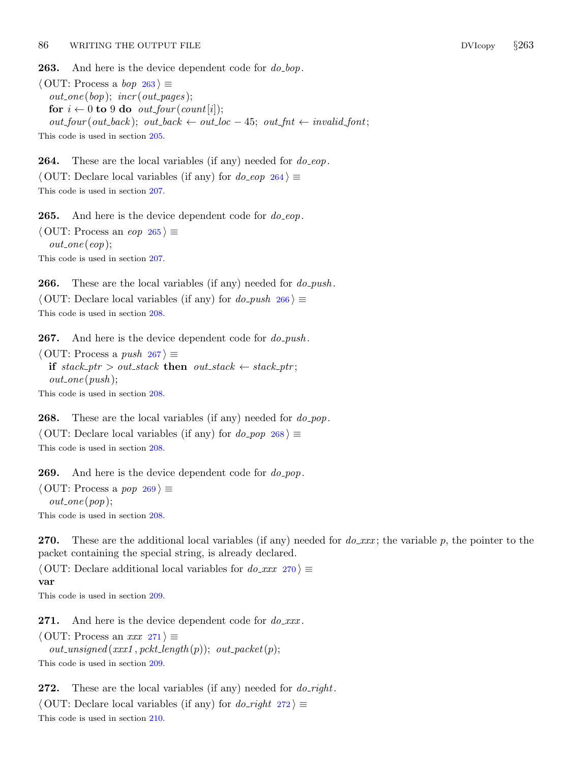<span id="page-85-0"></span>**263.** And here is the device dependent code for  $do_b$ .

 $\langle$  OUT: Process a *bop* 263  $\rangle \equiv$  $out\_one(bop);$  incr(out\_pages); for  $i \leftarrow 0$  to 9 do *out\_four* (*count*[i]);  $out\_four(out\_back); out\_back \leftarrow out\_loc - 45; out\_fnt \leftarrow invalid\_font;$ This code is used in section [205.](#page-68-0)

**264.** These are the local variables (if any) needed for  $do\text{-}eop$ .

 $\langle$  OUT: Declare local variables (if any) for do\_eop 264  $\rangle \equiv$ This code is used in section [207.](#page-68-0)

**265.** And here is the device dependent code for  $do\text{-}eop$ .

 $\langle$  OUT: Process an *eop* 265  $\rangle \equiv$  $out\_one(eop);$ This code is used in section [207.](#page-68-0)

**266.** These are the local variables (if any) needed for  $do\_push$ .  $\langle$  OUT: Declare local variables (if any) for do *push* 266  $\rangle \equiv$ This code is used in section [208.](#page-69-0)

**267.** And here is the device dependent code for  $do\_push$ .

 $\langle$  OUT: Process a *push*  $267$   $\equiv$ if stack\_ptr > out\_stack then out\_stack  $\leftarrow$  stack\_ptr;  $out\_one(push);$ This code is used in section [208.](#page-69-0)

**268.** These are the local variables (if any) needed for  $do\_pop$ .  $\langle$  OUT: Declare local variables (if any) for  $d\rho_0$  pop 268  $\rangle \equiv$ This code is used in section [208.](#page-69-0)

**269.** And here is the device dependent code for  $do\_pop$ .

 $\langle$  OUT: Process a pop 269  $\rangle \equiv$  $out\_one (pop);$ This code is used in section [208.](#page-69-0)

**270.** These are the additional local variables (if any) needed for  $do\_xxx$ ; the variable p, the pointer to the packet containing the special string, is already declared.

 $\langle$  OUT: Declare additional local variables for  $do\_xxx$  270  $\rangle \equiv$ var This code is used in section [209.](#page-69-0)

**271.** And here is the device dependent code for  $do\_xxx$ .

 $\langle$  OUT: Process an *xxx* 271  $\rangle \equiv$ 

 $out\_unsigned(xx1, pckt\_length(p)); out\_packet(p);$ This code is used in section [209.](#page-69-0)

**272.** These are the local variables (if any) needed for  $do\_right$ .  $\langle$  OUT: Declare local variables (if any) for *do\_right*  $272$   $\equiv$ This code is used in section [210.](#page-69-0)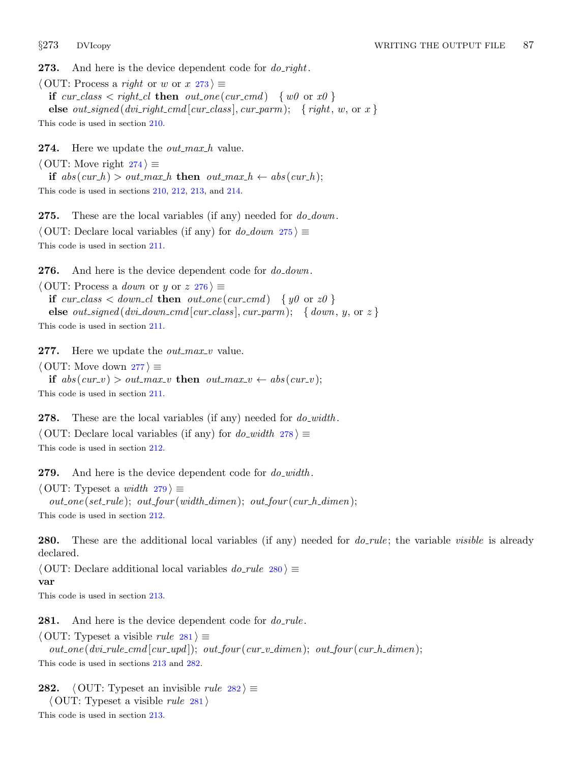<span id="page-86-0"></span>**273.** And here is the device dependent code for  $do\_right$ .

 $\langle$  OUT: Process a *right* or w or x 273  $\rangle \equiv$ if cur class  $\langle$  right cl then out one (cur cmd)  $\{ w0 \text{ or } x0 \}$ else  $out\_signed$  (dvi\_right\_cmd [cur\_class], cur\_parm); { right, w, or x} This code is used in section [210.](#page-69-0)

274. Here we update the *out\_max\_h* value.

 $\langle$  OUT: Move right 274  $\rangle \equiv$ if  $abs(cur_h) > out_max_h$  then  $out_max_h \leftarrow abs(cur_h);$ This code is used in sections [210,](#page-69-0) [212,](#page-70-0) [213,](#page-70-0) and [214](#page-70-0).

**275.** These are the local variables (if any) needed for  $do\_down$ .  $\langle$  OUT: Declare local variables (if any) for do\_down 275  $\rangle \equiv$ 

This code is used in section [211.](#page-69-0)

**276.** And here is the device dependent code for  $do\_down$ .

```
\langle OUT: Process a down or y or z 276 \rangle \equiv
```
if cur class  $\langle$  down cl then out one (cur cmd)  $\{y0 \text{ or } z0\}$ else  $out\_signed$  (dvi\_down\_cmd [cur\_class], cur\_parm); { down, y, or z } This code is used in section [211.](#page-69-0)

277. Here we update the  $out\_max\_v$  value.

 $\langle$  OUT: Move down 277  $\rangle \equiv$ 

if  $abs(cur_v) > out_max_v$  then  $out_max_v \leftarrow abs(cur_v);$ This code is used in section [211.](#page-69-0)

**278.** These are the local variables (if any) needed for  $do\_width$ .  $\langle$  OUT: Declare local variables (if any) for do\_width  $278$   $\equiv$ This code is used in section [212.](#page-70-0)

**279.** And here is the device dependent code for  $do\_width$ .

 $\langle$  OUT: Typeset a *width* 279  $\rangle \equiv$  $out\_one (set\_rule); out\_four (width\_dimen); out\_four (cur\_h\_dimen);$ This code is used in section [212.](#page-70-0)

**280.** These are the additional local variables (if any) needed for  $do$ -rule; the variable visible is already declared.

 $\langle$  OUT: Declare additional local variables  $do$ -rule 280  $\rangle \equiv$ var

This code is used in section [213.](#page-70-0)

**281.** And here is the device dependent code for  $do$ -rule.

 $\langle$  OUT: Typeset a visible *rule* 281  $\rangle \equiv$ 

 $out\_one$  (dvi\_rule\_cmd [cur\_upd]); out\_four (cur\_v\_dimen); out\_four (cur\_h\_dimen); This code is used in sections [213](#page-70-0) and 282.

282.  $\langle$  OUT: Typeset an invisible *rule* 282  $\rangle \equiv$  $\langle$  OUT: Typeset a visible *rule* 281  $\rangle$ This code is used in section [213.](#page-70-0)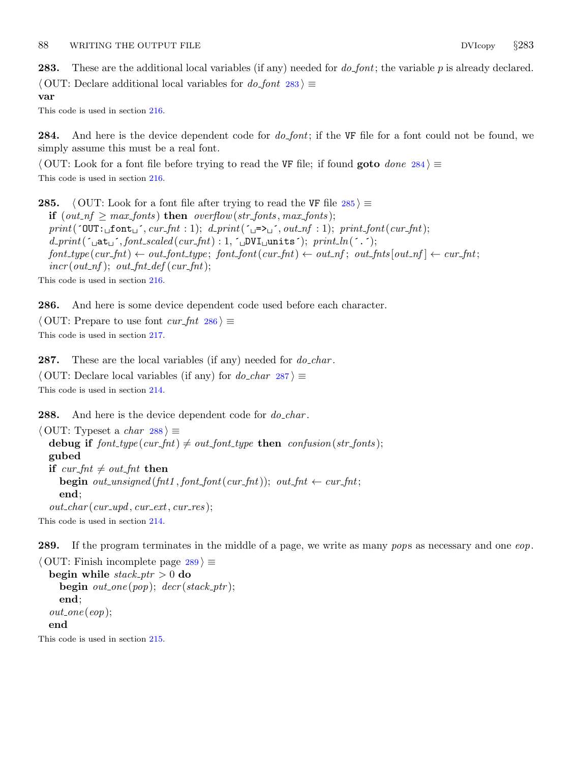<span id="page-87-0"></span>**283.** These are the additional local variables (if any) needed for  $do_{font}$ ; the variable p is already declared.  $\langle$  OUT: Declare additional local variables for *do\_font* 283 $\rangle \equiv$ var

This code is used in section [216.](#page-71-0)

**284.** And here is the device dependent code for  $do_{-}font$ ; if the VF file for a font could not be found, we simply assume this must be a real font.

 $\langle$  OUT: Look for a font file before trying to read the VF file; if found goto *done* 284 $\rangle \equiv$ This code is used in section [216.](#page-71-0)

285.  $\langle$  OUT: Look for a font file after trying to read the VF file 285  $\rangle \equiv$ if  $(out\_nf \geq max\_fonts)$  then overflow(str\_fonts, max\_fonts);  $print($   $'OUT: \mathsf{GUT}$ ,  $cur\_fnt : 1)$ ;  $d\_print($   $\mathsf{G} \rightarrow \mathsf{G}$ ,  $out\_nf : 1)$ ;  $print\_font(cur\_fnt)$ ;  $d\_print(\ulcorner \text{at}_\sqcup \urcorner, font\_scaled(cur\_fnt) : 1, \ulcorner \text{_DVI}\sqcup \text{units}\urcorner); print\_ln(\urcorner \urcorner);$  $font\_type (cur\_fnt) \leftarrow out\_font\_type; font\_font(cur\_fnt) \leftarrow out\_nf; out\_fnts[out\_nf] \leftarrow cur\_fnt;$  $incr(out\_nf); \ out\_fnt\_def(cur\_fnt);$ 

This code is used in section [216.](#page-71-0)

286. And here is some device dependent code used before each character.

 $\langle$  OUT: Prepare to use font *cur\_fnt* 286  $\rangle \equiv$ This code is used in section [217.](#page-71-0)

**287.** These are the local variables (if any) needed for  $do\_char$ .

 $\langle$  OUT: Declare local variables (if any) for *do\_char*  $287$   $\equiv$ This code is used in section [214.](#page-70-0)

**288.** And here is the device dependent code for  $do\_char$ .

```
\langle OUT: Typeset a char 288 \rangle \equivdebug if font\_type(cur\_fnt) \neq out\_font\_type then confusion(str\_font);
  gubed
  if cur finit \neq out\_fnt then
     begin out_unsigned(fnt1, font_font(cur_fnt)); out_fnt \leftarrow cur_fnt;
     end;
  out\_char (cur_upd, cur_ext, cur_res);
```
This code is used in section [214.](#page-70-0)

**289.** If the program terminates in the middle of a page, we write as many pops as necessary and one eop.

```
\langle OUT: Finish incomplete page 289 \rangle \equivbegin while stack\_ptr > 0 do
     begin out\_one(pop); decr (stack\_ptr);end;
  out\_one(\mathit{eop});end
```
This code is used in section [215.](#page-70-0)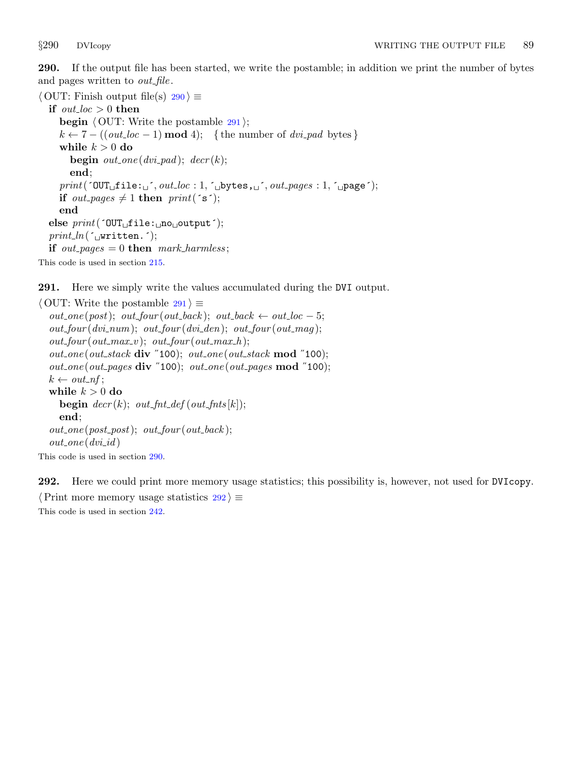<span id="page-88-0"></span>290. If the output file has been started, we write the postamble; in addition we print the number of bytes and pages written to *out\_file*.

 $\langle$  OUT: Finish output file(s) 290  $\rangle \equiv$ if  $out\_loc > 0$  then **begin**  $\langle$  OUT: Write the postamble  $291$  ;  $k \leftarrow 7 - ((out\_loc - 1) \mod 4);$  {the number of dvi\_pad bytes} while  $k > 0$  do begin  $out\_one$  (dvi\_pad); decr(k); end;  $print($   $'OUT_\sqcup filter:_{\sqcup}^{\prime}, out\_loc: 1, \lcdot_{\sqcup} bytes, \sqcup, out\_pages: 1, \lcdot_{\sqcup} page);$ if out pages  $\neq 1$  then print( $\check{\mathsf{s}}$ ); end else  $print('OUT_{\sqcup}file:\sqcup no_{\sqcup}output$ ;  $print\_ln($  ( $\lnot$ written.  $\lnot$ ); if out pages  $= 0$  then mark harmless; This code is used in section [215.](#page-70-0)

291. Here we simply write the values accumulated during the DVI output.

 $\langle$  OUT: Write the postamble 291  $\rangle \equiv$  $out\_one (post); out\_four (out\_back); out\_back \leftarrow out\_loc - 5;$  $out\_four(dvi\_num); out\_four(dvi\_den); out\_four(out\_may);$  $out\_four(out\_max_v); out\_four(out\_max_h);$  $out\_one(out\_stack$  div  $"100);$   $out\_one(out\_stack$  mod  $"100);$  $out\_one(out\_pages$  div  $"100);$   $out\_one(out\_pages$  mod  $"100);$  $k \leftarrow out_n f;$ while  $k > 0$  do begin  $decr(k)$ ; out\_fnt\_def (out\_fnts[k]); end;  $out\_one (post\_post); out\_four (out\_back);$  $out\_one$  (dvi\_id) This code is used in section 290.

292. Here we could print more memory usage statistics; this possibility is, however, not used for DVIcopy.  $\langle$  Print more memory usage statistics 292 $\rangle \equiv$ 

This code is used in section [242.](#page-80-0)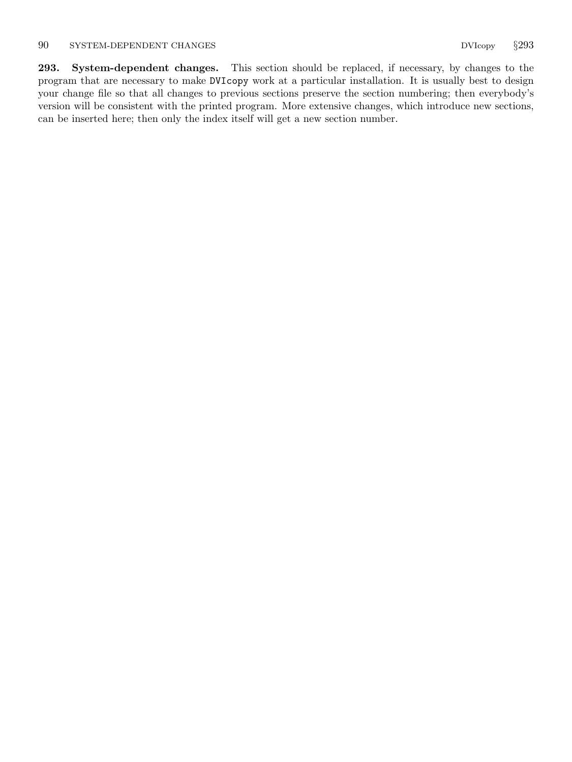<span id="page-89-0"></span>293. System-dependent changes. This section should be replaced, if necessary, by changes to the program that are necessary to make DVIcopy work at a particular installation. It is usually best to design your change file so that all changes to previous sections preserve the section numbering; then everybody's version will be consistent with the printed program. More extensive changes, which introduce new sections, can be inserted here; then only the index itself will get a new section number.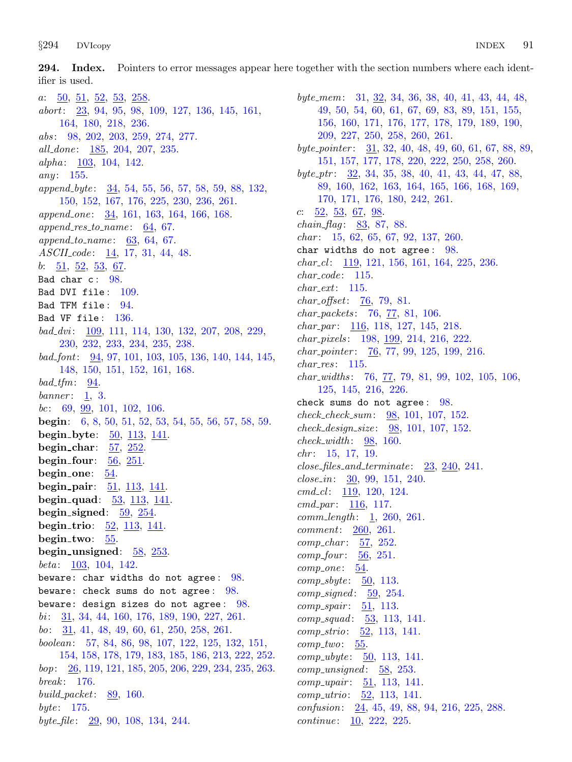294. Index. Pointers to error messages appear here together with the section numbers where each identifier is used.

a: [50,](#page-17-0) [51,](#page-17-0) [52](#page-17-0), [53,](#page-18-0) [258](#page-83-0). abort: [23,](#page-9-0) [94](#page-32-0), [95](#page-32-0), [98](#page-34-0), [109,](#page-39-0) [127,](#page-44-0) [136,](#page-46-0) [145,](#page-49-0) [161](#page-55-0), [164,](#page-56-0) [180](#page-62-0), [218](#page-72-0), [236.](#page-78-0) abs: [98,](#page-34-0) [202,](#page-66-0) [203,](#page-67-0) [259,](#page-84-0) [274,](#page-86-0) [277.](#page-86-0) all\_done: [185,](#page-63-0) [204,](#page-67-0) [207](#page-68-0), [235](#page-78-0). alpha:  $\frac{103}{104}$ , [104,](#page-37-0) [142](#page-47-0). any:  $155$ .  $append\_byte: 34, 54, 55, 56, 57, 58, 59, 88, 132,$  $append\_byte: 34, 54, 55, 56, 57, 58, 59, 88, 132,$  $append\_byte: 34, 54, 55, 56, 57, 58, 59, 88, 132,$  $append\_byte: 34, 54, 55, 56, 57, 58, 59, 88, 132,$  $append\_byte: 34, 54, 55, 56, 57, 58, 59, 88, 132,$  $append\_byte: 34, 54, 55, 56, 57, 58, 59, 88, 132,$  $append\_byte: 34, 54, 55, 56, 57, 58, 59, 88, 132,$  $append\_byte: 34, 54, 55, 56, 57, 58, 59, 88, 132,$  $append\_byte: 34, 54, 55, 56, 57, 58, 59, 88, 132,$  $append\_byte: 34, 54, 55, 56, 57, 58, 59, 88, 132,$  $append\_byte: 34, 54, 55, 56, 57, 58, 59, 88, 132,$  $append\_byte: 34, 54, 55, 56, 57, 58, 59, 88, 132,$  $append\_byte: 34, 54, 55, 56, 57, 58, 59, 88, 132,$  $append\_byte: 34, 54, 55, 56, 57, 58, 59, 88, 132,$  $append\_byte: 34, 54, 55, 56, 57, 58, 59, 88, 132,$  $append\_byte: 34, 54, 55, 56, 57, 58, 59, 88, 132,$  $append\_byte: 34, 54, 55, 56, 57, 58, 59, 88, 132,$  $append\_byte: 34, 54, 55, 56, 57, 58, 59, 88, 132,$ [150,](#page-50-0) [152](#page-51-0), [167,](#page-57-0) [176](#page-60-0), [225,](#page-74-0) [230](#page-76-0), [236,](#page-78-0) [261](#page-84-0). append\_one: [34,](#page-13-0) [161](#page-55-0), [163](#page-55-0), [164,](#page-56-0) [166](#page-56-0), [168.](#page-57-0)  $append\_res\_to\_name:$   $64, 67.$  $64, 67.$  $64, 67.$  $64, 67.$  $append\_to\_name: 63, 64, 67.$  $append\_to\_name: 63, 64, 67.$  $append\_to\_name: 63, 64, 67.$  $append\_to\_name: 63, 64, 67.$  $append\_to\_name: 63, 64, 67.$  $append\_to\_name: 63, 64, 67.$ ASCII<sub>-code</sub>: [14,](#page-7-0) [17,](#page-7-0) [31,](#page-12-0) [44](#page-15-0), [48](#page-16-0). b:  $\frac{51}{52}$ ,  $\frac{52}{53}$ ,  $\frac{67}{54}$ . Bad char  $c: 98$  $c: 98$ . Bad DVI file:  $109$ . Bad TFM file: [94.](#page-32-0) Bad VF file: [136](#page-46-0). bad dvi : [109,](#page-39-0) [111,](#page-39-0) [114](#page-40-0), [130](#page-45-0), [132,](#page-45-0) [207,](#page-68-0) [208,](#page-69-0) [229](#page-76-0), [230,](#page-76-0) [232,](#page-77-0) [233,](#page-77-0) [234,](#page-77-0) [235,](#page-78-0) [238.](#page-79-0)  $bad\_font: 94, 97, 101, 103, 105, 136, 140, 144, 145,$  $bad\_font: 94, 97, 101, 103, 105, 136, 140, 144, 145,$  $bad\_font: 94, 97, 101, 103, 105, 136, 140, 144, 145,$  $bad\_font: 94, 97, 101, 103, 105, 136, 140, 144, 145,$  $bad\_font: 94, 97, 101, 103, 105, 136, 140, 144, 145,$  $bad\_font: 94, 97, 101, 103, 105, 136, 140, 144, 145,$  $bad\_font: 94, 97, 101, 103, 105, 136, 140, 144, 145,$  $bad\_font: 94, 97, 101, 103, 105, 136, 140, 144, 145,$  $bad\_font: 94, 97, 101, 103, 105, 136, 140, 144, 145,$  $bad\_font: 94, 97, 101, 103, 105, 136, 140, 144, 145,$  $bad\_font: 94, 97, 101, 103, 105, 136, 140, 144, 145,$  $bad\_font: 94, 97, 101, 103, 105, 136, 140, 144, 145,$  $bad\_font: 94, 97, 101, 103, 105, 136, 140, 144, 145,$  $bad\_font: 94, 97, 101, 103, 105, 136, 140, 144, 145,$  $bad\_font: 94, 97, 101, 103, 105, 136, 140, 144, 145,$  $bad\_font: 94, 97, 101, 103, 105, 136, 140, 144, 145,$  $bad\_font: 94, 97, 101, 103, 105, 136, 140, 144, 145,$  $bad\_font: 94, 97, 101, 103, 105, 136, 140, 144, 145,$  $bad\_font: 94, 97, 101, 103, 105, 136, 140, 144, 145,$ [148,](#page-50-0) [150,](#page-50-0) [151,](#page-51-0) [152,](#page-51-0) [161,](#page-55-0) [168.](#page-57-0)  $bad\_tfm: 94.$  $bad\_tfm: 94.$  $bad\_tfm: 94.$ banner:  $\mathbf{1}, \mathbf{3}.$  $\mathbf{1}, \mathbf{3}.$  $\mathbf{1}, \mathbf{3}.$ bc: [69](#page-25-0), [99,](#page-35-0) [101](#page-36-0), [102,](#page-36-0) [106](#page-38-0). begin: [6](#page-3-0), [8,](#page-4-0) [50,](#page-17-0) [51,](#page-17-0) [52,](#page-17-0) [53](#page-18-0), [54](#page-18-0), [55](#page-18-0), [56](#page-19-0), [57](#page-19-0), [58,](#page-20-0) [59.](#page-21-0) begin\_byte:  $\frac{50}{113}$  $\frac{50}{113}$  $\frac{50}{113}$  $\frac{50}{113}$  $\frac{50}{113}$ ,  $\frac{141}{141}$ . begin\_char:  $57, 252$  $57, 252$  $57, 252$ . begin\_four:  $\underline{56}$ ,  $\underline{251}$  $\underline{251}$  $\underline{251}$ . begin one:  $54$ . begin pair:  $51, 113, 141$  $51, 113, 141$  $51, 113, 141$  $51, 113, 141$ .  $begin_{eq:} \textbf{begin} 13, 141. \end{cases}$  $begin_{eq:} \textbf{begin} 13, 141. \end{cases}$  $begin_{eq:} \textbf{begin} 13, 141. \end{cases}$ begin\_signed:  $59, 254$  $59, 254$  $59, 254$ . begin\_trio:  $52, 113, 141$  $52, 113, 141$  $52, 113, 141$  $52, 113, 141$  $52, 113, 141$ . begin\_two:  $55$ . begin\_unsigned:  $58$ ,  $253$ . *beta* :  $103, 104, 142$  $103, 104, 142$  $103, 104, 142$  $103, 104, 142$  $103, 104, 142$ . beware: char widths do not agree: [98](#page-34-0). beware: check sums do not agree:  $98$ . beware: design sizes do not agree:  $98$ . bi : [31,](#page-12-0) [34](#page-13-0), [44,](#page-15-0) [160](#page-54-0), [176](#page-60-0), [189,](#page-64-0) [190](#page-64-0), [227,](#page-75-0) [261](#page-84-0). bo:  $31, 41, 48, 49, 60, 61, 250, 258, 261.$  $31, 41, 48, 49, 60, 61, 250, 258, 261.$  $31, 41, 48, 49, 60, 61, 250, 258, 261.$  $31, 41, 48, 49, 60, 61, 250, 258, 261.$  $31, 41, 48, 49, 60, 61, 250, 258, 261.$  $31, 41, 48, 49, 60, 61, 250, 258, 261.$  $31, 41, 48, 49, 60, 61, 250, 258, 261.$  $31, 41, 48, 49, 60, 61, 250, 258, 261.$  $31, 41, 48, 49, 60, 61, 250, 258, 261.$  $31, 41, 48, 49, 60, 61, 250, 258, 261.$  $31, 41, 48, 49, 60, 61, 250, 258, 261.$  $31, 41, 48, 49, 60, 61, 250, 258, 261.$  $31, 41, 48, 49, 60, 61, 250, 258, 261.$  $31, 41, 48, 49, 60, 61, 250, 258, 261.$  $31, 41, 48, 49, 60, 61, 250, 258, 261.$  $31, 41, 48, 49, 60, 61, 250, 258, 261.$  $31, 41, 48, 49, 60, 61, 250, 258, 261.$ boolean: [57](#page-19-0), [84,](#page-29-0) [86](#page-29-0), [98](#page-34-0), [107,](#page-38-0) [122](#page-43-0), [125](#page-43-0), [132,](#page-45-0) [151,](#page-51-0) [154,](#page-52-0) [158,](#page-53-0) [178](#page-61-0), [179](#page-61-0), [183,](#page-63-0) [185](#page-63-0), [186](#page-63-0), [213,](#page-70-0) [222,](#page-73-0) [252](#page-82-0). bop: [26](#page-11-0), [119](#page-42-0), [121,](#page-43-0) [185](#page-63-0), [205,](#page-68-0) [206,](#page-68-0) [229](#page-76-0), [234,](#page-77-0) [235,](#page-78-0) [263](#page-85-0).  $break: 176.$  $break: 176.$  $break: 176.$ build\_packet:  $89, 160$  $89, 160$ . byte:  $175$ . byte file:  $29, 90, 108, 134, 244$  $29, 90, 108, 134, 244$  $29, 90, 108, 134, 244$  $29, 90, 108, 134, 244$  $29, 90, 108, 134, 244$  $29, 90, 108, 134, 244$  $29, 90, 108, 134, 244$  $29, 90, 108, 134, 244$ .

byte\_mem: [31,](#page-12-0) [32](#page-13-0), [34,](#page-13-0) [36,](#page-13-0) [38](#page-14-0), [40,](#page-14-0) [41](#page-14-0), [43,](#page-15-0) [44](#page-15-0), [48,](#page-16-0) [49,](#page-16-0) [50,](#page-17-0) [54,](#page-18-0) [60,](#page-21-0) [61,](#page-22-0) [67,](#page-24-0) [69,](#page-25-0) [83,](#page-28-0) [89,](#page-31-0) [151,](#page-51-0) [155,](#page-52-0) [156,](#page-53-0) [160,](#page-54-0) [171,](#page-57-0) [176,](#page-60-0) [177,](#page-60-0) [178,](#page-61-0) [179](#page-61-0), [189](#page-64-0), [190](#page-64-0), [209,](#page-69-0) [227,](#page-75-0) [250,](#page-81-0) [258,](#page-83-0) [260,](#page-84-0) [261.](#page-84-0) byte\_pointer:  $\frac{31}{32}$ , [40,](#page-14-0) [48,](#page-16-0) [49](#page-16-0), [60](#page-21-0), [61](#page-22-0), [67](#page-24-0), [88](#page-30-0), [89,](#page-31-0) [151,](#page-51-0) [157](#page-53-0), [177](#page-60-0), [178,](#page-61-0) [220,](#page-72-0) [222](#page-73-0), [250](#page-81-0), [258,](#page-83-0) [260.](#page-84-0) byte\_ptr:  $\frac{32}{34}$ , [34,](#page-13-0) [35,](#page-13-0) [38,](#page-14-0) [40,](#page-14-0) [41,](#page-14-0) [43,](#page-15-0) [44](#page-15-0), [47](#page-16-0), [88](#page-30-0), [89,](#page-31-0) [160](#page-54-0), [162](#page-55-0), [163](#page-55-0), [164,](#page-56-0) [165,](#page-56-0) [166,](#page-56-0) [168](#page-57-0), [169](#page-57-0), [170,](#page-57-0) [171,](#page-57-0) [176,](#page-60-0) [180,](#page-62-0) [242,](#page-80-0) [261.](#page-84-0) c:  $52, 53, 67, 98$  $52, 53, 67, 98$  $52, 53, 67, 98$  $52, 53, 67, 98$  $52, 53, 67, 98$  $52, 53, 67, 98$ . *chain flag*:  $83, 87, 88$  $83, 87, 88$  $83, 87, 88$  $83, 87, 88$ . char: [15](#page-7-0), [62](#page-22-0), [65](#page-23-0), [67,](#page-24-0) [92,](#page-32-0) [137,](#page-46-0) [260.](#page-84-0) char widths do not agree : [98](#page-34-0).  $char\_cl$ : [119,](#page-42-0) [121](#page-43-0), [156,](#page-53-0) [161](#page-55-0), [164,](#page-56-0) [225](#page-74-0), [236.](#page-78-0)  $char\_code: 115.$  $char\_code: 115.$  $char\_ext: 115.$  $char\_ext: 115.$  $char\_ext: 115.$  $char_{\sim}offset: 76, 79, 81.$  $char_{\sim}offset: 76, 79, 81.$  $char_{\sim}offset: 76, 79, 81.$  $char_{\sim}offset: 76, 79, 81.$  $char_{\sim}offset: 76, 79, 81.$  $char_{\sim}offset: 76, 79, 81.$  $char_{\sim}offset: 76, 79, 81.$ char\_packets: [76](#page-27-0), [77,](#page-27-0) [81,](#page-28-0) [106.](#page-38-0) char\_par: [116,](#page-41-0) [118,](#page-42-0) [127,](#page-44-0) [145](#page-49-0), [218](#page-72-0). char\_pixels: [198,](#page-65-0) [199](#page-66-0), [214](#page-70-0), [216,](#page-71-0) [222.](#page-73-0)  $char\_pointer: 76, 77, 99, 125, 199, 216.$  $char\_pointer: 76, 77, 99, 125, 199, 216.$  $char\_pointer: 76, 77, 99, 125, 199, 216.$  $char\_pointer: 76, 77, 99, 125, 199, 216.$  $char\_pointer: 76, 77, 99, 125, 199, 216.$  $char\_pointer: 76, 77, 99, 125, 199, 216.$  $char\_pointer: 76, 77, 99, 125, 199, 216.$  $char\_pointer: 76, 77, 99, 125, 199, 216.$  $char\_pointer: 76, 77, 99, 125, 199, 216.$  $char\_pointer: 76, 77, 99, 125, 199, 216.$  $char\_pointer: 76, 77, 99, 125, 199, 216.$  $char\_pointer: 76, 77, 99, 125, 199, 216.$  $char\_pointer: 76, 77, 99, 125, 199, 216.$  $char\_res$ : [115.](#page-41-0) char widths : [76,](#page-27-0) [77,](#page-27-0) [79](#page-27-0), [81](#page-28-0), [99](#page-35-0), [102](#page-36-0), [105](#page-38-0), [106,](#page-38-0) [125,](#page-43-0) [145](#page-49-0), [216,](#page-71-0) [226.](#page-74-0) check sums do not agree : [98](#page-34-0). check check sum: [98,](#page-34-0) [101](#page-36-0), [107](#page-38-0), [152](#page-51-0).  $check\_design\_size: 98, 101, 107, 152.$  $check\_design\_size: 98, 101, 107, 152.$  $check\_design\_size: 98, 101, 107, 152.$  $check\_design\_size: 98, 101, 107, 152.$  $check\_design\_size: 98, 101, 107, 152.$  $check\_design\_size: 98, 101, 107, 152.$  $check\_design\_size: 98, 101, 107, 152.$  $check\_design\_size: 98, 101, 107, 152.$  $check\_design\_size: 98, 101, 107, 152.$  $check\_width: 98, 160.$  $check\_width: 98, 160.$  $check\_width: 98, 160.$  $check\_width: 98, 160.$  $check\_width: 98, 160.$  $chr: 15, 17, 19.$  $chr: 15, 17, 19.$  $chr: 15, 17, 19.$  $chr: 15, 17, 19.$  $chr: 15, 17, 19.$  $chr: 15, 17, 19.$  $chr: 15, 17, 19.$  $close_{\text{f}less_{\text{and}\text{f}terminate}:23,240,241.}$  $close_{\text{f}less_{\text{and}\text{f}terminate}:23,240,241.}$  $close_{\text{f}less_{\text{and}\text{f}terminate}:23,240,241.}$  $close_{\text{f}less_{\text{and}\text{f}terminate}:23,240,241.}$  $close_{\text{f}less_{\text{and}\text{f}terminate}:23,240,241.}$  $close_{\text{f}less_{\text{and}\text{f}terminate}:23,240,241.}$ close in: [30](#page-12-0), [99,](#page-35-0) [151,](#page-51-0) [240](#page-80-0).  $cmd_c!$ : [119,](#page-42-0) [120](#page-42-0), [124.](#page-43-0)  $cmd\_par: 116, 117.$  $cmd\_par: 116, 117.$  $cmd\_par: 116, 117.$  $cmd\_par: 116, 117.$  $cmd\_par: 116, 117.$  $comm\_length: \_1, 260, 261.$  $comm\_length: \_1, 260, 261.$  $comm\_length: \_1, 260, 261.$  $comm\_length: \_1, 260, 261.$  $comm\_length: \_1, 260, 261.$  $comm\_length: \_1, 260, 261.$ comment: [260](#page-84-0), [261.](#page-84-0)  $comp\_char: 57, 252.$  $comp\_char: 57, 252.$  $comp\_char: 57, 252.$  $comp\_char: 57, 252.$  $comp\_four: 56, 251.$  $comp\_four: 56, 251.$  $comp\_four: 56, 251.$  $comp\_four: 56, 251.$  $comp\_one: 54.$  $comp\_one: 54.$  $comp\_one: 54.$  $complex byte: 50, 113.$  $complex byte: 50, 113.$  $complex byte: 50, 113.$  $complex byte: 50, 113.$  $complex byte: 50, 113.$  $comp\_signed: 59, 254.$  $comp\_signed: 59, 254.$  $comp\_signed: 59, 254.$  $comp\_signed: 59, 254.$  $comp\_signed: 59, 254.$  $comp\_spair: 51, 113.$  $comp\_spair: 51, 113.$  $comp\_spair: 51, 113.$  $comp\_spair: 51, 113.$  $comp\_spair: 51, 113.$  $comp\_squad: 53, 113, 141.$  $comp\_squad: 53, 113, 141.$  $comp\_squad: 53, 113, 141.$  $comp\_squad: 53, 113, 141.$  $comp\_squad: 53, 113, 141.$  $comp\_squad: 53, 113, 141.$  $comp\_squad: 53, 113, 141.$  $comp\_strio: \quad 52, 113, 141.$  $comp\_strio: \quad 52, 113, 141.$  $comp\_strio: \quad 52, 113, 141.$  $comp\_strio: \quad 52, 113, 141.$  $comp\_strio: \quad 52, 113, 141.$  $comp\_strio: \quad 52, 113, 141.$  $comp\_strio: \quad 52, 113, 141.$  $comp_{two}: 55.$  $comp_{two}: 55.$  $comp\_ubyte: 50, 113, 141.$  $comp\_ubyte: 50, 113, 141.$  $comp\_ubyte: 50, 113, 141.$  $comp\_ubyte: 50, 113, 141.$  $comp\_ubyte: 50, 113, 141.$  $comp\_ubyte: 50, 113, 141.$  $comp\_ubyte: 50, 113, 141.$  $comp\_unsigned: 58, 253.$  $comp\_unsigned: 58, 253.$  $comp\_unsigned: 58, 253.$  $comp\_unsigned: 58, 253.$  $comp\_unsigned: 58, 253.$  $comp\_upair: 51, 113, 141.$  $comp\_upair: 51, 113, 141.$  $comp\_upair: 51, 113, 141.$  $comp\_upair: 51, 113, 141.$  $comp\_upair: 51, 113, 141.$  $comp\_upair: 51, 113, 141.$  $comp\_upair: 51, 113, 141.$ comp\_utrio: [52,](#page-17-0) [113](#page-40-0), [141.](#page-47-0) confusion: [24,](#page-10-0) [45](#page-15-0), [49,](#page-16-0) [88](#page-30-0), [94,](#page-32-0) [216,](#page-71-0) [225](#page-74-0), [288.](#page-87-0)  $continue: \underline{10}, 222, 225.$  $continue: \underline{10}, 222, 225.$  $continue: \underline{10}, 222, 225.$  $continue: \underline{10}, 222, 225.$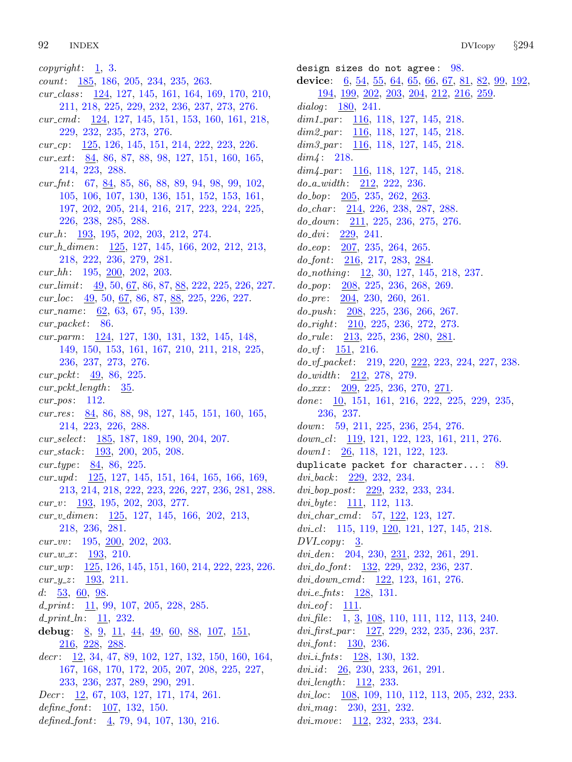$\textit{copyright}: \quad \underline{1}, \; 3.$  $\textit{copyright}: \quad \underline{1}, \; 3.$ count: [185,](#page-63-0) [186](#page-63-0), [205](#page-68-0), [234,](#page-77-0) [235,](#page-78-0) [263.](#page-85-0) cur class : [124](#page-43-0), [127,](#page-44-0) [145,](#page-49-0) [161](#page-55-0), [164,](#page-56-0) [169](#page-57-0), [170,](#page-57-0) [210,](#page-69-0) [211,](#page-69-0) [218](#page-72-0), [225](#page-74-0), [229,](#page-76-0) [232,](#page-77-0) [236](#page-78-0), [237](#page-79-0), [273,](#page-86-0) [276.](#page-86-0)  $cur\_cmd: \underline{124}, 127, 145, 151, 153, 160, 161, 218,$  $cur\_cmd: \underline{124}, 127, 145, 151, 153, 160, 161, 218,$  $cur\_cmd: \underline{124}, 127, 145, 151, 153, 160, 161, 218,$  $cur\_cmd: \underline{124}, 127, 145, 151, 153, 160, 161, 218,$  $cur\_cmd: \underline{124}, 127, 145, 151, 153, 160, 161, 218,$  $cur\_cmd: \underline{124}, 127, 145, 151, 153, 160, 161, 218,$  $cur\_cmd: \underline{124}, 127, 145, 151, 153, 160, 161, 218,$  $cur\_cmd: \underline{124}, 127, 145, 151, 153, 160, 161, 218,$  $cur\_cmd: \underline{124}, 127, 145, 151, 153, 160, 161, 218,$  $cur\_cmd: \underline{124}, 127, 145, 151, 153, 160, 161, 218,$  $cur\_cmd: \underline{124}, 127, 145, 151, 153, 160, 161, 218,$  $cur\_cmd: \underline{124}, 127, 145, 151, 153, 160, 161, 218,$  $cur\_cmd: \underline{124}, 127, 145, 151, 153, 160, 161, 218,$  $cur\_cmd: \underline{124}, 127, 145, 151, 153, 160, 161, 218,$  $cur\_cmd: \underline{124}, 127, 145, 151, 153, 160, 161, 218,$ [229,](#page-76-0) [232](#page-77-0), [235](#page-78-0), [273,](#page-86-0) [276](#page-86-0). cur cp: [125](#page-43-0), [126,](#page-43-0) [145,](#page-49-0) [151](#page-51-0), [214](#page-70-0), [222,](#page-73-0) [223,](#page-73-0) [226.](#page-74-0)  $cur\_ext: 84, 86, 87, 88, 98, 127, 151, 160, 165,$  $cur\_ext: 84, 86, 87, 88, 98, 127, 151, 160, 165,$  $cur\_ext: 84, 86, 87, 88, 98, 127, 151, 160, 165,$  $cur\_ext: 84, 86, 87, 88, 98, 127, 151, 160, 165,$  $cur\_ext: 84, 86, 87, 88, 98, 127, 151, 160, 165,$  $cur\_ext: 84, 86, 87, 88, 98, 127, 151, 160, 165,$  $cur\_ext: 84, 86, 87, 88, 98, 127, 151, 160, 165,$  $cur\_ext: 84, 86, 87, 88, 98, 127, 151, 160, 165,$  $cur\_ext: 84, 86, 87, 88, 98, 127, 151, 160, 165,$  $cur\_ext: 84, 86, 87, 88, 98, 127, 151, 160, 165,$  $cur\_ext: 84, 86, 87, 88, 98, 127, 151, 160, 165,$  $cur\_ext: 84, 86, 87, 88, 98, 127, 151, 160, 165,$  $cur\_ext: 84, 86, 87, 88, 98, 127, 151, 160, 165,$  $cur\_ext: 84, 86, 87, 88, 98, 127, 151, 160, 165,$  $cur\_ext: 84, 86, 87, 88, 98, 127, 151, 160, 165,$  $cur\_ext: 84, 86, 87, 88, 98, 127, 151, 160, 165,$  $cur\_ext: 84, 86, 87, 88, 98, 127, 151, 160, 165,$  $cur\_ext: 84, 86, 87, 88, 98, 127, 151, 160, 165,$  $cur\_ext: 84, 86, 87, 88, 98, 127, 151, 160, 165,$ [214,](#page-70-0) [223,](#page-73-0) [288.](#page-87-0)  $\textit{cur-fnt:} \quad 67, \, 84, \, 85, \, 86, \, 88, \, 89, \, 94, \, 98, \, 99, \, 102,$  $\textit{cur-fnt:} \quad 67, \, 84, \, 85, \, 86, \, 88, \, 89, \, 94, \, 98, \, 99, \, 102,$  $\textit{cur-fnt:} \quad 67, \, 84, \, 85, \, 86, \, 88, \, 89, \, 94, \, 98, \, 99, \, 102,$  $\textit{cur-fnt:} \quad 67, \, 84, \, 85, \, 86, \, 88, \, 89, \, 94, \, 98, \, 99, \, 102,$  $\textit{cur-fnt:} \quad 67, \, 84, \, 85, \, 86, \, 88, \, 89, \, 94, \, 98, \, 99, \, 102,$  $\textit{cur-fnt:} \quad 67, \, 84, \, 85, \, 86, \, 88, \, 89, \, 94, \, 98, \, 99, \, 102,$  $\textit{cur-fnt:} \quad 67, \, 84, \, 85, \, 86, \, 88, \, 89, \, 94, \, 98, \, 99, \, 102,$  $\textit{cur-fnt:} \quad 67, \, 84, \, 85, \, 86, \, 88, \, 89, \, 94, \, 98, \, 99, \, 102,$  $\textit{cur-fnt:} \quad 67, \, 84, \, 85, \, 86, \, 88, \, 89, \, 94, \, 98, \, 99, \, 102,$  $\textit{cur-fnt:} \quad 67, \, 84, \, 85, \, 86, \, 88, \, 89, \, 94, \, 98, \, 99, \, 102,$  $\textit{cur-fnt:} \quad 67, \, 84, \, 85, \, 86, \, 88, \, 89, \, 94, \, 98, \, 99, \, 102,$  $\textit{cur-fnt:} \quad 67, \, 84, \, 85, \, 86, \, 88, \, 89, \, 94, \, 98, \, 99, \, 102,$  $\textit{cur-fnt:} \quad 67, \, 84, \, 85, \, 86, \, 88, \, 89, \, 94, \, 98, \, 99, \, 102,$  $\textit{cur-fnt:} \quad 67, \, 84, \, 85, \, 86, \, 88, \, 89, \, 94, \, 98, \, 99, \, 102,$  $\textit{cur-fnt:} \quad 67, \, 84, \, 85, \, 86, \, 88, \, 89, \, 94, \, 98, \, 99, \, 102,$  $\textit{cur-fnt:} \quad 67, \, 84, \, 85, \, 86, \, 88, \, 89, \, 94, \, 98, \, 99, \, 102,$  $\textit{cur-fnt:} \quad 67, \, 84, \, 85, \, 86, \, 88, \, 89, \, 94, \, 98, \, 99, \, 102,$  $\textit{cur-fnt:} \quad 67, \, 84, \, 85, \, 86, \, 88, \, 89, \, 94, \, 98, \, 99, \, 102,$  $\textit{cur-fnt:} \quad 67, \, 84, \, 85, \, 86, \, 88, \, 89, \, 94, \, 98, \, 99, \, 102,$  $\textit{cur-fnt:} \quad 67, \, 84, \, 85, \, 86, \, 88, \, 89, \, 94, \, 98, \, 99, \, 102,$  $\textit{cur-fnt:} \quad 67, \, 84, \, 85, \, 86, \, 88, \, 89, \, 94, \, 98, \, 99, \, 102,$ [105,](#page-38-0) [106,](#page-38-0) [107,](#page-38-0) [130,](#page-45-0) [136,](#page-46-0) [151,](#page-51-0) [152,](#page-51-0) [153](#page-52-0), [161](#page-55-0), [197,](#page-65-0) [202,](#page-66-0) [205,](#page-68-0) [214,](#page-70-0) [216,](#page-71-0) [217,](#page-71-0) [223,](#page-73-0) [224](#page-73-0), [225](#page-74-0), [226,](#page-74-0) [238](#page-79-0), [285](#page-87-0), [288.](#page-87-0)  $cur_h$ : [193,](#page-65-0) [195,](#page-65-0) [202](#page-66-0), [203](#page-67-0), [212](#page-70-0), [274.](#page-86-0) cur h dimen: [125,](#page-43-0) [127,](#page-44-0) [145,](#page-49-0) [166](#page-56-0), [202](#page-66-0), [212,](#page-70-0) [213,](#page-70-0) [218,](#page-72-0) [222](#page-73-0), [236](#page-78-0), [279,](#page-86-0) [281](#page-86-0).  $cur_hh: 195, 200, 202, 203.$  $cur_hh: 195, 200, 202, 203.$  $cur_hh: 195, 200, 202, 203.$  $cur_hh: 195, 200, 202, 203.$  $cur_hh: 195, 200, 202, 203.$  $cur_hh: 195, 200, 202, 203.$  $cur_hh: 195, 200, 202, 203.$  $cur_hh: 195, 200, 202, 203.$  $cur\_limit: \quad \underline{49}$  $cur\_limit: \quad \underline{49}$  $cur\_limit: \quad \underline{49}$ , [50,](#page-17-0) <u>[67](#page-24-0)</u>, [86](#page-29-0), [87,](#page-30-0) <u>[88](#page-30-0)</u>, [222,](#page-73-0) [225](#page-74-0), [226,](#page-74-0) [227](#page-75-0).  $cur\_loc: \quad \underline{49}$  $cur\_loc: \quad \underline{49}$  $cur\_loc: \quad \underline{49}$ , [50,](#page-17-0) <u>[67,](#page-24-0)</u> [86](#page-29-0), [87,](#page-30-0) <u>88</u>, [225](#page-74-0), [226,](#page-74-0) [227.](#page-75-0)  $cur_name: 62, 63, 67, 95, 139.$  $cur_name: 62, 63, 67, 95, 139.$  $cur_name: 62, 63, 67, 95, 139.$  $cur_name: 62, 63, 67, 95, 139.$  $cur_name: 62, 63, 67, 95, 139.$  $cur_name: 62, 63, 67, 95, 139.$  $cur_name: 62, 63, 67, 95, 139.$  $cur_name: 62, 63, 67, 95, 139.$  $cur_name: 62, 63, 67, 95, 139.$  $cur_name: 62, 63, 67, 95, 139.$ cur packet: [86.](#page-29-0) cur parm: [124,](#page-43-0) [127](#page-44-0), [130,](#page-45-0) [131](#page-45-0), [132,](#page-45-0) [145](#page-49-0), [148,](#page-50-0) [149,](#page-50-0) [150,](#page-50-0) [153,](#page-52-0) [161,](#page-55-0) [167,](#page-57-0) [210,](#page-69-0) [211,](#page-69-0) [218](#page-72-0), [225](#page-74-0), [236,](#page-78-0) [237](#page-79-0), [273](#page-86-0), [276.](#page-86-0) cur pckt: [49](#page-16-0), [86,](#page-29-0) [225](#page-74-0).  $cur\_pckt\_length: 35$  $cur\_pckt\_length: 35$ .  $cur_pos: 112.$  $cur_pos: 112.$ cur res:  $84, 86, 88, 98, 127, 145, 151, 160, 165,$  $84, 86, 88, 98, 127, 145, 151, 160, 165,$  $84, 86, 88, 98, 127, 145, 151, 160, 165,$  $84, 86, 88, 98, 127, 145, 151, 160, 165,$  $84, 86, 88, 98, 127, 145, 151, 160, 165,$  $84, 86, 88, 98, 127, 145, 151, 160, 165,$  $84, 86, 88, 98, 127, 145, 151, 160, 165,$  $84, 86, 88, 98, 127, 145, 151, 160, 165,$  $84, 86, 88, 98, 127, 145, 151, 160, 165,$  $84, 86, 88, 98, 127, 145, 151, 160, 165,$  $84, 86, 88, 98, 127, 145, 151, 160, 165,$  $84, 86, 88, 98, 127, 145, 151, 160, 165,$  $84, 86, 88, 98, 127, 145, 151, 160, 165,$  $84, 86, 88, 98, 127, 145, 151, 160, 165,$  $84, 86, 88, 98, 127, 145, 151, 160, 165,$  $84, 86, 88, 98, 127, 145, 151, 160, 165,$  $84, 86, 88, 98, 127, 145, 151, 160, 165,$ [214,](#page-70-0) [223](#page-73-0), [226](#page-74-0), [288.](#page-87-0) cur select: [185](#page-63-0), [187,](#page-63-0) [189](#page-64-0), [190,](#page-64-0) [204](#page-67-0), [207](#page-68-0).  $cur\_stack: 193, 200, 205, 208.$  $cur\_stack: 193, 200, 205, 208.$  $cur\_stack: 193, 200, 205, 208.$  $cur\_stack: 193, 200, 205, 208.$  $cur\_stack: 193, 200, 205, 208.$  $cur\_stack: 193, 200, 205, 208.$  $cur\_stack: 193, 200, 205, 208.$  $cur\_stack: 193, 200, 205, 208.$  $cur\_stack: 193, 200, 205, 208.$  $cur\_type: 84, 86, 225.$  $cur\_type: 84, 86, 225.$  $cur\_type: 84, 86, 225.$  $cur\_type: 84, 86, 225.$  $cur\_type: 84, 86, 225.$  $cur\_type: 84, 86, 225.$  $cur\_type: 84, 86, 225.$  $cur\_upd: \quad \underline{125}, \, 127, \, 145, \, 151, \, 164, \, 165, \, 166, \, 169,$  $cur\_upd: \quad \underline{125}, \, 127, \, 145, \, 151, \, 164, \, 165, \, 166, \, 169,$  $cur\_upd: \quad \underline{125}, \, 127, \, 145, \, 151, \, 164, \, 165, \, 166, \, 169,$  $cur\_upd: \quad \underline{125}, \, 127, \, 145, \, 151, \, 164, \, 165, \, 166, \, 169,$  $cur\_upd: \quad \underline{125}, \, 127, \, 145, \, 151, \, 164, \, 165, \, 166, \, 169,$  $cur\_upd: \quad \underline{125}, \, 127, \, 145, \, 151, \, 164, \, 165, \, 166, \, 169,$  $cur\_upd: \quad \underline{125}, \, 127, \, 145, \, 151, \, 164, \, 165, \, 166, \, 169,$  $cur\_upd: \quad \underline{125}, \, 127, \, 145, \, 151, \, 164, \, 165, \, 166, \, 169,$  $cur\_upd: \quad \underline{125}, \, 127, \, 145, \, 151, \, 164, \, 165, \, 166, \, 169,$  $cur\_upd: \quad \underline{125}, \, 127, \, 145, \, 151, \, 164, \, 165, \, 166, \, 169,$  $cur\_upd: \quad \underline{125}, \, 127, \, 145, \, 151, \, 164, \, 165, \, 166, \, 169,$  $cur\_upd: \quad \underline{125}, \, 127, \, 145, \, 151, \, 164, \, 165, \, 166, \, 169,$  $cur\_upd: \quad \underline{125}, \, 127, \, 145, \, 151, \, 164, \, 165, \, 166, \, 169,$  $cur\_upd: \quad \underline{125}, \, 127, \, 145, \, 151, \, 164, \, 165, \, 166, \, 169,$  $cur\_upd: \quad \underline{125}, \, 127, \, 145, \, 151, \, 164, \, 165, \, 166, \, 169,$  $cur\_upd: \quad \underline{125}, \, 127, \, 145, \, 151, \, 164, \, 165, \, 166, \, 169,$ [213,](#page-70-0) [214,](#page-70-0) [218](#page-72-0), [222](#page-73-0), [223,](#page-73-0) [226](#page-74-0), [227](#page-75-0), [236,](#page-78-0) [281,](#page-86-0) [288](#page-87-0).  $cur_v$  :  $\frac{193}{195}$ ,  $\frac{195}{202}$ ,  $\frac{203}{277}$ .  $cur_v_d = \frac{125}{127}$  $cur_v_d = \frac{125}{127}$  $cur_v_d = \frac{125}{127}$ , [127,](#page-44-0) [145,](#page-49-0) [166,](#page-56-0) [202,](#page-66-0) [213,](#page-70-0) [218,](#page-72-0) [236,](#page-78-0) [281.](#page-86-0)  $cur_{.}vv$ : [195](#page-65-0), [200,](#page-66-0) [202,](#page-66-0) [203](#page-67-0).  $cur_{-}w_{-}x$ : [193](#page-65-0), [210.](#page-69-0) cur wp: [125](#page-43-0), [126,](#page-43-0) [145](#page-49-0), [151](#page-51-0), [160,](#page-54-0) [214](#page-70-0), [222,](#page-73-0) [223,](#page-73-0) [226](#page-74-0).  $cur_y z: 193, 211.$  $cur_y z: 193, 211.$  $cur_y z: 193, 211.$  $cur_y z: 193, 211.$ d: [53,](#page-18-0) [60,](#page-21-0) [98](#page-34-0). d\_print:  $\frac{11}{99}$  $\frac{11}{99}$  $\frac{11}{99}$  $\frac{11}{99}$  $\frac{11}{99}$ , [107,](#page-38-0) [205,](#page-68-0) [228,](#page-75-0) [285](#page-87-0).  $d$ -print  $ln: 11, 232$  $ln: 11, 232$  $ln: 11, 232$ . debug:  $8, 9, 11, 44, 49, 60, 88, 107, 151,$  $8, 9, 11, 44, 49, 60, 88, 107, 151,$  $8, 9, 11, 44, 49, 60, 88, 107, 151,$  $8, 9, 11, 44, 49, 60, 88, 107, 151,$  $8, 9, 11, 44, 49, 60, 88, 107, 151,$  $8, 9, 11, 44, 49, 60, 88, 107, 151,$  $8, 9, 11, 44, 49, 60, 88, 107, 151,$  $8, 9, 11, 44, 49, 60, 88, 107, 151,$  $8, 9, 11, 44, 49, 60, 88, 107, 151,$  $8, 9, 11, 44, 49, 60, 88, 107, 151,$  $8, 9, 11, 44, 49, 60, 88, 107, 151,$  $8, 9, 11, 44, 49, 60, 88, 107, 151,$  $8, 9, 11, 44, 49, 60, 88, 107, 151,$  $8, 9, 11, 44, 49, 60, 88, 107, 151,$  $8, 9, 11, 44, 49, 60, 88, 107, 151,$  $8, 9, 11, 44, 49, 60, 88, 107, 151,$  $8, 9, 11, 44, 49, 60, 88, 107, 151,$ [216,](#page-71-0) [228,](#page-75-0) [288.](#page-87-0) decr: [12](#page-5-0), [34](#page-13-0), [47,](#page-16-0) [89](#page-31-0), [102](#page-36-0), [127,](#page-44-0) [132,](#page-45-0) [150](#page-50-0), [160](#page-54-0), [164,](#page-56-0) [167,](#page-57-0) [168,](#page-57-0) [170,](#page-57-0) [172,](#page-58-0) [205,](#page-68-0) [207,](#page-68-0) [208,](#page-69-0) [225](#page-74-0), [227](#page-75-0), [233,](#page-77-0) [236,](#page-78-0) [237,](#page-79-0) [289,](#page-87-0) [290,](#page-88-0) [291.](#page-88-0) Decr : [12,](#page-5-0) [67](#page-24-0), [103](#page-37-0), [127,](#page-44-0) [171](#page-57-0), [174](#page-58-0), [261.](#page-84-0) define font:  $\frac{107}{132}$  $\frac{107}{132}$  $\frac{107}{132}$ , 130. defined font:  $\frac{4}{79}$ , 9[4,](#page-2-0) [107](#page-38-0), [130,](#page-45-0) [216.](#page-71-0)

design sizes do not agree : [98.](#page-34-0) device:  $6, 54, 55, 64, 65, 66, 67, 81, 82, 99, 192,$  $6, 54, 55, 64, 65, 66, 67, 81, 82, 99, 192,$  $6, 54, 55, 64, 65, 66, 67, 81, 82, 99, 192,$  $6, 54, 55, 64, 65, 66, 67, 81, 82, 99, 192,$  $6, 54, 55, 64, 65, 66, 67, 81, 82, 99, 192,$  $6, 54, 55, 64, 65, 66, 67, 81, 82, 99, 192,$  $6, 54, 55, 64, 65, 66, 67, 81, 82, 99, 192,$  $6, 54, 55, 64, 65, 66, 67, 81, 82, 99, 192,$  $6, 54, 55, 64, 65, 66, 67, 81, 82, 99, 192,$  $6, 54, 55, 64, 65, 66, 67, 81, 82, 99, 192,$  $6, 54, 55, 64, 65, 66, 67, 81, 82, 99, 192,$  $6, 54, 55, 64, 65, 66, 67, 81, 82, 99, 192,$  $6, 54, 55, 64, 65, 66, 67, 81, 82, 99, 192,$  $6, 54, 55, 64, 65, 66, 67, 81, 82, 99, 192,$  $6, 54, 55, 64, 65, 66, 67, 81, 82, 99, 192,$  $6, 54, 55, 64, 65, 66, 67, 81, 82, 99, 192,$  $6, 54, 55, 64, 65, 66, 67, 81, 82, 99, 192,$  $6, 54, 55, 64, 65, 66, 67, 81, 82, 99, 192,$  $6, 54, 55, 64, 65, 66, 67, 81, 82, 99, 192,$  $6, 54, 55, 64, 65, 66, 67, 81, 82, 99, 192,$  $6, 54, 55, 64, 65, 66, 67, 81, 82, 99, 192,$ [194,](#page-65-0) [199](#page-66-0), [202,](#page-66-0) [203](#page-67-0), [204,](#page-67-0) [212](#page-70-0), [216,](#page-71-0) [259](#page-84-0).  $dialog: 180, 241.$  $dialog: 180, 241.$  $dialog: 180, 241.$  $dialog: 180, 241.$  $dim1\_par$ : [116](#page-41-0), [118](#page-42-0), [127,](#page-44-0) [145,](#page-49-0) [218.](#page-72-0)  $dim2\_par$ :  $116$ , [118](#page-42-0), [127,](#page-44-0) [145,](#page-49-0) [218.](#page-72-0)  $dim3\_par$ :  $\overline{116}$  $\overline{116}$  $\overline{116}$ , [118](#page-42-0), [127,](#page-44-0) [145,](#page-49-0) [218.](#page-72-0)  $dim\mathcal{L}: 218.$  $dim\mathcal{L}: 218.$  $dim_{4}$ -par: [116](#page-41-0), [118](#page-42-0), [127,](#page-44-0) [145,](#page-49-0) [218.](#page-72-0)  $do_a_width: 212, 222, 236.$  $do_a_width: 212, 222, 236.$  $do_a_width: 212, 222, 236.$  $do_a_width: 212, 222, 236.$  $do_a_width: 212, 222, 236.$  $do_a_width: 212, 222, 236.$  $do_a_width: 212, 222, 236.$  $do_{\text{p}}: \quad 205, \ 235, \ 262, \ 263.$  $do_{\text{p}}: \quad 205, \ 235, \ 262, \ 263.$  $do_{\text{p}}: \quad 205, \ 235, \ 262, \ 263.$  $do_{\text{p}}: \quad 205, \ 235, \ 262, \ 263.$  $do_{\text{p}}: \quad 205, \ 235, \ 262, \ 263.$  $do_{\text{p}}: \quad 205, \ 235, \ 262, \ 263.$  $do_{\text{p}}: \quad 205, \ 235, \ 262, \ 263.$  $do_{\text{p}}: \quad 205, \ 235, \ 262, \ 263.$ do<sub>-Char</sub>: [214](#page-70-0), [226,](#page-74-0) [238,](#page-79-0) [287,](#page-87-0) [288.](#page-87-0) do down: [211](#page-69-0), [225](#page-74-0), [236](#page-78-0), [275,](#page-86-0) [276.](#page-86-0)  $do\_dvi$ : [229,](#page-76-0) [241.](#page-80-0) do<sub>-cop</sub>: [207,](#page-68-0) [235](#page-78-0), [264](#page-85-0), [265.](#page-85-0)  $do\_font: 216, 217, 283, 284.$  $do\_font: 216, 217, 283, 284.$  $do\_font: 216, 217, 283, 284.$  $do\_font: 216, 217, 283, 284.$  $do\_font: 216, 217, 283, 284.$  $do\_font: 216, 217, 283, 284.$  $do\_font: 216, 217, 283, 284.$  $do\_font: 216, 217, 283, 284.$ do\_nothing: [12](#page-5-0), [30,](#page-12-0) [127,](#page-44-0) [145](#page-49-0), [218,](#page-72-0) [237.](#page-79-0) do pop: [208](#page-69-0), [225](#page-74-0), [236](#page-78-0), [268](#page-85-0), [269](#page-85-0).  $do\_pre: \quad 204, 230, 260, 261.$  $do\_pre: \quad 204, 230, 260, 261.$  $do\_pre: \quad 204, 230, 260, 261.$  $do\_pre: \quad 204, 230, 260, 261.$  $do\_pre: \quad 204, 230, 260, 261.$  $do\_pre: \quad 204, 230, 260, 261.$  $do\_pre: \quad 204, 230, 260, 261.$  $do\_pre: \quad 204, 230, 260, 261.$  $do\_pre: \quad 204, 230, 260, 261.$  $do\_push: \quad 208, 225, 236, 266, 267.$  $do\_push: \quad 208, 225, 236, 266, 267.$  $do\_push: \quad 208, 225, 236, 266, 267.$  $do\_push: \quad 208, 225, 236, 266, 267.$  $do\_push: \quad 208, 225, 236, 266, 267.$  $do\_push: \quad 208, 225, 236, 266, 267.$  $do\_push: \quad 208, 225, 236, 266, 267.$  $do\_push: \quad 208, 225, 236, 266, 267.$  $do\_push: \quad 208, 225, 236, 266, 267.$  $do\_push: \quad 208, 225, 236, 266, 267.$  $do\_push: \quad 208, 225, 236, 266, 267.$  $do\_right: 210, 225, 236, 272, 273.$  $do\_right: 210, 225, 236, 272, 273.$  $do\_right: 210, 225, 236, 272, 273.$  $do\_right: 210, 225, 236, 272, 273.$  $do\_right: 210, 225, 236, 272, 273.$  $do\_right: 210, 225, 236, 272, 273.$  $do\_right: 210, 225, 236, 272, 273.$  $do\_right: 210, 225, 236, 272, 273.$  $do\_right: 210, 225, 236, 272, 273.$  $do\_right: 210, 225, 236, 272, 273.$ do\_rule: [213](#page-70-0), [225](#page-74-0), [236](#page-78-0), [280](#page-86-0), [281](#page-86-0).  $do\_vf$ :  $\underline{151}$ , [216.](#page-71-0)  $do\_vf\_packet: 219, 220, 222, 223, 224, 227, 238.$  $do\_vf\_packet: 219, 220, 222, 223, 224, 227, 238.$  $do\_vf\_packet: 219, 220, 222, 223, 224, 227, 238.$  $do\_vf\_packet: 219, 220, 222, 223, 224, 227, 238.$  $do\_vf\_packet: 219, 220, 222, 223, 224, 227, 238.$  $do\_vf\_packet: 219, 220, 222, 223, 224, 227, 238.$  $do\_vf\_packet: 219, 220, 222, 223, 224, 227, 238.$  $do\_vf\_packet: 219, 220, 222, 223, 224, 227, 238.$  $do\_vf\_packet: 219, 220, 222, 223, 224, 227, 238.$  $do\_vf\_packet: 219, 220, 222, 223, 224, 227, 238.$  $do\_vf\_packet: 219, 220, 222, 223, 224, 227, 238.$  $do\_vf\_packet: 219, 220, 222, 223, 224, 227, 238.$  $do\_vf\_packet: 219, 220, 222, 223, 224, 227, 238.$  $do\_vf\_packet: 219, 220, 222, 223, 224, 227, 238.$  $do\_vf\_packet: 219, 220, 222, 223, 224, 227, 238.$  $do\_width: \quad 212, 278, 279.$  $do\_width: \quad 212, 278, 279.$  $do\_width: \quad 212, 278, 279.$  $do\_width: \quad 212, 278, 279.$  $do\_width: \quad 212, 278, 279.$  $do\_width: \quad 212, 278, 279.$  $do\_xxx$ :  $209, 225, 236, 270, 271.$  $209, 225, 236, 270, 271.$  $209, 225, 236, 270, 271.$  $209, 225, 236, 270, 271.$  $209, 225, 236, 270, 271.$  $209, 225, 236, 270, 271.$  $209, 225, 236, 270, 271.$  $209, 225, 236, 270, 271.$  $209, 225, 236, 270, 271.$  $209, 225, 236, 270, 271.$ done:  $\underline{10}$  $\underline{10}$  $\underline{10}$ , [151,](#page-51-0) [161](#page-55-0), [216](#page-71-0), [222,](#page-73-0) [225](#page-74-0), [229,](#page-76-0) [235](#page-78-0), [236,](#page-78-0) [237.](#page-79-0) down: [59](#page-21-0), [211](#page-69-0), [225](#page-74-0), [236,](#page-78-0) [254,](#page-82-0) [276.](#page-86-0)  $down\clap{1}$ : [119](#page-42-0), [121,](#page-43-0) [122](#page-43-0), [123,](#page-43-0) [161](#page-55-0), [211,](#page-69-0) [276.](#page-86-0)  $down1: \underline{26}$  $down1: \underline{26}$  $down1: \underline{26}$ , [118](#page-42-0), [121](#page-43-0), [122](#page-43-0), [123](#page-43-0). duplicate packet for character...: [89](#page-31-0).  $dvi\_back:$   $229, 232, 234.$  $229, 232, 234.$  $229, 232, 234.$  $229, 232, 234.$  $229, 232, 234.$ dvi<sub>-</sub>bop<sub>-</sub>post: [229](#page-76-0), [232](#page-77-0), [233](#page-77-0), [234](#page-77-0).  $dvi\_byte: 111, 112, 113.$  $dvi\_byte: 111, 112, 113.$  $dvi\_byte: 111, 112, 113.$  $dvi\_byte: 111, 112, 113.$  $dvi\_byte: 111, 112, 113.$  $dvi\_byte: 111, 112, 113.$  $dvi_{\rm c}$  char  $\rm cm\,d$ : [57](#page-19-0), [122](#page-43-0), [123](#page-43-0), [127](#page-44-0).  $dvi$ <sub>c</sub> $l$ : [115,](#page-41-0) [119](#page-42-0), [120,](#page-42-0) [121](#page-43-0), [127,](#page-44-0) [145](#page-49-0), [218.](#page-72-0)  $DVI$ <sub>copy</sub>:  $3$ . dvi den: [204,](#page-67-0) [230](#page-76-0), [231](#page-76-0), [232,](#page-77-0) [261](#page-84-0), [291](#page-88-0). dvi do font: [132](#page-45-0), [229](#page-76-0), [232,](#page-77-0) [236,](#page-78-0) [237.](#page-79-0)  $dvi\_down\_cmd:$   $\frac{122}{123}$  $\frac{122}{123}$  $\frac{122}{123}$  $\frac{122}{123}$  $\frac{122}{123}$ , 123, [161](#page-55-0), [276](#page-86-0).  $dvi.e.fnts: 128, 131.$  $dvi.e.fnts: 128, 131.$  $dvi.e.fnts: 128, 131.$  $dvi.e.fnts: 128, 131.$  $dvi.e.fnts: 128, 131.$  $dvi_e$  eof : [111.](#page-39-0) dvi file:  $1, 3, 108, 110, 111, 112, 113, 240.$  $1, 3, 108, 110, 111, 112, 113, 240.$  $1, 3, 108, 110, 111, 112, 113, 240.$  $1, 3, 108, 110, 111, 112, 113, 240.$  $1, 3, 108, 110, 111, 112, 113, 240.$  $1, 3, 108, 110, 111, 112, 113, 240.$  $1, 3, 108, 110, 111, 112, 113, 240.$  $1, 3, 108, 110, 111, 112, 113, 240.$  $1, 3, 108, 110, 111, 112, 113, 240.$  $1, 3, 108, 110, 111, 112, 113, 240.$  $1, 3, 108, 110, 111, 112, 113, 240.$  $1, 3, 108, 110, 111, 112, 113, 240.$  $1, 3, 108, 110, 111, 112, 113, 240.$  $1, 3, 108, 110, 111, 112, 113, 240.$  $1, 3, 108, 110, 111, 112, 113, 240.$  $1, 3, 108, 110, 111, 112, 113, 240.$ dvi\_first\_par: [127](#page-44-0), [229,](#page-76-0) [232](#page-77-0), [235,](#page-78-0) [236](#page-78-0), [237.](#page-79-0) dvi<sub>-font</sub>: [130,](#page-45-0) [236](#page-78-0).  $dv_{i,i}$  fnts: [128](#page-44-0), [130,](#page-45-0) [132](#page-45-0).  $dvi\_id$ :  $26, 230, 233, 261, 291$  $26, 230, 233, 261, 291$  $26, 230, 233, 261, 291$  $26, 230, 233, 261, 291$  $26, 230, 233, 261, 291$  $26, 230, 233, 261, 291$  $26, 230, 233, 261, 291$  $26, 230, 233, 261, 291$  $26, 230, 233, 261, 291$ .  $dvi$ -length: [112](#page-39-0), [233.](#page-77-0) dvi loc: [108,](#page-39-0) [109](#page-39-0), [110](#page-39-0), [112,](#page-39-0) [113,](#page-40-0) [205](#page-68-0), [232](#page-77-0), [233](#page-77-0).  $dvi_{\rm m}$  mag: [230](#page-76-0), [231,](#page-76-0) [232](#page-77-0).  $div{.}move: \quad \underline{112}, \, 232, \, 233, \, 234.$  $div{.}move: \quad \underline{112}, \, 232, \, 233, \, 234.$  $div{.}move: \quad \underline{112}, \, 232, \, 233, \, 234.$  $div{.}move: \quad \underline{112}, \, 232, \, 233, \, 234.$  $div{.}move: \quad \underline{112}, \, 232, \, 233, \, 234.$  $div{.}move: \quad \underline{112}, \, 232, \, 233, \, 234.$  $div{.}move: \quad \underline{112}, \, 232, \, 233, \, 234.$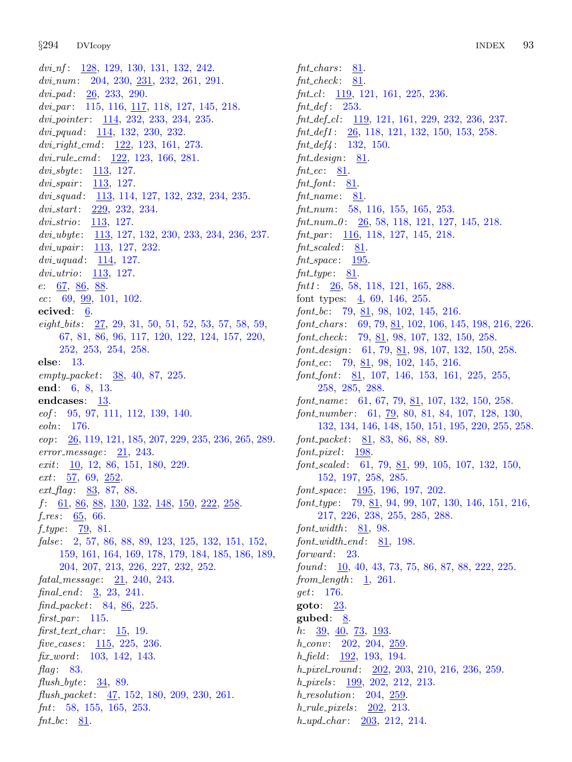$dvi_n f$ : [128](#page-44-0), [129](#page-44-0), [130,](#page-45-0) [131,](#page-45-0) [132](#page-45-0), [242](#page-80-0). dvi\_num: [204](#page-67-0), [230](#page-76-0), [231,](#page-76-0) [232](#page-77-0), [261](#page-84-0), [291.](#page-88-0)  $dvi$ -pad: [26](#page-11-0), [233,](#page-77-0) [290.](#page-88-0)  $dvi$ -par: [115,](#page-41-0) [116,](#page-41-0) [117](#page-41-0), [118,](#page-42-0) [127](#page-44-0), [145,](#page-49-0) [218](#page-72-0).  $div\_{pointer}$ :  $\underline{114}$  $\underline{114}$  $\underline{114}$ , [232,](#page-77-0) [233,](#page-77-0) [234](#page-77-0), [235](#page-78-0).  $div_1$  pquad:  $\frac{114}{132}$  $\frac{114}{132}$  $\frac{114}{132}$  $\frac{114}{132}$  $\frac{114}{132}$ ,  $\frac{133}{230}$ ,  $\frac{232}{132}$ . dvi\_right\_cmd: [122](#page-43-0), [123](#page-43-0), [161](#page-55-0), [273](#page-86-0).  $dvi$ -rule\_cmd:  $122, 123, 166, 281$  $122, 123, 166, 281$  $122, 123, 166, 281$  $122, 123, 166, 281$  $122, 123, 166, 281$  $122, 123, 166, 281$ .  $div. sbyte: 113, 127.$  $div. sbyte: 113, 127.$  $div. sbyte: 113, 127.$  $div. sbyte: 113, 127.$  $div. sbyte: 113, 127.$ dvi<sub>-</sub>spair: [113,](#page-40-0) [127](#page-44-0). dvi\_squad: [113,](#page-40-0) [114](#page-40-0), [127](#page-44-0), [132,](#page-45-0) [232](#page-77-0), [234](#page-77-0), [235.](#page-78-0)  $dvi\_start: 229, 232, 234.$  $dvi\_start: 229, 232, 234.$  $dvi\_start: 229, 232, 234.$  $dvi\_start: 229, 232, 234.$  $dvi\_start: 229, 232, 234.$  $dvi\_start: 229, 232, 234.$  $dvi\_start: 229, 232, 234.$  $dvi_{\rm s}trio: \frac{113}{127}.$  $div_{.}ubyte: \quad \underline{113}, 127, 132, 230, 233, 234, 236, 237.$  $div_{.}ubyte: \quad \underline{113}, 127, 132, 230, 233, 234, 236, 237.$  $div_{.}ubyte: \quad \underline{113}, 127, 132, 230, 233, 234, 236, 237.$  $div_{.}ubyte: \quad \underline{113}, 127, 132, 230, 233, 234, 236, 237.$  $div_{.}ubyte: \quad \underline{113}, 127, 132, 230, 233, 234, 236, 237.$  $div_{.}ubyte: \quad \underline{113}, 127, 132, 230, 233, 234, 236, 237.$  $div_{.}ubyte: \quad \underline{113}, 127, 132, 230, 233, 234, 236, 237.$  $div_{.}ubyte: \quad \underline{113}, 127, 132, 230, 233, 234, 236, 237.$  $div_{.}ubyte: \quad \underline{113}, 127, 132, 230, 233, 234, 236, 237.$  $div_{.}ubyte: \quad \underline{113}, 127, 132, 230, 233, 234, 236, 237.$  $div_{.}ubyte: \quad \underline{113}, 127, 132, 230, 233, 234, 236, 237.$  $div_{.}ubyte: \quad \underline{113}, 127, 132, 230, 233, 234, 236, 237.$  $div_{.}ubyte: \quad \underline{113}, 127, 132, 230, 233, 234, 236, 237.$  $div_{.}ubyte: \quad \underline{113}, 127, 132, 230, 233, 234, 236, 237.$  $dvi\_upair$ : [113,](#page-40-0) [127](#page-44-0), [232.](#page-77-0)  $dvi_uquad: 114, 127.$  $dvi_uquad: 114, 127.$  $dvi_uquad: 114, 127.$  $dvi_uquad: 114, 127.$  $dvi_1$ utrio: [113](#page-40-0), [127.](#page-44-0) e: [67](#page-24-0), [86](#page-29-0), [88.](#page-30-0) ec: [69](#page-25-0), [99](#page-35-0), [101,](#page-36-0) [102](#page-36-0). ecived:  $\underline{6}$  $\underline{6}$  $\underline{6}$ .  $eight\_bits: \quad \underline{27}, \, 29, \, 31, \, 50, \, 51, \, 52, \, 53, \, 57, \, 58, \, 59,$  $eight\_bits: \quad \underline{27}, \, 29, \, 31, \, 50, \, 51, \, 52, \, 53, \, 57, \, 58, \, 59,$  $eight\_bits: \quad \underline{27}, \, 29, \, 31, \, 50, \, 51, \, 52, \, 53, \, 57, \, 58, \, 59,$  $eight\_bits: \quad \underline{27}, \, 29, \, 31, \, 50, \, 51, \, 52, \, 53, \, 57, \, 58, \, 59,$  $eight\_bits: \quad \underline{27}, \, 29, \, 31, \, 50, \, 51, \, 52, \, 53, \, 57, \, 58, \, 59,$  $eight\_bits: \quad \underline{27}, \, 29, \, 31, \, 50, \, 51, \, 52, \, 53, \, 57, \, 58, \, 59,$  $eight\_bits: \quad \underline{27}, \, 29, \, 31, \, 50, \, 51, \, 52, \, 53, \, 57, \, 58, \, 59,$  $eight\_bits: \quad \underline{27}, \, 29, \, 31, \, 50, \, 51, \, 52, \, 53, \, 57, \, 58, \, 59,$  $eight\_bits: \quad \underline{27}, \, 29, \, 31, \, 50, \, 51, \, 52, \, 53, \, 57, \, 58, \, 59,$  $eight\_bits: \quad \underline{27}, \, 29, \, 31, \, 50, \, 51, \, 52, \, 53, \, 57, \, 58, \, 59,$  $eight\_bits: \quad \underline{27}, \, 29, \, 31, \, 50, \, 51, \, 52, \, 53, \, 57, \, 58, \, 59,$  $eight\_bits: \quad \underline{27}, \, 29, \, 31, \, 50, \, 51, \, 52, \, 53, \, 57, \, 58, \, 59,$  $eight\_bits: \quad \underline{27}, \, 29, \, 31, \, 50, \, 51, \, 52, \, 53, \, 57, \, 58, \, 59,$  $eight\_bits: \quad \underline{27}, \, 29, \, 31, \, 50, \, 51, \, 52, \, 53, \, 57, \, 58, \, 59,$  $eight\_bits: \quad \underline{27}, \, 29, \, 31, \, 50, \, 51, \, 52, \, 53, \, 57, \, 58, \, 59,$  $eight\_bits: \quad \underline{27}, \, 29, \, 31, \, 50, \, 51, \, 52, \, 53, \, 57, \, 58, \, 59,$  $eight\_bits: \quad \underline{27}, \, 29, \, 31, \, 50, \, 51, \, 52, \, 53, \, 57, \, 58, \, 59,$  $eight\_bits: \quad \underline{27}, \, 29, \, 31, \, 50, \, 51, \, 52, \, 53, \, 57, \, 58, \, 59,$  $eight\_bits: \quad \underline{27}, \, 29, \, 31, \, 50, \, 51, \, 52, \, 53, \, 57, \, 58, \, 59,$  $eight\_bits: \quad \underline{27}, \, 29, \, 31, \, 50, \, 51, \, 52, \, 53, \, 57, \, 58, \, 59,$ [67,](#page-24-0) [81,](#page-28-0) [86,](#page-29-0) [96](#page-32-0), [117](#page-41-0), [120](#page-42-0), [122](#page-43-0), [124,](#page-43-0) [157,](#page-53-0) [220,](#page-72-0) [252,](#page-82-0) [253](#page-82-0), [254](#page-82-0), [258.](#page-83-0) else: [13](#page-6-0).  $empty\_packet: \frac{38}{1000}, \frac{40}{1000}, \frac{87}{125}.$ end: [6](#page-3-0), [8](#page-4-0), [13](#page-6-0). endcases: [13](#page-6-0). eof: [95,](#page-32-0) [97,](#page-33-0) [111,](#page-39-0) [112,](#page-39-0) [139,](#page-46-0) [140.](#page-47-0) eoln: [176](#page-60-0). eop: [26](#page-11-0), [119](#page-42-0), [121,](#page-43-0) [185](#page-63-0), [207,](#page-68-0) [229,](#page-76-0) [235](#page-78-0), [236,](#page-78-0) [265,](#page-85-0) [289](#page-87-0).  $error\_message: \quad 21, \quad 243.$  $error\_message: \quad 21, \quad 243.$  $error\_message: \quad 21, \quad 243.$  $error\_message: \quad 21, \quad 243.$  $error\_message: \quad 21, \quad 243.$  $exit: \quad 10, 12, 86, 151, 180, 229.$  $exit: \quad 10, 12, 86, 151, 180, 229.$  $exit: \quad 10, 12, 86, 151, 180, 229.$  $exit: \quad 10, 12, 86, 151, 180, 229.$  $exit: \quad 10, 12, 86, 151, 180, 229.$  $exit: \quad 10, 12, 86, 151, 180, 229.$  $exit: \quad 10, 12, 86, 151, 180, 229.$  $exit: \quad 10, 12, 86, 151, 180, 229.$  $exit: \quad 10, 12, 86, 151, 180, 229.$  $exit: \quad 10, 12, 86, 151, 180, 229.$  $exit: \quad 10, 12, 86, 151, 180, 229.$  $exit: \quad 10, 12, 86, 151, 180, 229.$  $exit: \quad 10, 12, 86, 151, 180, 229.$  $ext: 57, 69, 252.$  $ext: 57, 69, 252.$  $ext: 57, 69, 252.$  $ext: 57, 69, 252.$  $ext: 57, 69, 252.$  $ext: 57, 69, 252.$  $ext: 57, 69, 252.$ ext flag:  $83, 87, 88$  $83, 87, 88$  $83, 87, 88$  $83, 87, 88$  $83, 87, 88$ . f: [61,](#page-22-0) [86](#page-29-0), [88,](#page-30-0) [130,](#page-45-0) [132](#page-45-0), [148,](#page-50-0) [150](#page-50-0), [222,](#page-73-0) [258](#page-83-0).  $f_{\text{F}}$  res: [65](#page-23-0), [66](#page-23-0).  $f_{.}type: 79, 81.$  $f_{.}type: 79, 81.$  $f_{.}type: 79, 81.$  $f_{.}type: 79, 81.$  $f_{.}type: 79, 81.$ false: [2](#page-1-0), [57](#page-19-0), [86,](#page-29-0) [88](#page-30-0), [89](#page-31-0), [123,](#page-43-0) [125](#page-43-0), [132](#page-45-0), [151,](#page-51-0) [152,](#page-51-0) [159,](#page-53-0) [161,](#page-55-0) [164](#page-56-0), [169](#page-57-0), [178,](#page-61-0) [179](#page-61-0), [184](#page-63-0), [185,](#page-63-0) [186,](#page-63-0) [189](#page-64-0), [204,](#page-67-0) [207,](#page-68-0) [213](#page-70-0), [226](#page-74-0), [227,](#page-75-0) [232,](#page-77-0) [252](#page-82-0).  $\text{fatal\_message:} \quad 21, \ 240, \ 243.$  $\text{fatal\_message:} \quad 21, \ 240, \ 243.$  $\text{fatal\_message:} \quad 21, \ 240, \ 243.$  $\text{fatal\_message:} \quad 21, \ 240, \ 243.$  $\text{fatal\_message:} \quad 21, \ 240, \ 243.$  $\text{fatal\_message:} \quad 21, \ 240, \ 243.$  $\text{fatal\_message:} \quad 21, \ 240, \ 243.$  $final_{end}$ :  $\frac{3}{23}$  $\frac{3}{23}$  $\frac{3}{23}$ , [23,](#page-9-0) [241](#page-80-0). find packet:  $84, 86, 225$  $84, 86, 225$  $84, 86, 225$  $84, 86, 225$ . first\_par:  $115$ . first\_text\_char:  $15$ , [19](#page-8-0). five cases : [115](#page-41-0), [225,](#page-74-0) [236](#page-78-0). fix word: [103,](#page-37-0) [142](#page-47-0), [143.](#page-48-0) flag:  $83$ . flush byte:  $34, 89$  $34, 89$  $34, 89$ .  ${\it flush\_packet}: \quad \underline{47}, \, 152, \, 180, \, 209, \, 230, \, 261.$  ${\it flush\_packet}: \quad \underline{47}, \, 152, \, 180, \, 209, \, 230, \, 261.$  ${\it flush\_packet}: \quad \underline{47}, \, 152, \, 180, \, 209, \, 230, \, 261.$  ${\it flush\_packet}: \quad \underline{47}, \, 152, \, 180, \, 209, \, 230, \, 261.$  ${\it flush\_packet}: \quad \underline{47}, \, 152, \, 180, \, 209, \, 230, \, 261.$  ${\it flush\_packet}: \quad \underline{47}, \, 152, \, 180, \, 209, \, 230, \, 261.$  ${\it flush\_packet}: \quad \underline{47}, \, 152, \, 180, \, 209, \, 230, \, 261.$  ${\it flush\_packet}: \quad \underline{47}, \, 152, \, 180, \, 209, \, 230, \, 261.$  ${\it flush\_packet}: \quad \underline{47}, \, 152, \, 180, \, 209, \, 230, \, 261.$  ${\it flush\_packet}: \quad \underline{47}, \, 152, \, 180, \, 209, \, 230, \, 261.$ fnt: [58](#page-20-0), [155,](#page-52-0) [165](#page-56-0), [253.](#page-82-0)  $fnt\_bc: 81$  $fnt\_bc: 81$ .

 $fnt\_chars: 81$ .  $fnt\_check:$  [81.](#page-28-0)  $fnt\_cl$ : [119,](#page-42-0) [121](#page-43-0), [161](#page-55-0), [225](#page-74-0), [236](#page-78-0).  $fnt\_def$ : [253.](#page-82-0)  $fnt\_def\_cl$ : [119](#page-42-0), [121,](#page-43-0) [161](#page-55-0), [229](#page-76-0), [232,](#page-77-0) [236](#page-78-0), [237](#page-79-0).  $fnt\_def1$ :  $26, 118, 121, 132, 150, 153, 258.$  $26, 118, 121, 132, 150, 153, 258.$  $26, 118, 121, 132, 150, 153, 258.$  $26, 118, 121, 132, 150, 153, 258.$  $26, 118, 121, 132, 150, 153, 258.$  $26, 118, 121, 132, 150, 153, 258.$  $26, 118, 121, 132, 150, 153, 258.$  $26, 118, 121, 132, 150, 153, 258.$  $26, 118, 121, 132, 150, 153, 258.$  $26, 118, 121, 132, 150, 153, 258.$  $26, 118, 121, 132, 150, 153, 258.$  $26, 118, 121, 132, 150, 153, 258.$  $26, 118, 121, 132, 150, 153, 258.$  $fnt\_def4$  : [132,](#page-45-0) [150.](#page-50-0)  $fnt\_design: 81$ .  $fnt\_ec$ : [81](#page-28-0).  $fnt\_font: 81$ .  $fnt_name: 81.$  $fnt_name: 81.$ fnt\_num: [58,](#page-20-0) [116,](#page-41-0) [155,](#page-52-0) [165,](#page-56-0) [253.](#page-82-0)  $fnt\_num\_0$ :  $26, 58, 118, 121, 127, 145, 218.$  $26, 58, 118, 121, 127, 145, 218.$  $26, 58, 118, 121, 127, 145, 218.$  $26, 58, 118, 121, 127, 145, 218.$  $26, 58, 118, 121, 127, 145, 218.$  $26, 58, 118, 121, 127, 145, 218.$  $26, 58, 118, 121, 127, 145, 218.$  $26, 58, 118, 121, 127, 145, 218.$  $26, 58, 118, 121, 127, 145, 218.$  $26, 58, 118, 121, 127, 145, 218.$  $26, 58, 118, 121, 127, 145, 218.$  $26, 58, 118, 121, 127, 145, 218.$  $26, 58, 118, 121, 127, 145, 218.$  $fnt\_par$ :  $\overline{116}$ , [118,](#page-42-0) [127,](#page-44-0) [145,](#page-49-0) [218.](#page-72-0)  $\int$ fnt\_scaled: [81.](#page-28-0)  $fnt\_space: 195$ .  $fnt\_type: 81$ .  $fnt1: 26, 58, 118, 121, 165, 288.$  $fnt1: 26, 58, 118, 121, 165, 288.$  $fnt1: 26, 58, 118, 121, 165, 288.$  $fnt1: 26, 58, 118, 121, 165, 288.$  $fnt1: 26, 58, 118, 121, 165, 288.$  $fnt1: 26, 58, 118, 121, 165, 288.$  $fnt1: 26, 58, 118, 121, 165, 288.$  $fnt1: 26, 58, 118, 121, 165, 288.$  $fnt1: 26, 58, 118, 121, 165, 288.$  $fnt1: 26, 58, 118, 121, 165, 288.$  $fnt1: 26, 58, 118, 121, 165, 288.$  $fnt1: 26, 58, 118, 121, 165, 288.$ font types:  $\frac{4}{9}$  $\frac{4}{9}$  $\frac{4}{9}$ , [69,](#page-25-0) [146,](#page-49-0) [255](#page-82-0). font bc:  $79, 81, 98, 102, 145, 216.$  $79, 81, 98, 102, 145, 216.$  $79, 81, 98, 102, 145, 216.$  $79, 81, 98, 102, 145, 216.$  $79, 81, 98, 102, 145, 216.$  $79, 81, 98, 102, 145, 216.$  $79, 81, 98, 102, 145, 216.$  $79, 81, 98, 102, 145, 216.$  $79, 81, 98, 102, 145, 216.$  $79, 81, 98, 102, 145, 216.$  $79, 81, 98, 102, 145, 216.$  $font\_chars: 69, 79, 81, 102, 106, 145, 198, 216, 226.$  $font\_chars: 69, 79, 81, 102, 106, 145, 198, 216, 226.$  $font\_chars: 69, 79, 81, 102, 106, 145, 198, 216, 226.$  $font\_chars: 69, 79, 81, 102, 106, 145, 198, 216, 226.$  $font\_chars: 69, 79, 81, 102, 106, 145, 198, 216, 226.$  $font\_chars: 69, 79, 81, 102, 106, 145, 198, 216, 226.$  $font\_chars: 69, 79, 81, 102, 106, 145, 198, 216, 226.$  $font\_chars: 69, 79, 81, 102, 106, 145, 198, 216, 226.$  $font\_chars: 69, 79, 81, 102, 106, 145, 198, 216, 226.$  $font\_chars: 69, 79, 81, 102, 106, 145, 198, 216, 226.$  $font\_chars: 69, 79, 81, 102, 106, 145, 198, 216, 226.$  $font\_chars: 69, 79, 81, 102, 106, 145, 198, 216, 226.$  $font\_chars: 69, 79, 81, 102, 106, 145, 198, 216, 226.$  $font\_chars: 69, 79, 81, 102, 106, 145, 198, 216, 226.$  $font\_chars: 69, 79, 81, 102, 106, 145, 198, 216, 226.$  $font\_chars: 69, 79, 81, 102, 106, 145, 198, 216, 226.$  $font\_chars: 69, 79, 81, 102, 106, 145, 198, 216, 226.$  $font\_chars: 69, 79, 81, 102, 106, 145, 198, 216, 226.$  $font\_chars: 69, 79, 81, 102, 106, 145, 198, 216, 226.$  $font\_check: 79, 81, 98, 107, 132, 150, 258.$  $font\_check: 79, 81, 98, 107, 132, 150, 258.$  $font\_check: 79, 81, 98, 107, 132, 150, 258.$  $font\_check: 79, 81, 98, 107, 132, 150, 258.$  $font\_check: 79, 81, 98, 107, 132, 150, 258.$  $font\_check: 79, 81, 98, 107, 132, 150, 258.$  $font\_check: 79, 81, 98, 107, 132, 150, 258.$  $font\_check: 79, 81, 98, 107, 132, 150, 258.$  $font\_check: 79, 81, 98, 107, 132, 150, 258.$  $font\_check: 79, 81, 98, 107, 132, 150, 258.$  $font\_check: 79, 81, 98, 107, 132, 150, 258.$  $font\_check: 79, 81, 98, 107, 132, 150, 258.$  $font\_check: 79, 81, 98, 107, 132, 150, 258.$  $font\_check: 79, 81, 98, 107, 132, 150, 258.$ font design: [61,](#page-22-0) [79,](#page-27-0) [81](#page-28-0), [98](#page-34-0), [107,](#page-38-0) [132,](#page-45-0) [150](#page-50-0), [258](#page-83-0).  $font\_ec: 79, 81, 98, 102, 145, 216.$  $font\_ec: 79, 81, 98, 102, 145, 216.$  $font\_ec: 79, 81, 98, 102, 145, 216.$  $font\_ec: 79, 81, 98, 102, 145, 216.$  $font\_ec: 79, 81, 98, 102, 145, 216.$  $font\_ec: 79, 81, 98, 102, 145, 216.$  $font\_ec: 79, 81, 98, 102, 145, 216.$  $font\_ec: 79, 81, 98, 102, 145, 216.$  $font\_ec: 79, 81, 98, 102, 145, 216.$  $font\_ec: 79, 81, 98, 102, 145, 216.$  $font\_ec: 79, 81, 98, 102, 145, 216.$  $font\_ec: 79, 81, 98, 102, 145, 216.$  $font_{\textit{-}font}$ : [81,](#page-28-0) [107,](#page-38-0) [146,](#page-49-0) [153,](#page-52-0) [161](#page-55-0), [225](#page-74-0), [255](#page-82-0), [258,](#page-83-0) [285,](#page-87-0) [288.](#page-87-0)  $font_name: 61, 67, 79, 81, 107, 132, 150, 258.$  $font_name: 61, 67, 79, 81, 107, 132, 150, 258.$  $font_name: 61, 67, 79, 81, 107, 132, 150, 258.$  $font_name: 61, 67, 79, 81, 107, 132, 150, 258.$  $font_name: 61, 67, 79, 81, 107, 132, 150, 258.$  $font_name: 61, 67, 79, 81, 107, 132, 150, 258.$  $font_name: 61, 67, 79, 81, 107, 132, 150, 258.$  $font_name: 61, 67, 79, 81, 107, 132, 150, 258.$  $font_name: 61, 67, 79, 81, 107, 132, 150, 258.$  $font_name: 61, 67, 79, 81, 107, 132, 150, 258.$  $font_name: 61, 67, 79, 81, 107, 132, 150, 258.$  $font_name: 61, 67, 79, 81, 107, 132, 150, 258.$  $font_name: 61, 67, 79, 81, 107, 132, 150, 258.$  $font_name: 61, 67, 79, 81, 107, 132, 150, 258.$  $font_name: 61, 67, 79, 81, 107, 132, 150, 258.$  $font_name: 61, 67, 79, 81, 107, 132, 150, 258.$  $font_name: 61, 67, 79, 81, 107, 132, 150, 258.$ font\_number: [61,](#page-22-0) [79,](#page-27-0) [80,](#page-27-0) [81,](#page-28-0) [84,](#page-29-0) [107,](#page-38-0) [128,](#page-44-0) [130](#page-45-0), [132,](#page-45-0) [134,](#page-46-0) [146](#page-49-0), [148,](#page-50-0) [150,](#page-50-0) [151](#page-51-0), [195](#page-65-0), [220,](#page-72-0) [255,](#page-82-0) [258](#page-83-0).  $font\_packet: \& 81, 83, 86, 88, 89.$  $font\_packet: \& 81, 83, 86, 88, 89.$  $font\_packet: \& 81, 83, 86, 88, 89.$  $font\_packet: \& 81, 83, 86, 88, 89.$  $font\_packet: \& 81, 83, 86, 88, 89.$  $font\_packet: \& 81, 83, 86, 88, 89.$  $font\_packet: \& 81, 83, 86, 88, 89.$  $font\_packet: \& 81, 83, 86, 88, 89.$  $font\_packet: \& 81, 83, 86, 88, 89.$  $font\_packet: \& 81, 83, 86, 88, 89.$  $font\_packet: \& 81, 83, 86, 88, 89.$  $font\_pixel: 198$ .  $font\_scaled: 61, 79, 81, 99, 105, 107, 132, 150,$  $font\_scaled: 61, 79, 81, 99, 105, 107, 132, 150,$  $font\_scaled: 61, 79, 81, 99, 105, 107, 132, 150,$  $font\_scaled: 61, 79, 81, 99, 105, 107, 132, 150,$  $font\_scaled: 61, 79, 81, 99, 105, 107, 132, 150,$  $font\_scaled: 61, 79, 81, 99, 105, 107, 132, 150,$  $font\_scaled: 61, 79, 81, 99, 105, 107, 132, 150,$  $font\_scaled: 61, 79, 81, 99, 105, 107, 132, 150,$  $font\_scaled: 61, 79, 81, 99, 105, 107, 132, 150,$  $font\_scaled: 61, 79, 81, 99, 105, 107, 132, 150,$  $font\_scaled: 61, 79, 81, 99, 105, 107, 132, 150,$  $font\_scaled: 61, 79, 81, 99, 105, 107, 132, 150,$  $font\_scaled: 61, 79, 81, 99, 105, 107, 132, 150,$  $font\_scaled: 61, 79, 81, 99, 105, 107, 132, 150,$  $font\_scaled: 61, 79, 81, 99, 105, 107, 132, 150,$  $font\_scaled: 61, 79, 81, 99, 105, 107, 132, 150,$  $font\_scaled: 61, 79, 81, 99, 105, 107, 132, 150,$ [152,](#page-51-0) [197](#page-65-0), [258,](#page-83-0) [285.](#page-87-0)  $font\_space: 195, 196, 197, 202.$  $font\_space: 195, 196, 197, 202.$  $font\_space: 195, 196, 197, 202.$  $font\_space: 195, 196, 197, 202.$  $font\_space: 195, 196, 197, 202.$  $font\_space: 195, 196, 197, 202.$  $font\_space: 195, 196, 197, 202.$  $font\_space: 195, 196, 197, 202.$  $font\_space: 195, 196, 197, 202.$  $font\_type: 79, 81, 94, 99, 107, 130, 146, 151, 216,$  $font\_type: 79, 81, 94, 99, 107, 130, 146, 151, 216,$  $font\_type: 79, 81, 94, 99, 107, 130, 146, 151, 216,$  $font\_type: 79, 81, 94, 99, 107, 130, 146, 151, 216,$  $font\_type: 79, 81, 94, 99, 107, 130, 146, 151, 216,$  $font\_type: 79, 81, 94, 99, 107, 130, 146, 151, 216,$  $font\_type: 79, 81, 94, 99, 107, 130, 146, 151, 216,$  $font\_type: 79, 81, 94, 99, 107, 130, 146, 151, 216,$  $font\_type: 79, 81, 94, 99, 107, 130, 146, 151, 216,$  $font\_type: 79, 81, 94, 99, 107, 130, 146, 151, 216,$  $font\_type: 79, 81, 94, 99, 107, 130, 146, 151, 216,$  $font\_type: 79, 81, 94, 99, 107, 130, 146, 151, 216,$  $font\_type: 79, 81, 94, 99, 107, 130, 146, 151, 216,$  $font\_type: 79, 81, 94, 99, 107, 130, 146, 151, 216,$  $font\_type: 79, 81, 94, 99, 107, 130, 146, 151, 216,$  $font\_type: 79, 81, 94, 99, 107, 130, 146, 151, 216,$  $font\_type: 79, 81, 94, 99, 107, 130, 146, 151, 216,$  $font\_type: 79, 81, 94, 99, 107, 130, 146, 151, 216,$ [217,](#page-71-0) [226,](#page-74-0) [238,](#page-79-0) [255,](#page-82-0) [285,](#page-87-0) [288.](#page-87-0) font width:  $81, 98$  $81, 98$ .  $font\_width\_end$ : [81](#page-28-0), [198.](#page-65-0) forward: [23](#page-9-0). found: [10](#page-5-0), [40,](#page-14-0) [43,](#page-15-0) [73](#page-26-0), [75](#page-26-0), [86,](#page-29-0) [87,](#page-30-0) [88](#page-30-0), [222](#page-73-0), [225.](#page-74-0)  $from \text{length}: 1, 261.$  $from \text{length}: 1, 261.$  $from \text{length}: 1, 261.$  $from \text{length}: 1, 261.$  $from \text{length}: 1, 261.$ get: [176.](#page-60-0) goto:  $23$ . gubed:  $8$ . h:  $39, 40, 73, 193$  $39, 40, 73, 193$  $39, 40, 73, 193$  $39, 40, 73, 193$  $39, 40, 73, 193$  $39, 40, 73, 193$ . h conv : [202](#page-66-0), [204,](#page-67-0) [259](#page-84-0).  $h$ -field:  $192, 193, 194.$  $192, 193, 194.$  $192, 193, 194.$  $192, 193, 194.$  $192, 193, 194.$ h pixel round : [202](#page-66-0), [203,](#page-67-0) [210](#page-69-0), [216,](#page-71-0) [236,](#page-78-0) [259](#page-84-0). h pixels : [199,](#page-66-0) [202,](#page-66-0) [212](#page-70-0), [213](#page-70-0).  $h$ <sub>resolution</sub>:  $204, 259$  $204, 259$ . h\_rule\_pixels: [202](#page-66-0), [213.](#page-70-0)  $h\_upd\_char: \quad \underline{203}, \; 212, \; 214.$  $h\_upd\_char: \quad \underline{203}, \; 212, \; 214.$  $h\_upd\_char: \quad \underline{203}, \; 212, \; 214.$  $h\_upd\_char: \quad \underline{203}, \; 212, \; 214.$  $h\_upd\_char: \quad \underline{203}, \; 212, \; 214.$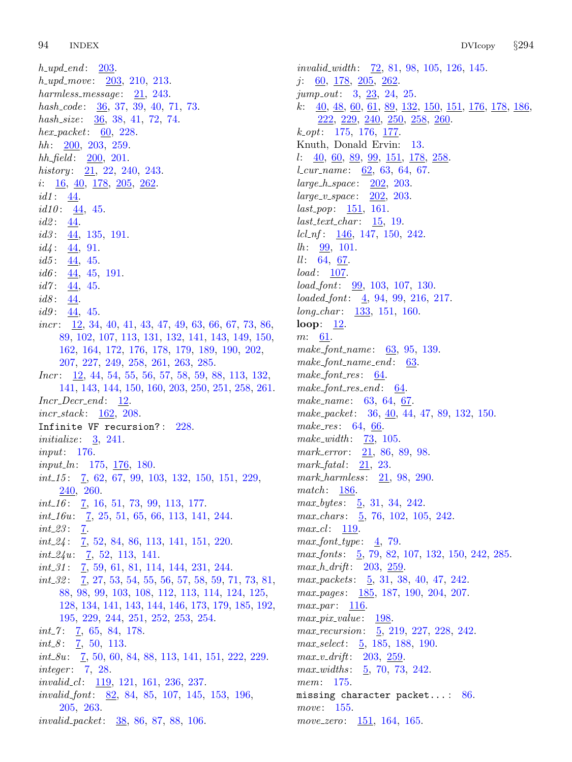$h\_upd\_end$ :  $203$ .  $h\_upd\_move: \quad 203, \; 210, \; 213.$  $h\_upd\_move: \quad 203, \; 210, \; 213.$  $h\_upd\_move: \quad 203, \; 210, \; 213.$  $h\_upd\_move: \quad 203, \; 210, \; 213.$  $h\_upd\_move: \quad 203, \; 210, \; 213.$  $h\_upd\_move: \quad 203, \; 210, \; 213.$  $h\_upd\_move: \quad 203, \; 210, \; 213.$ harmless\_message: [21,](#page-9-0) [243.](#page-80-0) hash\_code:  $\frac{36}{5}, 37, 39, 40, 71, 73.$  $\frac{36}{5}, 37, 39, 40, 71, 73.$  $\frac{36}{5}, 37, 39, 40, 71, 73.$  $\frac{36}{5}, 37, 39, 40, 71, 73.$  $\frac{36}{5}, 37, 39, 40, 71, 73.$  $\frac{36}{5}, 37, 39, 40, 71, 73.$  $\frac{36}{5}, 37, 39, 40, 71, 73.$  $\frac{36}{5}, 37, 39, 40, 71, 73.$  $\frac{36}{5}, 37, 39, 40, 71, 73.$  $\frac{36}{5}, 37, 39, 40, 71, 73.$  $\frac{36}{5}, 37, 39, 40, 71, 73.$  $\frac{36}{5}, 37, 39, 40, 71, 73.$  $\frac{36}{5}, 37, 39, 40, 71, 73.$ hash\_size:  $36, 38, 41, 72, 74$  $36, 38, 41, 72, 74$  $36, 38, 41, 72, 74$  $36, 38, 41, 72, 74$  $36, 38, 41, 72, 74$  $36, 38, 41, 72, 74$  $36, 38, 41, 72, 74$  $36, 38, 41, 72, 74$ . hex\_packet:  $60, 228$  $60, 228$ .  $hh: 200, 203, 259.$  $hh: 200, 203, 259.$  $hh: 200, 203, 259.$  $hh: 200, 203, 259.$  $hh: 200, 203, 259.$  $hh: 200, 203, 259.$  $hh$ -field:  $200, 201$  $200, 201$ . history: [21,](#page-9-0) [22](#page-9-0), [240,](#page-80-0) [243.](#page-80-0) i:  $\frac{16}{40}$  $\frac{16}{40}$  $\frac{16}{40}$ ,  $\frac{40}{178}$  $\frac{40}{178}$  $\frac{40}{178}$ ,  $\frac{205}{262}$  $\frac{205}{262}$  $\frac{205}{262}$ .  $id1: \underline{44}.$  $id10: \underline{44}$ , [45](#page-15-0).  $id2: \frac{44}{5}$ .  $id3: \frac{44}{135}, 191.$  $id3: \frac{44}{135}, 191.$  $id3: \frac{44}{135}, 191.$  $id4: \frac{44}{91}.$  $id5: 44, 45.$  $id5: 44, 45.$  $id5: 44, 45.$  $id5: 44, 45.$ id6:  $\frac{44}{5}$ , [45,](#page-15-0) [191.](#page-64-0)  $id7$ : [44,](#page-15-0) [45.](#page-15-0)  $id8: \frac{44}{.}$  $id9: 44, 45.$  $id9: 44, 45.$  $id9: 44, 45.$  $id9: 44, 45.$ *incr* :  $12, 34, 40, 41, 43, 47, 49, 63, 66, 67, 73, 86,$  $12, 34, 40, 41, 43, 47, 49, 63, 66, 67, 73, 86,$  $12, 34, 40, 41, 43, 47, 49, 63, 66, 67, 73, 86,$  $12, 34, 40, 41, 43, 47, 49, 63, 66, 67, 73, 86,$  $12, 34, 40, 41, 43, 47, 49, 63, 66, 67, 73, 86,$  $12, 34, 40, 41, 43, 47, 49, 63, 66, 67, 73, 86,$  $12, 34, 40, 41, 43, 47, 49, 63, 66, 67, 73, 86,$  $12, 34, 40, 41, 43, 47, 49, 63, 66, 67, 73, 86,$  $12, 34, 40, 41, 43, 47, 49, 63, 66, 67, 73, 86,$  $12, 34, 40, 41, 43, 47, 49, 63, 66, 67, 73, 86,$  $12, 34, 40, 41, 43, 47, 49, 63, 66, 67, 73, 86,$  $12, 34, 40, 41, 43, 47, 49, 63, 66, 67, 73, 86,$  $12, 34, 40, 41, 43, 47, 49, 63, 66, 67, 73, 86,$  $12, 34, 40, 41, 43, 47, 49, 63, 66, 67, 73, 86,$  $12, 34, 40, 41, 43, 47, 49, 63, 66, 67, 73, 86,$  $12, 34, 40, 41, 43, 47, 49, 63, 66, 67, 73, 86,$  $12, 34, 40, 41, 43, 47, 49, 63, 66, 67, 73, 86,$  $12, 34, 40, 41, 43, 47, 49, 63, 66, 67, 73, 86,$  $12, 34, 40, 41, 43, 47, 49, 63, 66, 67, 73, 86,$  $12, 34, 40, 41, 43, 47, 49, 63, 66, 67, 73, 86,$  $12, 34, 40, 41, 43, 47, 49, 63, 66, 67, 73, 86,$  $12, 34, 40, 41, 43, 47, 49, 63, 66, 67, 73, 86,$  $12, 34, 40, 41, 43, 47, 49, 63, 66, 67, 73, 86,$ [89,](#page-31-0) [102](#page-36-0), [107](#page-38-0), [113](#page-40-0), [131](#page-45-0), [132,](#page-45-0) [141,](#page-47-0) [143,](#page-48-0) [149,](#page-50-0) [150](#page-50-0), [162,](#page-55-0) [164,](#page-56-0) [172,](#page-58-0) [176,](#page-60-0) [178,](#page-61-0) [179,](#page-61-0) [189,](#page-64-0) [190](#page-64-0), [202](#page-66-0), [207,](#page-68-0) [227,](#page-75-0) [249](#page-81-0), [258](#page-83-0), [261,](#page-84-0) [263,](#page-85-0) [285](#page-87-0). *Incr*:  $\frac{12}{44}$  $\frac{12}{44}$  $\frac{12}{44}$ , [54](#page-18-0), [55,](#page-18-0) [56](#page-19-0), [57,](#page-19-0) [58](#page-20-0), [59](#page-21-0), [88,](#page-30-0) [113](#page-40-0), [132,](#page-45-0) [141,](#page-47-0) [143,](#page-48-0) [144](#page-48-0), [150](#page-50-0), [160,](#page-54-0) [203](#page-67-0), [250](#page-81-0), [251,](#page-82-0) [258,](#page-83-0) [261](#page-84-0).  $Incr\_Decr\_end$ :  $12$ .  $\textit{incr\_stack}: \quad \underline{162}, \; 208.$  $\textit{incr\_stack}: \quad \underline{162}, \; 208.$  $\textit{incr\_stack}: \quad \underline{162}, \; 208.$  $\textit{incr\_stack}: \quad \underline{162}, \; 208.$ Infinite VF recursion? : [228.](#page-75-0) *initialize*:  $\frac{3}{2}$  $\frac{3}{2}$  $\frac{3}{2}$ , [241](#page-80-0). input: [176.](#page-60-0)  $input\_ln: 175, 176, 180.$  $input\_ln: 175, 176, 180.$  $input\_ln: 175, 176, 180.$  $input\_ln: 175, 176, 180.$  $input\_ln: 175, 176, 180.$  $input\_ln: 175, 176, 180.$  $input\_ln: 175, 176, 180.$  $int_1 15$  :  $\frac{7}{10}$  $\frac{7}{10}$  $\frac{7}{10}$ , [62,](#page-22-0) [67,](#page-24-0) [99,](#page-35-0) [103](#page-37-0), [132](#page-45-0), [150](#page-50-0), [151,](#page-51-0) [229,](#page-76-0) [240,](#page-80-0) [260](#page-84-0).  $int_1 16$  $int_1 16$ : [7](#page-4-0), 16, [51](#page-17-0), [73](#page-26-0), [99,](#page-35-0) [113,](#page-40-0) [177.](#page-60-0) int 16u: [7](#page-4-0), [25,](#page-10-0) [51](#page-17-0), [65,](#page-23-0) [66](#page-23-0), [113](#page-40-0), [141,](#page-47-0) [244](#page-81-0).  $int_{-23}$ : [7](#page-4-0).  $int_2 24$  :  $\frac{7}{1}$  $\frac{7}{1}$  $\frac{7}{1}$ , [52,](#page-17-0) [84,](#page-29-0) [86](#page-29-0), [113,](#page-40-0) [141](#page-47-0), [151,](#page-51-0) [220](#page-72-0).  $int_2u: 7, 52, 113, 141.$  $int_2u: 7, 52, 113, 141.$  $int_2u: 7, 52, 113, 141.$  $int_2u: 7, 52, 113, 141.$  $int_2u: 7, 52, 113, 141.$  $int_2u: 7, 52, 113, 141.$  $int_2u: 7, 52, 113, 141.$  $int_2u: 7, 52, 113, 141.$  $int_2 31$  :  $7, 59, 61, 81, 114, 144, 231, 244$  $7, 59, 61, 81, 114, 144, 231, 244$  $7, 59, 61, 81, 114, 144, 231, 244$  $7, 59, 61, 81, 114, 144, 231, 244$  $7, 59, 61, 81, 114, 144, 231, 244$  $7, 59, 61, 81, 114, 144, 231, 244$  $7, 59, 61, 81, 114, 144, 231, 244$  $7, 59, 61, 81, 114, 144, 231, 244$  $7, 59, 61, 81, 114, 144, 231, 244$  $7, 59, 61, 81, 114, 144, 231, 244$  $7, 59, 61, 81, 114, 144, 231, 244$  $7, 59, 61, 81, 114, 144, 231, 244$  $7, 59, 61, 81, 114, 144, 231, 244$  $7, 59, 61, 81, 114, 144, 231, 244$  $7, 59, 61, 81, 114, 144, 231, 244$ .  $int_232$  :  $\frac{7}{2}$  $\frac{7}{2}$  $\frac{7}{2}$ , [27](#page-11-0), [53](#page-18-0), [54](#page-18-0), [55](#page-18-0), [56](#page-19-0), [57](#page-19-0), [58](#page-20-0), [59](#page-21-0), [71](#page-25-0), [73](#page-26-0), [81](#page-28-0), [88,](#page-30-0) [98,](#page-34-0) [99](#page-35-0), [103,](#page-37-0) [108](#page-39-0), [112,](#page-39-0) [113,](#page-40-0) [114](#page-40-0), [124,](#page-43-0) [125](#page-43-0), [128,](#page-44-0) [134,](#page-46-0) [141](#page-47-0), [143](#page-48-0), [144,](#page-48-0) [146](#page-49-0), [173](#page-58-0), [179,](#page-61-0) [185,](#page-63-0) [192](#page-64-0), [195,](#page-65-0) [229,](#page-76-0) [244](#page-81-0), [251](#page-82-0), [252,](#page-82-0) [253,](#page-82-0) [254](#page-82-0).  $int_17: 7, 65, 84, 178.$  $int_17: 7, 65, 84, 178.$  $int_17: 7, 65, 84, 178.$  $int_17: 7, 65, 84, 178.$  $int_17: 7, 65, 84, 178.$  $int_17: 7, 65, 84, 178.$  $int_17: 7, 65, 84, 178.$  $int_17: 7, 65, 84, 178.$  $int_17: 7, 65, 84, 178.$  $int_8$ : [7](#page-4-0), [50](#page-17-0), [113](#page-40-0). int 8u: [7](#page-4-0), [50](#page-17-0), [60](#page-21-0), [84](#page-29-0), [88,](#page-30-0) [113,](#page-40-0) [141,](#page-47-0) [151,](#page-51-0) [222](#page-73-0), [229](#page-76-0). integer: [7,](#page-4-0) [28.](#page-12-0) *invalid\_cl*: [119](#page-42-0), [121,](#page-43-0) [161,](#page-55-0) [236,](#page-78-0) [237.](#page-79-0) invalid font: [82,](#page-28-0) [84,](#page-29-0) [85](#page-29-0), [107](#page-38-0), [145,](#page-49-0) [153,](#page-52-0) [196,](#page-65-0) [205,](#page-68-0) [263](#page-85-0). invalid packet: [38,](#page-14-0) [86](#page-29-0), [87](#page-30-0), [88](#page-30-0), [106](#page-38-0).

invalid\_width: [72,](#page-26-0) [81](#page-28-0), [98](#page-34-0), [105,](#page-38-0) [126](#page-43-0), [145.](#page-49-0) j: [60](#page-21-0), [178](#page-61-0), [205,](#page-68-0) [262](#page-84-0). jump\_out: [3](#page-2-0), [23,](#page-9-0) [24](#page-10-0), [25.](#page-10-0) k:  $\frac{40}{48}$  $\frac{40}{48}$  $\frac{40}{48}$  $\frac{40}{48}$  $\frac{40}{48}$ ,  $\frac{48}{60}$ ,  $\frac{61}{61}$ ,  $\frac{89}{132}$  $\frac{89}{132}$  $\frac{89}{132}$ ,  $\frac{150}{151}$  $\frac{150}{151}$  $\frac{150}{151}$  $\frac{150}{151}$  $\frac{150}{151}$ ,  $\frac{176}{178}$  $\frac{176}{178}$  $\frac{176}{178}$ ,  $\frac{178}{186}$ [222,](#page-73-0) [229,](#page-76-0) [240,](#page-80-0) [250,](#page-81-0) [258,](#page-83-0) [260.](#page-84-0)  $k\_opt: 175, 176, 177.$  $k\_opt: 175, 176, 177.$  $k\_opt: 175, 176, 177.$  $k\_opt: 175, 176, 177.$  $k\_opt: 175, 176, 177.$  $k\_opt: 175, 176, 177.$  $k\_opt: 175, 176, 177.$ Knuth, Donald Ervin: [13](#page-6-0). l:  $\frac{40}{60}$ ,  $\frac{89}{99}$  $\frac{89}{99}$  $\frac{89}{99}$ ,  $\frac{91}{151}$  $\frac{91}{151}$  $\frac{91}{151}$ ,  $\frac{178}{258}$  $\frac{178}{258}$  $\frac{178}{258}$  $\frac{178}{258}$  $\frac{178}{258}$ .  $l_{\textit{cur_name}}: 62, 63, 64, 67.$  $l_{\textit{cur_name}}: 62, 63, 64, 67.$  $l_{\textit{cur_name}}: 62, 63, 64, 67.$  $l_{\textit{cur_name}}: 62, 63, 64, 67.$  $l_{\textit{cur_name}}: 62, 63, 64, 67.$  $l_{\textit{cur_name}}: 62, 63, 64, 67.$  $l_{\textit{cur_name}}: 62, 63, 64, 67.$  $l_{\textit{cur_name}}: 62, 63, 64, 67.$  $l_{\textit{cur_name}}: 62, 63, 64, 67.$  $large_hspace: 202, 203.$  $large_hspace: 202, 203.$  $large_hspace: 202, 203.$  $large_hspace: 202, 203.$  $large\_v\_space$ :  $202, 203$  $202, 203$  $202, 203$ .  $last\_pop: 151, 161.$  $last\_pop: 151, 161.$  $last\_pop: 151, 161.$  $last\_pop: 151, 161.$  $last\_pop: 151, 161.$  $last\_text\_char: 15, 19.$  $last\_text\_char: 15, 19.$  $last\_text\_char: 15, 19.$  $last\_text\_char: 15, 19.$  $last\_text\_char: 15, 19.$  $lcl_n f$ : [146](#page-49-0), [147,](#page-49-0) [150,](#page-50-0) [242](#page-80-0). *lh*:  $\frac{99}{99}$ , [101.](#page-36-0)  $ll: 64, 67.$  $ll: 64, 67.$  $ll: 64, 67.$  $ll: 64, 67.$  $ll: 64, 67.$  $load: \quad \underline{107}.$  $load: \quad \underline{107}.$  $load: \quad \underline{107}.$ load font: [99](#page-35-0), [103](#page-37-0), [107,](#page-38-0) [130.](#page-45-0) loaded font: [4](#page-2-0), [94](#page-32-0), [99](#page-35-0), [216](#page-71-0), [217](#page-71-0).  $long\_char: \frac{133}{151}$  $long\_char: \frac{133}{151}$  $long\_char: \frac{133}{151}$ , 151, [160.](#page-54-0) loop: [12.](#page-5-0) m: [61](#page-22-0). make font name:  $63, 95, 139$  $63, 95, 139$  $63, 95, 139$  $63, 95, 139$ .  $make\_font_name\_end: 63.$  $make\_font_name\_end: 63.$  $make\_font_name\_end: 63.$  $make\_font\_res: 64$  $make\_font\_res: 64$ .  $make\_font\_res\_end: 64.$  $make\_font\_res\_end: 64.$  $make\_font\_res\_end: 64.$ make\_name: [63](#page-22-0), [64,](#page-23-0) [67](#page-24-0). make *packet*: [36,](#page-13-0) [40](#page-14-0), [44,](#page-15-0) [47](#page-16-0), [89,](#page-31-0) [132](#page-45-0), [150.](#page-50-0) make\_res: [64](#page-23-0), [66](#page-23-0). make\_width: [73](#page-26-0), [105.](#page-38-0) mark\_error: [21,](#page-9-0) [86](#page-29-0), [89](#page-31-0), [98.](#page-34-0)  $mark\_fatal: 21, 23.$  $mark\_fatal: 21, 23.$  $mark\_fatal: 21, 23.$  $mark\_fatal: 21, 23.$ mark\_harmless:  $21, 98, 290$  $21, 98, 290$  $21, 98, 290$  $21, 98, 290$  $21, 98, 290$ .  $match: 186$  $match: 186$ .  $max_b, 5, 31, 34, 242.$  $max_b, 5, 31, 34, 242.$  $max_b, 5, 31, 34, 242.$  $max_b, 5, 31, 34, 242.$  $max_b, 5, 31, 34, 242.$  $max_b, 5, 31, 34, 242.$  $max_b, 5, 31, 34, 242.$  $max_b, 5, 31, 34, 242.$  $max_b, 5, 31, 34, 242.$ max\_chars: [5,](#page-2-0) [76,](#page-27-0) [102,](#page-36-0) [105,](#page-38-0) [242.](#page-80-0)  $max_c l$ :  $\frac{119}{.}$  $max_font\_type: 4, 79.$  $max_font\_type: 4, 79.$  $max_font\_type: 4, 79.$  $max_font\_type: 4, 79.$  $max_font\_type: 4, 79.$ max fonts: [5,](#page-2-0) [79,](#page-27-0) [82](#page-28-0), [107,](#page-38-0) [132,](#page-45-0) [150](#page-50-0), [242](#page-80-0), [285.](#page-87-0) max h drift: [203](#page-67-0), [259.](#page-84-0)  $max\_packets$ :  $\underline{5}$  $\underline{5}$  $\underline{5}$ , [31](#page-12-0), [38](#page-14-0), [40,](#page-14-0) [47,](#page-16-0) [242.](#page-80-0) max\_pages: [185](#page-63-0), [187](#page-63-0), [190](#page-64-0), [204,](#page-67-0) [207.](#page-68-0)  $max\_par$ : [116.](#page-41-0)  $max\_pix\_value:$  [198](#page-65-0). max\_recursion: [5](#page-2-0), [219,](#page-72-0) [227,](#page-75-0) [228](#page-75-0), [242](#page-80-0). max\_select: [5,](#page-2-0) [185](#page-63-0), [188](#page-64-0), [190](#page-64-0).  $max_v drift: 203, 259.$  $max_v drift: 203, 259.$  $max_v drift: 203, 259.$  $max_v drift: 203, 259.$  $max_v drift: 203, 259.$  $max\_widths: \underline{5}, 70, 73, 242.$  $max\_widths: \underline{5}, 70, 73, 242.$  $max\_widths: \underline{5}, 70, 73, 242.$  $max\_widths: \underline{5}, 70, 73, 242.$  $max\_widths: \underline{5}, 70, 73, 242.$  $max\_widths: \underline{5}, 70, 73, 242.$ mem: [175.](#page-59-0) missing character packet...:  $86$ . move: [155](#page-52-0). move zero:  $151, 164, 165$  $151, 164, 165$  $151, 164, 165$  $151, 164, 165$  $151, 164, 165$ .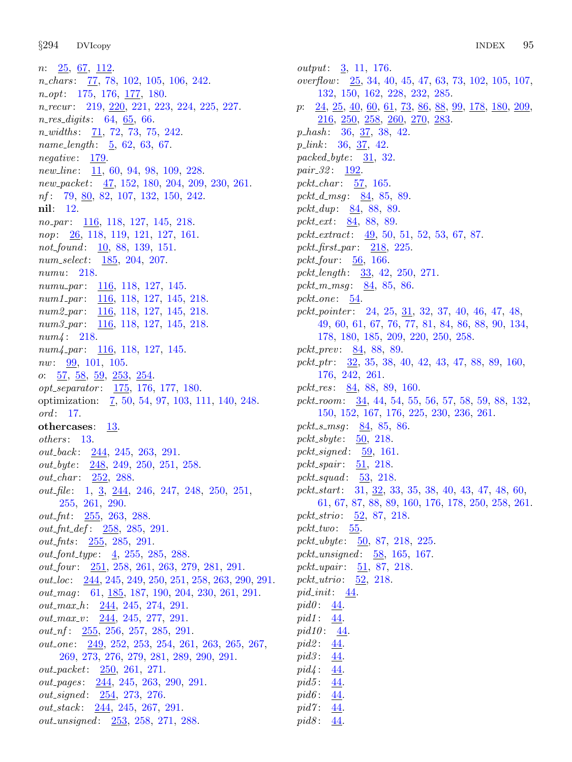$n: \quad 25, \quad 67, \quad 112.$  $n: \quad 25, \quad 67, \quad 112.$  $n: \quad 25, \quad 67, \quad 112.$  $n: \quad 25, \quad 67, \quad 112.$  $n: \quad 25, \quad 67, \quad 112.$  $n: \quad 25, \quad 67, \quad 112.$ n<sub>-chars: [77](#page-27-0)</sub>, [78](#page-27-0), [102,](#page-36-0) [105,](#page-38-0) [106,](#page-38-0) [242](#page-80-0). n opt: [175,](#page-59-0) [176](#page-60-0), [177,](#page-60-0) [180.](#page-62-0) n\_recur: [219](#page-72-0), [220,](#page-72-0) [221](#page-72-0), [223,](#page-73-0) [224](#page-73-0), [225,](#page-74-0) [227](#page-75-0).  $n_{res\_digits: 64, 65, 66.$  $n_{res\_digits: 64, 65, 66.$  $n_{res\_digits: 64, 65, 66.$  $n_{res\_digits: 64, 65, 66.$  $n_{res\_digits: 64, 65, 66.$  $n_{res\_digits: 64, 65, 66.$  $n_widths: \quad \underline{71}, 72, 73, 75, 242.$  $n_widths: \quad \underline{71}, 72, 73, 75, 242.$  $n_widths: \quad \underline{71}, 72, 73, 75, 242.$  $n_widths: \quad \underline{71}, 72, 73, 75, 242.$  $n_widths: \quad \underline{71}, 72, 73, 75, 242.$  $n_widths: \quad \underline{71}, 72, 73, 75, 242.$  $n_widths: \quad \underline{71}, 72, 73, 75, 242.$  $n_widths: \quad \underline{71}, 72, 73, 75, 242.$  $n_widths: \quad \underline{71}, 72, 73, 75, 242.$ name\_length:  $5, 62, 63, 67$  $5, 62, 63, 67$  $5, 62, 63, 67$  $5, 62, 63, 67$  $5, 62, 63, 67$  $5, 62, 63, 67$ .  $negative: 179.$  $negative: 179.$ new line:  $11, 60, 94, 98, 109, 228$  $11, 60, 94, 98, 109, 228$  $11, 60, 94, 98, 109, 228$  $11, 60, 94, 98, 109, 228$  $11, 60, 94, 98, 109, 228$  $11, 60, 94, 98, 109, 228$  $11, 60, 94, 98, 109, 228$  $11, 60, 94, 98, 109, 228$  $11, 60, 94, 98, 109, 228$  $11, 60, 94, 98, 109, 228$ . new\_packet: [47](#page-16-0), [152,](#page-51-0) [180,](#page-62-0) [204](#page-67-0), [209,](#page-69-0) [230,](#page-76-0) [261](#page-84-0). nf: [79,](#page-27-0) [80,](#page-27-0) [82,](#page-28-0) [107,](#page-38-0) [132,](#page-45-0) [150](#page-50-0), [242](#page-80-0). nil: [12.](#page-5-0) no par:  $\frac{116}{118}$  $\frac{116}{118}$  $\frac{116}{118}$ , [118,](#page-42-0) [127,](#page-44-0) [145,](#page-49-0) [218.](#page-72-0) nop: [26,](#page-11-0) [118,](#page-42-0) [119,](#page-42-0) [121,](#page-43-0) [127](#page-44-0), [161](#page-55-0). not\_found:  $\overline{10}$  $\overline{10}$  $\overline{10}$ , [88](#page-30-0), [139,](#page-46-0) [151.](#page-51-0)  $num\_select: 185, 204, 207.$  $num\_select: 185, 204, 207.$  $num\_select: 185, 204, 207.$  $num\_select: 185, 204, 207.$  $num\_select: 185, 204, 207.$  $num\_select: 185, 204, 207.$ numu: [218](#page-72-0). numu\_par: [116](#page-41-0), [118](#page-42-0), [127](#page-44-0), [145.](#page-49-0) num1\_par: [116,](#page-41-0) [118,](#page-42-0) [127,](#page-44-0) [145,](#page-49-0) [218](#page-72-0). num2\_par: [116,](#page-41-0) [118,](#page-42-0) [127,](#page-44-0) [145,](#page-49-0) [218](#page-72-0).  $num3\_par: \quad \underline{116}, \ 118, \ 127, \ 145, \ 218.$  $num3\_par: \quad \underline{116}, \ 118, \ 127, \ 145, \ 218.$  $num3\_par: \quad \underline{116}, \ 118, \ 127, \ 145, \ 218.$  $num3\_par: \quad \underline{116}, \ 118, \ 127, \ 145, \ 218.$  $num3\_par: \quad \underline{116}, \ 118, \ 127, \ 145, \ 218.$  $num3\_par: \quad \underline{116}, \ 118, \ 127, \ 145, \ 218.$  $num3\_par: \quad \underline{116}, \ 118, \ 127, \ 145, \ 218.$  $num3\_par: \quad \underline{116}, \ 118, \ 127, \ 145, \ 218.$  $num3\_par: \quad \underline{116}, \ 118, \ 127, \ 145, \ 218.$  $num4: 218.$  $num4: 218.$  $num4\_par: 116, 118, 127, 145.$  $num4\_par: 116, 118, 127, 145.$  $num4\_par: 116, 118, 127, 145.$  $num4\_par: 116, 118, 127, 145.$  $num4\_par: 116, 118, 127, 145.$  $num4\_par: 116, 118, 127, 145.$  $num4\_par: 116, 118, 127, 145.$  $num4\_par: 116, 118, 127, 145.$  $num4\_par: 116, 118, 127, 145.$ nw: [99](#page-35-0), [101](#page-36-0), [105](#page-38-0). o:  $57, 58, 59, 253, 254$  $57, 58, 59, 253, 254$  $57, 58, 59, 253, 254$  $57, 58, 59, 253, 254$  $57, 58, 59, 253, 254$  $57, 58, 59, 253, 254$  $57, 58, 59, 253, 254$  $57, 58, 59, 253, 254$ . opt\_separator: [175](#page-59-0), [176](#page-60-0), [177](#page-60-0), [180.](#page-62-0) optimization: [7,](#page-4-0) [50,](#page-17-0) [54](#page-18-0), [97](#page-33-0), [103](#page-37-0), [111,](#page-39-0) [140,](#page-47-0) [248](#page-81-0). ord: [17](#page-7-0). othercases:  $13$ . others: [13](#page-6-0).  $out\_back:$   $244, 245, 263, 291.$  $244, 245, 263, 291.$  $244, 245, 263, 291.$  $244, 245, 263, 291.$  $244, 245, 263, 291.$  $244, 245, 263, 291.$  $244, 245, 263, 291.$ out\_byte: [248,](#page-81-0) [249,](#page-81-0) [250,](#page-81-0) [251](#page-82-0), [258](#page-83-0). out\_char: [252,](#page-82-0) [288](#page-87-0). out file: [1](#page-1-0), [3](#page-2-0), [244,](#page-81-0) [246,](#page-81-0) [247,](#page-81-0) [248](#page-81-0), [250](#page-81-0), [251](#page-82-0), [255,](#page-82-0) [261,](#page-84-0) [290.](#page-88-0) out\_fnt: [255,](#page-82-0) [263](#page-85-0), [288.](#page-87-0) out fnt def : [258](#page-83-0), [285](#page-87-0), [291.](#page-88-0) out\_fnts: [255](#page-82-0), [285,](#page-87-0) [291](#page-88-0).  $out\_font\_type: \underline{4}, 255, 285, 288.$  $out\_font\_type: \underline{4}, 255, 285, 288.$  $out\_font\_type: \underline{4}, 255, 285, 288.$  $out\_font\_type: \underline{4}, 255, 285, 288.$  $out\_font\_type: \underline{4}, 255, 285, 288.$  $out\_font\_type: \underline{4}, 255, 285, 288.$  $out\_font\_type: \underline{4}, 255, 285, 288.$  $out\_font\_type: \underline{4}, 255, 285, 288.$ out<sub>-four</sub>:  $251, 258, 261, 263, 279, 281, 291.$  $251, 258, 261, 263, 279, 281, 291.$  $251, 258, 261, 263, 279, 281, 291.$  $251, 258, 261, 263, 279, 281, 291.$  $251, 258, 261, 263, 279, 281, 291.$  $251, 258, 261, 263, 279, 281, 291.$  $251, 258, 261, 263, 279, 281, 291.$  $251, 258, 261, 263, 279, 281, 291.$  $251, 258, 261, 263, 279, 281, 291.$  $251, 258, 261, 263, 279, 281, 291.$  $251, 258, 261, 263, 279, 281, 291.$  $251, 258, 261, 263, 279, 281, 291.$  $251, 258, 261, 263, 279, 281, 291.$ out loc: [244,](#page-81-0) [245](#page-81-0), [249,](#page-81-0) [250](#page-81-0), [251,](#page-82-0) [258,](#page-83-0) [263](#page-85-0), [290,](#page-88-0) [291](#page-88-0). out\_mag: [61](#page-22-0), [185,](#page-63-0) [187,](#page-63-0) [190,](#page-64-0) [204](#page-67-0), [230](#page-76-0), [261,](#page-84-0) [291.](#page-88-0)  $out\_max_h$ :  $244, 245, 274, 291$  $244, 245, 274, 291$  $244, 245, 274, 291$  $244, 245, 274, 291$  $244, 245, 274, 291$  $244, 245, 274, 291$  $244, 245, 274, 291$ .  $out\_max_v$ :  $244, 245, 277, 291.$  $244, 245, 277, 291.$  $244, 245, 277, 291.$  $244, 245, 277, 291.$  $244, 245, 277, 291.$  $244, 245, 277, 291.$  $244, 245, 277, 291.$  $244, 245, 277, 291.$  $out\_nf$ :  $255, 256, 257, 285, 291$  $255, 256, 257, 285, 291$  $255, 256, 257, 285, 291$  $255, 256, 257, 285, 291$  $255, 256, 257, 285, 291$  $255, 256, 257, 285, 291$  $255, 256, 257, 285, 291$  $255, 256, 257, 285, 291$  $255, 256, 257, 285, 291$ . out one : [249,](#page-81-0) [252](#page-82-0), [253,](#page-82-0) [254,](#page-82-0) [261](#page-84-0), [263](#page-85-0), [265,](#page-85-0) [267](#page-85-0), [269,](#page-85-0) [273](#page-86-0), [276,](#page-86-0) [279](#page-86-0), [281,](#page-86-0) [289](#page-87-0), [290,](#page-88-0) [291](#page-88-0). out packet: [250](#page-81-0), [261,](#page-84-0) [271](#page-85-0). out pages : [244](#page-81-0), [245](#page-81-0), [263](#page-85-0), [290,](#page-88-0) [291.](#page-88-0) out\_signed: [254](#page-82-0), [273](#page-86-0), [276.](#page-86-0) out stack : [244](#page-81-0), [245](#page-81-0), [267,](#page-85-0) [291.](#page-88-0) out\_unsigned:  $253, 258, 271, 288$  $253, 258, 271, 288$  $253, 258, 271, 288$  $253, 258, 271, 288$  $253, 258, 271, 288$  $253, 258, 271, 288$ .

output: [3,](#page-2-0) [11](#page-5-0), [176](#page-60-0). overflow: [25](#page-10-0), [34](#page-13-0), [40,](#page-14-0) [45,](#page-15-0) [47,](#page-16-0) [63,](#page-22-0) [73](#page-26-0), [102](#page-36-0), [105](#page-38-0), [107](#page-38-0), [132,](#page-45-0) [150,](#page-50-0) [162,](#page-55-0) [228,](#page-75-0) [232,](#page-77-0) [285.](#page-87-0) p: [24,](#page-10-0) [25,](#page-10-0) [40,](#page-14-0) [60](#page-21-0), [61](#page-22-0), [73](#page-26-0), [86,](#page-29-0) [88,](#page-30-0) [99,](#page-35-0) [178,](#page-61-0) [180](#page-62-0), [209](#page-69-0), [216,](#page-71-0) [250,](#page-81-0) [258,](#page-83-0) [260,](#page-84-0) [270,](#page-85-0) [283.](#page-87-0)  $p\_hash: 36, 37, 38, 42.$  $p\_hash: 36, 37, 38, 42.$  $p\_hash: 36, 37, 38, 42.$  $p\_hash: 36, 37, 38, 42.$  $p\_hash: 36, 37, 38, 42.$  $p\_hash: 36, 37, 38, 42.$  $p\_hash: 36, 37, 38, 42.$  $p\_hash: 36, 37, 38, 42.$  $p\_link: 36, 37, 42.$  $p\_link: 36, 37, 42.$  $p\_link: 36, 37, 42.$  $p\_link: 36, 37, 42.$  $p\_link: 36, 37, 42.$  $p\_link: 36, 37, 42.$  $p\_link: 36, 37, 42.$ packed byte:  $31, 32$  $31, 32$ . pair\_32: [192](#page-64-0). pckt\_char:  $57, 165$  $57, 165$ . pckt\_d\_msg:  $84, 85, 89$  $84, 85, 89$  $84, 85, 89$  $84, 85, 89$  $84, 85, 89$ . pckt dup: [84](#page-29-0), [88,](#page-30-0) [89](#page-31-0). pckt ext: [84](#page-29-0), [88](#page-30-0), [89.](#page-31-0) pckt\_extract:  $\frac{49}{50}$  $\frac{49}{50}$  $\frac{49}{50}$ , [50,](#page-17-0) [51](#page-17-0), [52](#page-17-0), [53,](#page-18-0) [67](#page-24-0), [87](#page-30-0). pckt\_first\_par:  $218$ , [225](#page-74-0). pckt\_four:  $\frac{56}{00}$ , [166](#page-56-0). pckt\_length:  $\frac{33}{12}$  $\frac{33}{12}$  $\frac{33}{12}$ , [42,](#page-14-0) [250,](#page-81-0) [271.](#page-85-0) pckt\_m\_msg:  $84, 85, 86$  $84, 85, 86$  $84, 85, 86$  $84, 85, 86$  $84, 85, 86$ . pckt\_one:  $54$ . pckt<sub>-pointer</sub>: [24](#page-10-0), [25](#page-10-0), [31](#page-12-0), [32](#page-13-0), [37](#page-13-0), [40](#page-14-0), [46,](#page-16-0) [47,](#page-16-0) [48,](#page-16-0) [49,](#page-16-0) [60](#page-21-0), [61,](#page-22-0) [67](#page-24-0), [76,](#page-27-0) [77](#page-27-0), [81,](#page-28-0) [84](#page-29-0), [86,](#page-29-0) [88](#page-30-0), [90,](#page-32-0) [134](#page-46-0), [178,](#page-61-0) [180,](#page-62-0) [185](#page-63-0), [209](#page-69-0), [220,](#page-72-0) [250,](#page-81-0) [258](#page-83-0). pckt<sub>-</sub>prev: [84,](#page-29-0) [88,](#page-30-0) [89](#page-31-0). pckt<sub>-p</sub>tr:  $\frac{32}{35}$  $\frac{32}{35}$  $\frac{32}{35}$ , 35, [38](#page-14-0), [40,](#page-14-0) [42](#page-14-0), [43](#page-15-0), [47,](#page-16-0) [88,](#page-30-0) [89](#page-31-0), [160](#page-54-0), [176,](#page-60-0) [242,](#page-80-0) [261.](#page-84-0) pckt\_res:  $84, 88, 89, 160$  $84, 88, 89, 160$  $84, 88, 89, 160$  $84, 88, 89, 160$  $84, 88, 89, 160$  $84, 88, 89, 160$  $84, 88, 89, 160$ . pckt\_room:  $\frac{34}{4}$  $\frac{34}{4}$  $\frac{34}{4}$ , [44](#page-15-0), [54,](#page-18-0) [55](#page-18-0), [56](#page-19-0), [57,](#page-19-0) [58](#page-20-0), [59](#page-21-0), [88,](#page-30-0) [132](#page-45-0), [150,](#page-50-0) [152](#page-51-0), [167,](#page-57-0) [176](#page-60-0), [225,](#page-74-0) [230](#page-76-0), [236,](#page-78-0) [261](#page-84-0). pckt\_s\_msg:  $84, 85, 86$  $84, 85, 86$  $84, 85, 86$  $84, 85, 86$  $84, 85, 86$ . pckt\_sbyte:  $50$ , [218.](#page-72-0) pckt\_signed:  $59, 161$  $59, 161$  $59, 161$ . pckt\_spair: [51,](#page-17-0) [218.](#page-72-0) pckt\_squad:  $53, 218$  $53, 218$ . pckt\_start: [31,](#page-12-0) [32](#page-13-0), [33](#page-13-0), [35,](#page-13-0) [38](#page-14-0), [40,](#page-14-0) [43,](#page-15-0) [47](#page-16-0), [48,](#page-16-0) [60](#page-21-0), [61,](#page-22-0) [67,](#page-24-0) [87,](#page-30-0) [88](#page-30-0), [89](#page-31-0), [160](#page-54-0), [176](#page-60-0), [178](#page-61-0), [250](#page-81-0), [258](#page-83-0), [261](#page-84-0). pckt\_strio: [52](#page-17-0), [87,](#page-30-0) [218](#page-72-0). pckt\_two:  $55$ . pckt\_ubyte:  $50, 87, 218, 225$  $50, 87, 218, 225$  $50, 87, 218, 225$  $50, 87, 218, 225$  $50, 87, 218, 225$  $50, 87, 218, 225$  $50, 87, 218, 225$ . pckt\_unsigned:  $58, 165, 167$  $58, 165, 167$  $58, 165, 167$  $58, 165, 167$ . pckt\_upair: [51](#page-17-0), [87,](#page-30-0) [218](#page-72-0). pckt utrio: [52,](#page-17-0) [218](#page-72-0). pid\_init:  $44$ .  $pid0: \underline{44}.$  $pid1: \underline{44}.$  $pid10: 44.$  $pid10: 44.$ pid2:  $44$ . pid $3:44$ .  $pid4:44$ .  $pid5:44.$  $pid5:44.$  $pid6:44.$  $pid6:44.$ pid $7: \underline{44}$ . pid $8: \frac{44}{5}$ .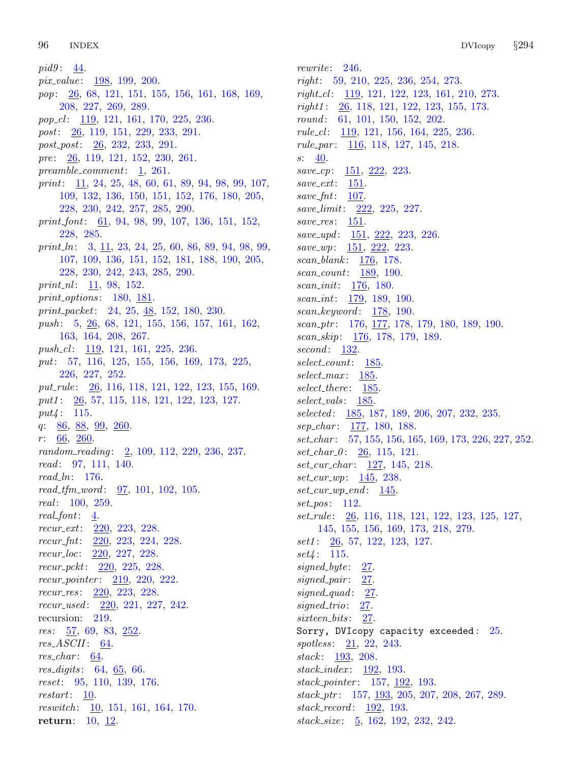pid $9: \frac{44}{5}$ . pix\_value: [198,](#page-65-0) [199,](#page-66-0) [200](#page-66-0). pop: [26,](#page-11-0) [68,](#page-25-0) [121,](#page-43-0) [151,](#page-51-0) [155,](#page-52-0) [156,](#page-53-0) [161,](#page-55-0) [168,](#page-57-0) [169,](#page-57-0) [208,](#page-69-0) [227](#page-75-0), [269](#page-85-0), [289.](#page-87-0) pop cl: [119,](#page-42-0) [121,](#page-43-0) [161](#page-55-0), [170](#page-57-0), [225,](#page-74-0) [236.](#page-78-0) post: [26](#page-11-0), [119](#page-42-0), [151](#page-51-0), [229](#page-76-0), [233,](#page-77-0) [291.](#page-88-0) post\_post: [26,](#page-11-0) [232](#page-77-0), [233](#page-77-0), [291.](#page-88-0) pre: [26](#page-11-0), [119](#page-42-0), [121](#page-43-0), [152](#page-51-0), [230](#page-76-0), [261](#page-84-0). preamble\_comment:  $1, 261$  $1, 261$ . print: [11](#page-5-0), [24,](#page-10-0) [25](#page-10-0), [48,](#page-16-0) [60](#page-21-0), [61](#page-22-0), [89,](#page-31-0) [94](#page-32-0), [98,](#page-34-0) [99](#page-35-0), [107,](#page-38-0) [109,](#page-39-0) [132,](#page-45-0) [136,](#page-46-0) [150,](#page-50-0) [151,](#page-51-0) [152,](#page-51-0) [176,](#page-60-0) [180](#page-62-0), [205](#page-68-0), [228,](#page-75-0) [230,](#page-76-0) [242,](#page-80-0) [257,](#page-82-0) [285,](#page-87-0) [290.](#page-88-0) print font: [61](#page-22-0), [94](#page-32-0), [98,](#page-34-0) [99,](#page-35-0) [107](#page-38-0), [136](#page-46-0), [151,](#page-51-0) [152,](#page-51-0) [228,](#page-75-0) [285](#page-87-0). print<sub>-</sub>ln: [3](#page-2-0), [11,](#page-5-0) [23,](#page-9-0) [24](#page-10-0), [25,](#page-10-0) [60](#page-21-0), [86,](#page-29-0) [89](#page-31-0), [94,](#page-32-0) [98](#page-34-0), [99,](#page-35-0) [107,](#page-38-0) [109,](#page-39-0) [136,](#page-46-0) [151,](#page-51-0) [152,](#page-51-0) [181,](#page-62-0) [188,](#page-64-0) [190](#page-64-0), [205](#page-68-0), [228,](#page-75-0) [230,](#page-76-0) [242,](#page-80-0) [243,](#page-80-0) [285,](#page-87-0) [290.](#page-88-0)  $print\_nl$ : [11](#page-5-0), [98,](#page-34-0) [152.](#page-51-0) print options:  $180, 181$  $180, 181$ . print packet: [24,](#page-10-0) [25](#page-10-0), [48](#page-16-0), [152,](#page-51-0) [180](#page-62-0), [230](#page-76-0). push: [5,](#page-2-0) [26,](#page-11-0) [68](#page-25-0), [121](#page-43-0), [155,](#page-52-0) [156,](#page-53-0) [157](#page-53-0), [161](#page-55-0), [162,](#page-55-0) [163,](#page-55-0) [164](#page-56-0), [208](#page-69-0), [267.](#page-85-0) push<sub>-c</sub>l: [119,](#page-42-0) [121,](#page-43-0) [161,](#page-55-0) [225,](#page-74-0) [236.](#page-78-0) put: [57,](#page-19-0) [116,](#page-41-0) [125,](#page-43-0) [155,](#page-52-0) [156,](#page-53-0) [169,](#page-57-0) [173,](#page-58-0) [225](#page-74-0), [226,](#page-74-0) [227,](#page-75-0) [252.](#page-82-0) put\_rule: [26](#page-11-0), [116](#page-41-0), [118](#page-42-0), [121,](#page-43-0) [122,](#page-43-0) [123](#page-43-0), [155](#page-52-0), [169.](#page-57-0) put1: [26](#page-11-0), [57,](#page-19-0) [115](#page-41-0), [118,](#page-42-0) [121](#page-43-0), [122,](#page-43-0) [123](#page-43-0), [127.](#page-44-0)  $put4: 115.$  $put4: 115.$  $put4: 115.$ q: [86](#page-29-0), [88](#page-30-0), [99](#page-35-0), 260  $r: \underline{66}, \underline{260}.$  $r: \underline{66}, \underline{260}.$  $r: \underline{66}, \underline{260}.$ random\_reading: [2,](#page-1-0) [109](#page-39-0), [112](#page-39-0), [229,](#page-76-0) [236](#page-78-0), [237.](#page-79-0) read: [97](#page-33-0), [111,](#page-39-0) [140.](#page-47-0) read ln: [176.](#page-60-0)  $read\_tfm\_word: \quad 97, 101, 102, 105.$  $read\_tfm\_word: \quad 97, 101, 102, 105.$  $read\_tfm\_word: \quad 97, 101, 102, 105.$  $read\_tfm\_word: \quad 97, 101, 102, 105.$  $read\_tfm\_word: \quad 97, 101, 102, 105.$  $read\_tfm\_word: \quad 97, 101, 102, 105.$  $read\_tfm\_word: \quad 97, 101, 102, 105.$  $read\_tfm\_word: \quad 97, 101, 102, 105.$  $read\_tfm\_word: \quad 97, 101, 102, 105.$ real: [100,](#page-35-0) [259.](#page-84-0) real\_font:  $\underline{4}$  $\underline{4}$  $\underline{4}$ . recur ext: [220](#page-72-0), [223,](#page-73-0) [228](#page-75-0). recur fnt: [220,](#page-72-0) [223,](#page-73-0) [224](#page-73-0), [228](#page-75-0). recur loc: [220](#page-72-0), [227](#page-75-0), [228.](#page-75-0) recur pckt: [220,](#page-72-0) [225](#page-74-0), [228.](#page-75-0) recur\_pointer: [219](#page-72-0), [220](#page-72-0), [222.](#page-73-0) recur\_res: [220,](#page-72-0) [223](#page-73-0), [228.](#page-75-0) recur\_used: [220](#page-72-0), [221](#page-72-0), [227,](#page-75-0) [242.](#page-80-0) recursion: [219](#page-72-0).  $res: 57, 69, 83, 252.$  $res: 57, 69, 83, 252.$  $res: 57, 69, 83, 252.$  $res: 57, 69, 83, 252.$  $res: 57, 69, 83, 252.$  $res: 57, 69, 83, 252.$  $res: 57, 69, 83, 252.$  $res: 57, 69, 83, 252.$  $res: 57, 69, 83, 252.$  $res\_ASCII: 64$ .  $res\_char: 64.$  $res\_char: 64.$  $res\_char: 64.$ res digits : [64](#page-23-0), [65,](#page-23-0) [66.](#page-23-0) reset: [95](#page-32-0), [110,](#page-39-0) [139](#page-46-0), [176.](#page-60-0) restart:  $\underline{10}$  $\underline{10}$  $\underline{10}$ . reswitch:  $\frac{10}{151}$ , [151,](#page-51-0) [161,](#page-55-0) [164,](#page-56-0) [170.](#page-57-0) return:  $10, 12$  $10, 12$  $10, 12$ .

rewrite: [246.](#page-81-0) right: [59](#page-21-0), [210](#page-69-0), [225](#page-74-0), [236](#page-78-0), [254,](#page-82-0) [273.](#page-86-0) right cl : [119](#page-42-0), [121,](#page-43-0) [122](#page-43-0), [123,](#page-43-0) [161](#page-55-0), [210](#page-69-0), [273.](#page-86-0) right1 : [26,](#page-11-0) [118](#page-42-0), [121](#page-43-0), [122,](#page-43-0) [123](#page-43-0), [155,](#page-52-0) [173](#page-58-0). round: [61](#page-22-0), [101](#page-36-0), [150](#page-50-0), [152](#page-51-0), [202.](#page-66-0)  $rule\_cl$ :  $\frac{119}{119}$ , [121](#page-43-0), [156](#page-53-0), [164,](#page-56-0) [225,](#page-74-0) [236](#page-78-0). rule\_par: [116](#page-41-0), [118](#page-42-0), [127](#page-44-0), [145](#page-49-0), [218](#page-72-0).  $s: \quad 40.$  $s: \quad 40.$  $s: \quad 40.$ save\_cp: [151](#page-51-0), [222,](#page-73-0) [223.](#page-73-0) save\_ext: [151.](#page-51-0) save\_fnt: [107](#page-38-0). save\_limit: [222](#page-73-0), [225,](#page-74-0) [227](#page-75-0).  $save\_res: \quad \underline{151}.$  $save\_res: \quad \underline{151}.$  $save\_res: \quad \underline{151}.$  $save\_upd: \quad 151, \; 222, \; 223, \; 226.$  $save\_upd: \quad 151, \; 222, \; 223, \; 226.$  $save\_upd: \quad 151, \; 222, \; 223, \; 226.$  $save\_upd: \quad 151, \; 222, \; 223, \; 226.$  $save\_upd: \quad 151, \; 222, \; 223, \; 226.$  $save\_upd: \quad 151, \; 222, \; 223, \; 226.$  $save\_upd: \quad 151, \; 222, \; 223, \; 226.$  $save\_upd: \quad 151, \; 222, \; 223, \; 226.$ save\_wp: [151](#page-51-0), [222,](#page-73-0) [223.](#page-73-0)  $scan\_blank: 176, 178.$  $scan\_blank: 176, 178.$  $scan\_blank: 176, 178.$  $scan\_blank: 176, 178.$ scan\_count: [189](#page-64-0), [190.](#page-64-0) scan\_init: [176,](#page-60-0) [180](#page-62-0). scan\_int: [179,](#page-61-0) [189](#page-64-0), [190.](#page-64-0) scan\_keyword: [178](#page-61-0), [190.](#page-64-0) scan\_ptr: [176](#page-60-0), [177,](#page-60-0) [178](#page-61-0), [179,](#page-61-0) [180,](#page-62-0) [189](#page-64-0), [190.](#page-64-0) scan\_skip: <u>[176](#page-60-0)</u>, [178](#page-61-0), [179](#page-61-0), [189.](#page-64-0) second: [132](#page-45-0). select\_count: [185](#page-63-0).  $select\_max: 185.$  $select\_max: 185.$  $select\_max: 185.$ select\_there: [185.](#page-63-0)  $select\_vals: 185$  $select\_vals: 185$ . selected: [185,](#page-63-0) [187,](#page-63-0) [189](#page-64-0), [206,](#page-68-0) [207](#page-68-0), [232,](#page-77-0) [235](#page-78-0). sep\_char: [177,](#page-60-0) [180](#page-62-0), [188.](#page-64-0) set char : [57,](#page-19-0) [155](#page-52-0), [156](#page-53-0), [165,](#page-56-0) [169](#page-57-0), [173](#page-58-0), [226,](#page-74-0) [227,](#page-75-0) [252](#page-82-0).  $set\_char_0: \underline{26}, 115, 121.$  $set\_char_0: \underline{26}, 115, 121.$  $set\_char_0: \underline{26}, 115, 121.$  $set\_char_0: \underline{26}, 115, 121.$  $set\_cur\_char: \quad \underline{127}, \; 145, \; 218.$  $set\_cur\_char: \quad \underline{127}, \; 145, \; 218.$  $set\_cur\_char: \quad \underline{127}, \; 145, \; 218.$  $set\_cur\_char: \quad \underline{127}, \; 145, \; 218.$  $set\_cur\_char: \quad \underline{127}, \; 145, \; 218.$  $set\_cur\_wp: 145, 238.$  $set\_cur\_wp: 145, 238.$  $set\_cur\_wp: 145, 238.$  $set\_cur\_wp: 145, 238.$  $set\_cur\_wp\_end$ :  $145$ . set\_pos: [112](#page-39-0). set\_rule: [26](#page-11-0), [116](#page-41-0), [118](#page-42-0), [121](#page-43-0), [122](#page-43-0), [123](#page-43-0), [125](#page-43-0), [127](#page-44-0), [145,](#page-49-0) [155,](#page-52-0) [156](#page-53-0), [169](#page-57-0), [173,](#page-58-0) [218,](#page-72-0) [279](#page-86-0). set1: [26,](#page-11-0) [57,](#page-19-0) [122](#page-43-0), [123](#page-43-0), [127.](#page-44-0) set4: [115.](#page-41-0) signed byte:  $27$ . signed\_pair: [27](#page-11-0).  $signed_quad: 27.$  $signed_quad: 27.$  $signed_quad: 27.$ signed  $trio: 27$ . sixteen\_bits: [27.](#page-11-0) Sorry, DVIcopy capacity exceeded : [25](#page-10-0). spotless: [21](#page-9-0), [22,](#page-9-0) [243.](#page-80-0)  $stack: \frac{193}{208}.$ stack\_index: [192,](#page-64-0) [193](#page-65-0). stack\_pointer: [157,](#page-53-0) [192](#page-64-0), [193](#page-65-0). stack-ptr: [157](#page-53-0), [193](#page-65-0), [205,](#page-68-0) [207](#page-68-0), [208,](#page-69-0) [267,](#page-85-0) [289](#page-87-0). stack record : [192](#page-64-0), [193.](#page-65-0)  $stack_size: \underline{5}$  $stack_size: \underline{5}$  $stack_size: \underline{5}$ , [162](#page-55-0), [192,](#page-64-0) [232,](#page-77-0) [242.](#page-80-0)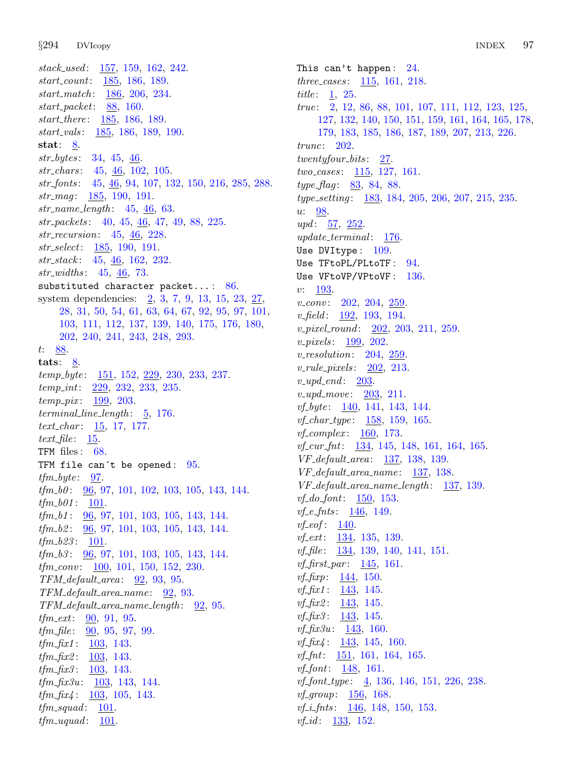stack\_used: [157](#page-53-0), [159](#page-53-0), [162](#page-55-0), [242](#page-80-0). start count: [185](#page-63-0), [186,](#page-63-0) [189.](#page-64-0) start match : [186,](#page-63-0) [206](#page-68-0), [234](#page-77-0). start\_packet:  $88, 160$  $88, 160$  $88, 160$ . start\_there: <u>185</u>, [186](#page-63-0), [189.](#page-64-0) start\_vals: [185,](#page-63-0) [186](#page-63-0), [189](#page-64-0), [190](#page-64-0). stat:  $8$ .  $str\_bytes: 34, 45, 46.$  $str\_bytes: 34, 45, 46.$  $str\_bytes: 34, 45, 46.$  $str\_bytes: 34, 45, 46.$  $str\_bytes: 34, 45, 46.$  $str\_bytes: 34, 45, 46.$  $str\_bytes: 34, 45, 46.$  $str\_chars$ : [45](#page-15-0), [46,](#page-16-0) [102,](#page-36-0) [105](#page-38-0). str fonts : [45](#page-15-0), [46](#page-16-0), [94,](#page-32-0) [107,](#page-38-0) [132,](#page-45-0) [150,](#page-50-0) [216,](#page-71-0) [285,](#page-87-0) [288.](#page-87-0)  $str_mag: 185, 190, 191.$  $str_mag: 185, 190, 191.$  $str_mag: 185, 190, 191.$  $str_mag: 185, 190, 191.$  $str_mag: 185, 190, 191.$  $str_mag: 185, 190, 191.$  $str_mag: 185, 190, 191.$  $str_name_length: 45, 46, 63.$  $str_name_length: 45, 46, 63.$  $str_name_length: 45, 46, 63.$  $str_name_length: 45, 46, 63.$  $str_name_length: 45, 46, 63.$  $str_name_length: 45, 46, 63.$ str packets : [40](#page-14-0), [45,](#page-15-0) [46](#page-16-0), [47](#page-16-0), [49,](#page-16-0) [88](#page-30-0), [225.](#page-74-0) str\_recursion:  $45, \underline{46}, 228$  $45, \underline{46}, 228$  $45, \underline{46}, 228$  $45, \underline{46}, 228$ . str select: [185,](#page-63-0) [190,](#page-64-0) [191](#page-64-0).  $str\_stack: 45, 46, 162, 232.$  $str\_stack: 45, 46, 162, 232.$  $str\_stack: 45, 46, 162, 232.$  $str\_stack: 45, 46, 162, 232.$  $str\_stack: 45, 46, 162, 232.$  $str\_stack: 45, 46, 162, 232.$  $str\_stack: 45, 46, 162, 232.$  $str\_stack: 45, 46, 162, 232.$  $str\_stack: 45, 46, 162, 232.$  $str_widths: 45, 46, 73.$  $str_widths: 45, 46, 73.$  $str_widths: 45, 46, 73.$  $str_widths: 45, 46, 73.$  $str_widths: 45, 46, 73.$  $str_widths: 45, 46, 73.$ substituted character packet...:  $86$ . system dependencies: [2](#page-1-0), [3](#page-2-0), [7,](#page-4-0) [9,](#page-4-0) [13,](#page-6-0) [15,](#page-7-0) [23,](#page-9-0) [27](#page-11-0), [28,](#page-12-0) [31](#page-12-0), [50,](#page-17-0) [54](#page-18-0), [61,](#page-22-0) [63](#page-22-0), [64,](#page-23-0) [67](#page-24-0), [92,](#page-32-0) [95](#page-32-0), [97,](#page-33-0) [101](#page-36-0), [103,](#page-37-0) [111,](#page-39-0) [112,](#page-39-0) [137,](#page-46-0) [139,](#page-46-0) [140,](#page-47-0) [175,](#page-59-0) [176](#page-60-0), [180](#page-62-0), [202,](#page-66-0) [240,](#page-80-0) [241,](#page-80-0) [243,](#page-80-0) [248,](#page-81-0) [293.](#page-89-0) t: [88](#page-30-0). tats: [8](#page-4-0). temp\_byte: [151](#page-51-0), [152,](#page-51-0) [229](#page-76-0), [230,](#page-76-0) [233](#page-77-0), [237.](#page-79-0) temp int: [229,](#page-76-0) [232](#page-77-0), [233](#page-77-0), [235](#page-78-0).  $temp\_pix$ :  $\frac{199}{203}$ .  $terminal\_line\_length: 5, 176.$  $terminal\_line\_length: 5, 176.$  $terminal\_line\_length: 5, 176.$  $terminal\_line\_length: 5, 176.$  $text_{char}:$   $\frac{15}{17}$  $\frac{15}{17}$  $\frac{15}{17}$ , [177.](#page-60-0) text\_file:  $15$ . TFM files: [68](#page-25-0). TFM file can't be opened:  $95$ .  $tfm\_byte: \quad 97$  $tfm\_byte: \quad 97$ .  $tfm_b0$ :  $\frac{96}{97}$  $\frac{96}{97}$  $\frac{96}{97}$ , [101](#page-36-0), [102](#page-36-0), [103,](#page-37-0) [105](#page-38-0), [143,](#page-48-0) [144.](#page-48-0)  $tfm_b01: 101.$  $tfm_b01: 101.$  $tfm_b01: 101.$ tfm b1: [96](#page-32-0), [97](#page-33-0), [101,](#page-36-0) [103](#page-37-0), [105,](#page-38-0) [143](#page-48-0), [144](#page-48-0).  $tfm_b2$ :  $96$ , [97](#page-33-0), [101,](#page-36-0) [103](#page-37-0), [105,](#page-38-0) [143](#page-48-0), [144](#page-48-0).  $tfm_b23: 101.$  $tfm_b23: 101.$  $tfm_b23: 101.$  $tfm_b3$ : [96](#page-32-0), [97](#page-33-0), [101,](#page-36-0) [103](#page-37-0), [105,](#page-38-0) [143](#page-48-0), [144](#page-48-0). *tfm\_conv*: [100,](#page-35-0) [101,](#page-36-0) [150,](#page-50-0) [152](#page-51-0), [230](#page-76-0).  $TFM_{\mathcal{A}}$  default\_area:  $92, 93, 95$  $92, 93, 95$  $92, 93, 95$  $92, 93, 95$  $92, 93, 95$ .  $TFM_{\mathcal{A}}$  default\_area\_name:  $92, 93$  $92, 93$ .  $TFM$ <sub>-default-area-name-length</sub>:  $92, 95$  $92, 95$ .  $tfm\_ext: 90, 91, 95.$  $tfm\_ext: 90, 91, 95.$  $tfm\_ext: 90, 91, 95.$  $tfm\_ext: 90, 91, 95.$  $tfm\_ext: 90, 91, 95.$  $tfm\_ext: 90, 91, 95.$  $tfm\_ext: 90, 91, 95.$  $tfm_{\text{}}file: 90, 95, 97, 99.$  $tfm_{\text{}}file: 90, 95, 97, 99.$  $tfm_{\text{}}file: 90, 95, 97, 99.$  $tfm_{\text{}}file: 90, 95, 97, 99.$  $tfm_{\text{}}file: 90, 95, 97, 99.$  $tfm_{\text{}}file: 90, 95, 97, 99.$  $tfm_{\text{}}file: 90, 95, 97, 99.$  $tfm_{\text{}}file: 90, 95, 97, 99.$  $tfm_{\text{}}file: 90, 95, 97, 99.$  $tfm\_fix1$ : [103](#page-37-0), [143.](#page-48-0)  $tfm_{\textit{n}}fix2: 103, 143.$  $tfm_{\textit{n}}fix2: 103, 143.$  $tfm_{\textit{n}}fix2: 103, 143.$  $tfm_{\textit{n}}fix2: 103, 143.$  $tfm_{\textit{max3}}: 103, 143.$  $tfm_{\textit{max3}}: 103, 143.$  $tfm_{\textit{max3}}: 103, 143.$  $tfm_{\textit{max3}}: 103, 143.$  $tfm_{\textit{n}}fix3u: 103, 143, 144.$  $tfm_{\textit{n}}fix3u: 103, 143, 144.$  $tfm_{\textit{n}}fix3u: 103, 143, 144.$  $tfm_{\textit{n}}fix3u: 103, 143, 144.$  $tfm_{\textit{n}}fix3u: 103, 143, 144.$  $tfm_{\textit{n}}fix3u: 103, 143, 144.$  $tfm\_fix4$ :  $\underline{103}$  $\underline{103}$  $\underline{103}$ , [105,](#page-38-0) [143](#page-48-0).  $tfm$ <sub>squad</sub>:  $\underline{101}$ .  $tfm_uquad: 101$ .

This can't happen:  $24$ . *three\_cases*:  $115, 161, 218$  $115, 161, 218$  $115, 161, 218$  $115, 161, 218$ . title:  $\frac{1}{25}$ . true: [2](#page-1-0), [12,](#page-5-0) [86](#page-29-0), [88](#page-30-0), [101,](#page-36-0) [107](#page-38-0), [111,](#page-39-0) [112](#page-39-0), [123,](#page-43-0) [125](#page-43-0), [127,](#page-44-0) [132,](#page-45-0) [140](#page-47-0), [150,](#page-50-0) [151,](#page-51-0) [159](#page-53-0), [161](#page-55-0), [164,](#page-56-0) [165,](#page-56-0) [178](#page-61-0), [179,](#page-61-0) [183](#page-63-0), [185](#page-63-0), [186,](#page-63-0) [187,](#page-63-0) [189](#page-64-0), [207](#page-68-0), [213,](#page-70-0) [226.](#page-74-0) trunc: [202.](#page-66-0)  $twenty four-bits: 27.$  $twenty four-bits: 27.$  $two\_cases: \quad \underline{115}, \; 127, \; 161.$  $two\_cases: \quad \underline{115}, \; 127, \; 161.$  $two\_cases: \quad \underline{115}, \; 127, \; 161.$  $two\_cases: \quad \underline{115}, \; 127, \; 161.$  $two\_cases: \quad \underline{115}, \; 127, \; 161.$  $type\_flag: 83, 84, 88.$  $type\_flag: 83, 84, 88.$  $type\_flag: 83, 84, 88.$  $type\_flag: 83, 84, 88.$  $type\_flag: 83, 84, 88.$  $type\_flag: 83, 84, 88.$ type\_setting: [183,](#page-63-0) [184,](#page-63-0) [205,](#page-68-0) [206](#page-68-0), [207](#page-68-0), [215,](#page-70-0) [235.](#page-78-0) u: [98](#page-34-0).  $upd: \frac{57}{252}.$  $upd: \frac{57}{252}.$  $upd: \frac{57}{252}.$  $upd: \frac{57}{252}.$  $upd: \frac{57}{252}.$  $update\_terminal: 176$  $update\_terminal: 176$ . Use DVItype: [109](#page-39-0). Use TFtoPL/PLtoTF: [94.](#page-32-0) Use VFtoVP/VPtoVF: [136.](#page-46-0)  $v: \frac{193}{2}$ .  $v\_conv: 202, 204, 259.$  $v\_conv: 202, 204, 259.$  $v\_conv: 202, 204, 259.$  $v\_conv: 202, 204, 259.$  $v\_conv: 202, 204, 259.$  $v\_conv: 202, 204, 259.$  $v$ -field:  $192, 193, 194$  $192, 193, 194$  $192, 193, 194$  $192, 193, 194$  $192, 193, 194$ . v\_pixel\_round: [202,](#page-66-0) [203,](#page-67-0) [211,](#page-69-0) [259.](#page-84-0) *v\_pixels*: [199](#page-66-0), [202](#page-66-0). v\_resolution:  $204, 259$  $204, 259$  $204, 259$ .  $v$ -rule-pixels:  $202, 213$  $202, 213$  $202, 213$ .  $v\_upd\_end$ :  $203$ .  $v\_upd\_move: \quad 203, \; 211.$  $v\_upd\_move: \quad 203, \; 211.$  $v\_upd\_move: \quad 203, \; 211.$  $v\_upd\_move: \quad 203, \; 211.$  $vf\_byte: 140, 141, 143, 144.$  $vf\_byte: 140, 141, 143, 144.$  $vf\_byte: 140, 141, 143, 144.$  $vf\_byte: 140, 141, 143, 144.$  $vf\_byte: 140, 141, 143, 144.$  $vf\_byte: 140, 141, 143, 144.$  $vf\_byte: 140, 141, 143, 144.$  $vf\_byte: 140, 141, 143, 144.$  $vf\_byte: 140, 141, 143, 144.$  $vf_{\text{-}char\_type}: \frac{158}{159}, 159, 165.$  $vf_{\text{-}char\_type}: \frac{158}{159}, 159, 165.$  $vf_{\text{-}char\_type}: \frac{158}{159}, 159, 165.$  $vf_{\text{-}char\_type}: \frac{158}{159}, 159, 165.$  $vf_{\text{-}char\_type}: \frac{158}{159}, 159, 165.$  $vf_{\text{-}char\_type}: \frac{158}{159}, 159, 165.$  $vf_{\text{a}} \text{complex:} \quad 160, \; 173.$  $vf_{\text{a}} \text{complex:} \quad 160, \; 173.$  $vf_{\text{a}} \text{complex:} \quad 160, \; 173.$  $vf_{\text{a}} \text{complex:} \quad 160, \; 173.$  $vf_{\text{a}} \text{complex:} \quad 160, \; 173.$  $vf_{\text{r}} = \int 134, 145, 148, 161, 164, 165.$  $vf_{\text{r}} = \int 134, 145, 148, 161, 164, 165.$  $vf_{\text{r}} = \int 134, 145, 148, 161, 164, 165.$  $vf_{\text{r}} = \int 134, 145, 148, 161, 164, 165.$  $vf_{\text{r}} = \int 134, 145, 148, 161, 164, 165.$  $vf_{\text{r}} = \int 134, 145, 148, 161, 164, 165.$  $vf_{\text{r}} = \int 134, 145, 148, 161, 164, 165.$  $vf_{\text{r}} = \int 134, 145, 148, 161, 164, 165.$  $vf_{\text{r}} = \int 134, 145, 148, 161, 164, 165.$  $vf_{\text{r}} = \int 134, 145, 148, 161, 164, 165.$  $vf_{\text{r}} = \int 134, 145, 148, 161, 164, 165.$  $vf_{\text{r}} = \int 134, 145, 148, 161, 164, 165.$  $vf_{\text{r}} = \int 134, 145, 148, 161, 164, 165.$ VF default area : [137](#page-46-0), [138](#page-46-0), [139](#page-46-0).  $VF\_default\_area_name: 137, 138.$  $VF\_default\_area_name: 137, 138.$  $VF\_default\_area_name: 137, 138.$  $VF\_default\_area_name: 137, 138.$  $VF\_default\_area_name: 137, 138.$  $VF\_default\_area\_name\_length:$   $137, 139.$  $137, 139.$  $137, 139.$  $137, 139.$  $vf\_do\_font: 150, 153.$  $vf\_do\_font: 150, 153.$  $vf\_do\_font: 150, 153.$  $vf\_do\_font: 150, 153.$ *vf<sub>-e-fnts*:  $\frac{146}{149}$  $\frac{146}{149}$  $\frac{146}{149}$ , 149.</sub>  $\mathit{vf\_eof}$ :  $\underline{140}$ . *vf\_ext*:  $\frac{134}{135}$ , [135,](#page-46-0) [139](#page-46-0). *vf file*: [134,](#page-46-0) [139](#page-46-0), [140](#page-47-0), [141](#page-47-0), [151](#page-51-0). *vf* first par:  $145$ , [161.](#page-55-0) *vf*  $\int f(x) dx$ : [144](#page-48-0), [150](#page-50-0).  $vf_{\text{-}}fix1: 143, 145.$  $vf_{\text{-}}fix1: 143, 145.$  $vf_{\text{-}}fix1: 143, 145.$  $vf_{\text{-}}fix1: 143, 145.$  $vf_{\text{-}}fix1: 143, 145.$  $vf_{\text{-}}fix2: 143, 145.$  $vf_{\text{-}}fix2: 143, 145.$  $vf_{\text{-}}fix2: 143, 145.$  $vf_{\text{-}}fix2: 143, 145.$  $vf_{\text{-}}fix2: 143, 145.$  $\textit{vf}_\textit{-}fix3$ : [143](#page-48-0), [145](#page-49-0).  $\textit{vf}\text{-}\textit{fix3u}:$  [143,](#page-48-0) [160.](#page-54-0)  $\textit{vf\_fix4}:$  [143](#page-48-0), [145,](#page-49-0) [160](#page-54-0). *vf*<sub>-fnt</sub>:  $\underline{151}$  $\underline{151}$  $\underline{151}$ , [161,](#page-55-0) [164](#page-56-0), [165](#page-56-0). *vf* font:  $148$ , [161](#page-55-0). *vf* font type:  $\frac{4}{136}$  $\frac{4}{136}$  $\frac{4}{136}$ , [146,](#page-49-0) [151](#page-51-0), [226,](#page-74-0) [238](#page-79-0). *vf\_group*:  $156, 168$  $156, 168$ . *vf i*<sub>f</sub> $ints$ : <u>[146](#page-49-0)</u>, [148](#page-50-0), [150](#page-50-0), [153.](#page-52-0) *vf<sub>-id</sub>*:  $\frac{133}{152}$ .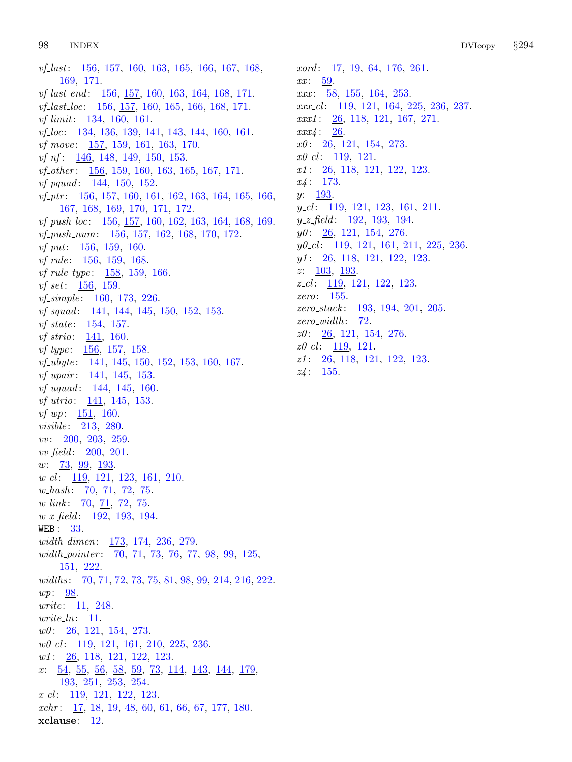vf last: [156](#page-53-0), [157](#page-53-0), [160](#page-54-0), [163](#page-55-0), [165](#page-56-0), [166,](#page-56-0) [167,](#page-57-0) [168,](#page-57-0) [169,](#page-57-0) [171](#page-57-0). vf last end : [156](#page-53-0), [157,](#page-53-0) [160](#page-54-0), [163](#page-55-0), [164,](#page-56-0) [168,](#page-57-0) [171](#page-57-0). vf last loc: [156](#page-53-0), [157,](#page-53-0) [160](#page-54-0), [165](#page-56-0), [166,](#page-56-0) [168](#page-57-0), [171](#page-57-0). vf limit: [134,](#page-46-0) [160](#page-54-0), [161.](#page-55-0) *vf.loc*: <u>134</u>, [136](#page-46-0), [139](#page-46-0), [141,](#page-47-0) [143,](#page-48-0) [144](#page-48-0), [160,](#page-54-0) [161.](#page-55-0) *vf\_move*:  $\underline{157}$ , [159,](#page-53-0) [161,](#page-55-0) [163,](#page-55-0) [170](#page-57-0).  $vf\_nf$ :  $\frac{146}{148}$  $\frac{146}{148}$  $\frac{146}{148}$  $\frac{146}{148}$  $\frac{146}{148}$ , 148, [149](#page-50-0), [150,](#page-50-0) [153.](#page-52-0) vf other : [156,](#page-53-0) [159](#page-53-0), [160,](#page-54-0) [163](#page-55-0), [165,](#page-56-0) [167,](#page-57-0) [171](#page-57-0). *vf\_pquad*:  $144, 150, 152$  $144, 150, 152$  $144, 150, 152$  $144, 150, 152$  $144, 150, 152$ .  $vf_{\text{-}}ptr$ : [156](#page-53-0), [157](#page-53-0), [160](#page-54-0), [161](#page-55-0), [162](#page-55-0), [163](#page-55-0), [164](#page-56-0), [165](#page-56-0), [166](#page-56-0), [167,](#page-57-0) [168,](#page-57-0) [169,](#page-57-0) [170,](#page-57-0) [171,](#page-57-0) [172.](#page-58-0) *vf-push-loc*: [156](#page-53-0), [157,](#page-53-0) [160,](#page-54-0) [162,](#page-55-0) [163,](#page-55-0) [164](#page-56-0), [168](#page-57-0), [169](#page-57-0). vf push num: [156,](#page-53-0) [157](#page-53-0), [162,](#page-55-0) [168,](#page-57-0) [170](#page-57-0), [172.](#page-58-0)  $vf$ -put:  $\frac{156}{159}$  $\frac{156}{159}$  $\frac{156}{159}$ , [159,](#page-53-0) [160](#page-54-0). *vf\_rule*:  $\frac{156}{159}$  $\frac{156}{159}$  $\frac{156}{159}$ , 159, [168](#page-57-0). *vf\_rule\_type*:  $158, 159, 166$  $158, 159, 166$  $158, 159, 166$  $158, 159, 166$ . *vf\_set*:  $\frac{156}{159}$  $\frac{156}{159}$  $\frac{156}{159}$  $\frac{156}{159}$  $\frac{156}{159}$ . *vf\_simple*:  $160$ , [173](#page-58-0), [226.](#page-74-0) *vf\_squad*: <u>141</u>, [144](#page-48-0), [145](#page-49-0), [150,](#page-50-0) [152](#page-51-0), [153](#page-52-0).  $v f_{\text{.}} state: 154, 157.$  $v f_{\text{.}} state: 154, 157.$  $v f_{\text{.}} state: 154, 157.$  $v f_{\text{.}} state: 154, 157.$  $v f_{\text{.}} state: 154, 157.$ vf strio: [141,](#page-47-0) [160.](#page-54-0)  $vf_{\_type}: 156, 157, 158.$  $vf_{\_type}: 156, 157, 158.$  $vf_{\_type}: 156, 157, 158.$  $vf_{\_type}: 156, 157, 158.$  $vf_{\_type}: 156, 157, 158.$  $vf_{\_type}: 156, 157, 158.$ *vf\_ubyte*:  $\underline{141}$ , [145](#page-49-0), [150,](#page-50-0) [152](#page-51-0), [153,](#page-52-0) [160](#page-54-0), [167](#page-57-0). *vf\_upair*:  $141, 145, 153.$  $141, 145, 153.$  $141, 145, 153.$  $141, 145, 153.$  $141, 145, 153.$ *vf\_uquad*:  $144$ , [145](#page-49-0), [160.](#page-54-0) vf utrio: [141](#page-47-0), [145,](#page-49-0) [153](#page-52-0).  $vf_{-}wp: \quad 151, \; 160.$  $vf_{-}wp: \quad 151, \; 160.$  $vf_{-}wp: \quad 151, \; 160.$  $vf_{-}wp: \quad 151, \; 160.$ visible: [213](#page-70-0), [280](#page-86-0).  $vv: \quad 200, 203, 259.$  $vv: \quad 200, 203, 259.$  $vv: \quad 200, 203, 259.$  $vv: \quad 200, 203, 259.$  $vv: \quad 200, 203, 259.$  $vv: \quad 200, 203, 259.$  $vv: \quad 200, 203, 259.$  $vv\_field: \quad 200, \quad 201.$  $vv\_field: \quad 200, \quad 201.$  $vv\_field: \quad 200, \quad 201.$  $vv\_field: \quad 200, \quad 201.$ w: [73](#page-26-0), [99](#page-35-0), [193](#page-65-0). w<sub>-cl</sub>: [119,](#page-42-0) [121,](#page-43-0) [123,](#page-43-0) [161](#page-55-0), [210](#page-69-0).  $w\_{hash:}$  [70,](#page-25-0) [71](#page-25-0), [72,](#page-26-0) [75](#page-26-0).  $w_{\text{L}}$  ink: [70](#page-25-0), [71,](#page-25-0) [72,](#page-26-0) [75](#page-26-0).  $w_x$ -field: [192,](#page-64-0) [193](#page-65-0), [194.](#page-65-0) WEB : [33](#page-13-0). width\_dimen: [173](#page-58-0), [174](#page-58-0), [236](#page-78-0), [279](#page-86-0). width pointer:  $\frac{70}{71}$ , [73,](#page-26-0) [76](#page-27-0), [77](#page-27-0), [98,](#page-34-0) [99,](#page-35-0) [125](#page-43-0), [151,](#page-51-0) [222](#page-73-0). widths: [70](#page-25-0), [71,](#page-25-0) [72](#page-26-0), [73,](#page-26-0) [75](#page-26-0), [81,](#page-28-0) [98](#page-34-0), [99,](#page-35-0) [214](#page-70-0), [216,](#page-71-0) [222](#page-73-0).  $wp: 98$ . write: [11,](#page-5-0) [248.](#page-81-0)  $write\_ln: 11$ .  $w0: \quad \underline{26}$  $w0: \quad \underline{26}$  $w0: \quad \underline{26}$ , [121,](#page-43-0) [154](#page-52-0), [273.](#page-86-0)  $w0$ <sub>-C</sub>l: [119,](#page-42-0) [121,](#page-43-0) [161](#page-55-0), [210](#page-69-0), [225,](#page-74-0) [236.](#page-78-0)  $w1: \underline{26}$  $w1: \underline{26}$  $w1: \underline{26}$ , [118,](#page-42-0) [121,](#page-43-0) [122](#page-43-0), [123](#page-43-0). x: [54](#page-18-0), [55,](#page-18-0) [56](#page-19-0), [58,](#page-20-0) [59](#page-21-0), [73](#page-26-0), [114,](#page-40-0) [143](#page-48-0), [144,](#page-48-0) [179,](#page-61-0) [193,](#page-65-0) [251](#page-82-0), [253](#page-82-0), [254.](#page-82-0)  $x_{-}cl$ :  $\frac{119}{121}$  $\frac{119}{121}$  $\frac{119}{121}$ , [122,](#page-43-0) [123.](#page-43-0)  $xchr: 17, 18, 19, 48, 60, 61, 66, 67, 177, 180.$  $xchr: 17, 18, 19, 48, 60, 61, 66, 67, 177, 180.$  $xchr: 17, 18, 19, 48, 60, 61, 66, 67, 177, 180.$  $xchr: 17, 18, 19, 48, 60, 61, 66, 67, 177, 180.$  $xchr: 17, 18, 19, 48, 60, 61, 66, 67, 177, 180.$  $xchr: 17, 18, 19, 48, 60, 61, 66, 67, 177, 180.$  $xchr: 17, 18, 19, 48, 60, 61, 66, 67, 177, 180.$  $xchr: 17, 18, 19, 48, 60, 61, 66, 67, 177, 180.$  $xchr: 17, 18, 19, 48, 60, 61, 66, 67, 177, 180.$  $xchr: 17, 18, 19, 48, 60, 61, 66, 67, 177, 180.$  $xchr: 17, 18, 19, 48, 60, 61, 66, 67, 177, 180.$  $xchr: 17, 18, 19, 48, 60, 61, 66, 67, 177, 180.$  $xchr: 17, 18, 19, 48, 60, 61, 66, 67, 177, 180.$  $xchr: 17, 18, 19, 48, 60, 61, 66, 67, 177, 180.$  $xchr: 17, 18, 19, 48, 60, 61, 66, 67, 177, 180.$  $xchr: 17, 18, 19, 48, 60, 61, 66, 67, 177, 180.$  $xchr: 17, 18, 19, 48, 60, 61, 66, 67, 177, 180.$  $xchr: 17, 18, 19, 48, 60, 61, 66, 67, 177, 180.$  $xchr: 17, 18, 19, 48, 60, 61, 66, 67, 177, 180.$  $xchr: 17, 18, 19, 48, 60, 61, 66, 67, 177, 180.$ xclause: [12](#page-5-0).

 $xord: 17, 19, 64, 176, 261.$  $xord: 17, 19, 64, 176, 261.$  $xord: 17, 19, 64, 176, 261.$  $xord: 17, 19, 64, 176, 261.$  $xord: 17, 19, 64, 176, 261.$  $xord: 17, 19, 64, 176, 261.$  $xord: 17, 19, 64, 176, 261.$  $xord: 17, 19, 64, 176, 261.$  $xord: 17, 19, 64, 176, 261.$  $xord: 17, 19, 64, 176, 261.$  $xord: 17, 19, 64, 176, 261.$  $xx: 59.$  $xx: 59.$ xxx : [58](#page-20-0), [155,](#page-52-0) [164](#page-56-0), [253.](#page-82-0)  $xxx_{\rm c}$  : [119,](#page-42-0) [121,](#page-43-0) [164](#page-56-0), [225](#page-74-0), [236](#page-78-0), [237.](#page-79-0)  $xxx1: \quad 26, \ 118, \ 121, \ 167, \ 271.$  $xxx1: \quad 26, \ 118, \ 121, \ 167, \ 271.$  $xxx1: \quad 26, \ 118, \ 121, \ 167, \ 271.$  $xxx1: \quad 26, \ 118, \ 121, \ 167, \ 271.$  $xxx1: \quad 26, \ 118, \ 121, \ 167, \ 271.$  $xxx1: \quad 26, \ 118, \ 121, \ 167, \ 271.$  $xxx1: \quad 26, \ 118, \ 121, \ 167, \ 271.$  $xxx1: \quad 26, \ 118, \ 121, \ 167, \ 271.$  $xxx1: \quad 26, \ 118, \ 121, \ 167, \ 271.$  $xxx1: \quad 26, \ 118, \ 121, \ 167, \ 271.$  $xxx1: \quad 26, \ 118, \ 121, \ 167, \ 271.$  $xxx4: 26.$  $xxx4: 26.$  $xxx4: 26.$  $x0: \underline{26}$  $x0: \underline{26}$  $x0: \underline{26}$ , [121,](#page-43-0) [154](#page-52-0), [273.](#page-86-0)  $x0$ <sub>-cl</sub>:  $\frac{119}{121}$ .  $x1: \underline{26}$  $x1: \underline{26}$  $x1: \underline{26}$ , [118,](#page-42-0) [121,](#page-43-0) [122](#page-43-0), [123](#page-43-0).  $x_4: 173.$  $x_4: 173.$  $x_4: 173.$ y: [193.](#page-65-0)  $y_{-}cl$ : [119,](#page-42-0) [121,](#page-43-0) [123](#page-43-0), [161](#page-55-0), [211.](#page-69-0)  $y_z = field: 192, 193, 194.$  $y_z = field: 192, 193, 194.$  $y_z = field: 192, 193, 194.$  $y_z = field: 192, 193, 194.$  $y_z = field: 192, 193, 194.$  $y_z = field: 192, 193, 194.$  $y_z = field: 192, 193, 194.$  $y0: \quad \underline{26}, \ 121, \ 154, \ 276.$  $y0: \quad \underline{26}, \ 121, \ 154, \ 276.$  $y0: \quad \underline{26}, \ 121, \ 154, \ 276.$  $y0: \quad \underline{26}, \ 121, \ 154, \ 276.$  $y0: \quad \underline{26}, \ 121, \ 154, \ 276.$  $y0: \quad \underline{26}, \ 121, \ 154, \ 276.$  $y0: \quad \underline{26}, \ 121, \ 154, \ 276.$  $y0: \quad \underline{26}, \ 121, \ 154, \ 276.$  $y0: \quad \underline{26}, \ 121, \ 154, \ 276.$  $y0$ <sub>-c</sub>l: [119,](#page-42-0) [121,](#page-43-0) [161,](#page-55-0) [211](#page-69-0), [225](#page-74-0), [236](#page-78-0).  $y1: \quad 26, \ 118, \ 121, \ 122, \ 123.$  $y1: \quad 26, \ 118, \ 121, \ 122, \ 123.$  $y1: \quad 26, \ 118, \ 121, \ 122, \ 123.$  $y1: \quad 26, \ 118, \ 121, \ 122, \ 123.$  $y1: \quad 26, \ 118, \ 121, \ 122, \ 123.$  $y1: \quad 26, \ 118, \ 121, \ 122, \ 123.$  $y1: \quad 26, \ 118, \ 121, \ 122, \ 123.$  $y1: \quad 26, \ 118, \ 121, \ 122, \ 123.$  $y1: \quad 26, \ 118, \ 121, \ 122, \ 123.$  $y1: \quad 26, \ 118, \ 121, \ 122, \ 123.$ z: [103,](#page-37-0) [193.](#page-65-0)  $z_{cl}$ : [119](#page-42-0), [121,](#page-43-0) [122,](#page-43-0) [123](#page-43-0). zero: [155](#page-52-0). zero stack : [193,](#page-65-0) [194](#page-65-0), [201](#page-66-0), [205](#page-68-0).  $zero_width$ :  $72$ .  $z0: \quad \underline{26}, \ 121, \ 154, \ 276.$  $z0: \quad \underline{26}, \ 121, \ 154, \ 276.$  $z0: \quad \underline{26}, \ 121, \ 154, \ 276.$  $z0: \quad \underline{26}, \ 121, \ 154, \ 276.$  $z0: \quad \underline{26}, \ 121, \ 154, \ 276.$  $z0: \quad \underline{26}, \ 121, \ 154, \ 276.$  $z0: \quad \underline{26}, \ 121, \ 154, \ 276.$  $z\theta_{-}cl$ : [119](#page-42-0), [121](#page-43-0).  $z1: \underline{26}, 118, 121, 122, 123.$  $z1: \underline{26}, 118, 121, 122, 123.$  $z1: \underline{26}, 118, 121, 122, 123.$  $z1: \underline{26}, 118, 121, 122, 123.$  $z1: \underline{26}, 118, 121, 122, 123.$  $z1: \underline{26}, 118, 121, 122, 123.$  $z1: \underline{26}, 118, 121, 122, 123.$  $z1: \underline{26}, 118, 121, 122, 123.$  $z_4$ : [155.](#page-52-0)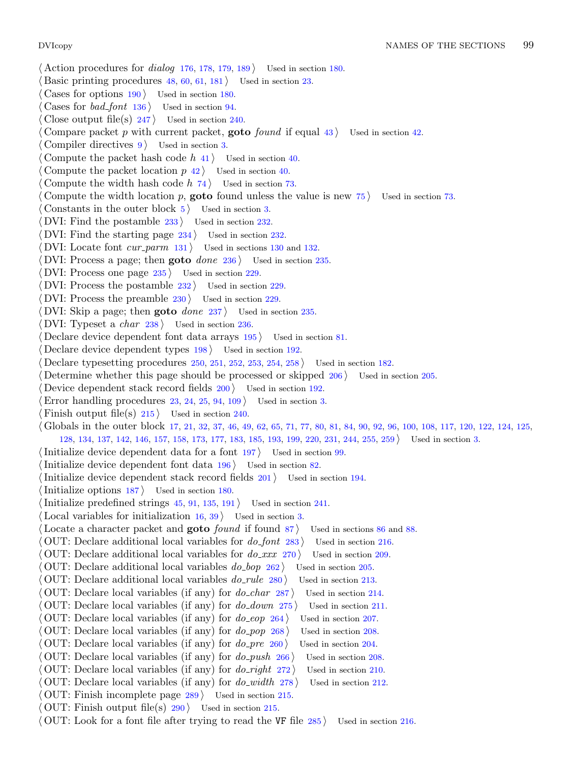$\langle$  Action procedures for *dialog* [176,](#page-60-0) [178,](#page-61-0) [179](#page-61-0), [189](#page-64-0) ised in section [180.](#page-62-0) Basic printing procedures  $48, 60, 61, 181$  $48, 60, 61, 181$  $48, 60, 61, 181$  $48, 60, 61, 181$  $48, 60, 61, 181$  $48, 60, 61, 181$  $48, 60, 61, 181$  Used in section [23.](#page-9-0) Cases for options  $190$  Used in section [180](#page-62-0). Cases for *bad\_font*  $136$  Used in section [94](#page-32-0). Close output file(s)  $247$  Used in section [240](#page-80-0). Compare packet p with current packet, **goto** found if equal  $43$  Used in section [42.](#page-14-0) Compiler directives  $9$  Used in section [3](#page-2-0). Compute the packet hash code  $h$  [41](#page-14-0) is Used in section [40.](#page-14-0) Compute the packet location  $p \, 42$  $p \, 42$  Used in section [40.](#page-14-0) Compute the width hash code  $h$  [74](#page-26-0) is Used in section [73.](#page-26-0) Compute the width location p, **goto** found unless the value is new [75](#page-26-0) iused in section [73.](#page-26-0) Constants in the outer block  $5$  Used in section [3.](#page-2-0) DVI: Find the postamble  $233$  Used in section [232](#page-77-0). DVI: Find the starting page  $234$  Used in section [232](#page-77-0). DVI: Locate font  $cur\_param$  [131](#page-45-0)) Used in sections [130](#page-45-0) and [132.](#page-45-0) DVI: Process a page; then **goto** done  $236$  Used in section [235](#page-78-0). DVI: Process one page  $235$  Used in section [229](#page-76-0). DVI: Process the postamble  $232$  Used in section [229.](#page-76-0) DVI: Process the preamble  $230$  Used in section [229](#page-76-0). DVI: Skip a page; then **goto** done  $237$  Used in section [235.](#page-78-0) DVI: Typeset a *char*  $238$  Used in section [236](#page-78-0). Declare device dependent font data arrays  $195$  Used in section [81.](#page-28-0) Declare device dependent types  $198$  Used in section [192](#page-64-0). Declare typesetting procedures  $250, 251, 252, 253, 254, 258$  $250, 251, 252, 253, 254, 258$  $250, 251, 252, 253, 254, 258$  $250, 251, 252, 253, 254, 258$  $250, 251, 252, 253, 254, 258$  $250, 251, 252, 253, 254, 258$  $250, 251, 252, 253, 254, 258$  $250, 251, 252, 253, 254, 258$  $250, 251, 252, 253, 254, 258$  $250, 251, 252, 253, 254, 258$  $250, 251, 252, 253, 254, 258$  Used in section [182.](#page-63-0) Determine whether this page should be processed or skipped  $206$  Used in section [205.](#page-68-0) Device dependent stack record fields  $200$  Used in section [192](#page-64-0). Error handling procedures  $23, 24, 25, 94, 109$  $23, 24, 25, 94, 109$  $23, 24, 25, 94, 109$  $23, 24, 25, 94, 109$  $23, 24, 25, 94, 109$  $23, 24, 25, 94, 109$  $23, 24, 25, 94, 109$  $23, 24, 25, 94, 109$  $23, 24, 25, 94, 109$  Used in section [3.](#page-2-0) Finish output file(s)  $215$  Used in section [240](#page-80-0). Globals in the outer block [17](#page-7-0), [21](#page-9-0), [32,](#page-13-0) [37,](#page-13-0) [46](#page-16-0), [49](#page-16-0), [62,](#page-22-0) [65,](#page-23-0) [71](#page-25-0), [77](#page-27-0), [80,](#page-27-0) [81,](#page-28-0) [84](#page-29-0), [90](#page-32-0), [92,](#page-32-0) [96,](#page-32-0) [100,](#page-35-0) [108](#page-39-0), [117](#page-41-0), [120](#page-42-0), [122](#page-43-0), [124](#page-43-0), [125](#page-43-0), [128,](#page-44-0) [134,](#page-46-0) [137](#page-46-0), [142](#page-47-0), [146](#page-49-0), [157](#page-53-0), [158,](#page-53-0) [173,](#page-58-0) [177,](#page-60-0) [183,](#page-63-0) [185](#page-63-0), [193](#page-65-0), [199](#page-66-0), [220](#page-72-0), [231,](#page-76-0) [244,](#page-81-0) [255,](#page-82-0) [259](#page-84-0) i Used in section [3](#page-2-0). Initialize device dependent data for a font  $197$  Used in section [99.](#page-35-0) Initialize device dependent font data  $196$  Used in section [82.](#page-28-0) Initialize device dependent stack record fields  $201$  Used in section [194.](#page-65-0) Initialize options  $187$  Used in section [180.](#page-62-0) Initialize predefined strings  $45, 91, 135, 191$  $45, 91, 135, 191$  $45, 91, 135, 191$  $45, 91, 135, 191$  $45, 91, 135, 191$  $45, 91, 135, 191$  $45, 91, 135, 191$  Used in section [241](#page-80-0). Local variables for initialization  $16, 39$  $16, 39$  $16, 39$  Used in section [3](#page-2-0). Locate a character packet and **goto** found if found  $87$  Used in sections [86](#page-29-0) and [88.](#page-30-0) OUT: Declare additional local variables for  $do_{font}$  [283](#page-87-0) is used in section [216.](#page-71-0) OUT: Declare additional local variables for  $do\_xxx$  [270](#page-85-0) ised in section [209.](#page-69-0) OUT: Declare additional local variables  $do_b \cdot b \cdot 262$  $do_b \cdot b \cdot 262$  Used in section [205](#page-68-0). OUT: Declare additional local variables  $do$ -rule  $280$  Used in section [213.](#page-70-0) OUT: Declare local variables (if any) for  $do\_char 287$  $do\_char 287$  Used in section [214](#page-70-0). OUT: Declare local variables (if any) for  $do\_down$  [275](#page-86-0) i Used in section [211](#page-69-0). OUT: Declare local variables (if any) for  $do\text{-}eop$  [264](#page-85-0)) Used in section [207](#page-68-0). OUT: Declare local variables (if any) for  $do\_pop$  [268](#page-85-0)) Used in section [208.](#page-69-0) OUT: Declare local variables (if any) for  $do\_pre$  [260](#page-84-0)) Used in section [204](#page-67-0). OUT: Declare local variables (if any) for  $do\_push\ 266$  $do\_push\ 266$  Used in section [208.](#page-69-0) OUT: Declare local variables (if any) for  $do\_right$  [272](#page-85-0)) Used in section [210.](#page-69-0) OUT: Declare local variables (if any) for  $do\_width$  [278](#page-86-0) is used in section [212](#page-70-0). OUT: Finish incomplete page  $289$  Used in section [215.](#page-70-0) OUT: Finish output file(s)  $290$  Used in section [215.](#page-70-0) OUT: Look for a font file after trying to read the VF file  $285$  Used in section [216.](#page-71-0)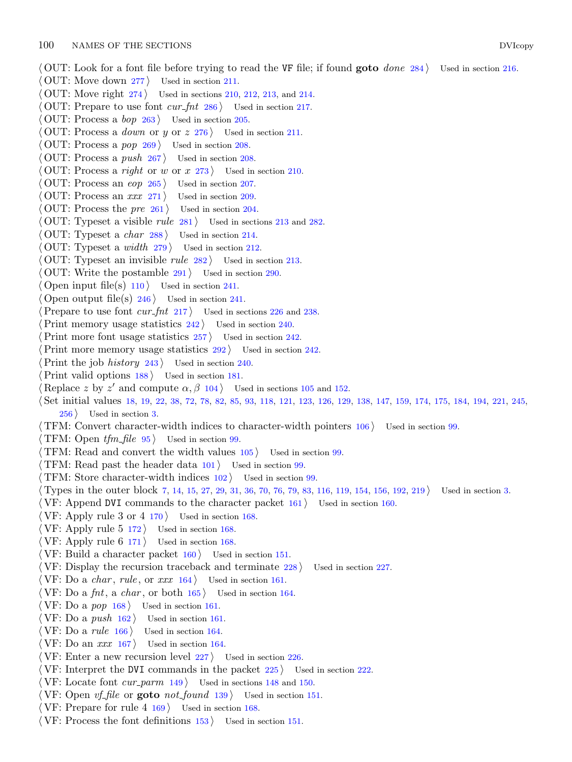- (OUT: Look for a font file before trying to read the VF file; if found goto done [284](#page-87-0)) Used in section [216](#page-71-0).
- OUT: Move down  $277$  Used in section [211.](#page-69-0)
- OUT: Move right  $274$  Used in sections [210,](#page-69-0) [212,](#page-70-0) [213,](#page-70-0) and [214](#page-70-0).
- OUT: Prepare to use font  $\text{cur\_fnt 286}$  $\text{cur\_fnt 286}$  $\text{cur\_fnt 286}$  Used in section [217.](#page-71-0)
- OUT: Process a  $bop$  [263](#page-85-0) in section [205.](#page-68-0)
- OUT: Process a *down* or y or  $z$  [276](#page-86-0) iused in section [211.](#page-69-0)
- OUT: Process a  $pop$  [269](#page-85-0) in section [208](#page-69-0).
- OUT: Process a push  $267$  Used in section [208](#page-69-0).
- OUT: Process a right or w or  $x$  [273](#page-86-0) iused in section [210](#page-69-0).
- OUT: Process an  $e^{i\phi}$  [265](#page-85-0) is used in section [207.](#page-68-0)
- OUT: Process an  $xxx$  [271](#page-85-0) ised in section [209.](#page-69-0)
- OUT: Process the *pre*  $261$  Used in section [204](#page-67-0).
- OUT: Typeset a visible *rule*  $281$  Used in sections [213](#page-70-0) and [282.](#page-86-0)
- OUT: Typeset a *char*  $288$  Used in section [214](#page-70-0).
- OUT: Typeset a *width*  $279$  Used in section [212](#page-70-0).
- OUT: Typeset an invisible *rule*  $282$  Used in section [213.](#page-70-0)
- OUT: Write the postamble  $291$  Used in section [290](#page-88-0).
- Open input file(s)  $110$  Used in section [241.](#page-80-0)
- Open output file(s)  $246$  Used in section [241.](#page-80-0)
- Prepare to use font  $cur\_fnt$  [217](#page-71-0)) Used in sections [226](#page-74-0) and [238](#page-79-0).
- Print memory usage statistics  $242$  Used in section [240.](#page-80-0)
- Print more font usage statistics  $257$  Used in section [242.](#page-80-0)
- Print more memory usage statistics  $292$  Used in section [242.](#page-80-0)
- Print the job history  $243$  Used in section [240.](#page-80-0)
- Print valid options  $188$  Used in section [181](#page-62-0).
- $\langle$  Replace z by z' and compute  $\alpha$ ,  $\beta$  [104](#page-37-0) $\rangle$  Used in sections [105](#page-38-0) and [152.](#page-51-0)
- h Set initial values [18](#page-8-0), [19](#page-8-0), [22](#page-9-0), [38](#page-14-0), [72,](#page-26-0) [78,](#page-27-0) [82,](#page-28-0) [85,](#page-29-0) [93,](#page-32-0) [118](#page-42-0), [121](#page-43-0), [123,](#page-43-0) [126,](#page-43-0) [129](#page-44-0), [138](#page-46-0), [147,](#page-49-0) [159](#page-53-0), [174](#page-58-0), [175,](#page-59-0) [184,](#page-63-0) [194](#page-65-0), [221,](#page-72-0) [245,](#page-81-0)  $256$  Used in section [3](#page-2-0).
- TFM: Convert character-width indices to character-width pointers  $106$  is used in section [99.](#page-35-0)
- TFM: Open  $tfm$ -file  $95$  Used in section [99](#page-35-0).
- TFM: Read and convert the width values  $105$  is Used in section [99](#page-35-0).
- TFM: Read past the header data  $101$  Used in section [99](#page-35-0).
- TFM: Store character-width indices  $102$  Used in section [99.](#page-35-0)
- Types in the outer block [7](#page-4-0), [14](#page-7-0), [15,](#page-7-0) [27](#page-11-0), [29](#page-12-0), [31,](#page-12-0) [36](#page-13-0), [70,](#page-25-0) [76,](#page-27-0) [79](#page-27-0), [83,](#page-28-0) [116,](#page-41-0) [119,](#page-42-0) [154,](#page-52-0) [156](#page-53-0), [192](#page-64-0), [219](#page-72-0) iused in section [3](#page-2-0).
- $VF:$  Append DVI commands to the character packet  $161$  Used in section [160.](#page-54-0)
- VF: Apply rule 3 or 4  $170$  Used in section [168](#page-57-0).
- VF: Apply rule  $5 \frac{172}{ }$  $5 \frac{172}{ }$  $5 \frac{172}{ }$  Used in section [168.](#page-57-0)
- $\langle$  VF: Apply rule 6 [171](#page-57-0)  $\rangle$  Used in section [168.](#page-57-0)
- $\langle VF: \text{Build a character packet } 160 \rangle$  $\langle VF: \text{Build a character packet } 160 \rangle$  $\langle VF: \text{Build a character packet } 160 \rangle$  Used in section [151.](#page-51-0)
- (VF: Display the recursion traceback and terminate  $228$ ) Used in section [227.](#page-75-0)
- (VF: Do a *char*, *rule*, or  $xxx$  [164](#page-56-0)) Used in section [161.](#page-55-0)
- $\langle \text{VF: Do a } \text{fnt, a } \text{char, or both } 165 \rangle$  $\langle \text{VF: Do a } \text{fnt, a } \text{char, or both } 165 \rangle$  $\langle \text{VF: Do a } \text{fnt, a } \text{char, or both } 165 \rangle$  Used in section [164.](#page-56-0)
- $\langle \text{VF: Do a } pop \text{ 168} \rangle$  $\langle \text{VF: Do a } pop \text{ 168} \rangle$  $\langle \text{VF: Do a } pop \text{ 168} \rangle$  Used in section [161.](#page-55-0)
- $\langle \text{VF: Do a } push \space 162 \rangle$  $\langle \text{VF: Do a } push \space 162 \rangle$  $\langle \text{VF: Do a } push \space 162 \rangle$  Used in section [161.](#page-55-0)
- $\langle$  VF: Do a *rule* [166](#page-56-0)  $\rangle$  Used in section [164](#page-56-0).
- $\langle \text{VF: Do an } xxx \ 167 \rangle$  $\langle \text{VF: Do an } xxx \ 167 \rangle$  $\langle \text{VF: Do an } xxx \ 167 \rangle$  Used in section [164](#page-56-0).
- $\langle \text{VF: Enter a new recursion level } 227 \rangle$  $\langle \text{VF: Enter a new recursion level } 227 \rangle$  $\langle \text{VF: Enter a new recursion level } 227 \rangle$  Used in section [226](#page-74-0).
- (VF: Interpret the DVI commands in the packet  $225$ ) Used in section [222](#page-73-0).
- VF: Locate font  $cur\_param$  [149](#page-50-0) is Used in sections [148](#page-50-0) and [150](#page-50-0).
- VF: Open *vf-file* or **goto** not-found  $139$  Used in section [151](#page-51-0).
- VF: Prepare for rule  $4\,169$  $4\,169$  Used in section [168](#page-57-0).
- $\langle$  VF: Process the font definitions [153](#page-52-0) i Used in section [151](#page-51-0).